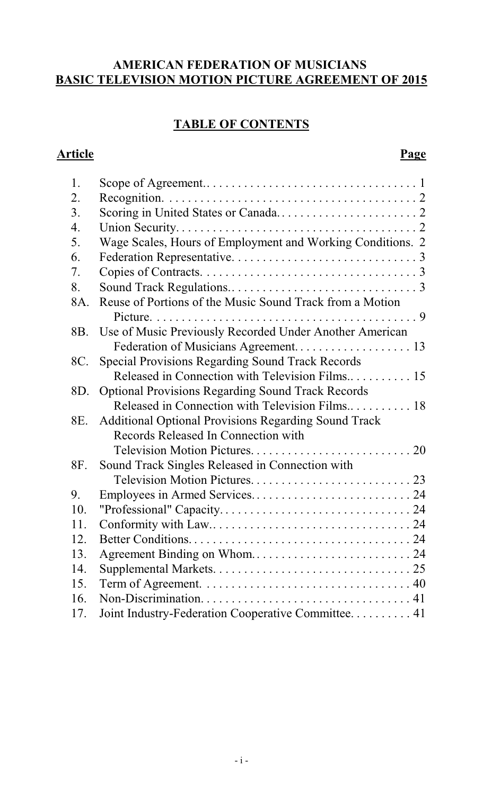# **AMERICAN FEDERATION OF MUSICIANS BASIC TELEVISION MOTION PICTURE AGREEMENT OF 2015**

# **TABLE OF CONTENTS**

# **Article Page**

| 1.  |                                                             |
|-----|-------------------------------------------------------------|
| 2.  |                                                             |
| 3.  |                                                             |
| 4.  |                                                             |
| 5.  | Wage Scales, Hours of Employment and Working Conditions. 2  |
| 6.  |                                                             |
| 7.  |                                                             |
| 8.  |                                                             |
| 8A. | Reuse of Portions of the Music Sound Track from a Motion    |
|     |                                                             |
| 8B. | Use of Music Previously Recorded Under Another American     |
|     |                                                             |
| 8C. | <b>Special Provisions Regarding Sound Track Records</b>     |
|     |                                                             |
| 8D. | <b>Optional Provisions Regarding Sound Track Records</b>    |
|     | Released in Connection with Television Films 18             |
| 8E. | <b>Additional Optional Provisions Regarding Sound Track</b> |
|     | Records Released In Connection with                         |
|     |                                                             |
| 8F. | Sound Track Singles Released in Connection with             |
|     |                                                             |
| 9.  |                                                             |
| 10. |                                                             |
| 11. |                                                             |
| 12. |                                                             |
| 13. |                                                             |
| 14. |                                                             |
| 15. |                                                             |
| 16. |                                                             |
| 17. | Joint Industry-Federation Cooperative Committee. 41         |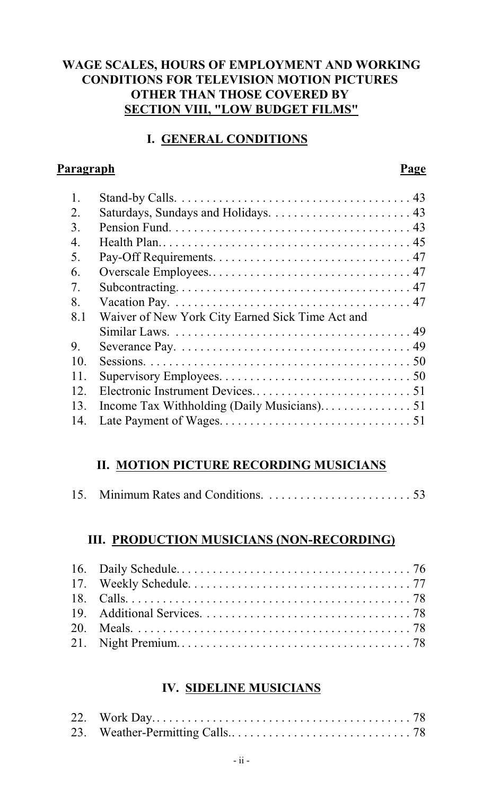# **WAGE SCALES, HOURS OF EMPLOYMENT AND WORKING CONDITIONS FOR TELEVISION MOTION PICTURES OTHER THAN THOSE COVERED BY SECTION VIII, "LOW BUDGET FILMS"**

#### **I. GENERAL CONDITIONS**

#### **Paragraph Page**

| $\mathbf{1}$ . |                                                                                                     |
|----------------|-----------------------------------------------------------------------------------------------------|
| 2.             |                                                                                                     |
| 3.             |                                                                                                     |
| 4.             |                                                                                                     |
| 5.             |                                                                                                     |
| 6.             |                                                                                                     |
| 7.             |                                                                                                     |
| 8.             |                                                                                                     |
| 8.1            | Waiver of New York City Earned Sick Time Act and                                                    |
|                |                                                                                                     |
| 9.             |                                                                                                     |
| 10.            |                                                                                                     |
| 11.            | Supervisory Employees. $\dots \dots \dots \dots \dots \dots \dots \dots \dots \dots \dots \dots 50$ |
| 12.            |                                                                                                     |
| 13.            |                                                                                                     |
| 14.            |                                                                                                     |
|                |                                                                                                     |

#### **II. MOTION PICTURE RECORDING MUSICIANS**

|--|--|--|--|--|--|

## **III. PRODUCTION MUSICIANS (NON-RECORDING)**

#### **IV. SIDELINE MUSICIANS**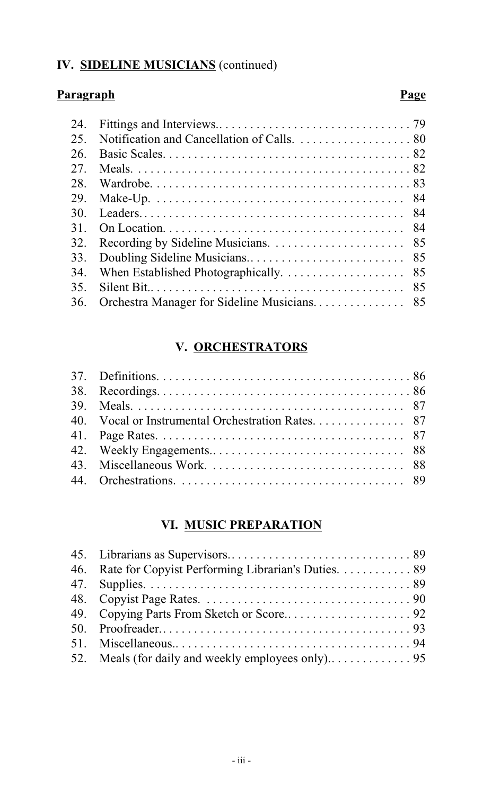# **IV. SIDELINE MUSICIANS** (continued)

# **Paragraph Page**

| 24. |    |
|-----|----|
| 25. |    |
| 26. |    |
| 27. |    |
| 28. |    |
| 29. |    |
| 30. |    |
| 31. |    |
| 32. |    |
| 33. |    |
| 34. |    |
| 35. | 85 |
| 36. |    |

# **V. ORCHESTRATORS**

# **VI. MUSIC PREPARATION**

|     | 46. Rate for Copyist Performing Librarian's Duties. 89 |  |
|-----|--------------------------------------------------------|--|
|     |                                                        |  |
|     |                                                        |  |
|     |                                                        |  |
|     |                                                        |  |
|     |                                                        |  |
| 52. |                                                        |  |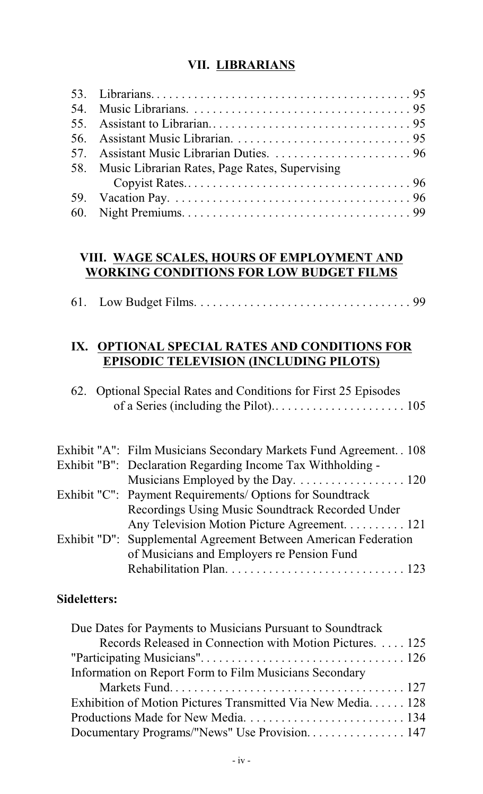## **VII. LIBRARIANS**

| 58. Music Librarian Rates, Page Rates, Supervising |
|----------------------------------------------------|
|                                                    |
|                                                    |
|                                                    |

#### **VIII. WAGE SCALES, HOURS OF EMPLOYMENT AND WORKING CONDITIONS FOR LOW BUDGET FILMS**

|--|--|--|--|

#### **IX. OPTIONAL SPECIAL RATES AND CONDITIONS FOR EPISODIC TELEVISION (INCLUDING PILOTS)**

| 62. Optional Special Rates and Conditions for First 25 Episodes |  |
|-----------------------------------------------------------------|--|
|                                                                 |  |

| Exhibit "A": Film Musicians Secondary Markets Fund Agreement. . 108 |
|---------------------------------------------------------------------|
| Exhibit "B": Declaration Regarding Income Tax Withholding -         |
| Musicians Employed by the Day. 120                                  |
| Exhibit "C": Payment Requirements/ Options for Soundtrack           |
| Recordings Using Music Soundtrack Recorded Under                    |
| Any Television Motion Picture Agreement. 121                        |
| Exhibit "D": Supplemental Agreement Between American Federation     |
| of Musicians and Employers re Pension Fund                          |
|                                                                     |

#### **Sideletters:**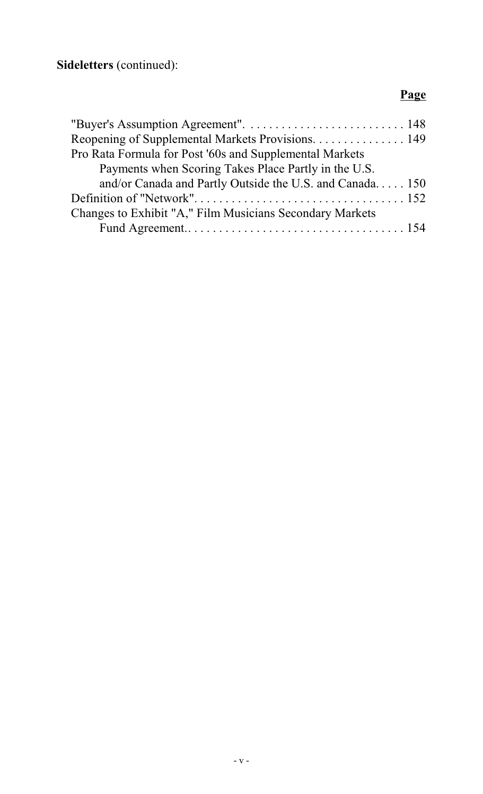# **Page**

| Reopening of Supplemental Markets Provisions. 149        |  |
|----------------------------------------------------------|--|
| Pro Rata Formula for Post '60s and Supplemental Markets  |  |
| Payments when Scoring Takes Place Partly in the U.S.     |  |
| and/or Canada and Partly Outside the U.S. and Canada 150 |  |
|                                                          |  |
| Changes to Exhibit "A," Film Musicians Secondary Markets |  |
|                                                          |  |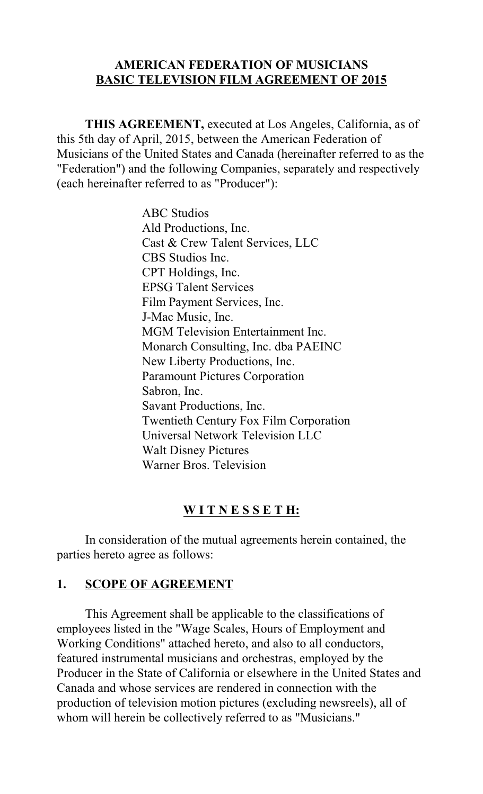#### **AMERICAN FEDERATION OF MUSICIANS BASIC TELEVISION FILM AGREEMENT OF 2015**

**THIS AGREEMENT,** executed at Los Angeles, California, as of this 5th day of April, 2015, between the American Federation of Musicians of the United States and Canada (hereinafter referred to as the "Federation") and the following Companies, separately and respectively (each hereinafter referred to as "Producer"):

> ABC Studios Ald Productions, Inc. Cast & Crew Talent Services, LLC CBS Studios Inc. CPT Holdings, Inc. EPSG Talent Services Film Payment Services, Inc. J-Mac Music, Inc. MGM Television Entertainment Inc. Monarch Consulting, Inc. dba PAEINC New Liberty Productions, Inc. Paramount Pictures Corporation Sabron, Inc. Savant Productions, Inc. Twentieth Century Fox Film Corporation Universal Network Television LLC Walt Disney Pictures Warner Bros. Television

#### **W I T N E S S E T H:**

In consideration of the mutual agreements herein contained, the parties hereto agree as follows:

#### **1. SCOPE OF AGREEMENT**

This Agreement shall be applicable to the classifications of employees listed in the "Wage Scales, Hours of Employment and Working Conditions" attached hereto, and also to all conductors, featured instrumental musicians and orchestras, employed by the Producer in the State of California or elsewhere in the United States and Canada and whose services are rendered in connection with the production of television motion pictures (excluding newsreels), all of whom will herein be collectively referred to as "Musicians."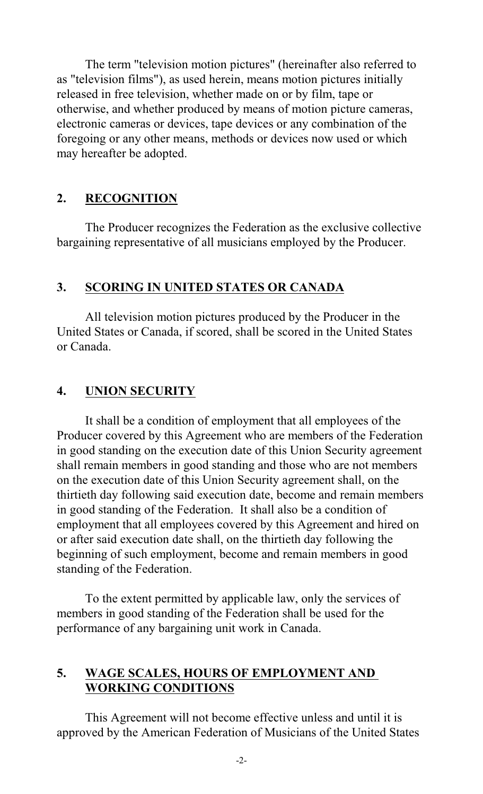The term "television motion pictures" (hereinafter also referred to as "television films"), as used herein, means motion pictures initially released in free television, whether made on or by film, tape or otherwise, and whether produced by means of motion picture cameras, electronic cameras or devices, tape devices or any combination of the foregoing or any other means, methods or devices now used or which may hereafter be adopted.

#### **2. RECOGNITION**

The Producer recognizes the Federation as the exclusive collective bargaining representative of all musicians employed by the Producer.

#### **3. SCORING IN UNITED STATES OR CANADA**

All television motion pictures produced by the Producer in the United States or Canada, if scored, shall be scored in the United States or Canada.

#### **4. UNION SECURITY**

It shall be a condition of employment that all employees of the Producer covered by this Agreement who are members of the Federation in good standing on the execution date of this Union Security agreement shall remain members in good standing and those who are not members on the execution date of this Union Security agreement shall, on the thirtieth day following said execution date, become and remain members in good standing of the Federation. It shall also be a condition of employment that all employees covered by this Agreement and hired on or after said execution date shall, on the thirtieth day following the beginning of such employment, become and remain members in good standing of the Federation.

To the extent permitted by applicable law, only the services of members in good standing of the Federation shall be used for the performance of any bargaining unit work in Canada.

#### **5. WAGE SCALES, HOURS OF EMPLOYMENT AND WORKING CONDITIONS**

This Agreement will not become effective unless and until it is approved by the American Federation of Musicians of the United States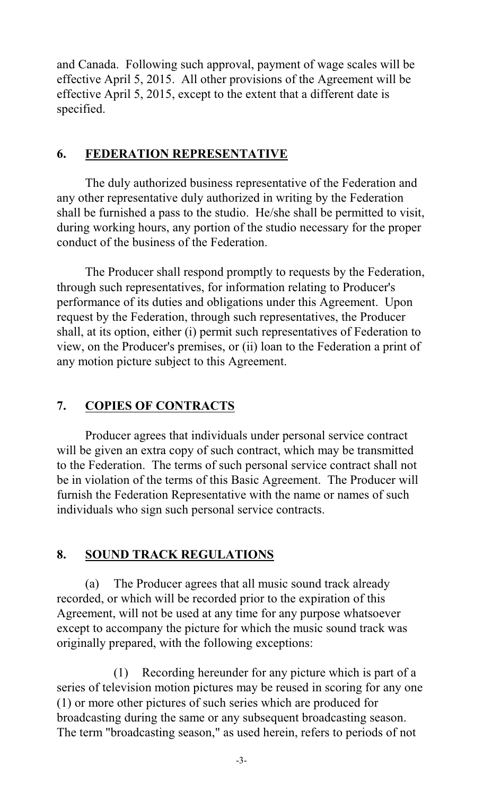and Canada. Following such approval, payment of wage scales will be effective April 5, 2015. All other provisions of the Agreement will be effective April 5, 2015, except to the extent that a different date is specified.

#### **6. FEDERATION REPRESENTATIVE**

The duly authorized business representative of the Federation and any other representative duly authorized in writing by the Federation shall be furnished a pass to the studio. He/she shall be permitted to visit, during working hours, any portion of the studio necessary for the proper conduct of the business of the Federation.

The Producer shall respond promptly to requests by the Federation, through such representatives, for information relating to Producer's performance of its duties and obligations under this Agreement. Upon request by the Federation, through such representatives, the Producer shall, at its option, either (i) permit such representatives of Federation to view, on the Producer's premises, or (ii) loan to the Federation a print of any motion picture subject to this Agreement.

#### **7. COPIES OF CONTRACTS**

Producer agrees that individuals under personal service contract will be given an extra copy of such contract, which may be transmitted to the Federation. The terms of such personal service contract shall not be in violation of the terms of this Basic Agreement. The Producer will furnish the Federation Representative with the name or names of such individuals who sign such personal service contracts.

#### **8. SOUND TRACK REGULATIONS**

(a) The Producer agrees that all music sound track already recorded, or which will be recorded prior to the expiration of this Agreement, will not be used at any time for any purpose whatsoever except to accompany the picture for which the music sound track was originally prepared, with the following exceptions:

(1) Recording hereunder for any picture which is part of a series of television motion pictures may be reused in scoring for any one (1) or more other pictures of such series which are produced for broadcasting during the same or any subsequent broadcasting season. The term "broadcasting season," as used herein, refers to periods of not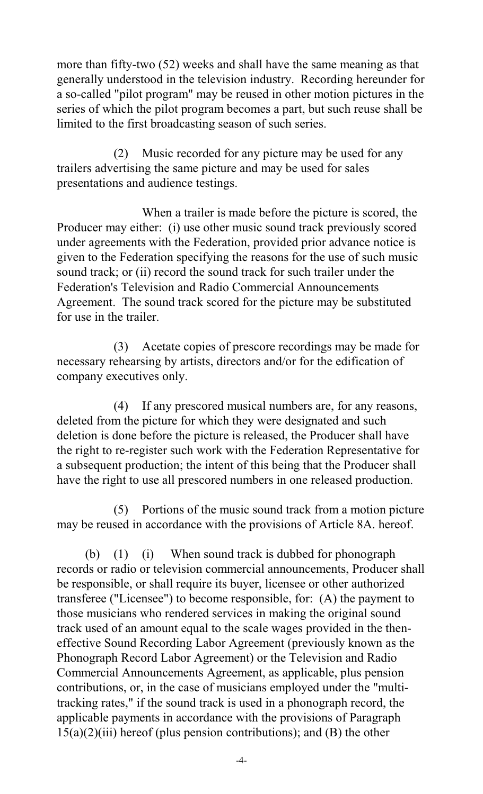more than fifty-two (52) weeks and shall have the same meaning as that generally understood in the television industry. Recording hereunder for a so-called "pilot program" may be reused in other motion pictures in the series of which the pilot program becomes a part, but such reuse shall be limited to the first broadcasting season of such series.

(2) Music recorded for any picture may be used for any trailers advertising the same picture and may be used for sales presentations and audience testings.

When a trailer is made before the picture is scored, the Producer may either: (i) use other music sound track previously scored under agreements with the Federation, provided prior advance notice is given to the Federation specifying the reasons for the use of such music sound track; or (ii) record the sound track for such trailer under the Federation's Television and Radio Commercial Announcements Agreement. The sound track scored for the picture may be substituted for use in the trailer.

(3) Acetate copies of prescore recordings may be made for necessary rehearsing by artists, directors and/or for the edification of company executives only.

(4) If any prescored musical numbers are, for any reasons, deleted from the picture for which they were designated and such deletion is done before the picture is released, the Producer shall have the right to re-register such work with the Federation Representative for a subsequent production; the intent of this being that the Producer shall have the right to use all prescored numbers in one released production.

(5) Portions of the music sound track from a motion picture may be reused in accordance with the provisions of Article 8A. hereof.

(b) (1) (i) When sound track is dubbed for phonograph records or radio or television commercial announcements, Producer shall be responsible, or shall require its buyer, licensee or other authorized transferee ("Licensee") to become responsible, for: (A) the payment to those musicians who rendered services in making the original sound track used of an amount equal to the scale wages provided in the theneffective Sound Recording Labor Agreement (previously known as the Phonograph Record Labor Agreement) or the Television and Radio Commercial Announcements Agreement, as applicable, plus pension contributions, or, in the case of musicians employed under the "multitracking rates," if the sound track is used in a phonograph record, the applicable payments in accordance with the provisions of Paragraph  $15(a)(2)(iii)$  hereof (plus pension contributions); and (B) the other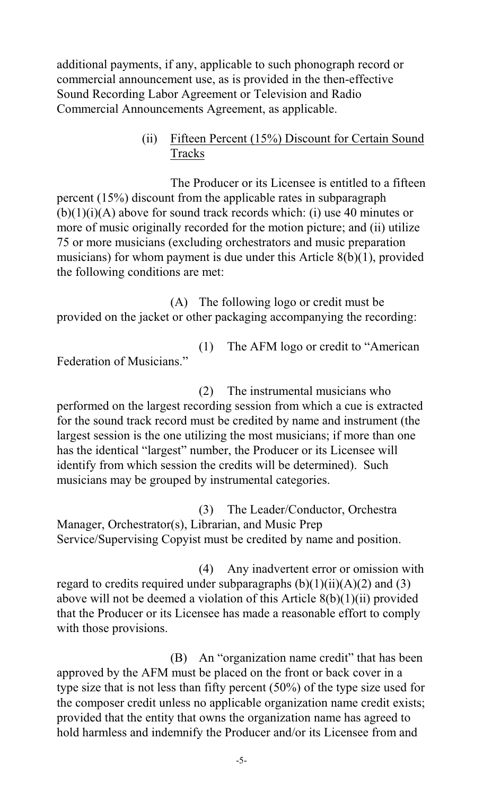additional payments, if any, applicable to such phonograph record or commercial announcement use, as is provided in the then-effective Sound Recording Labor Agreement or Television and Radio Commercial Announcements Agreement, as applicable.

#### (ii) Fifteen Percent (15%) Discount for Certain Sound Tracks

The Producer or its Licensee is entitled to a fifteen percent (15%) discount from the applicable rates in subparagraph  $(b)(1)(i)(A)$  above for sound track records which: (i) use 40 minutes or more of music originally recorded for the motion picture; and (ii) utilize 75 or more musicians (excluding orchestrators and music preparation musicians) for whom payment is due under this Article 8(b)(1), provided the following conditions are met:

(A) The following logo or credit must be provided on the jacket or other packaging accompanying the recording:

Federation of Musicians."

(1) The AFM logo or credit to "American

(2) The instrumental musicians who performed on the largest recording session from which a cue is extracted for the sound track record must be credited by name and instrument (the largest session is the one utilizing the most musicians; if more than one has the identical "largest" number, the Producer or its Licensee will identify from which session the credits will be determined). Such musicians may be grouped by instrumental categories.

(3) The Leader/Conductor, Orchestra Manager, Orchestrator(s), Librarian, and Music Prep Service/Supervising Copyist must be credited by name and position.

(4) Any inadvertent error or omission with regard to credits required under subparagraphs  $(b)(1)(ii)(A)(2)$  and  $(3)$ above will not be deemed a violation of this Article 8(b)(1)(ii) provided that the Producer or its Licensee has made a reasonable effort to comply with those provisions.

(B) An "organization name credit" that has been approved by the AFM must be placed on the front or back cover in a type size that is not less than fifty percent (50%) of the type size used for the composer credit unless no applicable organization name credit exists; provided that the entity that owns the organization name has agreed to hold harmless and indemnify the Producer and/or its Licensee from and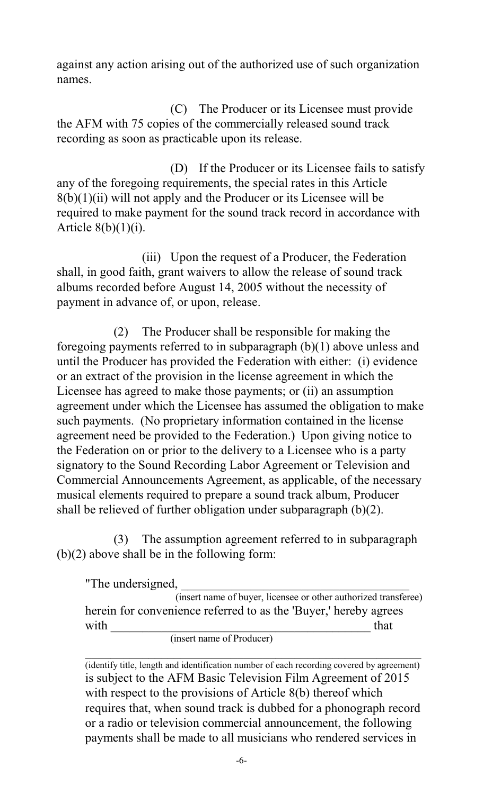against any action arising out of the authorized use of such organization names.

(C) The Producer or its Licensee must provide the AFM with 75 copies of the commercially released sound track recording as soon as practicable upon its release.

(D) If the Producer or its Licensee fails to satisfy any of the foregoing requirements, the special rates in this Article  $8(b)(1)(ii)$  will not apply and the Producer or its Licensee will be required to make payment for the sound track record in accordance with Article  $8(b)(1)(i)$ .

(iii) Upon the request of a Producer, the Federation shall, in good faith, grant waivers to allow the release of sound track albums recorded before August 14, 2005 without the necessity of payment in advance of, or upon, release.

(2) The Producer shall be responsible for making the foregoing payments referred to in subparagraph (b)(1) above unless and until the Producer has provided the Federation with either: (i) evidence or an extract of the provision in the license agreement in which the Licensee has agreed to make those payments; or (ii) an assumption agreement under which the Licensee has assumed the obligation to make such payments. (No proprietary information contained in the license agreement need be provided to the Federation.) Upon giving notice to the Federation on or prior to the delivery to a Licensee who is a party signatory to the Sound Recording Labor Agreement or Television and Commercial Announcements Agreement, as applicable, of the necessary musical elements required to prepare a sound track album, Producer shall be relieved of further obligation under subparagraph (b)(2).

(3) The assumption agreement referred to in subparagraph (b)(2) above shall be in the following form:

"The undersigned, (insert name of buyer, licensee or other authorized transferee) herein for convenience referred to as the 'Buyer,' hereby agrees with \_\_\_\_\_\_\_\_\_\_\_\_\_\_\_\_\_\_\_\_\_\_\_\_\_\_\_\_\_\_\_\_\_\_\_\_\_\_\_\_\_ that (insert name of Producer)

 $\mathcal{L}_\text{max}$  , and the contract of the contract of the contract of the contract of the contract of the contract of the contract of the contract of the contract of the contract of the contract of the contract of the contr (identify title, length and identification number of each recording covered by agreement) is subject to the AFM Basic Television Film Agreement of 2015 with respect to the provisions of Article 8(b) thereof which requires that, when sound track is dubbed for a phonograph record or a radio or television commercial announcement, the following payments shall be made to all musicians who rendered services in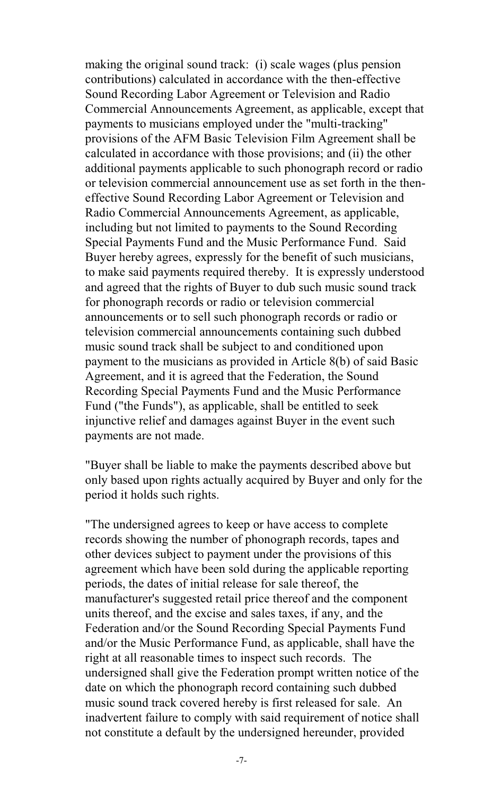making the original sound track: (i) scale wages (plus pension contributions) calculated in accordance with the then-effective Sound Recording Labor Agreement or Television and Radio Commercial Announcements Agreement, as applicable, except that payments to musicians employed under the "multi-tracking" provisions of the AFM Basic Television Film Agreement shall be calculated in accordance with those provisions; and (ii) the other additional payments applicable to such phonograph record or radio or television commercial announcement use as set forth in the theneffective Sound Recording Labor Agreement or Television and Radio Commercial Announcements Agreement, as applicable, including but not limited to payments to the Sound Recording Special Payments Fund and the Music Performance Fund. Said Buyer hereby agrees, expressly for the benefit of such musicians, to make said payments required thereby. It is expressly understood and agreed that the rights of Buyer to dub such music sound track for phonograph records or radio or television commercial announcements or to sell such phonograph records or radio or television commercial announcements containing such dubbed music sound track shall be subject to and conditioned upon payment to the musicians as provided in Article 8(b) of said Basic Agreement, and it is agreed that the Federation, the Sound Recording Special Payments Fund and the Music Performance Fund ("the Funds"), as applicable, shall be entitled to seek injunctive relief and damages against Buyer in the event such payments are not made.

"Buyer shall be liable to make the payments described above but only based upon rights actually acquired by Buyer and only for the period it holds such rights.

"The undersigned agrees to keep or have access to complete records showing the number of phonograph records, tapes and other devices subject to payment under the provisions of this agreement which have been sold during the applicable reporting periods, the dates of initial release for sale thereof, the manufacturer's suggested retail price thereof and the component units thereof, and the excise and sales taxes, if any, and the Federation and/or the Sound Recording Special Payments Fund and/or the Music Performance Fund, as applicable, shall have the right at all reasonable times to inspect such records. The undersigned shall give the Federation prompt written notice of the date on which the phonograph record containing such dubbed music sound track covered hereby is first released for sale. An inadvertent failure to comply with said requirement of notice shall not constitute a default by the undersigned hereunder, provided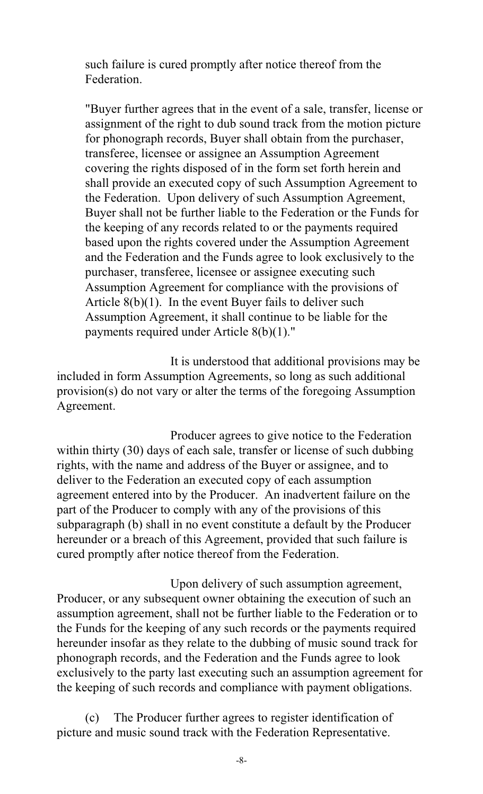such failure is cured promptly after notice thereof from the Federation.

"Buyer further agrees that in the event of a sale, transfer, license or assignment of the right to dub sound track from the motion picture for phonograph records, Buyer shall obtain from the purchaser, transferee, licensee or assignee an Assumption Agreement covering the rights disposed of in the form set forth herein and shall provide an executed copy of such Assumption Agreement to the Federation. Upon delivery of such Assumption Agreement, Buyer shall not be further liable to the Federation or the Funds for the keeping of any records related to or the payments required based upon the rights covered under the Assumption Agreement and the Federation and the Funds agree to look exclusively to the purchaser, transferee, licensee or assignee executing such Assumption Agreement for compliance with the provisions of Article 8(b)(1). In the event Buyer fails to deliver such Assumption Agreement, it shall continue to be liable for the payments required under Article 8(b)(1)."

It is understood that additional provisions may be included in form Assumption Agreements, so long as such additional provision(s) do not vary or alter the terms of the foregoing Assumption Agreement.

Producer agrees to give notice to the Federation within thirty (30) days of each sale, transfer or license of such dubbing rights, with the name and address of the Buyer or assignee, and to deliver to the Federation an executed copy of each assumption agreement entered into by the Producer. An inadvertent failure on the part of the Producer to comply with any of the provisions of this subparagraph (b) shall in no event constitute a default by the Producer hereunder or a breach of this Agreement, provided that such failure is cured promptly after notice thereof from the Federation.

Upon delivery of such assumption agreement, Producer, or any subsequent owner obtaining the execution of such an assumption agreement, shall not be further liable to the Federation or to the Funds for the keeping of any such records or the payments required hereunder insofar as they relate to the dubbing of music sound track for phonograph records, and the Federation and the Funds agree to look exclusively to the party last executing such an assumption agreement for the keeping of such records and compliance with payment obligations.

(c) The Producer further agrees to register identification of picture and music sound track with the Federation Representative.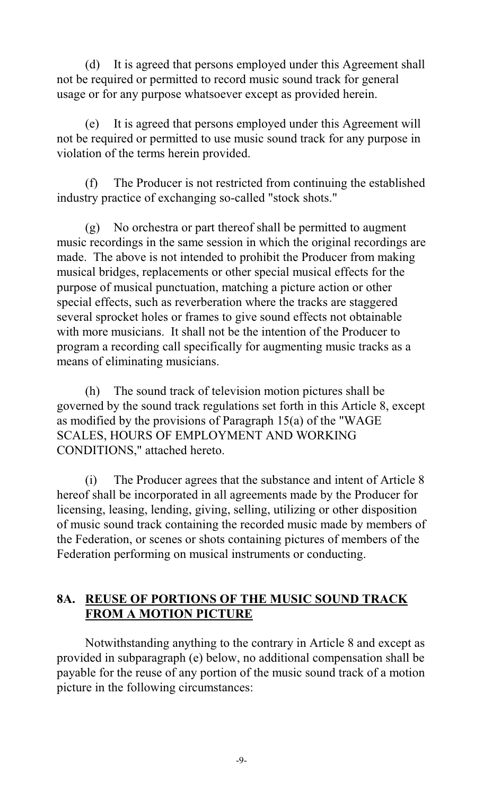(d) It is agreed that persons employed under this Agreement shall not be required or permitted to record music sound track for general usage or for any purpose whatsoever except as provided herein.

It is agreed that persons employed under this Agreement will not be required or permitted to use music sound track for any purpose in violation of the terms herein provided.

(f) The Producer is not restricted from continuing the established industry practice of exchanging so-called "stock shots."

(g) No orchestra or part thereof shall be permitted to augment music recordings in the same session in which the original recordings are made. The above is not intended to prohibit the Producer from making musical bridges, replacements or other special musical effects for the purpose of musical punctuation, matching a picture action or other special effects, such as reverberation where the tracks are staggered several sprocket holes or frames to give sound effects not obtainable with more musicians. It shall not be the intention of the Producer to program a recording call specifically for augmenting music tracks as a means of eliminating musicians.

(h) The sound track of television motion pictures shall be governed by the sound track regulations set forth in this Article 8, except as modified by the provisions of Paragraph 15(a) of the "WAGE SCALES, HOURS OF EMPLOYMENT AND WORKING CONDITIONS," attached hereto.

(i) The Producer agrees that the substance and intent of Article 8 hereof shall be incorporated in all agreements made by the Producer for licensing, leasing, lending, giving, selling, utilizing or other disposition of music sound track containing the recorded music made by members of the Federation, or scenes or shots containing pictures of members of the Federation performing on musical instruments or conducting.

# **8A. REUSE OF PORTIONS OF THE MUSIC SOUND TRACK FROM A MOTION PICTURE**

Notwithstanding anything to the contrary in Article 8 and except as provided in subparagraph (e) below, no additional compensation shall be payable for the reuse of any portion of the music sound track of a motion picture in the following circumstances: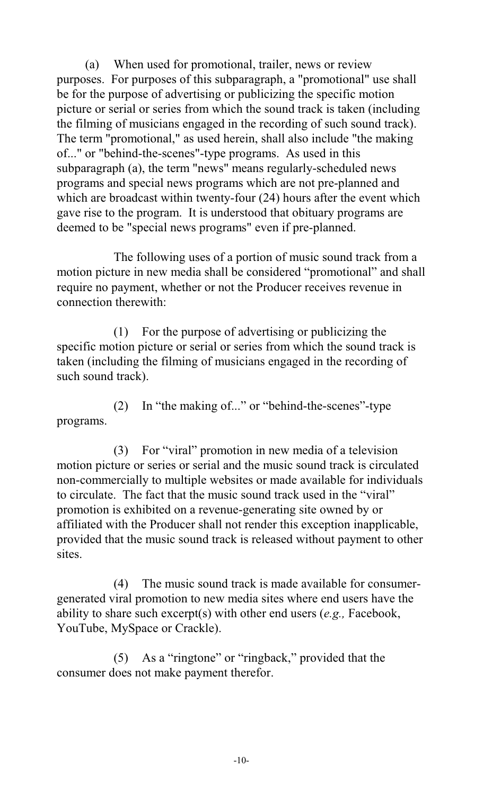(a) When used for promotional, trailer, news or review purposes. For purposes of this subparagraph, a "promotional" use shall be for the purpose of advertising or publicizing the specific motion picture or serial or series from which the sound track is taken (including the filming of musicians engaged in the recording of such sound track). The term "promotional," as used herein, shall also include "the making of..." or "behind-the-scenes"-type programs. As used in this subparagraph (a), the term "news" means regularly-scheduled news programs and special news programs which are not pre-planned and which are broadcast within twenty-four  $(24)$  hours after the event which gave rise to the program. It is understood that obituary programs are deemed to be "special news programs" even if pre-planned.

The following uses of a portion of music sound track from a motion picture in new media shall be considered "promotional" and shall require no payment, whether or not the Producer receives revenue in connection therewith:

(1) For the purpose of advertising or publicizing the specific motion picture or serial or series from which the sound track is taken (including the filming of musicians engaged in the recording of such sound track).

(2) In "the making of..." or "behind-the-scenes"-type programs.

(3) For "viral" promotion in new media of a television motion picture or series or serial and the music sound track is circulated non-commercially to multiple websites or made available for individuals to circulate. The fact that the music sound track used in the "viral" promotion is exhibited on a revenue-generating site owned by or affiliated with the Producer shall not render this exception inapplicable, provided that the music sound track is released without payment to other sites.

(4) The music sound track is made available for consumergenerated viral promotion to new media sites where end users have the ability to share such excerpt(s) with other end users (*e.g.,* Facebook, YouTube, MySpace or Crackle).

(5) As a "ringtone" or "ringback," provided that the consumer does not make payment therefor.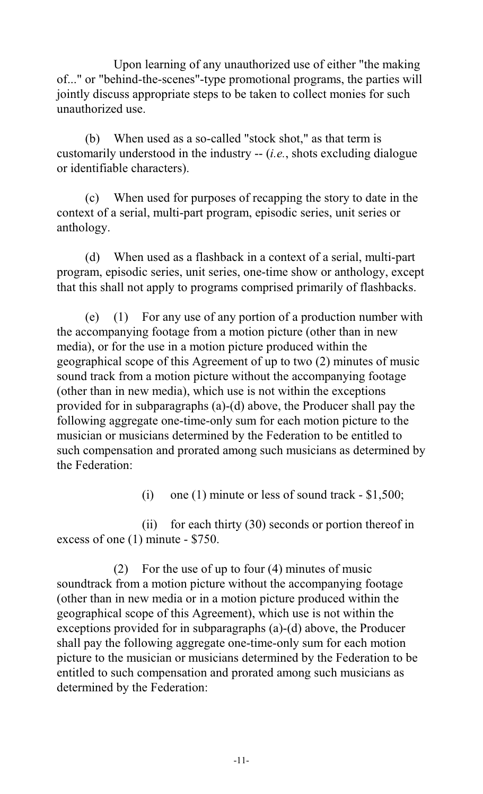Upon learning of any unauthorized use of either "the making of..." or "behind-the-scenes"-type promotional programs, the parties will jointly discuss appropriate steps to be taken to collect monies for such unauthorized use.

(b) When used as a so-called "stock shot," as that term is customarily understood in the industry -- (*i.e.*, shots excluding dialogue or identifiable characters).

(c) When used for purposes of recapping the story to date in the context of a serial, multi-part program, episodic series, unit series or anthology.

(d) When used as a flashback in a context of a serial, multi-part program, episodic series, unit series, one-time show or anthology, except that this shall not apply to programs comprised primarily of flashbacks.

(e) (1) For any use of any portion of a production number with the accompanying footage from a motion picture (other than in new media), or for the use in a motion picture produced within the geographical scope of this Agreement of up to two (2) minutes of music sound track from a motion picture without the accompanying footage (other than in new media), which use is not within the exceptions provided for in subparagraphs (a)-(d) above, the Producer shall pay the following aggregate one-time-only sum for each motion picture to the musician or musicians determined by the Federation to be entitled to such compensation and prorated among such musicians as determined by the Federation:

(i) one (1) minute or less of sound track  $-$  \$1,500;

(ii) for each thirty (30) seconds or portion thereof in excess of one (1) minute - \$750.

(2) For the use of up to four (4) minutes of music soundtrack from a motion picture without the accompanying footage (other than in new media or in a motion picture produced within the geographical scope of this Agreement), which use is not within the exceptions provided for in subparagraphs (a)-(d) above, the Producer shall pay the following aggregate one-time-only sum for each motion picture to the musician or musicians determined by the Federation to be entitled to such compensation and prorated among such musicians as determined by the Federation: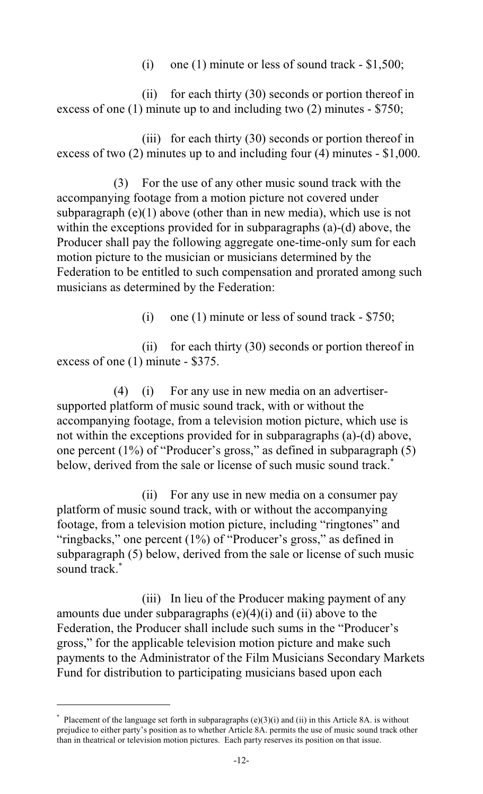(i) one (1) minute or less of sound track  $-$  \$1,500;

(ii) for each thirty (30) seconds or portion thereof in excess of one (1) minute up to and including two (2) minutes - \$750;

(iii) for each thirty (30) seconds or portion thereof in excess of two (2) minutes up to and including four (4) minutes - \$1,000.

(3) For the use of any other music sound track with the accompanying footage from a motion picture not covered under subparagraph  $(e)(1)$  above (other than in new media), which use is not within the exceptions provided for in subparagraphs (a)-(d) above, the Producer shall pay the following aggregate one-time-only sum for each motion picture to the musician or musicians determined by the Federation to be entitled to such compensation and prorated among such musicians as determined by the Federation:

(i) one (1) minute or less of sound track - \$750;

(ii) for each thirty (30) seconds or portion thereof in excess of one (1) minute - \$375.

(4) (i) For any use in new media on an advertisersupported platform of music sound track, with or without the accompanying footage, from a television motion picture, which use is not within the exceptions provided for in subparagraphs (a)-(d) above, one percent (1%) of "Producer's gross," as defined in subparagraph (5) below, derived from the sale or license of such music sound track.<sup>\*</sup>

(ii) For any use in new media on a consumer pay platform of music sound track, with or without the accompanying footage, from a television motion picture, including "ringtones" and "ringbacks," one percent (1%) of "Producer's gross," as defined in subparagraph (5) below, derived from the sale or license of such music sound track. \*

(iii) In lieu of the Producer making payment of any amounts due under subparagraphs  $(e)(4)(i)$  and  $(ii)$  above to the Federation, the Producer shall include such sums in the "Producer's gross," for the applicable television motion picture and make such payments to the Administrator of the Film Musicians Secondary Markets Fund for distribution to participating musicians based upon each

<sup>\*</sup> Placement of the language set forth in subparagraphs (e)(3)(i) and (ii) in this Article 8A. is without prejudice to either party's position as to whether Article 8A. permits the use of music sound track other than in theatrical or television motion pictures. Each party reserves its position on that issue.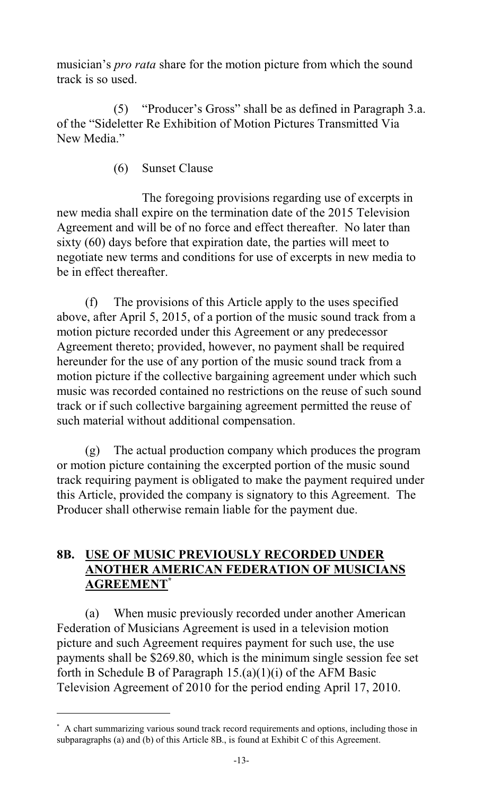musician's *pro rata* share for the motion picture from which the sound track is so used.

(5) "Producer's Gross" shall be as defined in Paragraph 3.a. of the "Sideletter Re Exhibition of Motion Pictures Transmitted Via New Media."

(6) Sunset Clause

The foregoing provisions regarding use of excerpts in new media shall expire on the termination date of the 2015 Television Agreement and will be of no force and effect thereafter. No later than sixty (60) days before that expiration date, the parties will meet to negotiate new terms and conditions for use of excerpts in new media to be in effect thereafter.

(f) The provisions of this Article apply to the uses specified above, after April 5, 2015, of a portion of the music sound track from a motion picture recorded under this Agreement or any predecessor Agreement thereto; provided, however, no payment shall be required hereunder for the use of any portion of the music sound track from a motion picture if the collective bargaining agreement under which such music was recorded contained no restrictions on the reuse of such sound track or if such collective bargaining agreement permitted the reuse of such material without additional compensation.

(g) The actual production company which produces the program or motion picture containing the excerpted portion of the music sound track requiring payment is obligated to make the payment required under this Article, provided the company is signatory to this Agreement. The Producer shall otherwise remain liable for the payment due.

# **8B. USE OF MUSIC PREVIOUSLY RECORDED UNDER ANOTHER AMERICAN FEDERATION OF MUSICIANS AGREEMENT\***

(a) When music previously recorded under another American Federation of Musicians Agreement is used in a television motion picture and such Agreement requires payment for such use, the use payments shall be \$269.80, which is the minimum single session fee set forth in Schedule B of Paragraph 15.(a)(1)(i) of the AFM Basic Television Agreement of 2010 for the period ending April 17, 2010.

<sup>\*</sup> A chart summarizing various sound track record requirements and options, including those in subparagraphs (a) and (b) of this Article 8B., is found at Exhibit C of this Agreement.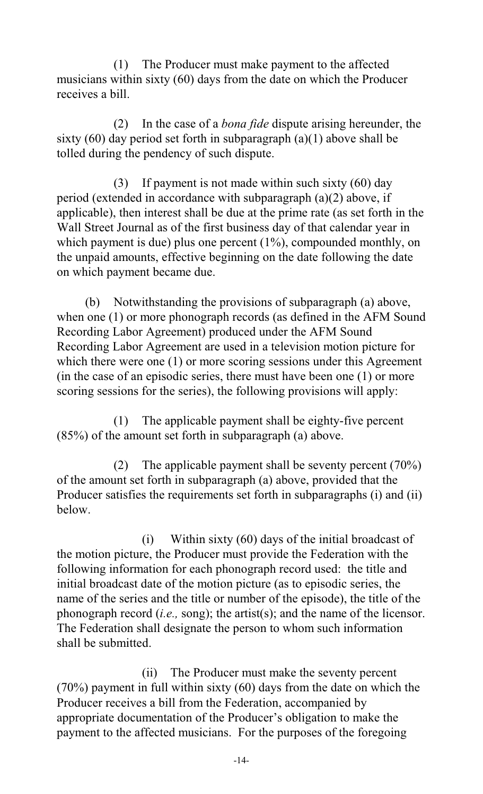(1) The Producer must make payment to the affected musicians within sixty (60) days from the date on which the Producer receives a bill.

(2) In the case of a *bona fide* dispute arising hereunder, the sixty (60) day period set forth in subparagraph (a)(1) above shall be tolled during the pendency of such dispute.

(3) If payment is not made within such sixty (60) day period (extended in accordance with subparagraph (a)(2) above, if applicable), then interest shall be due at the prime rate (as set forth in the Wall Street Journal as of the first business day of that calendar year in which payment is due) plus one percent (1%), compounded monthly, on the unpaid amounts, effective beginning on the date following the date on which payment became due.

(b) Notwithstanding the provisions of subparagraph (a) above, when one (1) or more phonograph records (as defined in the AFM Sound Recording Labor Agreement) produced under the AFM Sound Recording Labor Agreement are used in a television motion picture for which there were one (1) or more scoring sessions under this Agreement (in the case of an episodic series, there must have been one (1) or more scoring sessions for the series), the following provisions will apply:

(1) The applicable payment shall be eighty-five percent (85%) of the amount set forth in subparagraph (a) above.

(2) The applicable payment shall be seventy percent (70%) of the amount set forth in subparagraph (a) above, provided that the Producer satisfies the requirements set forth in subparagraphs (i) and (ii) below.

(i) Within sixty (60) days of the initial broadcast of the motion picture, the Producer must provide the Federation with the following information for each phonograph record used: the title and initial broadcast date of the motion picture (as to episodic series, the name of the series and the title or number of the episode), the title of the phonograph record (*i.e.,* song); the artist(s); and the name of the licensor. The Federation shall designate the person to whom such information shall be submitted.

(ii) The Producer must make the seventy percent (70%) payment in full within sixty (60) days from the date on which the Producer receives a bill from the Federation, accompanied by appropriate documentation of the Producer's obligation to make the payment to the affected musicians. For the purposes of the foregoing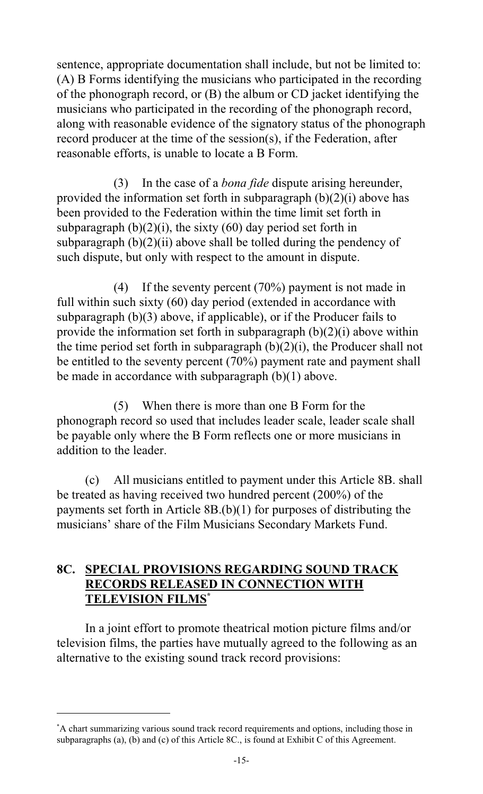sentence, appropriate documentation shall include, but not be limited to: (A) B Forms identifying the musicians who participated in the recording of the phonograph record, or (B) the album or CD jacket identifying the musicians who participated in the recording of the phonograph record, along with reasonable evidence of the signatory status of the phonograph record producer at the time of the session(s), if the Federation, after reasonable efforts, is unable to locate a B Form.

(3) In the case of a *bona fide* dispute arising hereunder, provided the information set forth in subparagraph (b)(2)(i) above has been provided to the Federation within the time limit set forth in subparagraph  $(b)(2)(i)$ , the sixty  $(60)$  day period set forth in subparagraph (b)(2)(ii) above shall be tolled during the pendency of such dispute, but only with respect to the amount in dispute.

(4) If the seventy percent (70%) payment is not made in full within such sixty (60) day period (extended in accordance with subparagraph (b)(3) above, if applicable), or if the Producer fails to provide the information set forth in subparagraph  $(b)(2)(i)$  above within the time period set forth in subparagraph  $(b)(2)(i)$ , the Producer shall not be entitled to the seventy percent (70%) payment rate and payment shall be made in accordance with subparagraph (b)(1) above.

(5) When there is more than one B Form for the phonograph record so used that includes leader scale, leader scale shall be payable only where the B Form reflects one or more musicians in addition to the leader.

(c) All musicians entitled to payment under this Article 8B. shall be treated as having received two hundred percent (200%) of the payments set forth in Article 8B.(b)(1) for purposes of distributing the musicians' share of the Film Musicians Secondary Markets Fund.

# **8C. SPECIAL PROVISIONS REGARDING SOUND TRACK RECORDS RELEASED IN CONNECTION WITH TELEVISION FILMS \***

In a joint effort to promote theatrical motion picture films and/or television films, the parties have mutually agreed to the following as an alternative to the existing sound track record provisions:

<sup>\*</sup>A chart summarizing various sound track record requirements and options, including those in subparagraphs (a), (b) and (c) of this Article 8C., is found at Exhibit C of this Agreement.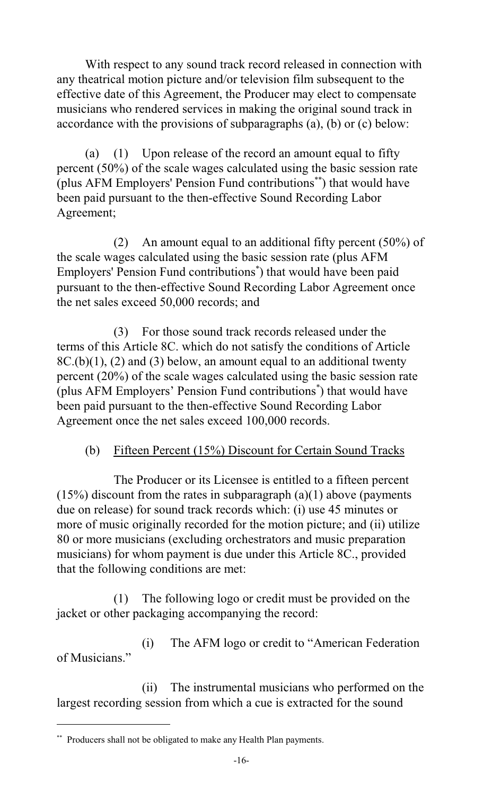With respect to any sound track record released in connection with any theatrical motion picture and/or television film subsequent to the effective date of this Agreement, the Producer may elect to compensate musicians who rendered services in making the original sound track in accordance with the provisions of subparagraphs (a), (b) or (c) below:

(a) (1) Upon release of the record an amount equal to fifty percent (50%) of the scale wages calculated using the basic session rate (plus AFM Employers' Pension Fund contributions \*\* ) that would have been paid pursuant to the then-effective Sound Recording Labor Agreement;

(2) An amount equal to an additional fifty percent (50%) of the scale wages calculated using the basic session rate (plus AFM Employers' Pension Fund contributions \* ) that would have been paid pursuant to the then-effective Sound Recording Labor Agreement once the net sales exceed 50,000 records; and

(3) For those sound track records released under the terms of this Article 8C. which do not satisfy the conditions of Article  $8C.(b)(1)$ , (2) and (3) below, an amount equal to an additional twenty percent (20%) of the scale wages calculated using the basic session rate (plus AFM Employers' Pension Fund contributions \* ) that would have been paid pursuant to the then-effective Sound Recording Labor Agreement once the net sales exceed 100,000 records.

#### (b) Fifteen Percent (15%) Discount for Certain Sound Tracks

The Producer or its Licensee is entitled to a fifteen percent  $(15%)$  discount from the rates in subparagraph  $(a)(1)$  above (payments due on release) for sound track records which: (i) use 45 minutes or more of music originally recorded for the motion picture; and (ii) utilize 80 or more musicians (excluding orchestrators and music preparation musicians) for whom payment is due under this Article 8C., provided that the following conditions are met:

(1) The following logo or credit must be provided on the jacket or other packaging accompanying the record:

(i) The AFM logo or credit to "American Federation of Musicians."

(ii) The instrumental musicians who performed on the largest recording session from which a cue is extracted for the sound

<sup>\*\*</sup> Producers shall not be obligated to make any Health Plan payments.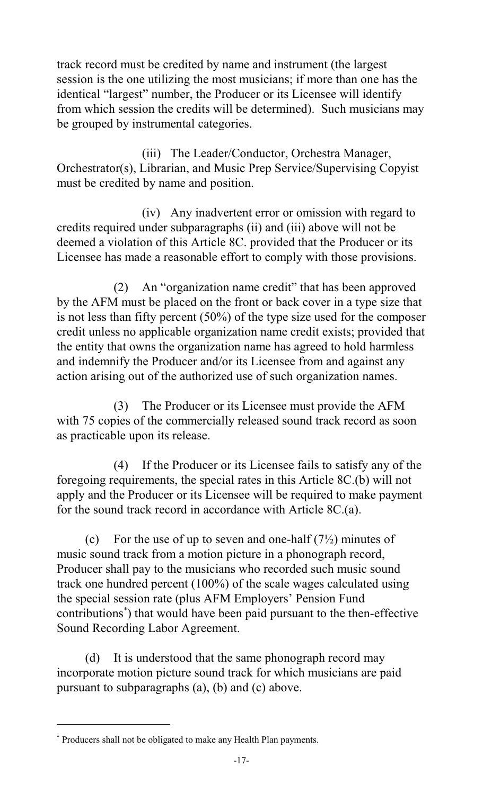track record must be credited by name and instrument (the largest session is the one utilizing the most musicians; if more than one has the identical "largest" number, the Producer or its Licensee will identify from which session the credits will be determined). Such musicians may be grouped by instrumental categories.

(iii) The Leader/Conductor, Orchestra Manager, Orchestrator(s), Librarian, and Music Prep Service/Supervising Copyist must be credited by name and position.

(iv) Any inadvertent error or omission with regard to credits required under subparagraphs (ii) and (iii) above will not be deemed a violation of this Article 8C. provided that the Producer or its Licensee has made a reasonable effort to comply with those provisions.

(2) An "organization name credit" that has been approved by the AFM must be placed on the front or back cover in a type size that is not less than fifty percent (50%) of the type size used for the composer credit unless no applicable organization name credit exists; provided that the entity that owns the organization name has agreed to hold harmless and indemnify the Producer and/or its Licensee from and against any action arising out of the authorized use of such organization names.

(3) The Producer or its Licensee must provide the AFM with 75 copies of the commercially released sound track record as soon as practicable upon its release.

(4) If the Producer or its Licensee fails to satisfy any of the foregoing requirements, the special rates in this Article 8C.(b) will not apply and the Producer or its Licensee will be required to make payment for the sound track record in accordance with Article 8C.(a).

(c) For the use of up to seven and one-half  $(7\frac{1}{2})$  minutes of music sound track from a motion picture in a phonograph record, Producer shall pay to the musicians who recorded such music sound track one hundred percent (100%) of the scale wages calculated using the special session rate (plus AFM Employers' Pension Fund contributions \* ) that would have been paid pursuant to the then-effective Sound Recording Labor Agreement.

(d) It is understood that the same phonograph record may incorporate motion picture sound track for which musicians are paid pursuant to subparagraphs (a), (b) and (c) above.

<sup>\*</sup> Producers shall not be obligated to make any Health Plan payments.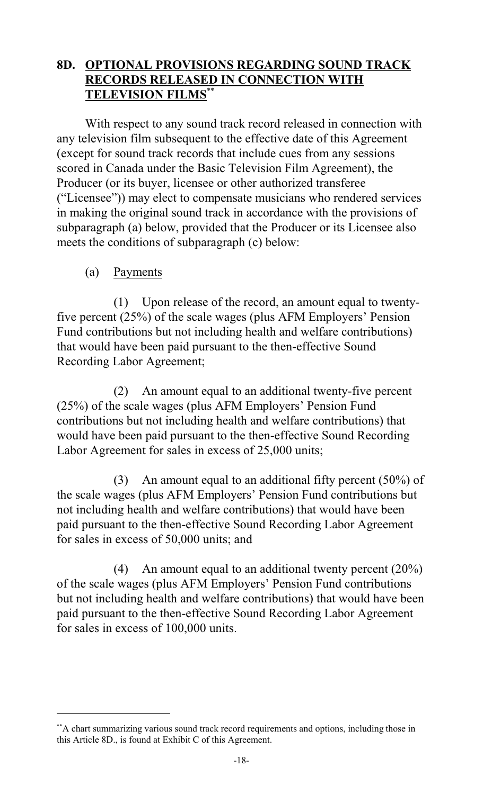## **8D. OPTIONAL PROVISIONS REGARDING SOUND TRACK RECORDS RELEASED IN CONNECTION WITH TELEVISION FILMS** \*\*

With respect to any sound track record released in connection with any television film subsequent to the effective date of this Agreement (except for sound track records that include cues from any sessions scored in Canada under the Basic Television Film Agreement), the Producer (or its buyer, licensee or other authorized transferee ("Licensee")) may elect to compensate musicians who rendered services in making the original sound track in accordance with the provisions of subparagraph (a) below, provided that the Producer or its Licensee also meets the conditions of subparagraph (c) below:

#### (a) Payments

(1) Upon release of the record, an amount equal to twentyfive percent (25%) of the scale wages (plus AFM Employers' Pension Fund contributions but not including health and welfare contributions) that would have been paid pursuant to the then-effective Sound Recording Labor Agreement;

(2) An amount equal to an additional twenty-five percent (25%) of the scale wages (plus AFM Employers' Pension Fund contributions but not including health and welfare contributions) that would have been paid pursuant to the then-effective Sound Recording Labor Agreement for sales in excess of 25,000 units;

(3) An amount equal to an additional fifty percent (50%) of the scale wages (plus AFM Employers' Pension Fund contributions but not including health and welfare contributions) that would have been paid pursuant to the then-effective Sound Recording Labor Agreement for sales in excess of 50,000 units; and

(4) An amount equal to an additional twenty percent (20%) of the scale wages (plus AFM Employers' Pension Fund contributions but not including health and welfare contributions) that would have been paid pursuant to the then-effective Sound Recording Labor Agreement for sales in excess of 100,000 units.

<sup>\*\*</sup>A chart summarizing various sound track record requirements and options, including those in this Article 8D., is found at Exhibit C of this Agreement.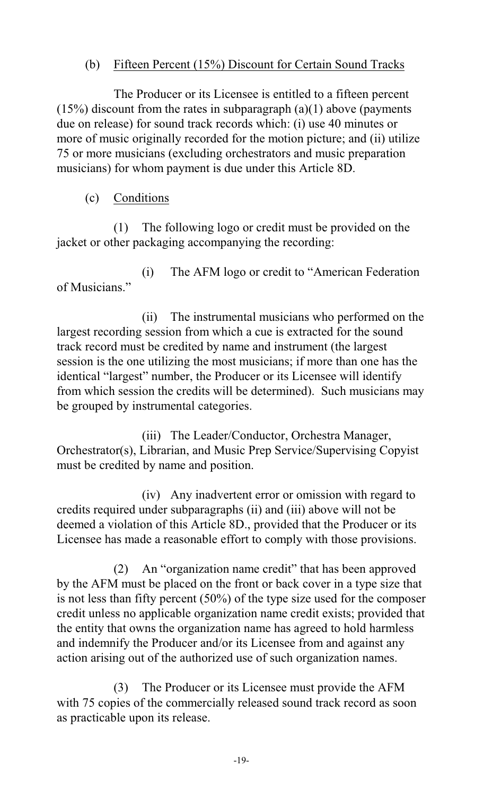#### (b) Fifteen Percent (15%) Discount for Certain Sound Tracks

The Producer or its Licensee is entitled to a fifteen percent  $(15%)$  discount from the rates in subparagraph  $(a)(1)$  above (payments due on release) for sound track records which: (i) use 40 minutes or more of music originally recorded for the motion picture; and (ii) utilize 75 or more musicians (excluding orchestrators and music preparation musicians) for whom payment is due under this Article 8D.

#### (c) Conditions

(1) The following logo or credit must be provided on the jacket or other packaging accompanying the recording:

(i) The AFM logo or credit to "American Federation of Musicians."

(ii) The instrumental musicians who performed on the largest recording session from which a cue is extracted for the sound track record must be credited by name and instrument (the largest session is the one utilizing the most musicians; if more than one has the identical "largest" number, the Producer or its Licensee will identify from which session the credits will be determined). Such musicians may be grouped by instrumental categories.

(iii) The Leader/Conductor, Orchestra Manager, Orchestrator(s), Librarian, and Music Prep Service/Supervising Copyist must be credited by name and position.

(iv) Any inadvertent error or omission with regard to credits required under subparagraphs (ii) and (iii) above will not be deemed a violation of this Article 8D., provided that the Producer or its Licensee has made a reasonable effort to comply with those provisions.

(2) An "organization name credit" that has been approved by the AFM must be placed on the front or back cover in a type size that is not less than fifty percent (50%) of the type size used for the composer credit unless no applicable organization name credit exists; provided that the entity that owns the organization name has agreed to hold harmless and indemnify the Producer and/or its Licensee from and against any action arising out of the authorized use of such organization names.

(3) The Producer or its Licensee must provide the AFM with 75 copies of the commercially released sound track record as soon as practicable upon its release.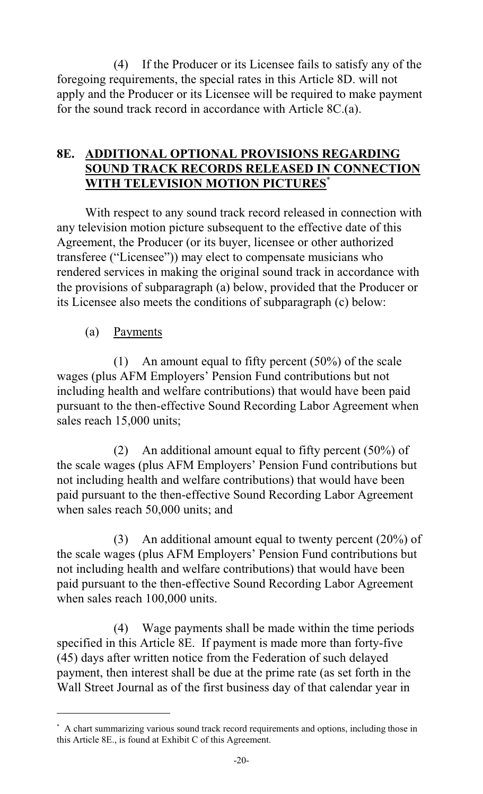(4) If the Producer or its Licensee fails to satisfy any of the foregoing requirements, the special rates in this Article 8D. will not apply and the Producer or its Licensee will be required to make payment for the sound track record in accordance with Article 8C.(a).

#### **8E. ADDITIONAL OPTIONAL PROVISIONS REGARDING SOUND TRACK RECORDS RELEASED IN CONNECTION WITH TELEVISION MOTION PICTURES**\*

With respect to any sound track record released in connection with any television motion picture subsequent to the effective date of this Agreement, the Producer (or its buyer, licensee or other authorized transferee ("Licensee")) may elect to compensate musicians who rendered services in making the original sound track in accordance with the provisions of subparagraph (a) below, provided that the Producer or its Licensee also meets the conditions of subparagraph (c) below:

#### (a) Payments

(1) An amount equal to fifty percent (50%) of the scale wages (plus AFM Employers' Pension Fund contributions but not including health and welfare contributions) that would have been paid pursuant to the then-effective Sound Recording Labor Agreement when sales reach 15,000 units;

(2) An additional amount equal to fifty percent (50%) of the scale wages (plus AFM Employers' Pension Fund contributions but not including health and welfare contributions) that would have been paid pursuant to the then-effective Sound Recording Labor Agreement when sales reach 50,000 units; and

(3) An additional amount equal to twenty percent (20%) of the scale wages (plus AFM Employers' Pension Fund contributions but not including health and welfare contributions) that would have been paid pursuant to the then-effective Sound Recording Labor Agreement when sales reach 100,000 units.

(4) Wage payments shall be made within the time periods specified in this Article 8E. If payment is made more than forty-five (45) days after written notice from the Federation of such delayed payment, then interest shall be due at the prime rate (as set forth in the Wall Street Journal as of the first business day of that calendar year in

<sup>\*</sup> A chart summarizing various sound track record requirements and options, including those in this Article 8E., is found at Exhibit C of this Agreement.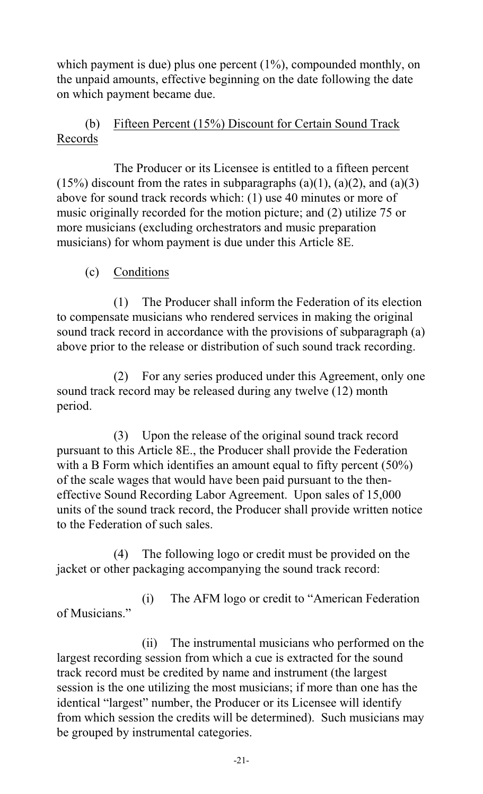which payment is due) plus one percent  $(1\%)$ , compounded monthly, on the unpaid amounts, effective beginning on the date following the date on which payment became due.

# (b) Fifteen Percent (15%) Discount for Certain Sound Track Records

The Producer or its Licensee is entitled to a fifteen percent (15%) discount from the rates in subparagraphs (a)(1), (a)(2), and (a)(3) above for sound track records which: (1) use 40 minutes or more of music originally recorded for the motion picture; and (2) utilize 75 or more musicians (excluding orchestrators and music preparation musicians) for whom payment is due under this Article 8E.

# (c) Conditions

(1) The Producer shall inform the Federation of its election to compensate musicians who rendered services in making the original sound track record in accordance with the provisions of subparagraph (a) above prior to the release or distribution of such sound track recording.

(2) For any series produced under this Agreement, only one sound track record may be released during any twelve (12) month period.

(3) Upon the release of the original sound track record pursuant to this Article 8E., the Producer shall provide the Federation with a B Form which identifies an amount equal to fifty percent (50%) of the scale wages that would have been paid pursuant to the theneffective Sound Recording Labor Agreement. Upon sales of 15,000 units of the sound track record, the Producer shall provide written notice to the Federation of such sales.

(4) The following logo or credit must be provided on the jacket or other packaging accompanying the sound track record:

(i) The AFM logo or credit to "American Federation of Musicians."

(ii) The instrumental musicians who performed on the largest recording session from which a cue is extracted for the sound track record must be credited by name and instrument (the largest session is the one utilizing the most musicians; if more than one has the identical "largest" number, the Producer or its Licensee will identify from which session the credits will be determined). Such musicians may be grouped by instrumental categories.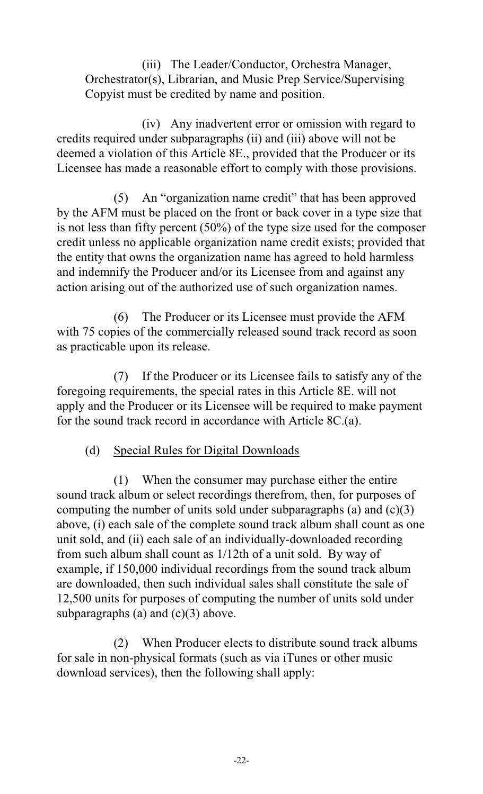(iii) The Leader/Conductor, Orchestra Manager, Orchestrator(s), Librarian, and Music Prep Service/Supervising Copyist must be credited by name and position.

(iv) Any inadvertent error or omission with regard to credits required under subparagraphs (ii) and (iii) above will not be deemed a violation of this Article 8E., provided that the Producer or its Licensee has made a reasonable effort to comply with those provisions.

(5) An "organization name credit" that has been approved by the AFM must be placed on the front or back cover in a type size that is not less than fifty percent (50%) of the type size used for the composer credit unless no applicable organization name credit exists; provided that the entity that owns the organization name has agreed to hold harmless and indemnify the Producer and/or its Licensee from and against any action arising out of the authorized use of such organization names.

(6) The Producer or its Licensee must provide the AFM with 75 copies of the commercially released sound track record as soon as practicable upon its release.

(7) If the Producer or its Licensee fails to satisfy any of the foregoing requirements, the special rates in this Article 8E. will not apply and the Producer or its Licensee will be required to make payment for the sound track record in accordance with Article 8C.(a).

#### (d) Special Rules for Digital Downloads

(1) When the consumer may purchase either the entire sound track album or select recordings therefrom, then, for purposes of computing the number of units sold under subparagraphs (a) and (c)(3) above, (i) each sale of the complete sound track album shall count as one unit sold, and (ii) each sale of an individually-downloaded recording from such album shall count as 1/12th of a unit sold. By way of example, if 150,000 individual recordings from the sound track album are downloaded, then such individual sales shall constitute the sale of 12,500 units for purposes of computing the number of units sold under subparagraphs (a) and  $(c)(3)$  above.

(2) When Producer elects to distribute sound track albums for sale in non-physical formats (such as via iTunes or other music download services), then the following shall apply: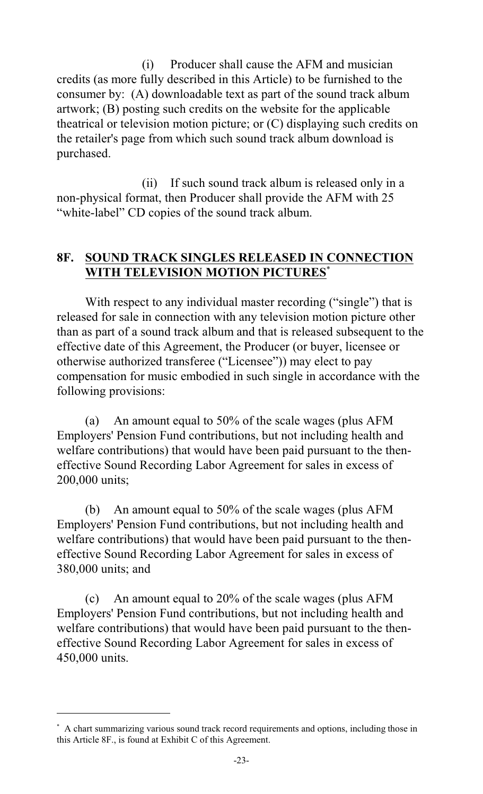(i) Producer shall cause the AFM and musician credits (as more fully described in this Article) to be furnished to the consumer by: (A) downloadable text as part of the sound track album artwork; (B) posting such credits on the website for the applicable theatrical or television motion picture; or (C) displaying such credits on the retailer's page from which such sound track album download is purchased.

(ii) If such sound track album is released only in a non-physical format, then Producer shall provide the AFM with 25 "white-label" CD copies of the sound track album.

#### **8F. SOUND TRACK SINGLES RELEASED IN CONNECTION WITH TELEVISION MOTION PICTURES**\*

With respect to any individual master recording ("single") that is released for sale in connection with any television motion picture other than as part of a sound track album and that is released subsequent to the effective date of this Agreement, the Producer (or buyer, licensee or otherwise authorized transferee ("Licensee")) may elect to pay compensation for music embodied in such single in accordance with the following provisions:

(a) An amount equal to 50% of the scale wages (plus AFM Employers' Pension Fund contributions, but not including health and welfare contributions) that would have been paid pursuant to the theneffective Sound Recording Labor Agreement for sales in excess of 200,000 units;

(b) An amount equal to 50% of the scale wages (plus AFM Employers' Pension Fund contributions, but not including health and welfare contributions) that would have been paid pursuant to the theneffective Sound Recording Labor Agreement for sales in excess of 380,000 units; and

(c) An amount equal to 20% of the scale wages (plus AFM Employers' Pension Fund contributions, but not including health and welfare contributions) that would have been paid pursuant to the theneffective Sound Recording Labor Agreement for sales in excess of 450,000 units.

<sup>\*</sup> A chart summarizing various sound track record requirements and options, including those in this Article 8F., is found at Exhibit C of this Agreement.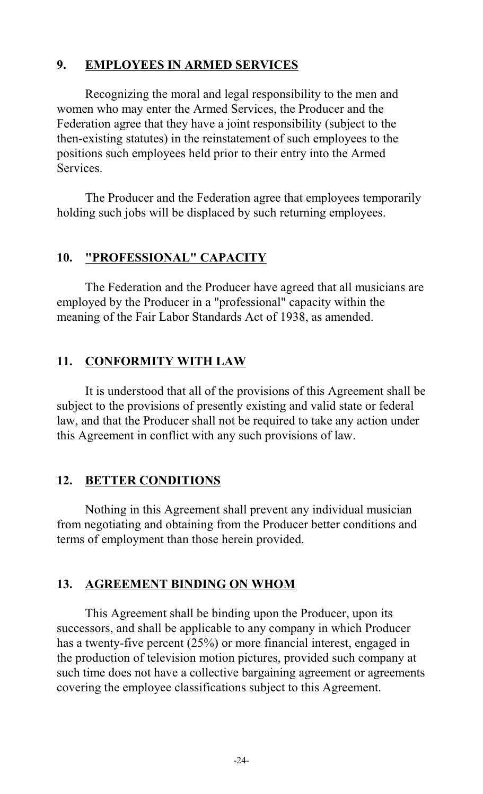#### **9. EMPLOYEES IN ARMED SERVICES**

Recognizing the moral and legal responsibility to the men and women who may enter the Armed Services, the Producer and the Federation agree that they have a joint responsibility (subject to the then-existing statutes) in the reinstatement of such employees to the positions such employees held prior to their entry into the Armed Services.

The Producer and the Federation agree that employees temporarily holding such jobs will be displaced by such returning employees.

#### **10. "PROFESSIONAL" CAPACITY**

The Federation and the Producer have agreed that all musicians are employed by the Producer in a "professional" capacity within the meaning of the Fair Labor Standards Act of 1938, as amended.

# **11. CONFORMITY WITH LAW**

It is understood that all of the provisions of this Agreement shall be subject to the provisions of presently existing and valid state or federal law, and that the Producer shall not be required to take any action under this Agreement in conflict with any such provisions of law.

#### **12. BETTER CONDITIONS**

Nothing in this Agreement shall prevent any individual musician from negotiating and obtaining from the Producer better conditions and terms of employment than those herein provided.

#### **13. AGREEMENT BINDING ON WHOM**

This Agreement shall be binding upon the Producer, upon its successors, and shall be applicable to any company in which Producer has a twenty-five percent (25%) or more financial interest, engaged in the production of television motion pictures, provided such company at such time does not have a collective bargaining agreement or agreements covering the employee classifications subject to this Agreement.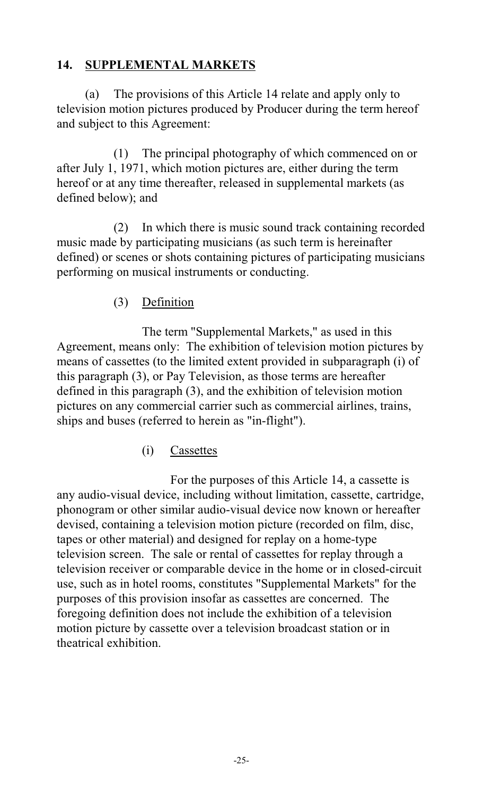## **14. SUPPLEMENTAL MARKETS**

(a) The provisions of this Article 14 relate and apply only to television motion pictures produced by Producer during the term hereof and subject to this Agreement:

(1) The principal photography of which commenced on or after July 1, 1971, which motion pictures are, either during the term hereof or at any time thereafter, released in supplemental markets (as defined below); and

(2) In which there is music sound track containing recorded music made by participating musicians (as such term is hereinafter defined) or scenes or shots containing pictures of participating musicians performing on musical instruments or conducting.

# (3) Definition

The term "Supplemental Markets," as used in this Agreement, means only: The exhibition of television motion pictures by means of cassettes (to the limited extent provided in subparagraph (i) of this paragraph (3), or Pay Television, as those terms are hereafter defined in this paragraph (3), and the exhibition of television motion pictures on any commercial carrier such as commercial airlines, trains, ships and buses (referred to herein as "in-flight").

(i) Cassettes

For the purposes of this Article 14, a cassette is any audio-visual device, including without limitation, cassette, cartridge, phonogram or other similar audio-visual device now known or hereafter devised, containing a television motion picture (recorded on film, disc, tapes or other material) and designed for replay on a home-type television screen. The sale or rental of cassettes for replay through a television receiver or comparable device in the home or in closed-circuit use, such as in hotel rooms, constitutes "Supplemental Markets" for the purposes of this provision insofar as cassettes are concerned. The foregoing definition does not include the exhibition of a television motion picture by cassette over a television broadcast station or in theatrical exhibition.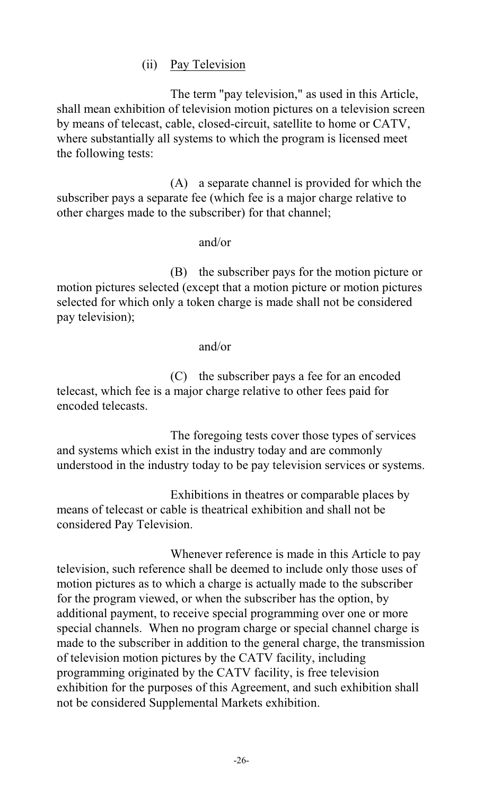#### (ii) Pay Television

The term "pay television," as used in this Article, shall mean exhibition of television motion pictures on a television screen by means of telecast, cable, closed-circuit, satellite to home or CATV, where substantially all systems to which the program is licensed meet the following tests:

(A) a separate channel is provided for which the subscriber pays a separate fee (which fee is a major charge relative to other charges made to the subscriber) for that channel;

#### and/or

(B) the subscriber pays for the motion picture or motion pictures selected (except that a motion picture or motion pictures selected for which only a token charge is made shall not be considered pay television);

#### and/or

(C) the subscriber pays a fee for an encoded telecast, which fee is a major charge relative to other fees paid for encoded telecasts.

The foregoing tests cover those types of services and systems which exist in the industry today and are commonly understood in the industry today to be pay television services or systems.

Exhibitions in theatres or comparable places by means of telecast or cable is theatrical exhibition and shall not be considered Pay Television.

Whenever reference is made in this Article to pay television, such reference shall be deemed to include only those uses of motion pictures as to which a charge is actually made to the subscriber for the program viewed, or when the subscriber has the option, by additional payment, to receive special programming over one or more special channels. When no program charge or special channel charge is made to the subscriber in addition to the general charge, the transmission of television motion pictures by the CATV facility, including programming originated by the CATV facility, is free television exhibition for the purposes of this Agreement, and such exhibition shall not be considered Supplemental Markets exhibition.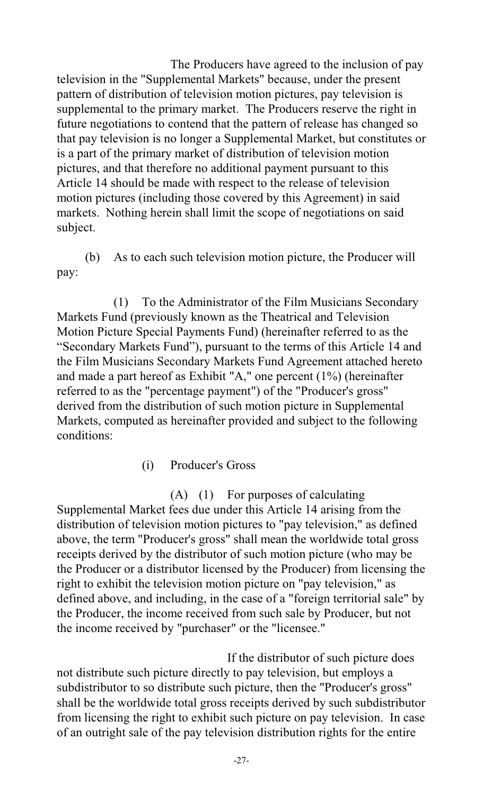The Producers have agreed to the inclusion of pay television in the "Supplemental Markets" because, under the present pattern of distribution of television motion pictures, pay television is supplemental to the primary market. The Producers reserve the right in future negotiations to contend that the pattern of release has changed so that pay television is no longer a Supplemental Market, but constitutes or is a part of the primary market of distribution of television motion pictures, and that therefore no additional payment pursuant to this Article 14 should be made with respect to the release of television motion pictures (including those covered by this Agreement) in said markets. Nothing herein shall limit the scope of negotiations on said subject.

(b) As to each such television motion picture, the Producer will pay:

(1) To the Administrator of the Film Musicians Secondary Markets Fund (previously known as the Theatrical and Television Motion Picture Special Payments Fund) (hereinafter referred to as the "Secondary Markets Fund"), pursuant to the terms of this Article 14 and the Film Musicians Secondary Markets Fund Agreement attached hereto and made a part hereof as Exhibit "A," one percent (1%) (hereinafter referred to as the "percentage payment") of the "Producer's gross" derived from the distribution of such motion picture in Supplemental Markets, computed as hereinafter provided and subject to the following conditions:

(i) Producer's Gross

(A) (1) For purposes of calculating Supplemental Market fees due under this Article 14 arising from the distribution of television motion pictures to "pay television," as defined above, the term "Producer's gross" shall mean the worldwide total gross receipts derived by the distributor of such motion picture (who may be the Producer or a distributor licensed by the Producer) from licensing the right to exhibit the television motion picture on "pay television," as defined above, and including, in the case of a "foreign territorial sale" by the Producer, the income received from such sale by Producer, but not the income received by "purchaser" or the "licensee."

If the distributor of such picture does not distribute such picture directly to pay television, but employs a subdistributor to so distribute such picture, then the "Producer's gross" shall be the worldwide total gross receipts derived by such subdistributor from licensing the right to exhibit such picture on pay television. In case of an outright sale of the pay television distribution rights for the entire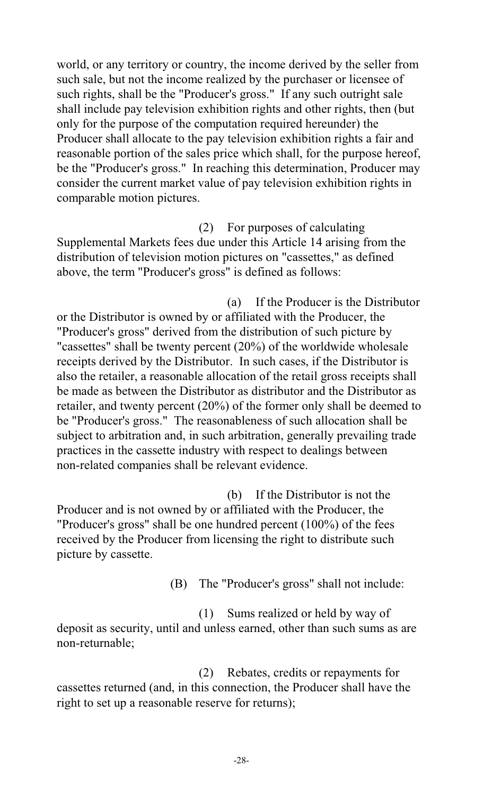world, or any territory or country, the income derived by the seller from such sale, but not the income realized by the purchaser or licensee of such rights, shall be the "Producer's gross." If any such outright sale shall include pay television exhibition rights and other rights, then (but only for the purpose of the computation required hereunder) the Producer shall allocate to the pay television exhibition rights a fair and reasonable portion of the sales price which shall, for the purpose hereof, be the "Producer's gross." In reaching this determination, Producer may consider the current market value of pay television exhibition rights in comparable motion pictures.

(2) For purposes of calculating Supplemental Markets fees due under this Article 14 arising from the distribution of television motion pictures on "cassettes," as defined above, the term "Producer's gross" is defined as follows:

(a) If the Producer is the Distributor or the Distributor is owned by or affiliated with the Producer, the "Producer's gross" derived from the distribution of such picture by "cassettes" shall be twenty percent (20%) of the worldwide wholesale receipts derived by the Distributor. In such cases, if the Distributor is also the retailer, a reasonable allocation of the retail gross receipts shall be made as between the Distributor as distributor and the Distributor as retailer, and twenty percent (20%) of the former only shall be deemed to be "Producer's gross." The reasonableness of such allocation shall be subject to arbitration and, in such arbitration, generally prevailing trade practices in the cassette industry with respect to dealings between non-related companies shall be relevant evidence.

(b) If the Distributor is not the Producer and is not owned by or affiliated with the Producer, the "Producer's gross" shall be one hundred percent (100%) of the fees received by the Producer from licensing the right to distribute such picture by cassette.

(B) The "Producer's gross" shall not include:

(1) Sums realized or held by way of deposit as security, until and unless earned, other than such sums as are non-returnable;

(2) Rebates, credits or repayments for cassettes returned (and, in this connection, the Producer shall have the right to set up a reasonable reserve for returns);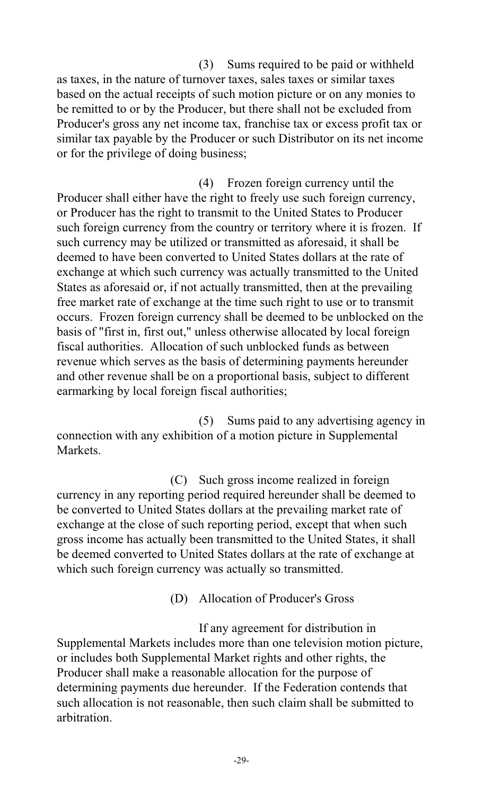(3) Sums required to be paid or withheld as taxes, in the nature of turnover taxes, sales taxes or similar taxes based on the actual receipts of such motion picture or on any monies to be remitted to or by the Producer, but there shall not be excluded from Producer's gross any net income tax, franchise tax or excess profit tax or similar tax payable by the Producer or such Distributor on its net income or for the privilege of doing business;

(4) Frozen foreign currency until the Producer shall either have the right to freely use such foreign currency, or Producer has the right to transmit to the United States to Producer such foreign currency from the country or territory where it is frozen. If such currency may be utilized or transmitted as aforesaid, it shall be deemed to have been converted to United States dollars at the rate of exchange at which such currency was actually transmitted to the United States as aforesaid or, if not actually transmitted, then at the prevailing free market rate of exchange at the time such right to use or to transmit occurs. Frozen foreign currency shall be deemed to be unblocked on the basis of "first in, first out," unless otherwise allocated by local foreign fiscal authorities. Allocation of such unblocked funds as between revenue which serves as the basis of determining payments hereunder and other revenue shall be on a proportional basis, subject to different earmarking by local foreign fiscal authorities;

(5) Sums paid to any advertising agency in connection with any exhibition of a motion picture in Supplemental Markets.

(C) Such gross income realized in foreign currency in any reporting period required hereunder shall be deemed to be converted to United States dollars at the prevailing market rate of exchange at the close of such reporting period, except that when such gross income has actually been transmitted to the United States, it shall be deemed converted to United States dollars at the rate of exchange at which such foreign currency was actually so transmitted.

(D) Allocation of Producer's Gross

If any agreement for distribution in Supplemental Markets includes more than one television motion picture, or includes both Supplemental Market rights and other rights, the Producer shall make a reasonable allocation for the purpose of determining payments due hereunder. If the Federation contends that such allocation is not reasonable, then such claim shall be submitted to arbitration.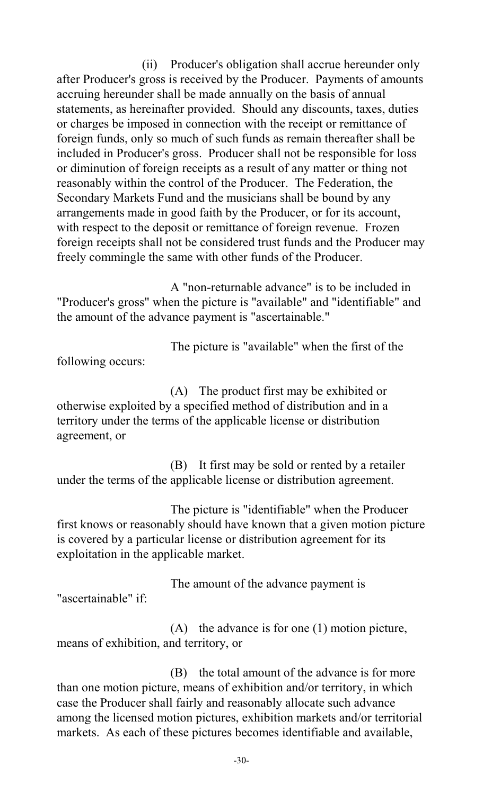(ii) Producer's obligation shall accrue hereunder only after Producer's gross is received by the Producer. Payments of amounts accruing hereunder shall be made annually on the basis of annual statements, as hereinafter provided. Should any discounts, taxes, duties or charges be imposed in connection with the receipt or remittance of foreign funds, only so much of such funds as remain thereafter shall be included in Producer's gross. Producer shall not be responsible for loss or diminution of foreign receipts as a result of any matter or thing not reasonably within the control of the Producer. The Federation, the Secondary Markets Fund and the musicians shall be bound by any arrangements made in good faith by the Producer, or for its account, with respect to the deposit or remittance of foreign revenue. Frozen foreign receipts shall not be considered trust funds and the Producer may freely commingle the same with other funds of the Producer.

A "non-returnable advance" is to be included in "Producer's gross" when the picture is "available" and "identifiable" and the amount of the advance payment is "ascertainable."

The picture is "available" when the first of the

following occurs:

(A) The product first may be exhibited or otherwise exploited by a specified method of distribution and in a territory under the terms of the applicable license or distribution agreement, or

(B) It first may be sold or rented by a retailer under the terms of the applicable license or distribution agreement.

The picture is "identifiable" when the Producer first knows or reasonably should have known that a given motion picture is covered by a particular license or distribution agreement for its exploitation in the applicable market.

"ascertainable" if:

The amount of the advance payment is

(A) the advance is for one (1) motion picture, means of exhibition, and territory, or

(B) the total amount of the advance is for more than one motion picture, means of exhibition and/or territory, in which case the Producer shall fairly and reasonably allocate such advance among the licensed motion pictures, exhibition markets and/or territorial markets. As each of these pictures becomes identifiable and available,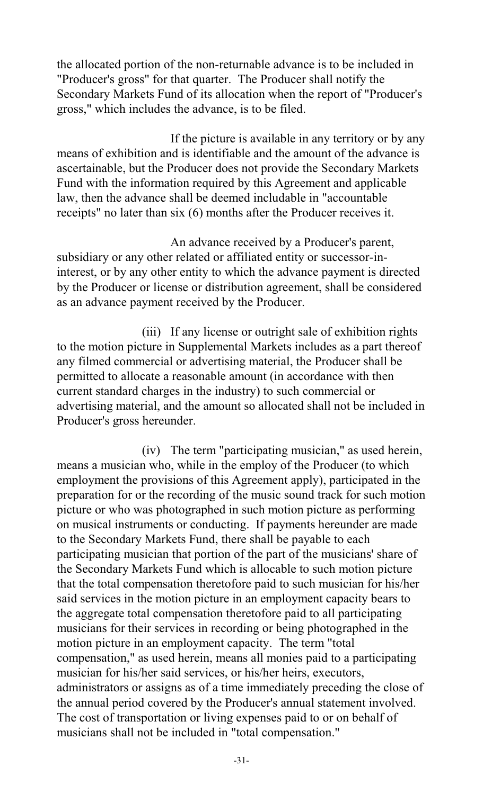the allocated portion of the non-returnable advance is to be included in "Producer's gross" for that quarter. The Producer shall notify the Secondary Markets Fund of its allocation when the report of "Producer's gross," which includes the advance, is to be filed.

If the picture is available in any territory or by any means of exhibition and is identifiable and the amount of the advance is ascertainable, but the Producer does not provide the Secondary Markets Fund with the information required by this Agreement and applicable law, then the advance shall be deemed includable in "accountable receipts" no later than six (6) months after the Producer receives it.

An advance received by a Producer's parent, subsidiary or any other related or affiliated entity or successor-ininterest, or by any other entity to which the advance payment is directed by the Producer or license or distribution agreement, shall be considered as an advance payment received by the Producer.

(iii) If any license or outright sale of exhibition rights to the motion picture in Supplemental Markets includes as a part thereof any filmed commercial or advertising material, the Producer shall be permitted to allocate a reasonable amount (in accordance with then current standard charges in the industry) to such commercial or advertising material, and the amount so allocated shall not be included in Producer's gross hereunder.

(iv) The term "participating musician," as used herein, means a musician who, while in the employ of the Producer (to which employment the provisions of this Agreement apply), participated in the preparation for or the recording of the music sound track for such motion picture or who was photographed in such motion picture as performing on musical instruments or conducting. If payments hereunder are made to the Secondary Markets Fund, there shall be payable to each participating musician that portion of the part of the musicians' share of the Secondary Markets Fund which is allocable to such motion picture that the total compensation theretofore paid to such musician for his/her said services in the motion picture in an employment capacity bears to the aggregate total compensation theretofore paid to all participating musicians for their services in recording or being photographed in the motion picture in an employment capacity. The term "total compensation," as used herein, means all monies paid to a participating musician for his/her said services, or his/her heirs, executors, administrators or assigns as of a time immediately preceding the close of the annual period covered by the Producer's annual statement involved. The cost of transportation or living expenses paid to or on behalf of musicians shall not be included in "total compensation."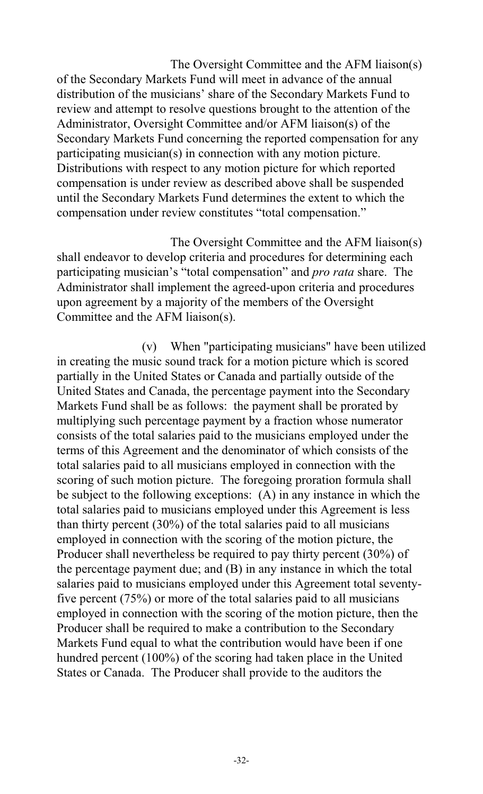The Oversight Committee and the AFM liaison(s) of the Secondary Markets Fund will meet in advance of the annual distribution of the musicians' share of the Secondary Markets Fund to review and attempt to resolve questions brought to the attention of the Administrator, Oversight Committee and/or AFM liaison(s) of the Secondary Markets Fund concerning the reported compensation for any participating musician(s) in connection with any motion picture. Distributions with respect to any motion picture for which reported compensation is under review as described above shall be suspended until the Secondary Markets Fund determines the extent to which the compensation under review constitutes "total compensation."

The Oversight Committee and the AFM liaison(s) shall endeavor to develop criteria and procedures for determining each participating musician's "total compensation" and *pro rata* share. The Administrator shall implement the agreed-upon criteria and procedures upon agreement by a majority of the members of the Oversight Committee and the AFM liaison(s).

(v) When "participating musicians" have been utilized in creating the music sound track for a motion picture which is scored partially in the United States or Canada and partially outside of the United States and Canada, the percentage payment into the Secondary Markets Fund shall be as follows: the payment shall be prorated by multiplying such percentage payment by a fraction whose numerator consists of the total salaries paid to the musicians employed under the terms of this Agreement and the denominator of which consists of the total salaries paid to all musicians employed in connection with the scoring of such motion picture. The foregoing proration formula shall be subject to the following exceptions: (A) in any instance in which the total salaries paid to musicians employed under this Agreement is less than thirty percent (30%) of the total salaries paid to all musicians employed in connection with the scoring of the motion picture, the Producer shall nevertheless be required to pay thirty percent (30%) of the percentage payment due; and (B) in any instance in which the total salaries paid to musicians employed under this Agreement total seventyfive percent (75%) or more of the total salaries paid to all musicians employed in connection with the scoring of the motion picture, then the Producer shall be required to make a contribution to the Secondary Markets Fund equal to what the contribution would have been if one hundred percent (100%) of the scoring had taken place in the United States or Canada. The Producer shall provide to the auditors the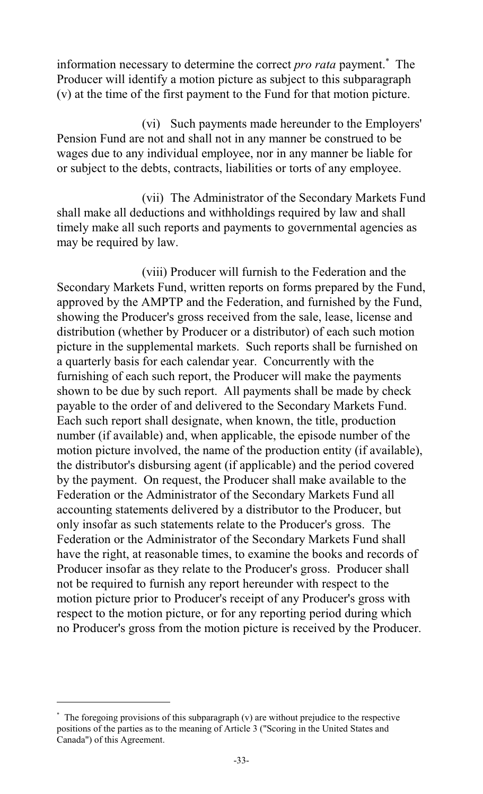information necessary to determine the correct *pro rata* payment.\* The Producer will identify a motion picture as subject to this subparagraph (v) at the time of the first payment to the Fund for that motion picture.

(vi) Such payments made hereunder to the Employers' Pension Fund are not and shall not in any manner be construed to be wages due to any individual employee, nor in any manner be liable for or subject to the debts, contracts, liabilities or torts of any employee.

(vii) The Administrator of the Secondary Markets Fund shall make all deductions and withholdings required by law and shall timely make all such reports and payments to governmental agencies as may be required by law.

(viii) Producer will furnish to the Federation and the Secondary Markets Fund, written reports on forms prepared by the Fund, approved by the AMPTP and the Federation, and furnished by the Fund, showing the Producer's gross received from the sale, lease, license and distribution (whether by Producer or a distributor) of each such motion picture in the supplemental markets. Such reports shall be furnished on a quarterly basis for each calendar year. Concurrently with the furnishing of each such report, the Producer will make the payments shown to be due by such report. All payments shall be made by check payable to the order of and delivered to the Secondary Markets Fund. Each such report shall designate, when known, the title, production number (if available) and, when applicable, the episode number of the motion picture involved, the name of the production entity (if available), the distributor's disbursing agent (if applicable) and the period covered by the payment. On request, the Producer shall make available to the Federation or the Administrator of the Secondary Markets Fund all accounting statements delivered by a distributor to the Producer, but only insofar as such statements relate to the Producer's gross. The Federation or the Administrator of the Secondary Markets Fund shall have the right, at reasonable times, to examine the books and records of Producer insofar as they relate to the Producer's gross. Producer shall not be required to furnish any report hereunder with respect to the motion picture prior to Producer's receipt of any Producer's gross with respect to the motion picture, or for any reporting period during which no Producer's gross from the motion picture is received by the Producer.

<sup>\*</sup> The foregoing provisions of this subparagraph (v) are without prejudice to the respective positions of the parties as to the meaning of Article 3 ("Scoring in the United States and Canada") of this Agreement.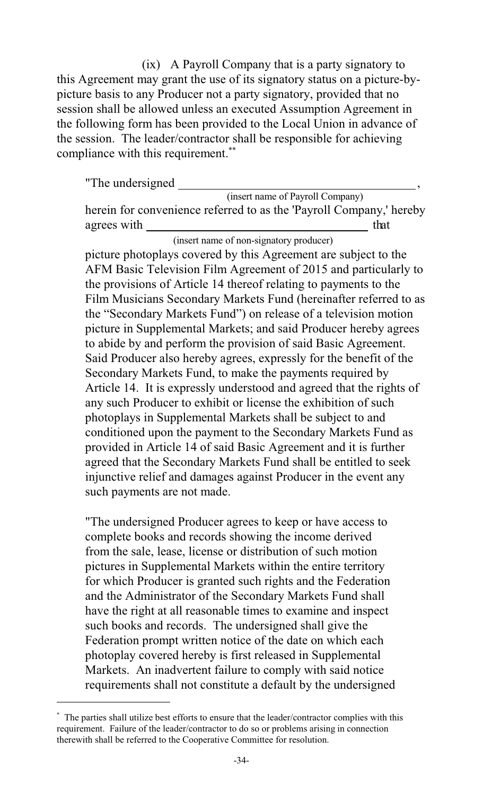(ix) A Payroll Company that is a party signatory to this Agreement may grant the use of its signatory status on a picture-bypicture basis to any Producer not a party signatory, provided that no session shall be allowed unless an executed Assumption Agreement in the following form has been provided to the Local Union in advance of the session. The leader/contractor shall be responsible for achieving compliance with this requirement.\*\*

"The undersigned ,

 (insert name of Payroll Company) herein for convenience referred to as the 'Payroll Company,' hereby agrees with that that the same state of  $\mathbb{R}^n$  that

#### (insert name of non-signatory producer)

picture photoplays covered by this Agreement are subject to the AFM Basic Television Film Agreement of 2015 and particularly to the provisions of Article 14 thereof relating to payments to the Film Musicians Secondary Markets Fund (hereinafter referred to as the "Secondary Markets Fund") on release of a television motion picture in Supplemental Markets; and said Producer hereby agrees to abide by and perform the provision of said Basic Agreement. Said Producer also hereby agrees, expressly for the benefit of the Secondary Markets Fund, to make the payments required by Article 14. It is expressly understood and agreed that the rights of any such Producer to exhibit or license the exhibition of such photoplays in Supplemental Markets shall be subject to and conditioned upon the payment to the Secondary Markets Fund as provided in Article 14 of said Basic Agreement and it is further agreed that the Secondary Markets Fund shall be entitled to seek injunctive relief and damages against Producer in the event any such payments are not made.

"The undersigned Producer agrees to keep or have access to complete books and records showing the income derived from the sale, lease, license or distribution of such motion pictures in Supplemental Markets within the entire territory for which Producer is granted such rights and the Federation and the Administrator of the Secondary Markets Fund shall have the right at all reasonable times to examine and inspect such books and records. The undersigned shall give the Federation prompt written notice of the date on which each photoplay covered hereby is first released in Supplemental Markets. An inadvertent failure to comply with said notice requirements shall not constitute a default by the undersigned

<sup>\*</sup> The parties shall utilize best efforts to ensure that the leader/contractor complies with this requirement. Failure of the leader/contractor to do so or problems arising in connection therewith shall be referred to the Cooperative Committee for resolution.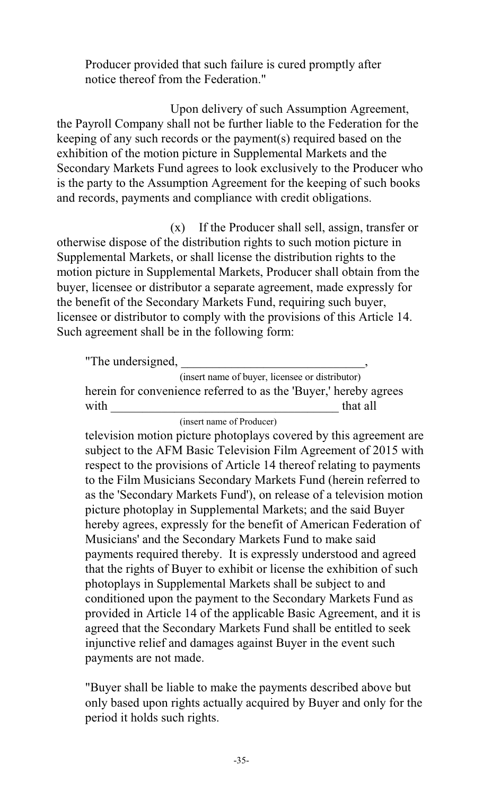Producer provided that such failure is cured promptly after notice thereof from the Federation."

Upon delivery of such Assumption Agreement, the Payroll Company shall not be further liable to the Federation for the keeping of any such records or the payment(s) required based on the exhibition of the motion picture in Supplemental Markets and the Secondary Markets Fund agrees to look exclusively to the Producer who is the party to the Assumption Agreement for the keeping of such books and records, payments and compliance with credit obligations.

(x) If the Producer shall sell, assign, transfer or otherwise dispose of the distribution rights to such motion picture in Supplemental Markets, or shall license the distribution rights to the motion picture in Supplemental Markets, Producer shall obtain from the buyer, licensee or distributor a separate agreement, made expressly for the benefit of the Secondary Markets Fund, requiring such buyer, licensee or distributor to comply with the provisions of this Article 14. Such agreement shall be in the following form:

"The undersigned,

 (insert name of buyer, licensee or distributor) herein for convenience referred to as the 'Buyer,' hereby agrees with \_\_\_\_\_\_\_\_\_\_\_\_\_\_\_\_\_\_\_\_\_\_\_\_\_\_\_\_\_\_\_\_\_\_\_\_ that all

# (insert name of Producer)

television motion picture photoplays covered by this agreement are subject to the AFM Basic Television Film Agreement of 2015 with respect to the provisions of Article 14 thereof relating to payments to the Film Musicians Secondary Markets Fund (herein referred to as the 'Secondary Markets Fund'), on release of a television motion picture photoplay in Supplemental Markets; and the said Buyer hereby agrees, expressly for the benefit of American Federation of Musicians' and the Secondary Markets Fund to make said payments required thereby. It is expressly understood and agreed that the rights of Buyer to exhibit or license the exhibition of such photoplays in Supplemental Markets shall be subject to and conditioned upon the payment to the Secondary Markets Fund as provided in Article 14 of the applicable Basic Agreement, and it is agreed that the Secondary Markets Fund shall be entitled to seek injunctive relief and damages against Buyer in the event such payments are not made.

"Buyer shall be liable to make the payments described above but only based upon rights actually acquired by Buyer and only for the period it holds such rights.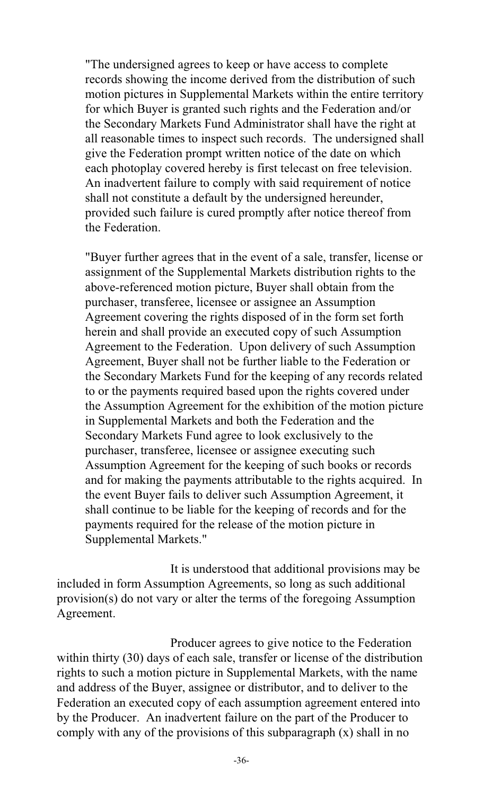"The undersigned agrees to keep or have access to complete records showing the income derived from the distribution of such motion pictures in Supplemental Markets within the entire territory for which Buyer is granted such rights and the Federation and/or the Secondary Markets Fund Administrator shall have the right at all reasonable times to inspect such records. The undersigned shall give the Federation prompt written notice of the date on which each photoplay covered hereby is first telecast on free television. An inadvertent failure to comply with said requirement of notice shall not constitute a default by the undersigned hereunder, provided such failure is cured promptly after notice thereof from the Federation.

"Buyer further agrees that in the event of a sale, transfer, license or assignment of the Supplemental Markets distribution rights to the above-referenced motion picture, Buyer shall obtain from the purchaser, transferee, licensee or assignee an Assumption Agreement covering the rights disposed of in the form set forth herein and shall provide an executed copy of such Assumption Agreement to the Federation. Upon delivery of such Assumption Agreement, Buyer shall not be further liable to the Federation or the Secondary Markets Fund for the keeping of any records related to or the payments required based upon the rights covered under the Assumption Agreement for the exhibition of the motion picture in Supplemental Markets and both the Federation and the Secondary Markets Fund agree to look exclusively to the purchaser, transferee, licensee or assignee executing such Assumption Agreement for the keeping of such books or records and for making the payments attributable to the rights acquired. In the event Buyer fails to deliver such Assumption Agreement, it shall continue to be liable for the keeping of records and for the payments required for the release of the motion picture in Supplemental Markets."

It is understood that additional provisions may be included in form Assumption Agreements, so long as such additional provision(s) do not vary or alter the terms of the foregoing Assumption Agreement.

Producer agrees to give notice to the Federation within thirty (30) days of each sale, transfer or license of the distribution rights to such a motion picture in Supplemental Markets, with the name and address of the Buyer, assignee or distributor, and to deliver to the Federation an executed copy of each assumption agreement entered into by the Producer. An inadvertent failure on the part of the Producer to comply with any of the provisions of this subparagraph (x) shall in no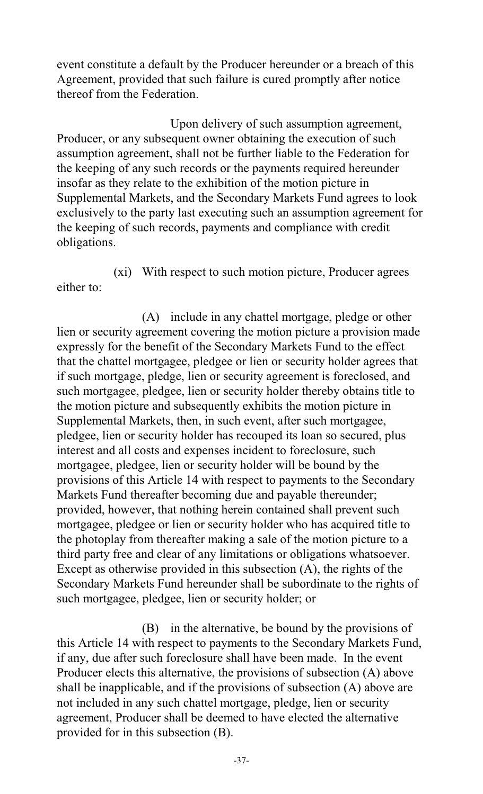event constitute a default by the Producer hereunder or a breach of this Agreement, provided that such failure is cured promptly after notice thereof from the Federation.

Upon delivery of such assumption agreement, Producer, or any subsequent owner obtaining the execution of such assumption agreement, shall not be further liable to the Federation for the keeping of any such records or the payments required hereunder insofar as they relate to the exhibition of the motion picture in Supplemental Markets, and the Secondary Markets Fund agrees to look exclusively to the party last executing such an assumption agreement for the keeping of such records, payments and compliance with credit obligations.

(xi) With respect to such motion picture, Producer agrees either to:

(A) include in any chattel mortgage, pledge or other lien or security agreement covering the motion picture a provision made expressly for the benefit of the Secondary Markets Fund to the effect that the chattel mortgagee, pledgee or lien or security holder agrees that if such mortgage, pledge, lien or security agreement is foreclosed, and such mortgagee, pledgee, lien or security holder thereby obtains title to the motion picture and subsequently exhibits the motion picture in Supplemental Markets, then, in such event, after such mortgagee, pledgee, lien or security holder has recouped its loan so secured, plus interest and all costs and expenses incident to foreclosure, such mortgagee, pledgee, lien or security holder will be bound by the provisions of this Article 14 with respect to payments to the Secondary Markets Fund thereafter becoming due and payable thereunder; provided, however, that nothing herein contained shall prevent such mortgagee, pledgee or lien or security holder who has acquired title to the photoplay from thereafter making a sale of the motion picture to a third party free and clear of any limitations or obligations whatsoever. Except as otherwise provided in this subsection (A), the rights of the Secondary Markets Fund hereunder shall be subordinate to the rights of such mortgagee, pledgee, lien or security holder; or

 (B) in the alternative, be bound by the provisions of this Article 14 with respect to payments to the Secondary Markets Fund, if any, due after such foreclosure shall have been made. In the event Producer elects this alternative, the provisions of subsection (A) above shall be inapplicable, and if the provisions of subsection (A) above are not included in any such chattel mortgage, pledge, lien or security agreement, Producer shall be deemed to have elected the alternative provided for in this subsection (B).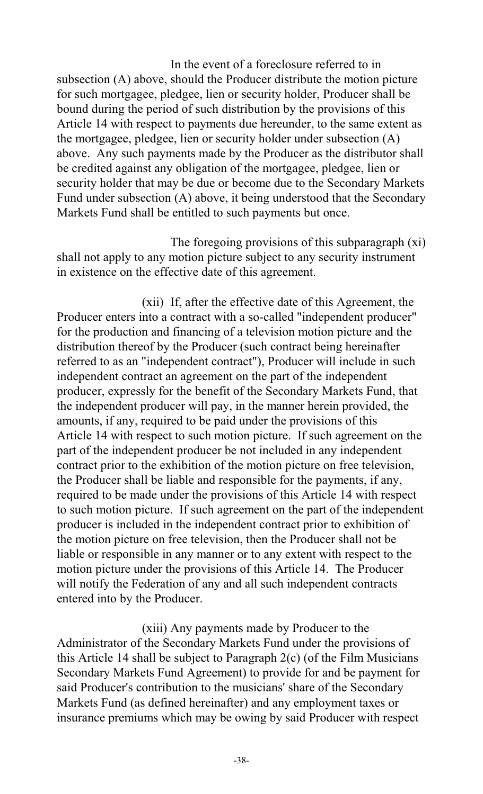In the event of a foreclosure referred to in subsection (A) above, should the Producer distribute the motion picture for such mortgagee, pledgee, lien or security holder, Producer shall be bound during the period of such distribution by the provisions of this Article 14 with respect to payments due hereunder, to the same extent as the mortgagee, pledgee, lien or security holder under subsection (A) above. Any such payments made by the Producer as the distributor shall be credited against any obligation of the mortgagee, pledgee, lien or security holder that may be due or become due to the Secondary Markets Fund under subsection (A) above, it being understood that the Secondary Markets Fund shall be entitled to such payments but once.

The foregoing provisions of this subparagraph (xi) shall not apply to any motion picture subject to any security instrument in existence on the effective date of this agreement.

 (xii) If, after the effective date of this Agreement, the Producer enters into a contract with a so-called "independent producer" for the production and financing of a television motion picture and the distribution thereof by the Producer (such contract being hereinafter referred to as an "independent contract"), Producer will include in such independent contract an agreement on the part of the independent producer, expressly for the benefit of the Secondary Markets Fund, that the independent producer will pay, in the manner herein provided, the amounts, if any, required to be paid under the provisions of this Article 14 with respect to such motion picture. If such agreement on the part of the independent producer be not included in any independent contract prior to the exhibition of the motion picture on free television, the Producer shall be liable and responsible for the payments, if any, required to be made under the provisions of this Article 14 with respect to such motion picture. If such agreement on the part of the independent producer is included in the independent contract prior to exhibition of the motion picture on free television, then the Producer shall not be liable or responsible in any manner or to any extent with respect to the motion picture under the provisions of this Article 14. The Producer will notify the Federation of any and all such independent contracts entered into by the Producer.

 (xiii) Any payments made by Producer to the Administrator of the Secondary Markets Fund under the provisions of this Article 14 shall be subject to Paragraph 2(c) (of the Film Musicians Secondary Markets Fund Agreement) to provide for and be payment for said Producer's contribution to the musicians' share of the Secondary Markets Fund (as defined hereinafter) and any employment taxes or insurance premiums which may be owing by said Producer with respect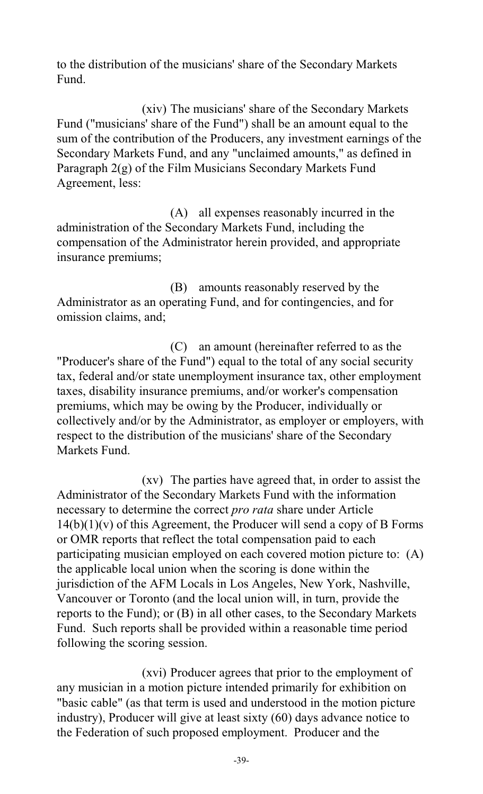to the distribution of the musicians' share of the Secondary Markets Fund.

(xiv) The musicians' share of the Secondary Markets Fund ("musicians' share of the Fund") shall be an amount equal to the sum of the contribution of the Producers, any investment earnings of the Secondary Markets Fund, and any "unclaimed amounts," as defined in Paragraph 2(g) of the Film Musicians Secondary Markets Fund Agreement, less:

(A) all expenses reasonably incurred in the administration of the Secondary Markets Fund, including the compensation of the Administrator herein provided, and appropriate insurance premiums;

(B) amounts reasonably reserved by the Administrator as an operating Fund, and for contingencies, and for omission claims, and;

(C) an amount (hereinafter referred to as the "Producer's share of the Fund") equal to the total of any social security tax, federal and/or state unemployment insurance tax, other employment taxes, disability insurance premiums, and/or worker's compensation premiums, which may be owing by the Producer, individually or collectively and/or by the Administrator, as employer or employers, with respect to the distribution of the musicians' share of the Secondary Markets Fund.

(xv) The parties have agreed that, in order to assist the Administrator of the Secondary Markets Fund with the information necessary to determine the correct *pro rata* share under Article  $14(b)(1)(v)$  of this Agreement, the Producer will send a copy of B Forms or OMR reports that reflect the total compensation paid to each participating musician employed on each covered motion picture to: (A) the applicable local union when the scoring is done within the jurisdiction of the AFM Locals in Los Angeles, New York, Nashville, Vancouver or Toronto (and the local union will, in turn, provide the reports to the Fund); or (B) in all other cases, to the Secondary Markets Fund. Such reports shall be provided within a reasonable time period following the scoring session.

(xvi) Producer agrees that prior to the employment of any musician in a motion picture intended primarily for exhibition on "basic cable" (as that term is used and understood in the motion picture industry), Producer will give at least sixty (60) days advance notice to the Federation of such proposed employment. Producer and the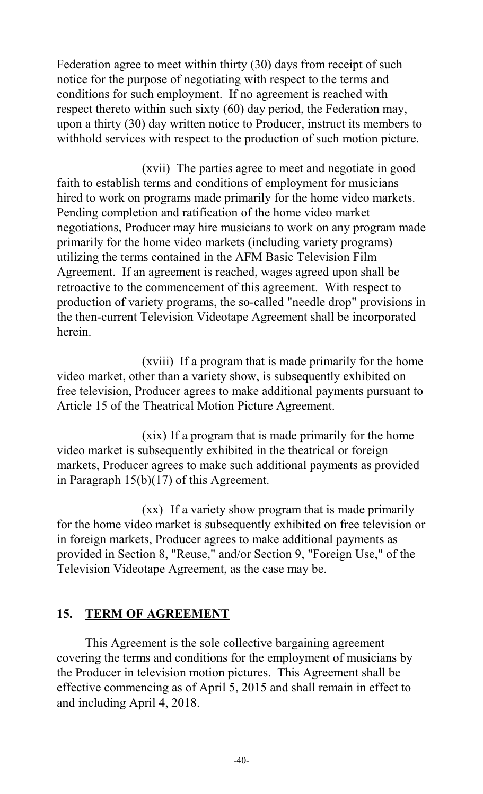Federation agree to meet within thirty (30) days from receipt of such notice for the purpose of negotiating with respect to the terms and conditions for such employment. If no agreement is reached with respect thereto within such sixty (60) day period, the Federation may, upon a thirty (30) day written notice to Producer, instruct its members to withhold services with respect to the production of such motion picture.

(xvii) The parties agree to meet and negotiate in good faith to establish terms and conditions of employment for musicians hired to work on programs made primarily for the home video markets. Pending completion and ratification of the home video market negotiations, Producer may hire musicians to work on any program made primarily for the home video markets (including variety programs) utilizing the terms contained in the AFM Basic Television Film Agreement. If an agreement is reached, wages agreed upon shall be retroactive to the commencement of this agreement. With respect to production of variety programs, the so-called "needle drop" provisions in the then-current Television Videotape Agreement shall be incorporated herein.

(xviii) If a program that is made primarily for the home video market, other than a variety show, is subsequently exhibited on free television, Producer agrees to make additional payments pursuant to Article 15 of the Theatrical Motion Picture Agreement.

(xix) If a program that is made primarily for the home video market is subsequently exhibited in the theatrical or foreign markets, Producer agrees to make such additional payments as provided in Paragraph 15(b)(17) of this Agreement.

(xx) If a variety show program that is made primarily for the home video market is subsequently exhibited on free television or in foreign markets, Producer agrees to make additional payments as provided in Section 8, "Reuse," and/or Section 9, "Foreign Use," of the Television Videotape Agreement, as the case may be.

#### **15. TERM OF AGREEMENT**

This Agreement is the sole collective bargaining agreement covering the terms and conditions for the employment of musicians by the Producer in television motion pictures. This Agreement shall be effective commencing as of April 5, 2015 and shall remain in effect to and including April 4, 2018.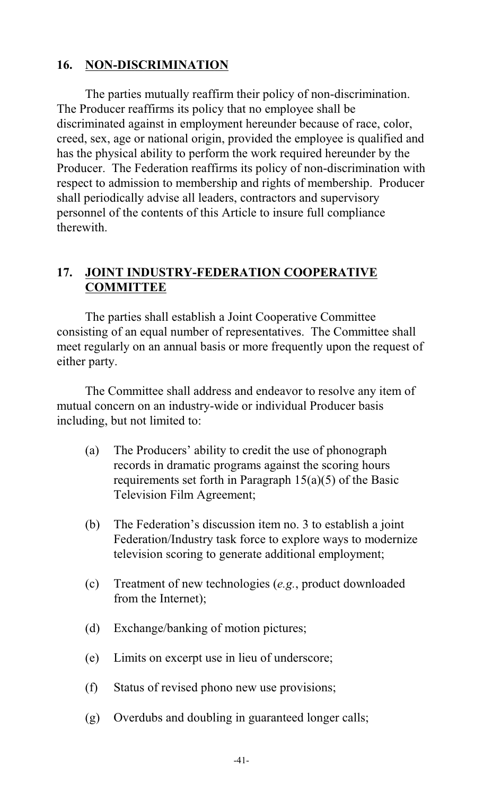#### **16. NON-DISCRIMINATION**

The parties mutually reaffirm their policy of non-discrimination. The Producer reaffirms its policy that no employee shall be discriminated against in employment hereunder because of race, color, creed, sex, age or national origin, provided the employee is qualified and has the physical ability to perform the work required hereunder by the Producer. The Federation reaffirms its policy of non-discrimination with respect to admission to membership and rights of membership. Producer shall periodically advise all leaders, contractors and supervisory personnel of the contents of this Article to insure full compliance therewith.

# **17. JOINT INDUSTRY-FEDERATION COOPERATIVE COMMITTEE**

The parties shall establish a Joint Cooperative Committee consisting of an equal number of representatives. The Committee shall meet regularly on an annual basis or more frequently upon the request of either party.

The Committee shall address and endeavor to resolve any item of mutual concern on an industry-wide or individual Producer basis including, but not limited to:

- (a) The Producers' ability to credit the use of phonograph records in dramatic programs against the scoring hours requirements set forth in Paragraph  $15(a)(5)$  of the Basic Television Film Agreement;
- (b) The Federation's discussion item no. 3 to establish a joint Federation/Industry task force to explore ways to modernize television scoring to generate additional employment;
- (c) Treatment of new technologies (*e.g.*, product downloaded from the Internet);
- (d) Exchange/banking of motion pictures;
- (e) Limits on excerpt use in lieu of underscore;
- (f) Status of revised phono new use provisions;
- (g) Overdubs and doubling in guaranteed longer calls;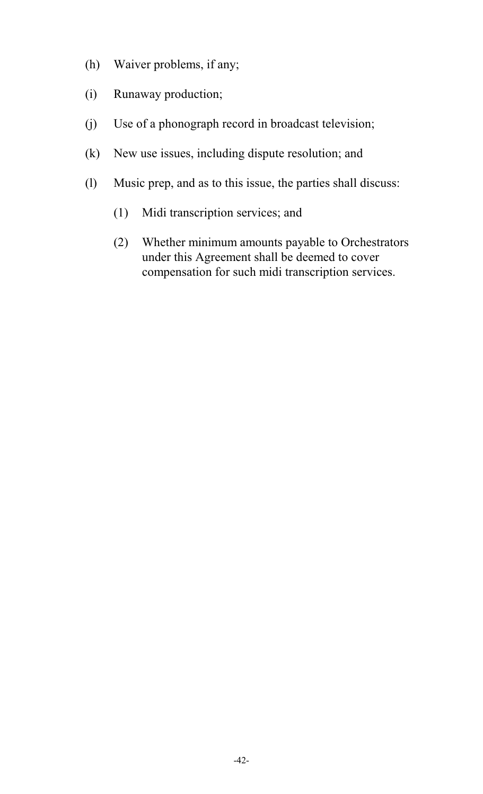- (h) Waiver problems, if any;
- (i) Runaway production;
- (j) Use of a phonograph record in broadcast television;
- (k) New use issues, including dispute resolution; and
- (l) Music prep, and as to this issue, the parties shall discuss:
	- (1) Midi transcription services; and
	- (2) Whether minimum amounts payable to Orchestrators under this Agreement shall be deemed to cover compensation for such midi transcription services.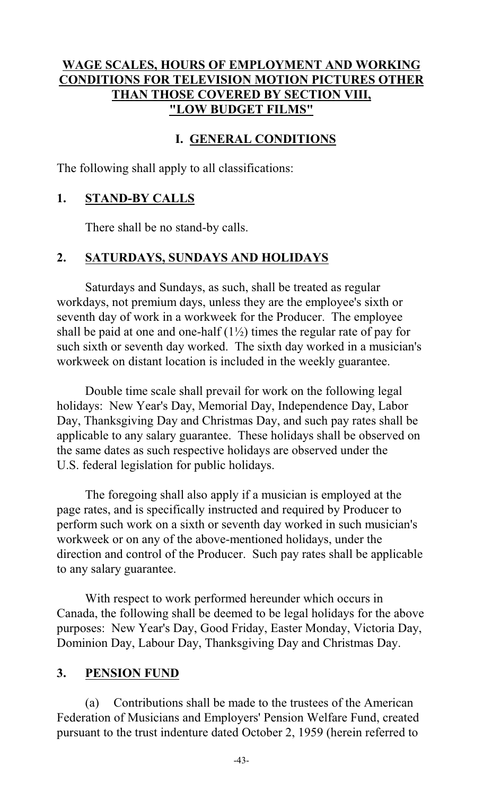#### **WAGE SCALES, HOURS OF EMPLOYMENT AND WORKING CONDITIONS FOR TELEVISION MOTION PICTURES OTHER THAN THOSE COVERED BY SECTION VIII, "LOW BUDGET FILMS"**

# **I. GENERAL CONDITIONS**

The following shall apply to all classifications:

# **1. STAND-BY CALLS**

There shall be no stand-by calls.

# **2. SATURDAYS, SUNDAYS AND HOLIDAYS**

Saturdays and Sundays, as such, shall be treated as regular workdays, not premium days, unless they are the employee's sixth or seventh day of work in a workweek for the Producer. The employee shall be paid at one and one-half  $(1\frac{1}{2})$  times the regular rate of pay for such sixth or seventh day worked. The sixth day worked in a musician's workweek on distant location is included in the weekly guarantee.

Double time scale shall prevail for work on the following legal holidays: New Year's Day, Memorial Day, Independence Day, Labor Day, Thanksgiving Day and Christmas Day, and such pay rates shall be applicable to any salary guarantee. These holidays shall be observed on the same dates as such respective holidays are observed under the U.S. federal legislation for public holidays.

The foregoing shall also apply if a musician is employed at the page rates, and is specifically instructed and required by Producer to perform such work on a sixth or seventh day worked in such musician's workweek or on any of the above-mentioned holidays, under the direction and control of the Producer. Such pay rates shall be applicable to any salary guarantee.

With respect to work performed hereunder which occurs in Canada, the following shall be deemed to be legal holidays for the above purposes: New Year's Day, Good Friday, Easter Monday, Victoria Day, Dominion Day, Labour Day, Thanksgiving Day and Christmas Day.

#### **3. PENSION FUND**

(a) Contributions shall be made to the trustees of the American Federation of Musicians and Employers' Pension Welfare Fund, created pursuant to the trust indenture dated October 2, 1959 (herein referred to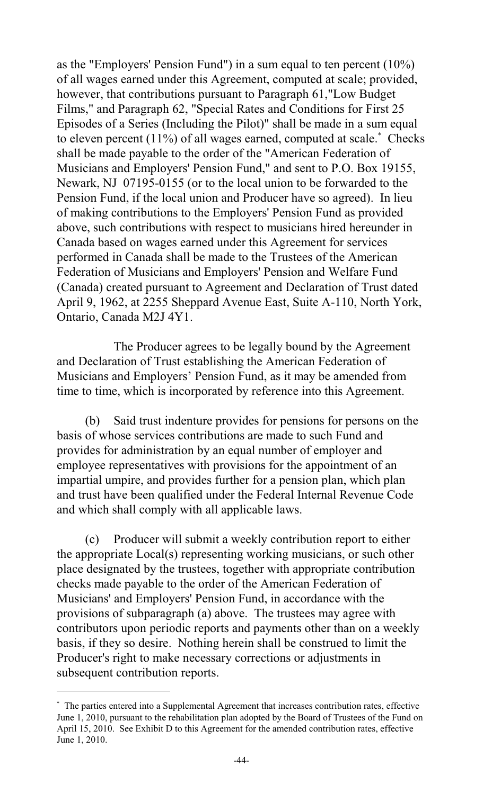as the "Employers' Pension Fund") in a sum equal to ten percent (10%) of all wages earned under this Agreement, computed at scale; provided, however, that contributions pursuant to Paragraph 61,"Low Budget Films," and Paragraph 62, "Special Rates and Conditions for First 25 Episodes of a Series (Including the Pilot)" shall be made in a sum equal to eleven percent (11%) of all wages earned, computed at scale.\* Checks shall be made payable to the order of the "American Federation of Musicians and Employers' Pension Fund," and sent to P.O. Box 19155, Newark, NJ 07195-0155 (or to the local union to be forwarded to the Pension Fund, if the local union and Producer have so agreed). In lieu of making contributions to the Employers' Pension Fund as provided above, such contributions with respect to musicians hired hereunder in Canada based on wages earned under this Agreement for services performed in Canada shall be made to the Trustees of the American Federation of Musicians and Employers' Pension and Welfare Fund (Canada) created pursuant to Agreement and Declaration of Trust dated April 9, 1962, at 2255 Sheppard Avenue East, Suite A-110, North York, Ontario, Canada M2J 4Y1.

The Producer agrees to be legally bound by the Agreement and Declaration of Trust establishing the American Federation of Musicians and Employers' Pension Fund, as it may be amended from time to time, which is incorporated by reference into this Agreement.

(b) Said trust indenture provides for pensions for persons on the basis of whose services contributions are made to such Fund and provides for administration by an equal number of employer and employee representatives with provisions for the appointment of an impartial umpire, and provides further for a pension plan, which plan and trust have been qualified under the Federal Internal Revenue Code and which shall comply with all applicable laws.

(c) Producer will submit a weekly contribution report to either the appropriate Local(s) representing working musicians, or such other place designated by the trustees, together with appropriate contribution checks made payable to the order of the American Federation of Musicians' and Employers' Pension Fund, in accordance with the provisions of subparagraph (a) above. The trustees may agree with contributors upon periodic reports and payments other than on a weekly basis, if they so desire. Nothing herein shall be construed to limit the Producer's right to make necessary corrections or adjustments in subsequent contribution reports.

<sup>\*</sup> The parties entered into a Supplemental Agreement that increases contribution rates, effective June 1, 2010, pursuant to the rehabilitation plan adopted by the Board of Trustees of the Fund on April 15, 2010. See Exhibit D to this Agreement for the amended contribution rates, effective June 1, 2010.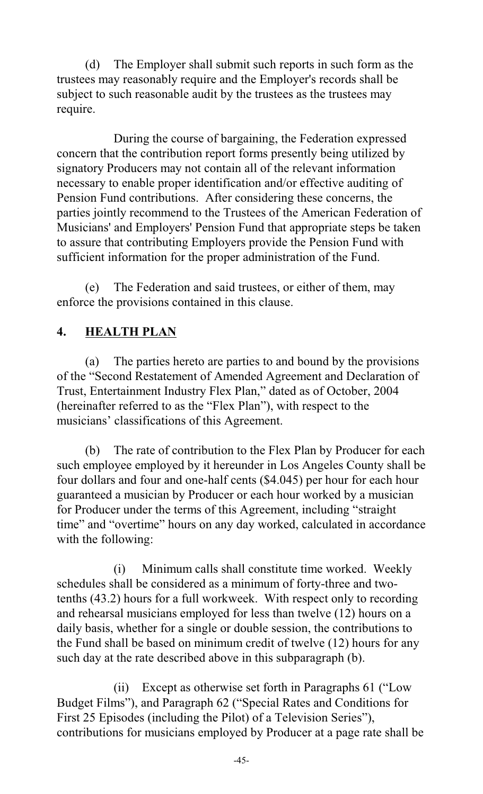(d) The Employer shall submit such reports in such form as the trustees may reasonably require and the Employer's records shall be subject to such reasonable audit by the trustees as the trustees may require.

During the course of bargaining, the Federation expressed concern that the contribution report forms presently being utilized by signatory Producers may not contain all of the relevant information necessary to enable proper identification and/or effective auditing of Pension Fund contributions. After considering these concerns, the parties jointly recommend to the Trustees of the American Federation of Musicians' and Employers' Pension Fund that appropriate steps be taken to assure that contributing Employers provide the Pension Fund with sufficient information for the proper administration of the Fund.

(e) The Federation and said trustees, or either of them, may enforce the provisions contained in this clause.

# **4. HEALTH PLAN**

(a) The parties hereto are parties to and bound by the provisions of the "Second Restatement of Amended Agreement and Declaration of Trust, Entertainment Industry Flex Plan," dated as of October, 2004 (hereinafter referred to as the "Flex Plan"), with respect to the musicians' classifications of this Agreement.

(b) The rate of contribution to the Flex Plan by Producer for each such employee employed by it hereunder in Los Angeles County shall be four dollars and four and one-half cents (\$4.045) per hour for each hour guaranteed a musician by Producer or each hour worked by a musician for Producer under the terms of this Agreement, including "straight time" and "overtime" hours on any day worked, calculated in accordance with the following:

(i) Minimum calls shall constitute time worked. Weekly schedules shall be considered as a minimum of forty-three and twotenths (43.2) hours for a full workweek. With respect only to recording and rehearsal musicians employed for less than twelve (12) hours on a daily basis, whether for a single or double session, the contributions to the Fund shall be based on minimum credit of twelve (12) hours for any such day at the rate described above in this subparagraph (b).

(ii) Except as otherwise set forth in Paragraphs 61 ("Low Budget Films"), and Paragraph 62 ("Special Rates and Conditions for First 25 Episodes (including the Pilot) of a Television Series"), contributions for musicians employed by Producer at a page rate shall be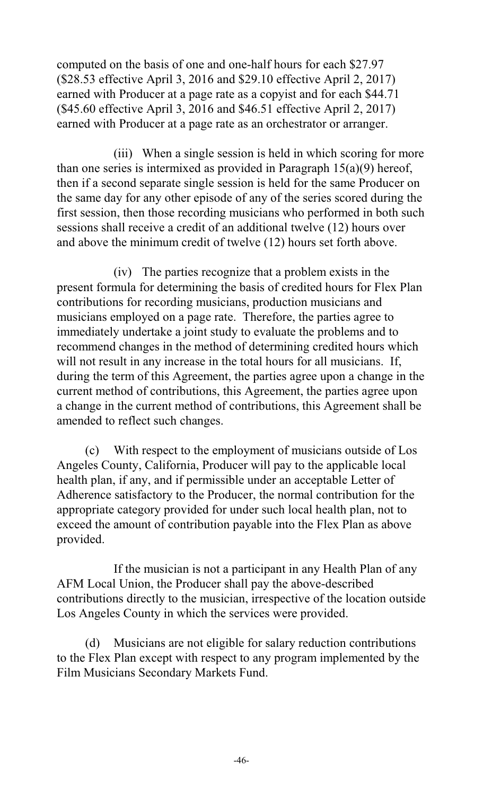computed on the basis of one and one-half hours for each \$27.97 (\$28.53 effective April 3, 2016 and \$29.10 effective April 2, 2017) earned with Producer at a page rate as a copyist and for each \$44.71 (\$45.60 effective April 3, 2016 and \$46.51 effective April 2, 2017) earned with Producer at a page rate as an orchestrator or arranger.

(iii) When a single session is held in which scoring for more than one series is intermixed as provided in Paragraph  $15(a)(9)$  hereof, then if a second separate single session is held for the same Producer on the same day for any other episode of any of the series scored during the first session, then those recording musicians who performed in both such sessions shall receive a credit of an additional twelve (12) hours over and above the minimum credit of twelve (12) hours set forth above.

(iv) The parties recognize that a problem exists in the present formula for determining the basis of credited hours for Flex Plan contributions for recording musicians, production musicians and musicians employed on a page rate. Therefore, the parties agree to immediately undertake a joint study to evaluate the problems and to recommend changes in the method of determining credited hours which will not result in any increase in the total hours for all musicians. If, during the term of this Agreement, the parties agree upon a change in the current method of contributions, this Agreement, the parties agree upon a change in the current method of contributions, this Agreement shall be amended to reflect such changes.

(c) With respect to the employment of musicians outside of Los Angeles County, California, Producer will pay to the applicable local health plan, if any, and if permissible under an acceptable Letter of Adherence satisfactory to the Producer, the normal contribution for the appropriate category provided for under such local health plan, not to exceed the amount of contribution payable into the Flex Plan as above provided.

If the musician is not a participant in any Health Plan of any AFM Local Union, the Producer shall pay the above-described contributions directly to the musician, irrespective of the location outside Los Angeles County in which the services were provided.

(d) Musicians are not eligible for salary reduction contributions to the Flex Plan except with respect to any program implemented by the Film Musicians Secondary Markets Fund.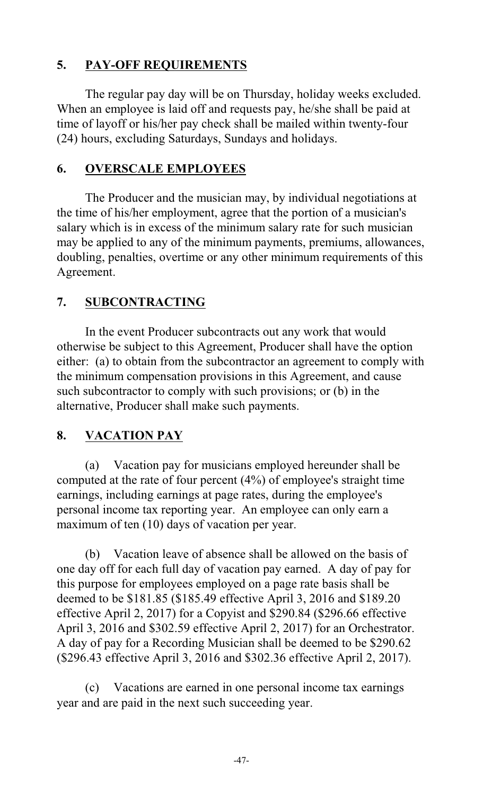# **5. PAY-OFF REQUIREMENTS**

The regular pay day will be on Thursday, holiday weeks excluded. When an employee is laid off and requests pay, he/she shall be paid at time of layoff or his/her pay check shall be mailed within twenty-four (24) hours, excluding Saturdays, Sundays and holidays.

#### **6. OVERSCALE EMPLOYEES**

The Producer and the musician may, by individual negotiations at the time of his/her employment, agree that the portion of a musician's salary which is in excess of the minimum salary rate for such musician may be applied to any of the minimum payments, premiums, allowances, doubling, penalties, overtime or any other minimum requirements of this Agreement.

# **7. SUBCONTRACTING**

In the event Producer subcontracts out any work that would otherwise be subject to this Agreement, Producer shall have the option either: (a) to obtain from the subcontractor an agreement to comply with the minimum compensation provisions in this Agreement, and cause such subcontractor to comply with such provisions; or (b) in the alternative, Producer shall make such payments.

# **8. VACATION PAY**

(a) Vacation pay for musicians employed hereunder shall be computed at the rate of four percent (4%) of employee's straight time earnings, including earnings at page rates, during the employee's personal income tax reporting year. An employee can only earn a maximum of ten (10) days of vacation per year.

(b) Vacation leave of absence shall be allowed on the basis of one day off for each full day of vacation pay earned. A day of pay for this purpose for employees employed on a page rate basis shall be deemed to be \$181.85 (\$185.49 effective April 3, 2016 and \$189.20 effective April 2, 2017) for a Copyist and \$290.84 (\$296.66 effective April 3, 2016 and \$302.59 effective April 2, 2017) for an Orchestrator. A day of pay for a Recording Musician shall be deemed to be \$290.62 (\$296.43 effective April 3, 2016 and \$302.36 effective April 2, 2017).

(c) Vacations are earned in one personal income tax earnings year and are paid in the next such succeeding year.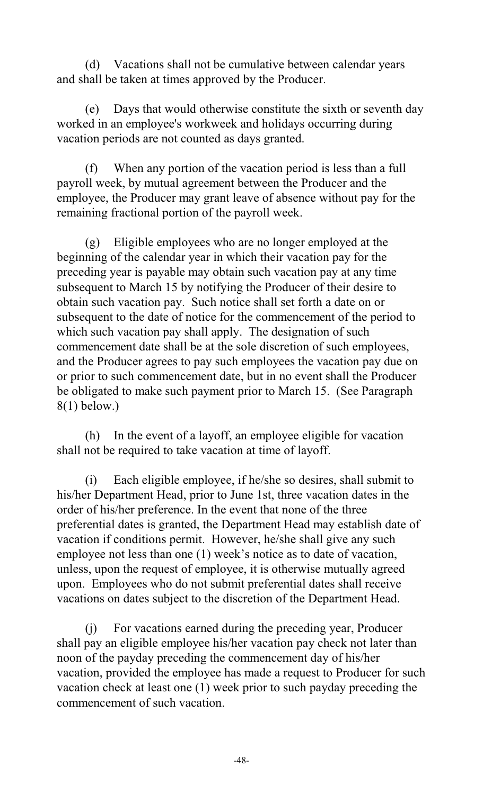(d) Vacations shall not be cumulative between calendar years and shall be taken at times approved by the Producer.

(e) Days that would otherwise constitute the sixth or seventh day worked in an employee's workweek and holidays occurring during vacation periods are not counted as days granted.

(f) When any portion of the vacation period is less than a full payroll week, by mutual agreement between the Producer and the employee, the Producer may grant leave of absence without pay for the remaining fractional portion of the payroll week.

(g) Eligible employees who are no longer employed at the beginning of the calendar year in which their vacation pay for the preceding year is payable may obtain such vacation pay at any time subsequent to March 15 by notifying the Producer of their desire to obtain such vacation pay. Such notice shall set forth a date on or subsequent to the date of notice for the commencement of the period to which such vacation pay shall apply. The designation of such commencement date shall be at the sole discretion of such employees, and the Producer agrees to pay such employees the vacation pay due on or prior to such commencement date, but in no event shall the Producer be obligated to make such payment prior to March 15. (See Paragraph 8(1) below.)

(h) In the event of a layoff, an employee eligible for vacation shall not be required to take vacation at time of layoff.

(i) Each eligible employee, if he/she so desires, shall submit to his/her Department Head, prior to June 1st, three vacation dates in the order of his/her preference. In the event that none of the three preferential dates is granted, the Department Head may establish date of vacation if conditions permit. However, he/she shall give any such employee not less than one (1) week's notice as to date of vacation, unless, upon the request of employee, it is otherwise mutually agreed upon. Employees who do not submit preferential dates shall receive vacations on dates subject to the discretion of the Department Head.

(j) For vacations earned during the preceding year, Producer shall pay an eligible employee his/her vacation pay check not later than noon of the payday preceding the commencement day of his/her vacation, provided the employee has made a request to Producer for such vacation check at least one (1) week prior to such payday preceding the commencement of such vacation.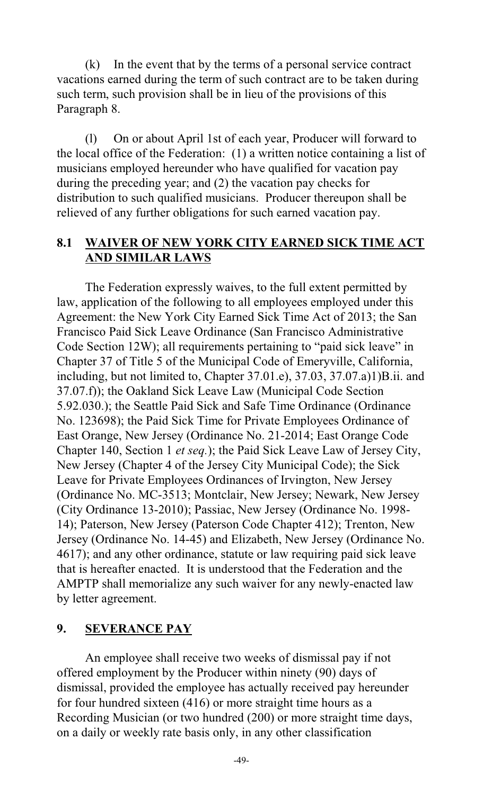(k) In the event that by the terms of a personal service contract vacations earned during the term of such contract are to be taken during such term, such provision shall be in lieu of the provisions of this Paragraph 8.

(l) On or about April 1st of each year, Producer will forward to the local office of the Federation: (1) a written notice containing a list of musicians employed hereunder who have qualified for vacation pay during the preceding year; and (2) the vacation pay checks for distribution to such qualified musicians. Producer thereupon shall be relieved of any further obligations for such earned vacation pay.

#### **8.1 WAIVER OF NEW YORK CITY EARNED SICK TIME ACT AND SIMILAR LAWS**

The Federation expressly waives, to the full extent permitted by law, application of the following to all employees employed under this Agreement: the New York City Earned Sick Time Act of 2013; the San Francisco Paid Sick Leave Ordinance (San Francisco Administrative Code Section 12W); all requirements pertaining to "paid sick leave" in Chapter 37 of Title 5 of the Municipal Code of Emeryville, California, including, but not limited to, Chapter 37.01.e), 37.03, 37.07.a)1)B.ii. and 37.07.f)); the Oakland Sick Leave Law (Municipal Code Section 5.92.030.); the Seattle Paid Sick and Safe Time Ordinance (Ordinance No. 123698); the Paid Sick Time for Private Employees Ordinance of East Orange, New Jersey (Ordinance No. 21-2014; East Orange Code Chapter 140, Section 1 *et seq.*); the Paid Sick Leave Law of Jersey City, New Jersey (Chapter 4 of the Jersey City Municipal Code); the Sick Leave for Private Employees Ordinances of Irvington, New Jersey (Ordinance No. MC-3513; Montclair, New Jersey; Newark, New Jersey (City Ordinance 13-2010); Passiac, New Jersey (Ordinance No. 1998- 14); Paterson, New Jersey (Paterson Code Chapter 412); Trenton, New Jersey (Ordinance No. 14-45) and Elizabeth, New Jersey (Ordinance No. 4617); and any other ordinance, statute or law requiring paid sick leave that is hereafter enacted. It is understood that the Federation and the AMPTP shall memorialize any such waiver for any newly-enacted law by letter agreement.

# **9. SEVERANCE PAY**

An employee shall receive two weeks of dismissal pay if not offered employment by the Producer within ninety (90) days of dismissal, provided the employee has actually received pay hereunder for four hundred sixteen (416) or more straight time hours as a Recording Musician (or two hundred (200) or more straight time days, on a daily or weekly rate basis only, in any other classification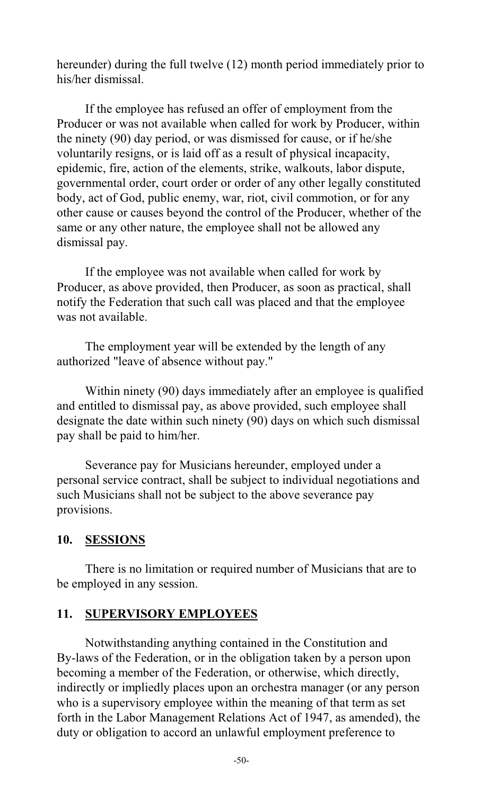hereunder) during the full twelve (12) month period immediately prior to his/her dismissal.

If the employee has refused an offer of employment from the Producer or was not available when called for work by Producer, within the ninety (90) day period, or was dismissed for cause, or if he/she voluntarily resigns, or is laid off as a result of physical incapacity, epidemic, fire, action of the elements, strike, walkouts, labor dispute, governmental order, court order or order of any other legally constituted body, act of God, public enemy, war, riot, civil commotion, or for any other cause or causes beyond the control of the Producer, whether of the same or any other nature, the employee shall not be allowed any dismissal pay.

If the employee was not available when called for work by Producer, as above provided, then Producer, as soon as practical, shall notify the Federation that such call was placed and that the employee was not available.

The employment year will be extended by the length of any authorized "leave of absence without pay."

Within ninety (90) days immediately after an employee is qualified and entitled to dismissal pay, as above provided, such employee shall designate the date within such ninety (90) days on which such dismissal pay shall be paid to him/her.

Severance pay for Musicians hereunder, employed under a personal service contract, shall be subject to individual negotiations and such Musicians shall not be subject to the above severance pay provisions.

#### **10. SESSIONS**

There is no limitation or required number of Musicians that are to be employed in any session.

#### **11. SUPERVISORY EMPLOYEES**

Notwithstanding anything contained in the Constitution and By-laws of the Federation, or in the obligation taken by a person upon becoming a member of the Federation, or otherwise, which directly, indirectly or impliedly places upon an orchestra manager (or any person who is a supervisory employee within the meaning of that term as set forth in the Labor Management Relations Act of 1947, as amended), the duty or obligation to accord an unlawful employment preference to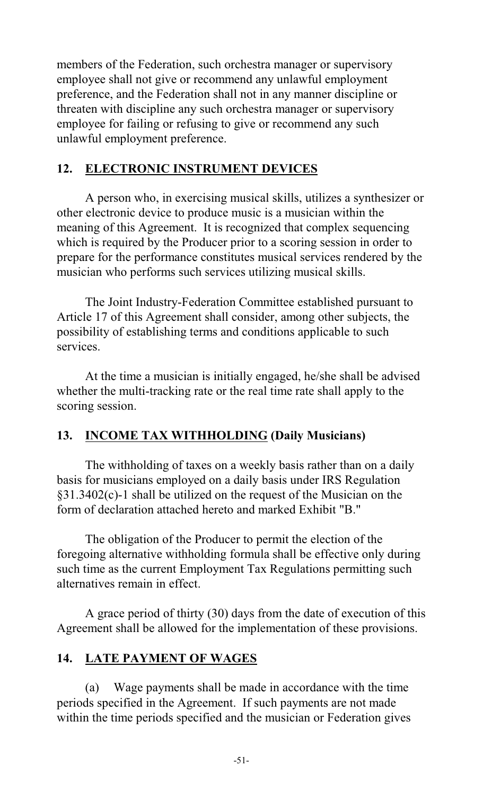members of the Federation, such orchestra manager or supervisory employee shall not give or recommend any unlawful employment preference, and the Federation shall not in any manner discipline or threaten with discipline any such orchestra manager or supervisory employee for failing or refusing to give or recommend any such unlawful employment preference.

#### **12. ELECTRONIC INSTRUMENT DEVICES**

A person who, in exercising musical skills, utilizes a synthesizer or other electronic device to produce music is a musician within the meaning of this Agreement. It is recognized that complex sequencing which is required by the Producer prior to a scoring session in order to prepare for the performance constitutes musical services rendered by the musician who performs such services utilizing musical skills.

The Joint Industry-Federation Committee established pursuant to Article 17 of this Agreement shall consider, among other subjects, the possibility of establishing terms and conditions applicable to such services.

At the time a musician is initially engaged, he/she shall be advised whether the multi-tracking rate or the real time rate shall apply to the scoring session.

# **13. INCOME TAX WITHHOLDING (Daily Musicians)**

The withholding of taxes on a weekly basis rather than on a daily basis for musicians employed on a daily basis under IRS Regulation §31.3402(c)-1 shall be utilized on the request of the Musician on the form of declaration attached hereto and marked Exhibit "B."

The obligation of the Producer to permit the election of the foregoing alternative withholding formula shall be effective only during such time as the current Employment Tax Regulations permitting such alternatives remain in effect.

A grace period of thirty (30) days from the date of execution of this Agreement shall be allowed for the implementation of these provisions.

# **14. LATE PAYMENT OF WAGES**

(a) Wage payments shall be made in accordance with the time periods specified in the Agreement. If such payments are not made within the time periods specified and the musician or Federation gives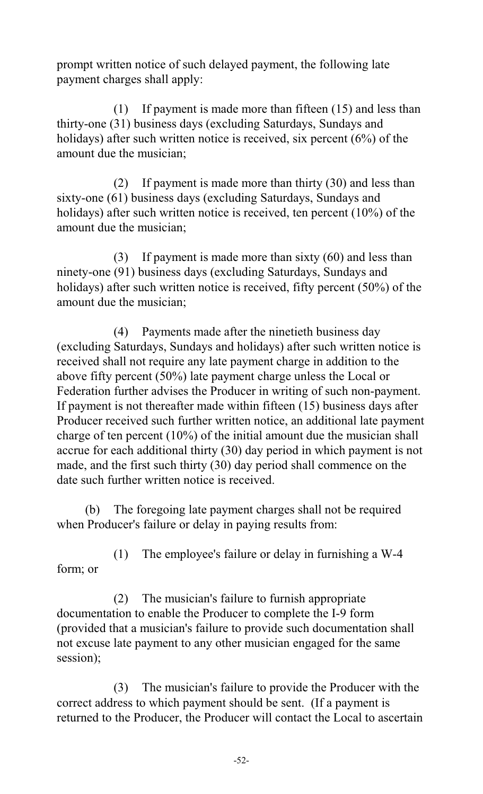prompt written notice of such delayed payment, the following late payment charges shall apply:

(1) If payment is made more than fifteen (15) and less than thirty-one (31) business days (excluding Saturdays, Sundays and holidays) after such written notice is received, six percent  $(6\%)$  of the amount due the musician;

(2) If payment is made more than thirty (30) and less than sixty-one (61) business days (excluding Saturdays, Sundays and holidays) after such written notice is received, ten percent (10%) of the amount due the musician;

(3) If payment is made more than sixty (60) and less than ninety-one (91) business days (excluding Saturdays, Sundays and holidays) after such written notice is received, fifty percent (50%) of the amount due the musician;

(4) Payments made after the ninetieth business day (excluding Saturdays, Sundays and holidays) after such written notice is received shall not require any late payment charge in addition to the above fifty percent (50%) late payment charge unless the Local or Federation further advises the Producer in writing of such non-payment. If payment is not thereafter made within fifteen (15) business days after Producer received such further written notice, an additional late payment charge of ten percent (10%) of the initial amount due the musician shall accrue for each additional thirty (30) day period in which payment is not made, and the first such thirty (30) day period shall commence on the date such further written notice is received.

(b) The foregoing late payment charges shall not be required when Producer's failure or delay in paying results from:

(1) The employee's failure or delay in furnishing a W-4 form; or

(2) The musician's failure to furnish appropriate documentation to enable the Producer to complete the I-9 form (provided that a musician's failure to provide such documentation shall not excuse late payment to any other musician engaged for the same session);

(3) The musician's failure to provide the Producer with the correct address to which payment should be sent. (If a payment is returned to the Producer, the Producer will contact the Local to ascertain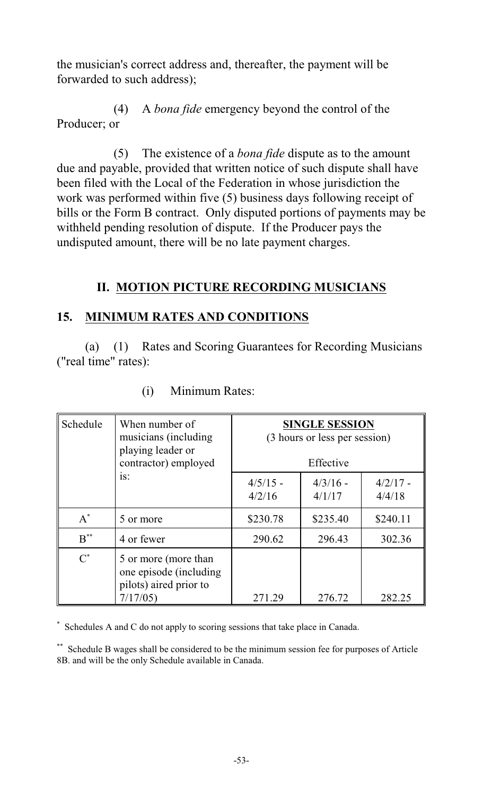the musician's correct address and, thereafter, the payment will be forwarded to such address);

(4) A *bona fide* emergency beyond the control of the Producer; or

(5) The existence of a *bona fide* dispute as to the amount due and payable, provided that written notice of such dispute shall have been filed with the Local of the Federation in whose jurisdiction the work was performed within five (5) business days following receipt of bills or the Form B contract. Only disputed portions of payments may be withheld pending resolution of dispute. If the Producer pays the undisputed amount, there will be no late payment charges.

# **II. MOTION PICTURE RECORDING MUSICIANS**

#### **15. MINIMUM RATES AND CONDITIONS**

(a) (1) Rates and Scoring Guarantees for Recording Musicians ("real time" rates):

| Schedule       | When number of<br>musicians (including)<br>playing leader or<br>contractor) employed<br>is: | <b>SINGLE SESSION</b><br>(3 hours or less per session)<br>Effective |                      |                      |  |
|----------------|---------------------------------------------------------------------------------------------|---------------------------------------------------------------------|----------------------|----------------------|--|
|                |                                                                                             | $4/5/15$ -<br>4/2/16                                                | $4/3/16$ -<br>4/1/17 | $4/2/17 -$<br>4/4/18 |  |
| $A^*$          | 5 or more                                                                                   | \$230.78                                                            | \$235.40             | \$240.11             |  |
| $B^{\ast\ast}$ | 4 or fewer                                                                                  | 290.62                                                              | 296.43               | 302.36               |  |
| $C^*$          | 5 or more (more than<br>one episode (including)<br>pilots) aired prior to<br>7/17/05        | 271.29                                                              | 276.72               | 282.25               |  |

#### (i) Minimum Rates:

\* Schedules A and C do not apply to scoring sessions that take place in Canada.

\*\* Schedule B wages shall be considered to be the minimum session fee for purposes of Article 8B. and will be the only Schedule available in Canada.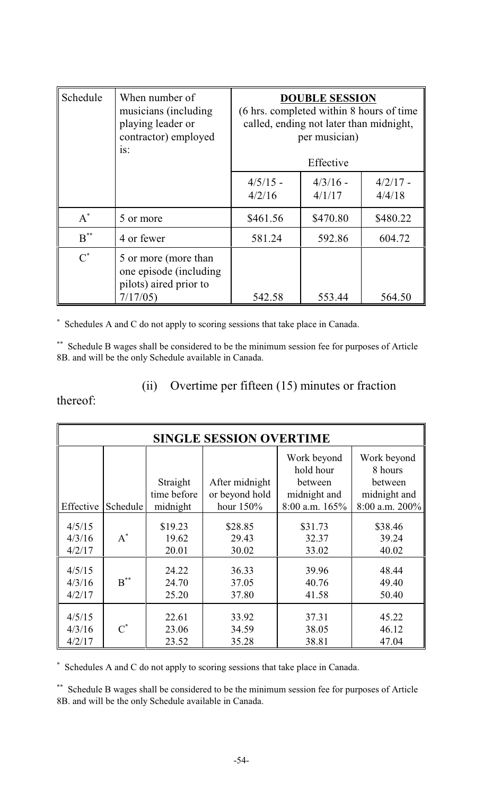| Schedule       | When number of<br>musicians (including)<br>playing leader or<br>contractor) employed<br>is: | <b>DOUBLE SESSION</b><br>(6 hrs. completed within 8 hours of time)<br>called, ending not later than midnight,<br>per musician) |                      |                      |
|----------------|---------------------------------------------------------------------------------------------|--------------------------------------------------------------------------------------------------------------------------------|----------------------|----------------------|
|                |                                                                                             |                                                                                                                                | Effective            |                      |
|                |                                                                                             | $4/5/15 -$<br>4/2/16                                                                                                           | $4/3/16$ -<br>4/1/17 | $4/2/17 -$<br>4/4/18 |
| $A^*$          | 5 or more                                                                                   | \$461.56                                                                                                                       | \$470.80             | \$480.22             |
| $B^{\ast\ast}$ | 4 or fewer                                                                                  | 581.24                                                                                                                         | 592.86               | 604.72               |
| $C^*$          | 5 or more (more than<br>one episode (including)<br>pilots) aired prior to<br>7/17/05        | 542.58                                                                                                                         | 553.44               | 564.50               |

\* Schedules A and C do not apply to scoring sessions that take place in Canada.

\*\* Schedule B wages shall be considered to be the minimum session fee for purposes of Article 8B. and will be the only Schedule available in Canada.

# (ii) Overtime per fifteen (15) minutes or fraction

#### thereof:

| <b>SINGLE SESSION OVERTIME</b> |                           |                         |                                  |                                                     |                                                   |
|--------------------------------|---------------------------|-------------------------|----------------------------------|-----------------------------------------------------|---------------------------------------------------|
|                                |                           | Straight<br>time before | After midnight<br>or beyond hold | Work beyond<br>hold hour<br>between<br>midnight and | Work beyond<br>8 hours<br>between<br>midnight and |
| Effective                      | Schedule                  | midnight                | hour $150\%$                     | $8:00$ a.m. $165\%$                                 | 8:00 a.m. 200%                                    |
| 4/5/15                         | $A^*$                     | \$19.23                 | \$28.85                          | \$31.73                                             | \$38.46                                           |
| 4/3/16                         |                           | 19.62                   | 29.43                            | 32.37                                               | 39.24                                             |
| 4/2/17                         |                           | 20.01                   | 30.02                            | 33.02                                               | 40.02                                             |
| 4/5/15                         | $B^{\ast\ast}$            | 24.22                   | 36.33                            | 39.96                                               | 48.44                                             |
| 4/3/16                         |                           | 24.70                   | 37.05                            | 40.76                                               | 49.40                                             |
| 4/2/17                         |                           | 25.20                   | 37.80                            | 41.58                                               | 50.40                                             |
| 4/5/15                         | $\overline{\mathsf{C}}^*$ | 22.61                   | 33.92                            | 37.31                                               | 45.22                                             |
| 4/3/16                         |                           | 23.06                   | 34.59                            | 38.05                                               | 46.12                                             |
| 4/2/17                         |                           | 23.52                   | 35.28                            | 38.81                                               | 47.04                                             |

\* Schedules A and C do not apply to scoring sessions that take place in Canada.

\*\* Schedule B wages shall be considered to be the minimum session fee for purposes of Article 8B. and will be the only Schedule available in Canada.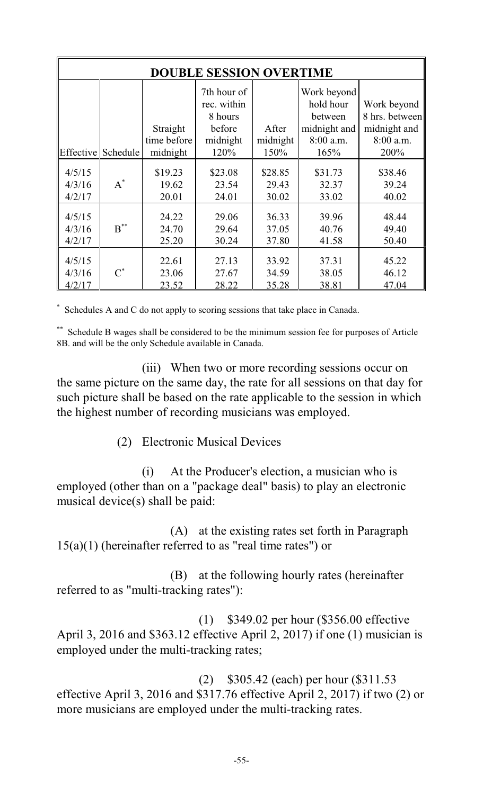| <b>DOUBLE SESSION OVERTIME</b> |                |                         |                                                             |                   |                                                                  |                                                            |
|--------------------------------|----------------|-------------------------|-------------------------------------------------------------|-------------------|------------------------------------------------------------------|------------------------------------------------------------|
|                                |                | Straight<br>time before | 7th hour of<br>rec. within<br>8 hours<br>before<br>midnight | After<br>midnight | Work beyond<br>hold hour<br>between<br>midnight and<br>8:00 a.m. | Work beyond<br>8 hrs. between<br>midnight and<br>8:00 a.m. |
| <b>Effective</b>               | Schedule       | midnight                | 120%                                                        | 150%              | 165%                                                             | 200%                                                       |
| 4/5/15                         | $A^*$          | \$19.23                 | \$23.08                                                     | \$28.85           | \$31.73                                                          | \$38.46                                                    |
| 4/3/16                         |                | 19.62                   | 23.54                                                       | 29.43             | 32.37                                                            | 39.24                                                      |
| 4/2/17                         |                | 20.01                   | 24.01                                                       | 30.02             | 33.02                                                            | 40.02                                                      |
| 4/5/15                         | $B^{\ast\ast}$ | 24.22                   | 29.06                                                       | 36.33             | 39.96                                                            | 48.44                                                      |
| 4/3/16                         |                | 24.70                   | 29.64                                                       | 37.05             | 40.76                                                            | 49.40                                                      |
| 4/2/17                         |                | 25.20                   | 30.24                                                       | 37.80             | 41.58                                                            | 50.40                                                      |
| 4/5/15                         | $C^*$          | 22.61                   | 27.13                                                       | 33.92             | 37.31                                                            | 45.22                                                      |
| 4/3/16                         |                | 23.06                   | 27.67                                                       | 34.59             | 38.05                                                            | 46.12                                                      |
| 4/2/17                         |                | 23.52                   | <u>28.22</u>                                                | 35.28             | 38.81                                                            | 47.04                                                      |

\* Schedules A and C do not apply to scoring sessions that take place in Canada.

\*\* Schedule B wages shall be considered to be the minimum session fee for purposes of Article 8B. and will be the only Schedule available in Canada.

(iii) When two or more recording sessions occur on the same picture on the same day, the rate for all sessions on that day for such picture shall be based on the rate applicable to the session in which the highest number of recording musicians was employed.

(2) Electronic Musical Devices

(i) At the Producer's election, a musician who is employed (other than on a "package deal" basis) to play an electronic musical device(s) shall be paid:

(A) at the existing rates set forth in Paragraph 15(a)(1) (hereinafter referred to as "real time rates") or

(B) at the following hourly rates (hereinafter referred to as "multi-tracking rates"):

(1) \$349.02 per hour (\$356.00 effective April 3, 2016 and \$363.12 effective April 2, 2017) if one (1) musician is employed under the multi-tracking rates;

(2) \$305.42 (each) per hour (\$311.53 effective April 3, 2016 and \$317.76 effective April 2, 2017) if two (2) or more musicians are employed under the multi-tracking rates.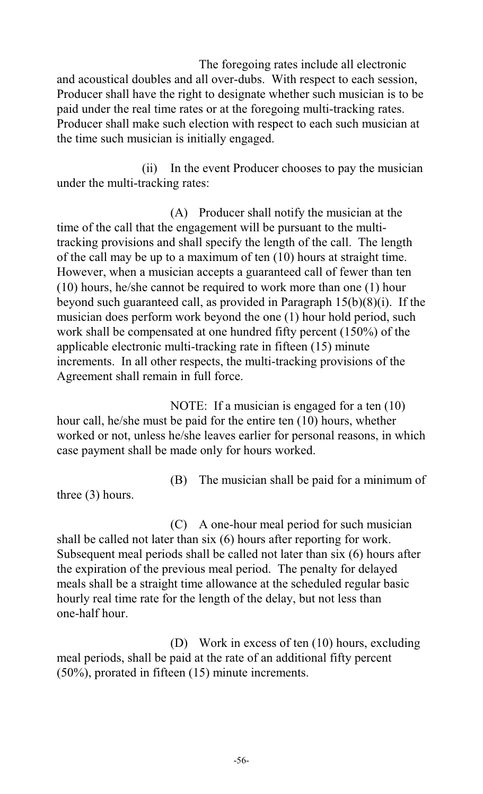The foregoing rates include all electronic and acoustical doubles and all over-dubs. With respect to each session, Producer shall have the right to designate whether such musician is to be paid under the real time rates or at the foregoing multi-tracking rates. Producer shall make such election with respect to each such musician at the time such musician is initially engaged.

(ii) In the event Producer chooses to pay the musician under the multi-tracking rates:

(A) Producer shall notify the musician at the time of the call that the engagement will be pursuant to the multitracking provisions and shall specify the length of the call. The length of the call may be up to a maximum of ten (10) hours at straight time. However, when a musician accepts a guaranteed call of fewer than ten (10) hours, he/she cannot be required to work more than one (1) hour beyond such guaranteed call, as provided in Paragraph 15(b)(8)(i). If the musician does perform work beyond the one (1) hour hold period, such work shall be compensated at one hundred fifty percent (150%) of the applicable electronic multi-tracking rate in fifteen (15) minute increments. In all other respects, the multi-tracking provisions of the Agreement shall remain in full force.

NOTE: If a musician is engaged for a ten (10) hour call, he/she must be paid for the entire ten (10) hours, whether worked or not, unless he/she leaves earlier for personal reasons, in which case payment shall be made only for hours worked.

three (3) hours.

(B) The musician shall be paid for a minimum of

(C) A one-hour meal period for such musician shall be called not later than six (6) hours after reporting for work. Subsequent meal periods shall be called not later than six (6) hours after the expiration of the previous meal period. The penalty for delayed meals shall be a straight time allowance at the scheduled regular basic hourly real time rate for the length of the delay, but not less than one-half hour.

(D) Work in excess of ten (10) hours, excluding meal periods, shall be paid at the rate of an additional fifty percent (50%), prorated in fifteen (15) minute increments.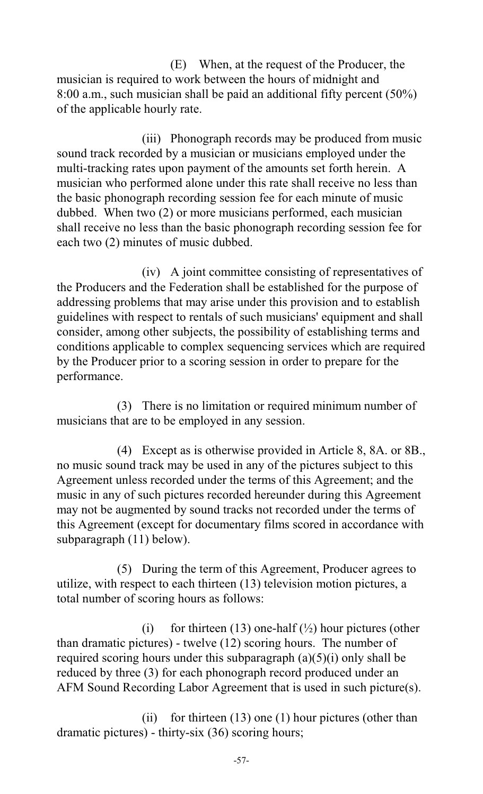(E) When, at the request of the Producer, the musician is required to work between the hours of midnight and 8:00 a.m., such musician shall be paid an additional fifty percent (50%) of the applicable hourly rate.

(iii) Phonograph records may be produced from music sound track recorded by a musician or musicians employed under the multi-tracking rates upon payment of the amounts set forth herein. A musician who performed alone under this rate shall receive no less than the basic phonograph recording session fee for each minute of music dubbed. When two (2) or more musicians performed, each musician shall receive no less than the basic phonograph recording session fee for each two (2) minutes of music dubbed.

(iv) A joint committee consisting of representatives of the Producers and the Federation shall be established for the purpose of addressing problems that may arise under this provision and to establish guidelines with respect to rentals of such musicians' equipment and shall consider, among other subjects, the possibility of establishing terms and conditions applicable to complex sequencing services which are required by the Producer prior to a scoring session in order to prepare for the performance.

(3) There is no limitation or required minimum number of musicians that are to be employed in any session.

(4) Except as is otherwise provided in Article 8, 8A. or 8B., no music sound track may be used in any of the pictures subject to this Agreement unless recorded under the terms of this Agreement; and the music in any of such pictures recorded hereunder during this Agreement may not be augmented by sound tracks not recorded under the terms of this Agreement (except for documentary films scored in accordance with subparagraph (11) below).

(5) During the term of this Agreement, Producer agrees to utilize, with respect to each thirteen (13) television motion pictures, a total number of scoring hours as follows:

(i) for thirteen (13) one-half  $(\frac{1}{2})$  hour pictures (other than dramatic pictures) - twelve (12) scoring hours. The number of required scoring hours under this subparagraph  $(a)(5)(i)$  only shall be reduced by three (3) for each phonograph record produced under an AFM Sound Recording Labor Agreement that is used in such picture(s).

(ii) for thirteen  $(13)$  one  $(1)$  hour pictures (other than dramatic pictures) - thirty-six (36) scoring hours;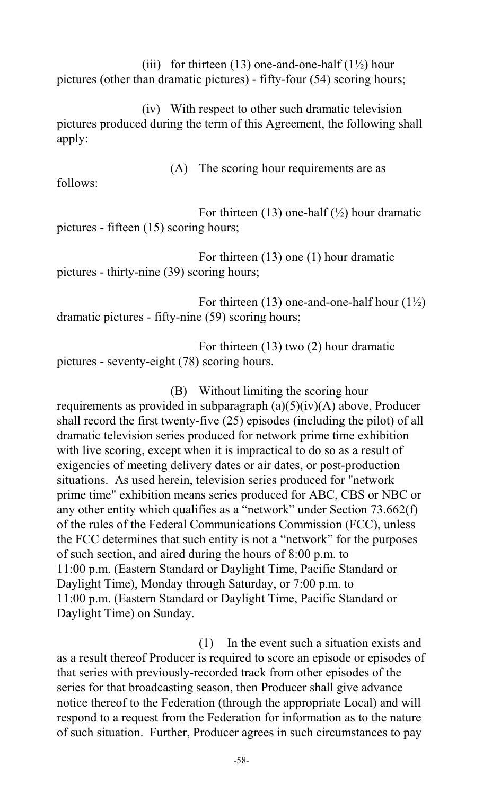(iii) for thirteen (13) one-and-one-half  $(1\frac{1}{2})$  hour pictures (other than dramatic pictures) - fifty-four (54) scoring hours;

(iv) With respect to other such dramatic television pictures produced during the term of this Agreement, the following shall apply:

(A) The scoring hour requirements are as

follows:

For thirteen (13) one-half  $(\frac{1}{2})$  hour dramatic pictures - fifteen (15) scoring hours;

For thirteen (13) one (1) hour dramatic pictures - thirty-nine (39) scoring hours;

For thirteen (13) one-and-one-half hour  $(1\frac{1}{2})$ dramatic pictures - fifty-nine (59) scoring hours;

For thirteen (13) two (2) hour dramatic pictures - seventy-eight (78) scoring hours.

(B) Without limiting the scoring hour requirements as provided in subparagraph  $(a)(5)(iv)(A)$  above, Producer shall record the first twenty-five (25) episodes (including the pilot) of all dramatic television series produced for network prime time exhibition with live scoring, except when it is impractical to do so as a result of exigencies of meeting delivery dates or air dates, or post-production situations. As used herein, television series produced for "network prime time" exhibition means series produced for ABC, CBS or NBC or any other entity which qualifies as a "network" under Section 73.662(f) of the rules of the Federal Communications Commission (FCC), unless the FCC determines that such entity is not a "network" for the purposes of such section, and aired during the hours of 8:00 p.m. to 11:00 p.m. (Eastern Standard or Daylight Time, Pacific Standard or Daylight Time), Monday through Saturday, or 7:00 p.m. to 11:00 p.m. (Eastern Standard or Daylight Time, Pacific Standard or Daylight Time) on Sunday.

(1) In the event such a situation exists and as a result thereof Producer is required to score an episode or episodes of that series with previously-recorded track from other episodes of the series for that broadcasting season, then Producer shall give advance notice thereof to the Federation (through the appropriate Local) and will respond to a request from the Federation for information as to the nature of such situation. Further, Producer agrees in such circumstances to pay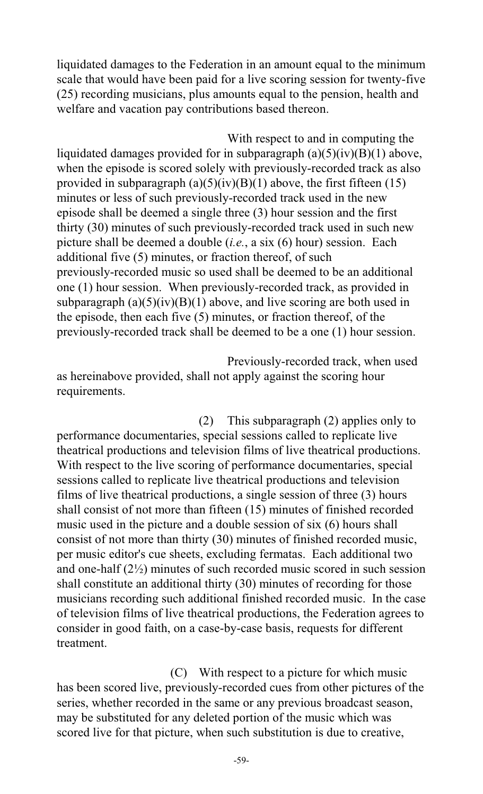liquidated damages to the Federation in an amount equal to the minimum scale that would have been paid for a live scoring session for twenty-five (25) recording musicians, plus amounts equal to the pension, health and welfare and vacation pay contributions based thereon.

With respect to and in computing the liquidated damages provided for in subparagraph  $(a)(5)(iv)(B)(1)$  above, when the episode is scored solely with previously-recorded track as also provided in subparagraph  $(a)(5)(iv)(B)(1)$  above, the first fifteen (15) minutes or less of such previously-recorded track used in the new episode shall be deemed a single three (3) hour session and the first thirty (30) minutes of such previously-recorded track used in such new picture shall be deemed a double (*i.e.*, a six (6) hour) session. Each additional five (5) minutes, or fraction thereof, of such previously-recorded music so used shall be deemed to be an additional one (1) hour session. When previously-recorded track, as provided in subparagraph  $(a)(5)(iv)(B)(1)$  above, and live scoring are both used in the episode, then each five (5) minutes, or fraction thereof, of the previously-recorded track shall be deemed to be a one (1) hour session.

Previously-recorded track, when used as hereinabove provided, shall not apply against the scoring hour requirements.

(2) This subparagraph (2) applies only to performance documentaries, special sessions called to replicate live theatrical productions and television films of live theatrical productions. With respect to the live scoring of performance documentaries, special sessions called to replicate live theatrical productions and television films of live theatrical productions, a single session of three (3) hours shall consist of not more than fifteen (15) minutes of finished recorded music used in the picture and a double session of six (6) hours shall consist of not more than thirty (30) minutes of finished recorded music, per music editor's cue sheets, excluding fermatas. Each additional two and one-half  $(2\frac{1}{2})$  minutes of such recorded music scored in such session shall constitute an additional thirty (30) minutes of recording for those musicians recording such additional finished recorded music. In the case of television films of live theatrical productions, the Federation agrees to consider in good faith, on a case-by-case basis, requests for different treatment.

(C) With respect to a picture for which music has been scored live, previously-recorded cues from other pictures of the series, whether recorded in the same or any previous broadcast season, may be substituted for any deleted portion of the music which was scored live for that picture, when such substitution is due to creative,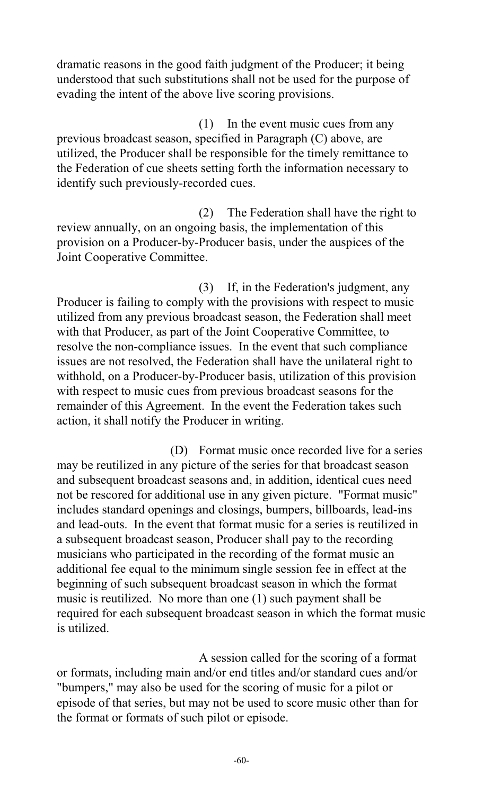dramatic reasons in the good faith judgment of the Producer; it being understood that such substitutions shall not be used for the purpose of evading the intent of the above live scoring provisions.

(1) In the event music cues from any previous broadcast season, specified in Paragraph (C) above, are utilized, the Producer shall be responsible for the timely remittance to the Federation of cue sheets setting forth the information necessary to identify such previously-recorded cues.

(2) The Federation shall have the right to review annually, on an ongoing basis, the implementation of this provision on a Producer-by-Producer basis, under the auspices of the Joint Cooperative Committee.

(3) If, in the Federation's judgment, any Producer is failing to comply with the provisions with respect to music utilized from any previous broadcast season, the Federation shall meet with that Producer, as part of the Joint Cooperative Committee, to resolve the non-compliance issues. In the event that such compliance issues are not resolved, the Federation shall have the unilateral right to withhold, on a Producer-by-Producer basis, utilization of this provision with respect to music cues from previous broadcast seasons for the remainder of this Agreement. In the event the Federation takes such action, it shall notify the Producer in writing.

(D) Format music once recorded live for a series may be reutilized in any picture of the series for that broadcast season and subsequent broadcast seasons and, in addition, identical cues need not be rescored for additional use in any given picture. "Format music" includes standard openings and closings, bumpers, billboards, lead-ins and lead-outs. In the event that format music for a series is reutilized in a subsequent broadcast season, Producer shall pay to the recording musicians who participated in the recording of the format music an additional fee equal to the minimum single session fee in effect at the beginning of such subsequent broadcast season in which the format music is reutilized. No more than one (1) such payment shall be required for each subsequent broadcast season in which the format music is utilized.

A session called for the scoring of a format or formats, including main and/or end titles and/or standard cues and/or "bumpers," may also be used for the scoring of music for a pilot or episode of that series, but may not be used to score music other than for the format or formats of such pilot or episode.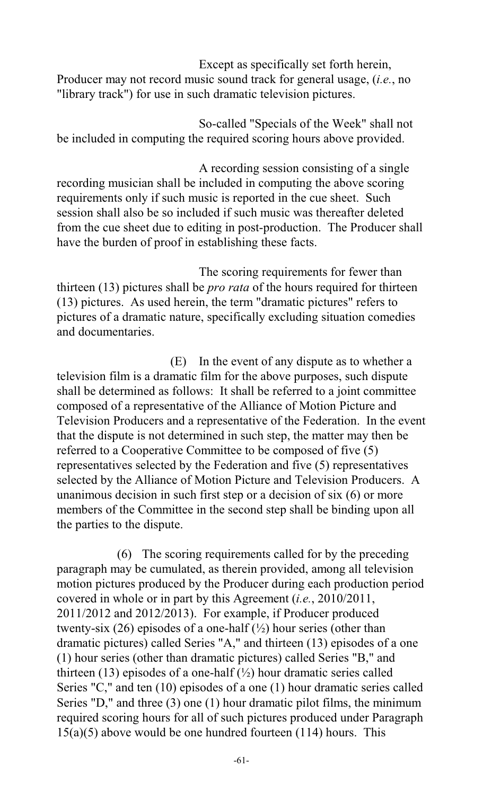Except as specifically set forth herein, Producer may not record music sound track for general usage, (*i.e.*, no "library track") for use in such dramatic television pictures.

So-called "Specials of the Week" shall not be included in computing the required scoring hours above provided.

A recording session consisting of a single recording musician shall be included in computing the above scoring requirements only if such music is reported in the cue sheet. Such session shall also be so included if such music was thereafter deleted from the cue sheet due to editing in post-production. The Producer shall have the burden of proof in establishing these facts.

The scoring requirements for fewer than thirteen (13) pictures shall be *pro rata* of the hours required for thirteen (13) pictures. As used herein, the term "dramatic pictures" refers to pictures of a dramatic nature, specifically excluding situation comedies and documentaries.

(E) In the event of any dispute as to whether a television film is a dramatic film for the above purposes, such dispute shall be determined as follows: It shall be referred to a joint committee composed of a representative of the Alliance of Motion Picture and Television Producers and a representative of the Federation. In the event that the dispute is not determined in such step, the matter may then be referred to a Cooperative Committee to be composed of five (5) representatives selected by the Federation and five (5) representatives selected by the Alliance of Motion Picture and Television Producers. A unanimous decision in such first step or a decision of six (6) or more members of the Committee in the second step shall be binding upon all the parties to the dispute.

(6) The scoring requirements called for by the preceding paragraph may be cumulated, as therein provided, among all television motion pictures produced by the Producer during each production period covered in whole or in part by this Agreement (*i.e.*, 2010/2011, 2011/2012 and 2012/2013). For example, if Producer produced twenty-six (26) episodes of a one-half  $(\frac{1}{2})$  hour series (other than dramatic pictures) called Series "A," and thirteen (13) episodes of a one (1) hour series (other than dramatic pictures) called Series "B," and thirteen (13) episodes of a one-half  $(\frac{1}{2})$  hour dramatic series called Series "C," and ten (10) episodes of a one (1) hour dramatic series called Series "D," and three (3) one (1) hour dramatic pilot films, the minimum required scoring hours for all of such pictures produced under Paragraph 15(a)(5) above would be one hundred fourteen (114) hours. This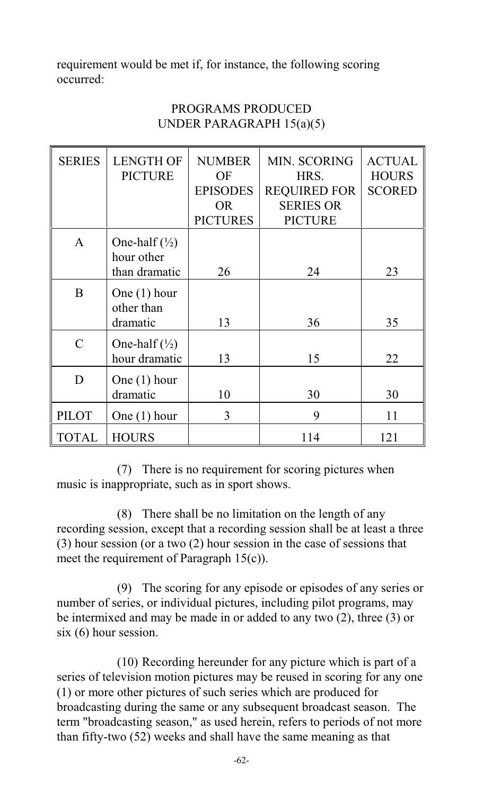requirement would be met if, for instance, the following scoring occurred:

| <b>SERIES</b>  | <b>LENGTH OF</b><br><b>PICTURE</b>                      | <b>NUMBER</b><br>OF<br><b>EPISODES</b><br><b>OR</b><br><b>PICTURES</b> | <b>MIN. SCORING</b><br>HRS.<br><b>REQUIRED FOR</b><br><b>SERIES OR</b><br><b>PICTURE</b> | <b>ACTUAL</b><br><b>HOURS</b><br><b>SCORED</b> |
|----------------|---------------------------------------------------------|------------------------------------------------------------------------|------------------------------------------------------------------------------------------|------------------------------------------------|
| $\overline{A}$ | One-half $(\frac{1}{2})$<br>hour other<br>than dramatic | 26                                                                     | 24                                                                                       | 23                                             |
| B              | One $(1)$ hour<br>other than<br>dramatic                | 13                                                                     | 36                                                                                       | 35                                             |
| $\mathcal{C}$  | One-half $(\frac{1}{2})$<br>hour dramatic               | 13                                                                     | 15                                                                                       | 22                                             |
| D              | One $(1)$ hour<br>dramatic                              | 10                                                                     | 30                                                                                       | 30                                             |
| <b>PILOT</b>   | One $(1)$ hour                                          | 3                                                                      | 9                                                                                        | 11                                             |
| <b>TOTAL</b>   | <b>HOURS</b>                                            |                                                                        | 114                                                                                      | 121                                            |

# PROGRAMS PRODUCED UNDER PARAGRAPH 15(a)(5)

(7) There is no requirement for scoring pictures when music is inappropriate, such as in sport shows.

(8) There shall be no limitation on the length of any recording session, except that a recording session shall be at least a three (3) hour session (or a two (2) hour session in the case of sessions that meet the requirement of Paragraph 15(c)).

(9) The scoring for any episode or episodes of any series or number of series, or individual pictures, including pilot programs, may be intermixed and may be made in or added to any two (2), three (3) or six (6) hour session.

(10) Recording hereunder for any picture which is part of a series of television motion pictures may be reused in scoring for any one (1) or more other pictures of such series which are produced for broadcasting during the same or any subsequent broadcast season. The term "broadcasting season," as used herein, refers to periods of not more than fifty-two (52) weeks and shall have the same meaning as that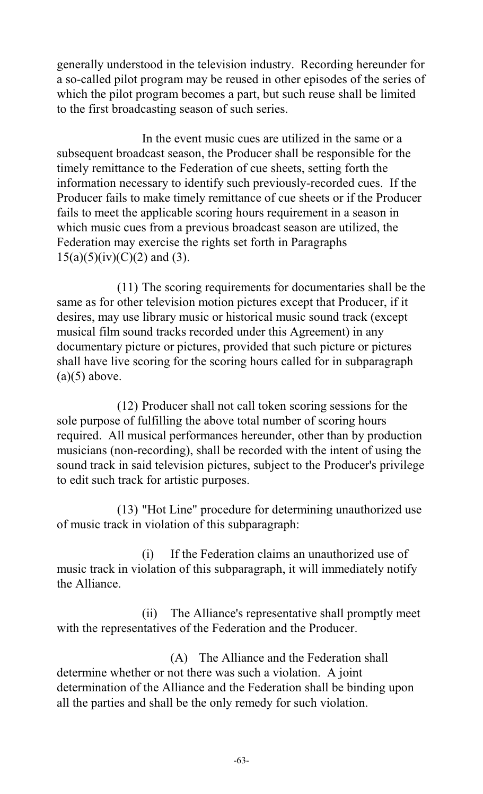generally understood in the television industry. Recording hereunder for a so-called pilot program may be reused in other episodes of the series of which the pilot program becomes a part, but such reuse shall be limited to the first broadcasting season of such series.

In the event music cues are utilized in the same or a subsequent broadcast season, the Producer shall be responsible for the timely remittance to the Federation of cue sheets, setting forth the information necessary to identify such previously-recorded cues. If the Producer fails to make timely remittance of cue sheets or if the Producer fails to meet the applicable scoring hours requirement in a season in which music cues from a previous broadcast season are utilized, the Federation may exercise the rights set forth in Paragraphs  $15(a)(5)(iv)(C)(2)$  and (3).

(11) The scoring requirements for documentaries shall be the same as for other television motion pictures except that Producer, if it desires, may use library music or historical music sound track (except musical film sound tracks recorded under this Agreement) in any documentary picture or pictures, provided that such picture or pictures shall have live scoring for the scoring hours called for in subparagraph  $(a)(5)$  above.

(12) Producer shall not call token scoring sessions for the sole purpose of fulfilling the above total number of scoring hours required. All musical performances hereunder, other than by production musicians (non-recording), shall be recorded with the intent of using the sound track in said television pictures, subject to the Producer's privilege to edit such track for artistic purposes.

(13) "Hot Line" procedure for determining unauthorized use of music track in violation of this subparagraph:

(i) If the Federation claims an unauthorized use of music track in violation of this subparagraph, it will immediately notify the Alliance.

(ii) The Alliance's representative shall promptly meet with the representatives of the Federation and the Producer.

(A) The Alliance and the Federation shall determine whether or not there was such a violation. A joint determination of the Alliance and the Federation shall be binding upon all the parties and shall be the only remedy for such violation.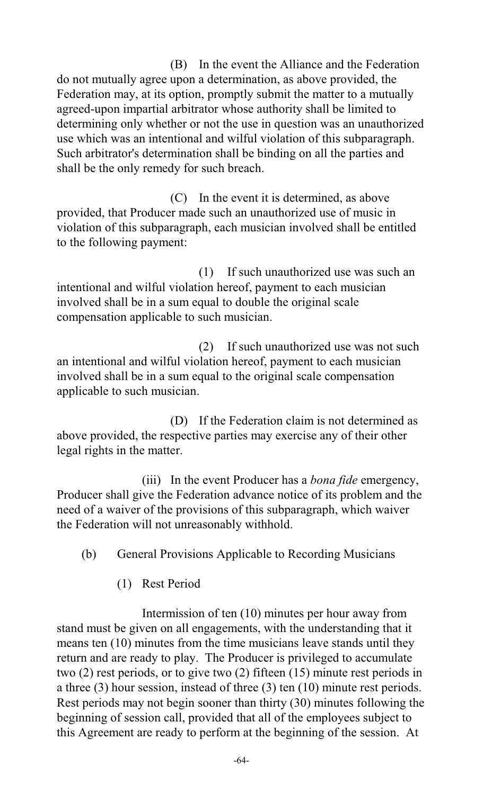(B) In the event the Alliance and the Federation do not mutually agree upon a determination, as above provided, the Federation may, at its option, promptly submit the matter to a mutually agreed-upon impartial arbitrator whose authority shall be limited to determining only whether or not the use in question was an unauthorized use which was an intentional and wilful violation of this subparagraph. Such arbitrator's determination shall be binding on all the parties and shall be the only remedy for such breach.

(C) In the event it is determined, as above provided, that Producer made such an unauthorized use of music in violation of this subparagraph, each musician involved shall be entitled to the following payment:

(1) If such unauthorized use was such an intentional and wilful violation hereof, payment to each musician involved shall be in a sum equal to double the original scale compensation applicable to such musician.

(2) If such unauthorized use was not such an intentional and wilful violation hereof, payment to each musician involved shall be in a sum equal to the original scale compensation applicable to such musician.

(D) If the Federation claim is not determined as above provided, the respective parties may exercise any of their other legal rights in the matter.

(iii) In the event Producer has a *bona fide* emergency, Producer shall give the Federation advance notice of its problem and the need of a waiver of the provisions of this subparagraph, which waiver the Federation will not unreasonably withhold.

(b) General Provisions Applicable to Recording Musicians

(1) Rest Period

Intermission of ten (10) minutes per hour away from stand must be given on all engagements, with the understanding that it means ten (10) minutes from the time musicians leave stands until they return and are ready to play. The Producer is privileged to accumulate two (2) rest periods, or to give two (2) fifteen (15) minute rest periods in a three (3) hour session, instead of three (3) ten (10) minute rest periods. Rest periods may not begin sooner than thirty (30) minutes following the beginning of session call, provided that all of the employees subject to this Agreement are ready to perform at the beginning of the session. At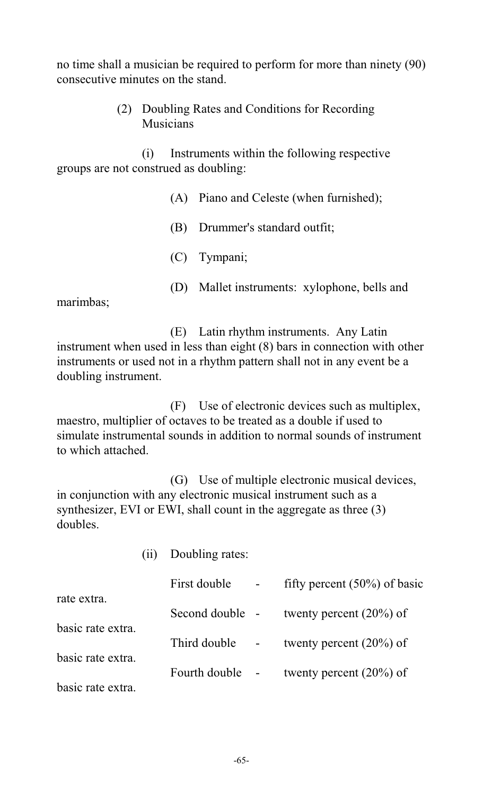no time shall a musician be required to perform for more than ninety (90) consecutive minutes on the stand.

> (2) Doubling Rates and Conditions for Recording Musicians

(i) Instruments within the following respective groups are not construed as doubling:

- (A) Piano and Celeste (when furnished);
- (B) Drummer's standard outfit;
- (C) Tympani;
- (D) Mallet instruments: xylophone, bells and

marimbas;

(E) Latin rhythm instruments. Any Latin instrument when used in less than eight (8) bars in connection with other instruments or used not in a rhythm pattern shall not in any event be a doubling instrument.

(F) Use of electronic devices such as multiplex, maestro, multiplier of octaves to be treated as a double if used to simulate instrumental sounds in addition to normal sounds of instrument to which attached.

(G) Use of multiple electronic musical devices, in conjunction with any electronic musical instrument such as a synthesizer, EVI or EWI, shall count in the aggregate as three (3) doubles.

|                   | (ii) | Doubling rates: |                                 |
|-------------------|------|-----------------|---------------------------------|
|                   |      | First double    | fifty percent $(50\%)$ of basic |
| rate extra.       |      | Second double - | twenty percent $(20\%)$ of      |
| basic rate extra. |      | Third double    | twenty percent $(20\%)$ of      |
| basic rate extra. |      | Fourth double   | twenty percent $(20\%)$ of      |
| basic rate extra. |      |                 |                                 |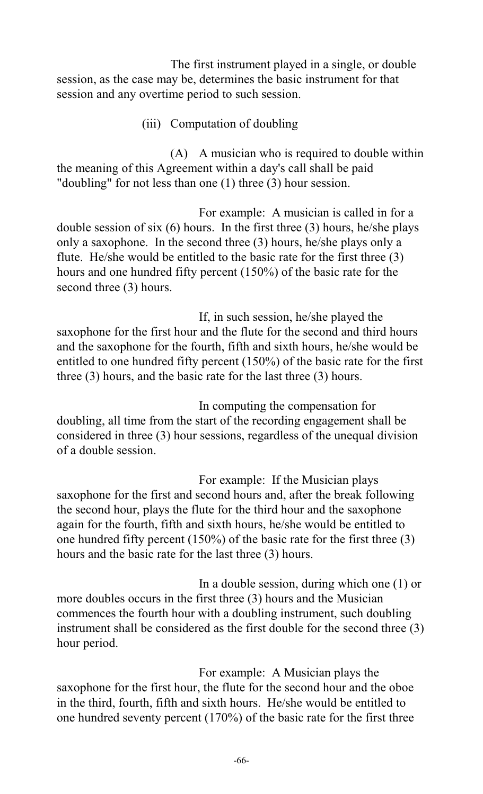The first instrument played in a single, or double session, as the case may be, determines the basic instrument for that session and any overtime period to such session.

(iii) Computation of doubling

(A) A musician who is required to double within the meaning of this Agreement within a day's call shall be paid "doubling" for not less than one (1) three (3) hour session.

For example: A musician is called in for a double session of six (6) hours. In the first three (3) hours, he/she plays only a saxophone. In the second three (3) hours, he/she plays only a flute. He/she would be entitled to the basic rate for the first three (3) hours and one hundred fifty percent (150%) of the basic rate for the second three (3) hours.

If, in such session, he/she played the saxophone for the first hour and the flute for the second and third hours and the saxophone for the fourth, fifth and sixth hours, he/she would be entitled to one hundred fifty percent (150%) of the basic rate for the first three (3) hours, and the basic rate for the last three (3) hours.

In computing the compensation for doubling, all time from the start of the recording engagement shall be considered in three (3) hour sessions, regardless of the unequal division of a double session.

For example: If the Musician plays saxophone for the first and second hours and, after the break following the second hour, plays the flute for the third hour and the saxophone again for the fourth, fifth and sixth hours, he/she would be entitled to one hundred fifty percent (150%) of the basic rate for the first three (3) hours and the basic rate for the last three (3) hours.

In a double session, during which one (1) or more doubles occurs in the first three (3) hours and the Musician commences the fourth hour with a doubling instrument, such doubling instrument shall be considered as the first double for the second three (3) hour period.

For example: A Musician plays the saxophone for the first hour, the flute for the second hour and the oboe in the third, fourth, fifth and sixth hours. He/she would be entitled to one hundred seventy percent (170%) of the basic rate for the first three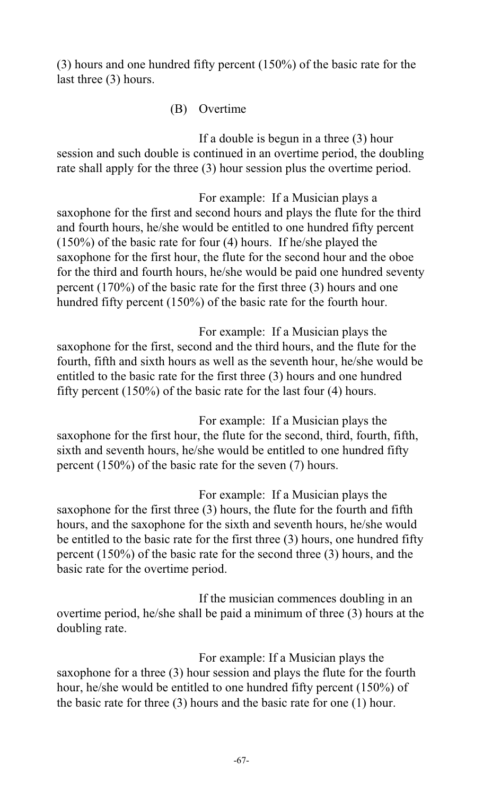(3) hours and one hundred fifty percent (150%) of the basic rate for the last three (3) hours.

(B) Overtime

If a double is begun in a three (3) hour session and such double is continued in an overtime period, the doubling rate shall apply for the three (3) hour session plus the overtime period.

For example: If a Musician plays a saxophone for the first and second hours and plays the flute for the third and fourth hours, he/she would be entitled to one hundred fifty percent (150%) of the basic rate for four (4) hours. If he/she played the saxophone for the first hour, the flute for the second hour and the oboe for the third and fourth hours, he/she would be paid one hundred seventy percent (170%) of the basic rate for the first three (3) hours and one hundred fifty percent (150%) of the basic rate for the fourth hour.

For example: If a Musician plays the saxophone for the first, second and the third hours, and the flute for the fourth, fifth and sixth hours as well as the seventh hour, he/she would be entitled to the basic rate for the first three (3) hours and one hundred fifty percent (150%) of the basic rate for the last four (4) hours.

For example: If a Musician plays the saxophone for the first hour, the flute for the second, third, fourth, fifth, sixth and seventh hours, he/she would be entitled to one hundred fifty percent (150%) of the basic rate for the seven (7) hours.

For example: If a Musician plays the saxophone for the first three (3) hours, the flute for the fourth and fifth hours, and the saxophone for the sixth and seventh hours, he/she would be entitled to the basic rate for the first three (3) hours, one hundred fifty percent (150%) of the basic rate for the second three (3) hours, and the basic rate for the overtime period.

If the musician commences doubling in an overtime period, he/she shall be paid a minimum of three (3) hours at the doubling rate.

For example: If a Musician plays the saxophone for a three (3) hour session and plays the flute for the fourth hour, he/she would be entitled to one hundred fifty percent (150%) of the basic rate for three (3) hours and the basic rate for one (1) hour.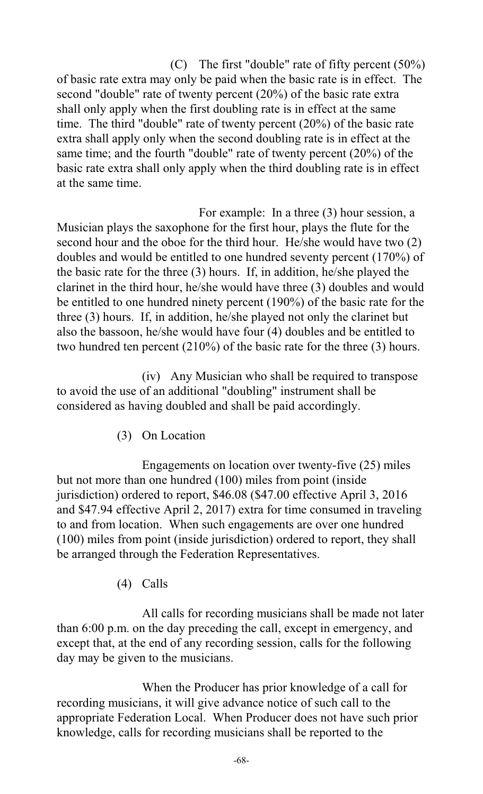(C) The first "double" rate of fifty percent (50%) of basic rate extra may only be paid when the basic rate is in effect. The second "double" rate of twenty percent (20%) of the basic rate extra shall only apply when the first doubling rate is in effect at the same time. The third "double" rate of twenty percent (20%) of the basic rate extra shall apply only when the second doubling rate is in effect at the same time; and the fourth "double" rate of twenty percent (20%) of the basic rate extra shall only apply when the third doubling rate is in effect at the same time.

For example: In a three (3) hour session, a Musician plays the saxophone for the first hour, plays the flute for the second hour and the oboe for the third hour. He/she would have two (2) doubles and would be entitled to one hundred seventy percent (170%) of the basic rate for the three (3) hours. If, in addition, he/she played the clarinet in the third hour, he/she would have three (3) doubles and would be entitled to one hundred ninety percent (190%) of the basic rate for the three (3) hours. If, in addition, he/she played not only the clarinet but also the bassoon, he/she would have four (4) doubles and be entitled to two hundred ten percent (210%) of the basic rate for the three (3) hours.

(iv) Any Musician who shall be required to transpose to avoid the use of an additional "doubling" instrument shall be considered as having doubled and shall be paid accordingly.

(3) On Location

Engagements on location over twenty-five (25) miles but not more than one hundred (100) miles from point (inside jurisdiction) ordered to report, \$46.08 (\$47.00 effective April 3, 2016 and \$47.94 effective April 2, 2017) extra for time consumed in traveling to and from location. When such engagements are over one hundred (100) miles from point (inside jurisdiction) ordered to report, they shall be arranged through the Federation Representatives.

(4) Calls

All calls for recording musicians shall be made not later than 6:00 p.m. on the day preceding the call, except in emergency, and except that, at the end of any recording session, calls for the following day may be given to the musicians.

When the Producer has prior knowledge of a call for recording musicians, it will give advance notice of such call to the appropriate Federation Local. When Producer does not have such prior knowledge, calls for recording musicians shall be reported to the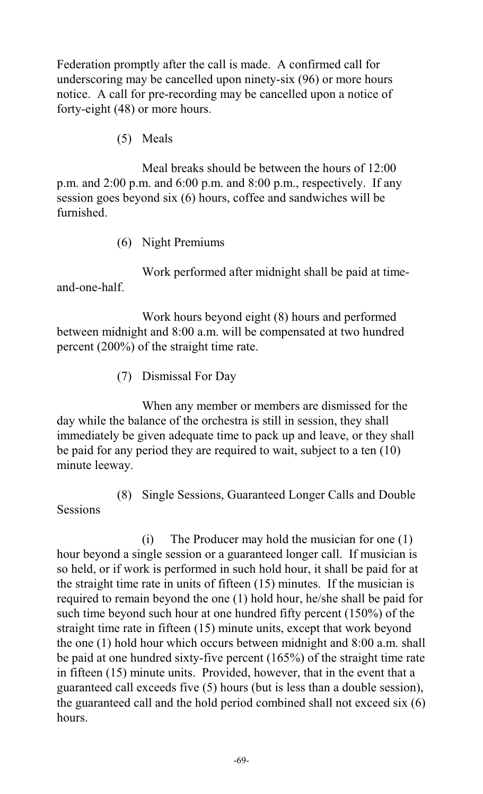Federation promptly after the call is made. A confirmed call for underscoring may be cancelled upon ninety-six (96) or more hours notice. A call for pre-recording may be cancelled upon a notice of forty-eight (48) or more hours.

(5) Meals

Meal breaks should be between the hours of 12:00 p.m. and 2:00 p.m. and 6:00 p.m. and 8:00 p.m., respectively. If any session goes beyond six (6) hours, coffee and sandwiches will be furnished.

(6) Night Premiums

Work performed after midnight shall be paid at timeand-one-half.

Work hours beyond eight (8) hours and performed between midnight and 8:00 a.m. will be compensated at two hundred percent (200%) of the straight time rate.

(7) Dismissal For Day

When any member or members are dismissed for the day while the balance of the orchestra is still in session, they shall immediately be given adequate time to pack up and leave, or they shall be paid for any period they are required to wait, subject to a ten (10) minute leeway.

(8) Single Sessions, Guaranteed Longer Calls and Double

(i) The Producer may hold the musician for one (1) hour beyond a single session or a guaranteed longer call. If musician is

Sessions

so held, or if work is performed in such hold hour, it shall be paid for at the straight time rate in units of fifteen (15) minutes. If the musician is required to remain beyond the one (1) hold hour, he/she shall be paid for such time beyond such hour at one hundred fifty percent (150%) of the straight time rate in fifteen (15) minute units, except that work beyond the one (1) hold hour which occurs between midnight and 8:00 a.m. shall be paid at one hundred sixty-five percent (165%) of the straight time rate in fifteen (15) minute units. Provided, however, that in the event that a guaranteed call exceeds five (5) hours (but is less than a double session), the guaranteed call and the hold period combined shall not exceed six (6) hours.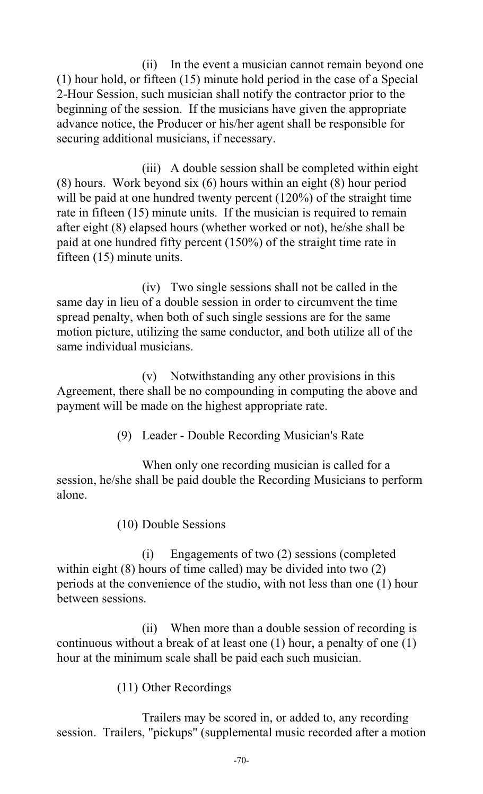(ii) In the event a musician cannot remain beyond one (1) hour hold, or fifteen (15) minute hold period in the case of a Special 2-Hour Session, such musician shall notify the contractor prior to the beginning of the session. If the musicians have given the appropriate advance notice, the Producer or his/her agent shall be responsible for securing additional musicians, if necessary.

(iii) A double session shall be completed within eight (8) hours. Work beyond six (6) hours within an eight (8) hour period will be paid at one hundred twenty percent (120%) of the straight time rate in fifteen (15) minute units. If the musician is required to remain after eight (8) elapsed hours (whether worked or not), he/she shall be paid at one hundred fifty percent (150%) of the straight time rate in fifteen (15) minute units.

(iv) Two single sessions shall not be called in the same day in lieu of a double session in order to circumvent the time spread penalty, when both of such single sessions are for the same motion picture, utilizing the same conductor, and both utilize all of the same individual musicians.

(v) Notwithstanding any other provisions in this Agreement, there shall be no compounding in computing the above and payment will be made on the highest appropriate rate.

(9) Leader - Double Recording Musician's Rate

When only one recording musician is called for a session, he/she shall be paid double the Recording Musicians to perform alone.

(10) Double Sessions

(i) Engagements of two (2) sessions (completed within eight (8) hours of time called) may be divided into two (2) periods at the convenience of the studio, with not less than one (1) hour between sessions.

(ii) When more than a double session of recording is continuous without a break of at least one (1) hour, a penalty of one (1) hour at the minimum scale shall be paid each such musician.

(11) Other Recordings

Trailers may be scored in, or added to, any recording session. Trailers, "pickups" (supplemental music recorded after a motion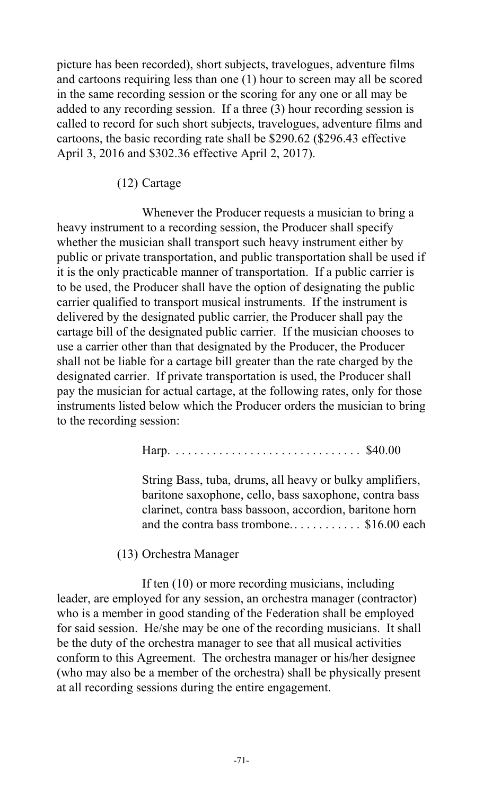picture has been recorded), short subjects, travelogues, adventure films and cartoons requiring less than one (1) hour to screen may all be scored in the same recording session or the scoring for any one or all may be added to any recording session. If a three (3) hour recording session is called to record for such short subjects, travelogues, adventure films and cartoons, the basic recording rate shall be \$290.62 (\$296.43 effective April 3, 2016 and \$302.36 effective April 2, 2017).

#### (12) Cartage

Whenever the Producer requests a musician to bring a heavy instrument to a recording session, the Producer shall specify whether the musician shall transport such heavy instrument either by public or private transportation, and public transportation shall be used if it is the only practicable manner of transportation. If a public carrier is to be used, the Producer shall have the option of designating the public carrier qualified to transport musical instruments. If the instrument is delivered by the designated public carrier, the Producer shall pay the cartage bill of the designated public carrier. If the musician chooses to use a carrier other than that designated by the Producer, the Producer shall not be liable for a cartage bill greater than the rate charged by the designated carrier. If private transportation is used, the Producer shall pay the musician for actual cartage, at the following rates, only for those instruments listed below which the Producer orders the musician to bring to the recording session:

Harp. . . . . . . . . . . . . . . . . . . . . . . . . . . . . . . \$40.00

String Bass, tuba, drums, all heavy or bulky amplifiers, baritone saxophone, cello, bass saxophone, contra bass clarinet, contra bass bassoon, accordion, baritone horn and the contra bass trombone.. . . . . . . . . . . \$16.00 each

(13) Orchestra Manager

If ten (10) or more recording musicians, including leader, are employed for any session, an orchestra manager (contractor) who is a member in good standing of the Federation shall be employed for said session. He/she may be one of the recording musicians. It shall be the duty of the orchestra manager to see that all musical activities conform to this Agreement. The orchestra manager or his/her designee (who may also be a member of the orchestra) shall be physically present at all recording sessions during the entire engagement.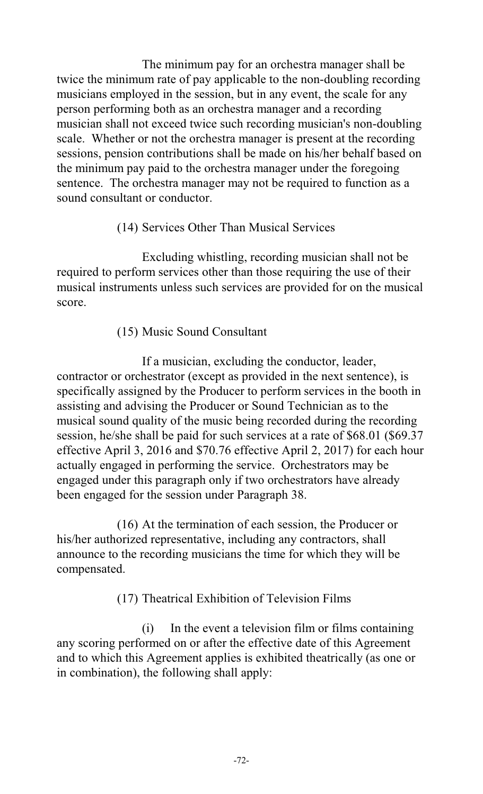The minimum pay for an orchestra manager shall be twice the minimum rate of pay applicable to the non-doubling recording musicians employed in the session, but in any event, the scale for any person performing both as an orchestra manager and a recording musician shall not exceed twice such recording musician's non-doubling scale. Whether or not the orchestra manager is present at the recording sessions, pension contributions shall be made on his/her behalf based on the minimum pay paid to the orchestra manager under the foregoing sentence. The orchestra manager may not be required to function as a sound consultant or conductor.

### (14) Services Other Than Musical Services

Excluding whistling, recording musician shall not be required to perform services other than those requiring the use of their musical instruments unless such services are provided for on the musical score.

### (15) Music Sound Consultant

If a musician, excluding the conductor, leader, contractor or orchestrator (except as provided in the next sentence), is specifically assigned by the Producer to perform services in the booth in assisting and advising the Producer or Sound Technician as to the musical sound quality of the music being recorded during the recording session, he/she shall be paid for such services at a rate of \$68.01 (\$69.37 effective April 3, 2016 and \$70.76 effective April 2, 2017) for each hour actually engaged in performing the service. Orchestrators may be engaged under this paragraph only if two orchestrators have already been engaged for the session under Paragraph 38.

(16) At the termination of each session, the Producer or his/her authorized representative, including any contractors, shall announce to the recording musicians the time for which they will be compensated.

## (17) Theatrical Exhibition of Television Films

(i) In the event a television film or films containing any scoring performed on or after the effective date of this Agreement and to which this Agreement applies is exhibited theatrically (as one or in combination), the following shall apply: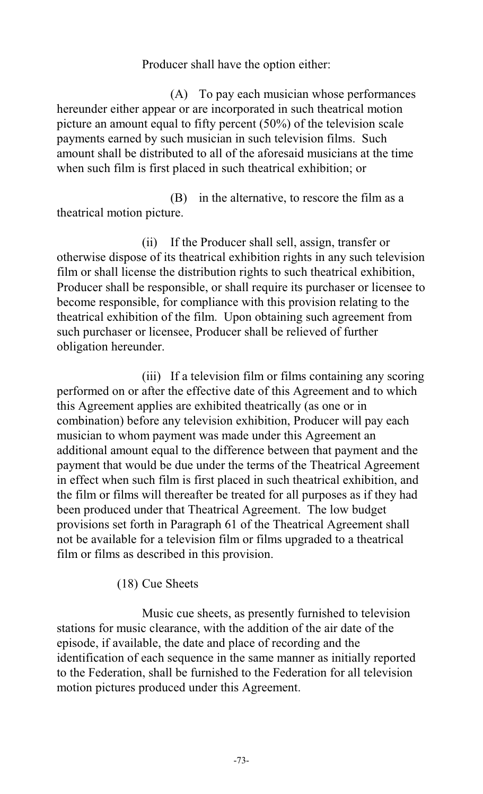#### Producer shall have the option either:

(A) To pay each musician whose performances hereunder either appear or are incorporated in such theatrical motion picture an amount equal to fifty percent (50%) of the television scale payments earned by such musician in such television films. Such amount shall be distributed to all of the aforesaid musicians at the time when such film is first placed in such theatrical exhibition; or

(B) in the alternative, to rescore the film as a theatrical motion picture.

(ii) If the Producer shall sell, assign, transfer or otherwise dispose of its theatrical exhibition rights in any such television film or shall license the distribution rights to such theatrical exhibition, Producer shall be responsible, or shall require its purchaser or licensee to become responsible, for compliance with this provision relating to the theatrical exhibition of the film. Upon obtaining such agreement from such purchaser or licensee, Producer shall be relieved of further obligation hereunder.

(iii) If a television film or films containing any scoring performed on or after the effective date of this Agreement and to which this Agreement applies are exhibited theatrically (as one or in combination) before any television exhibition, Producer will pay each musician to whom payment was made under this Agreement an additional amount equal to the difference between that payment and the payment that would be due under the terms of the Theatrical Agreement in effect when such film is first placed in such theatrical exhibition, and the film or films will thereafter be treated for all purposes as if they had been produced under that Theatrical Agreement. The low budget provisions set forth in Paragraph 61 of the Theatrical Agreement shall not be available for a television film or films upgraded to a theatrical film or films as described in this provision.

### (18) Cue Sheets

Music cue sheets, as presently furnished to television stations for music clearance, with the addition of the air date of the episode, if available, the date and place of recording and the identification of each sequence in the same manner as initially reported to the Federation, shall be furnished to the Federation for all television motion pictures produced under this Agreement.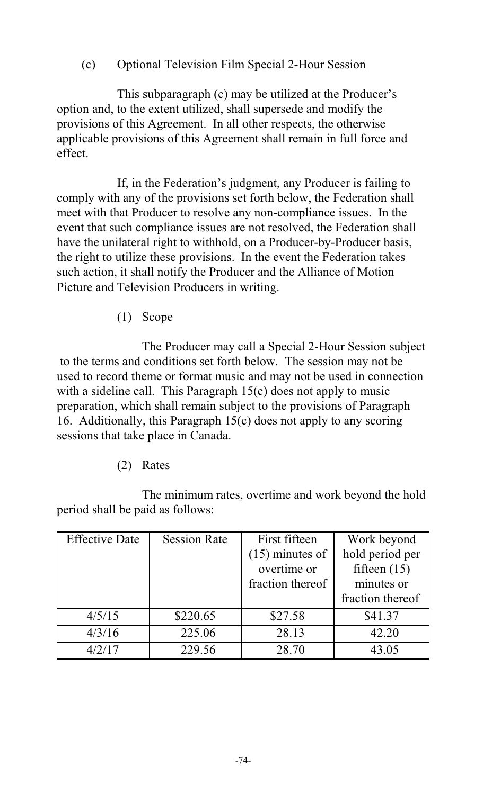(c) Optional Television Film Special 2-Hour Session

This subparagraph (c) may be utilized at the Producer's option and, to the extent utilized, shall supersede and modify the provisions of this Agreement. In all other respects, the otherwise applicable provisions of this Agreement shall remain in full force and effect.

If, in the Federation's judgment, any Producer is failing to comply with any of the provisions set forth below, the Federation shall meet with that Producer to resolve any non-compliance issues. In the event that such compliance issues are not resolved, the Federation shall have the unilateral right to withhold, on a Producer-by-Producer basis, the right to utilize these provisions. In the event the Federation takes such action, it shall notify the Producer and the Alliance of Motion Picture and Television Producers in writing.

(1) Scope

The Producer may call a Special 2-Hour Session subject to the terms and conditions set forth below. The session may not be used to record theme or format music and may not be used in connection with a sideline call. This Paragraph 15(c) does not apply to music preparation, which shall remain subject to the provisions of Paragraph 16. Additionally, this Paragraph 15(c) does not apply to any scoring sessions that take place in Canada.

#### (2) Rates

The minimum rates, overtime and work beyond the hold period shall be paid as follows:

| <b>Effective Date</b> | <b>Session Rate</b> | First fifteen     | Work beyond      |
|-----------------------|---------------------|-------------------|------------------|
|                       |                     | $(15)$ minutes of | hold period per  |
|                       |                     | overtime or       | fifteen $(15)$   |
|                       |                     | fraction thereof  | minutes or       |
|                       |                     |                   | fraction thereof |
| 4/5/15                | \$220.65            | \$27.58           | \$41.37          |
| 4/3/16                | 225.06              | 28.13             | 42.20            |
| 4/2/17                | 229.56              | 28.70             | 43.05            |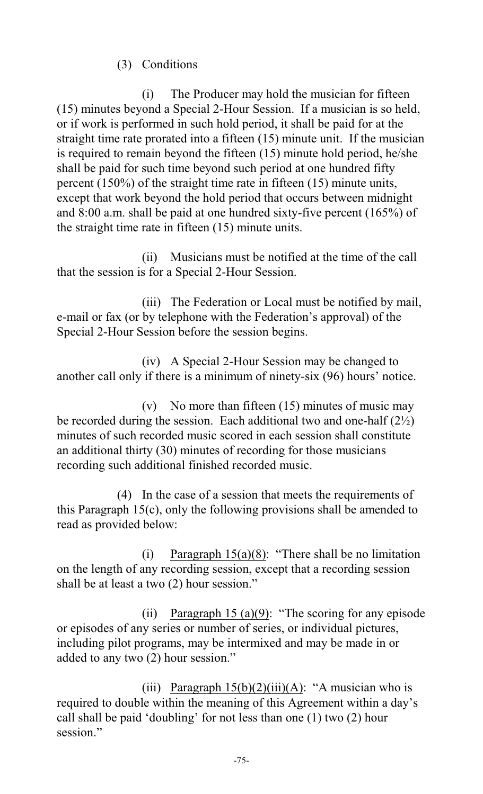(3) Conditions

(i) The Producer may hold the musician for fifteen (15) minutes beyond a Special 2-Hour Session. If a musician is so held, or if work is performed in such hold period, it shall be paid for at the straight time rate prorated into a fifteen (15) minute unit. If the musician is required to remain beyond the fifteen (15) minute hold period, he/she shall be paid for such time beyond such period at one hundred fifty percent (150%) of the straight time rate in fifteen (15) minute units, except that work beyond the hold period that occurs between midnight and 8:00 a.m. shall be paid at one hundred sixty-five percent (165%) of the straight time rate in fifteen (15) minute units.

(ii) Musicians must be notified at the time of the call that the session is for a Special 2-Hour Session.

(iii) The Federation or Local must be notified by mail, e-mail or fax (or by telephone with the Federation's approval) of the Special 2-Hour Session before the session begins.

(iv) A Special 2-Hour Session may be changed to another call only if there is a minimum of ninety-six (96) hours' notice.

(v) No more than fifteen (15) minutes of music may be recorded during the session. Each additional two and one-half  $(2\frac{1}{2})$ minutes of such recorded music scored in each session shall constitute an additional thirty (30) minutes of recording for those musicians recording such additional finished recorded music.

(4) In the case of a session that meets the requirements of this Paragraph 15(c), only the following provisions shall be amended to read as provided below:

(i) Paragraph  $15(a)(8)$ : "There shall be no limitation on the length of any recording session, except that a recording session shall be at least a two (2) hour session."

(ii) Paragraph  $15 \text{ (a)(9)}$ : "The scoring for any episode or episodes of any series or number of series, or individual pictures, including pilot programs, may be intermixed and may be made in or added to any two (2) hour session."

(iii) Paragraph  $15(b)(2)(iii)(A)$ : "A musician who is required to double within the meaning of this Agreement within a day's call shall be paid 'doubling' for not less than one (1) two (2) hour session."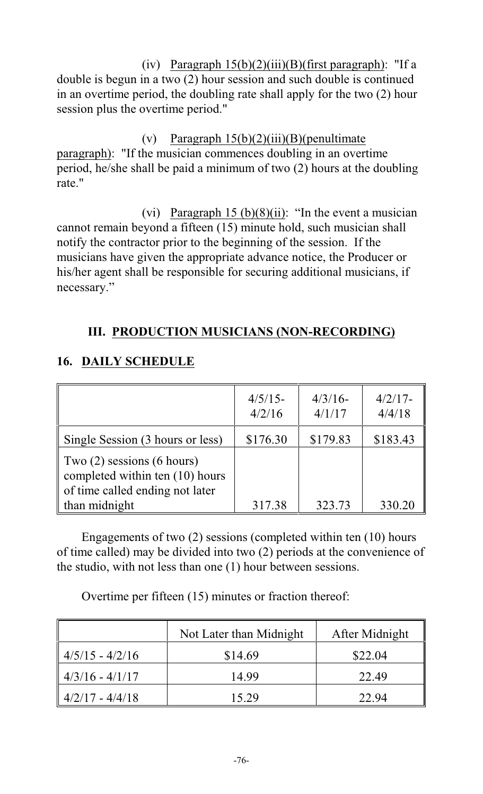(iv) Paragraph  $15(b)(2)(iii)(B)(first paragraph):$  "If a double is begun in a two (2) hour session and such double is continued in an overtime period, the doubling rate shall apply for the two (2) hour session plus the overtime period."

(v) Paragraph  $15(b)(2)(iii)(B)$ (penultimate paragraph): "If the musician commences doubling in an overtime period, he/she shall be paid a minimum of two (2) hours at the doubling rate."

(vi) Paragraph 15 (b) $(8)(ii)$ : "In the event a musician cannot remain beyond a fifteen (15) minute hold, such musician shall notify the contractor prior to the beginning of the session. If the musicians have given the appropriate advance notice, the Producer or his/her agent shall be responsible for securing additional musicians, if necessary."

## **III. PRODUCTION MUSICIANS (NON-RECORDING)**

### **16. DAILY SCHEDULE**

|                                                                                                              | $4/5/15$ -<br>4/2/16 | 4/3/16<br>4/1/17 | $4/2/17$ -<br>4/4/18 |
|--------------------------------------------------------------------------------------------------------------|----------------------|------------------|----------------------|
| Single Session (3 hours or less)                                                                             | \$176.30             | \$179.83         | \$183.43             |
| $\parallel$ Two (2) sessions (6 hours)<br>completed within ten (10) hours<br>of time called ending not later |                      |                  |                      |
| than midnight                                                                                                | 317.38               | 323.73           | 330.20               |

Engagements of two (2) sessions (completed within ten (10) hours of time called) may be divided into two (2) periods at the convenience of the studio, with not less than one (1) hour between sessions.

Overtime per fifteen (15) minutes or fraction thereof:

|                   | Not Later than Midnight | After Midnight |
|-------------------|-------------------------|----------------|
| $4/5/15 - 4/2/16$ | \$14.69                 | \$22.04        |
| $4/3/16 - 4/1/17$ | 14.99                   | 22.49          |
| $4/2/17 - 4/4/18$ | 15.29                   | 22.94          |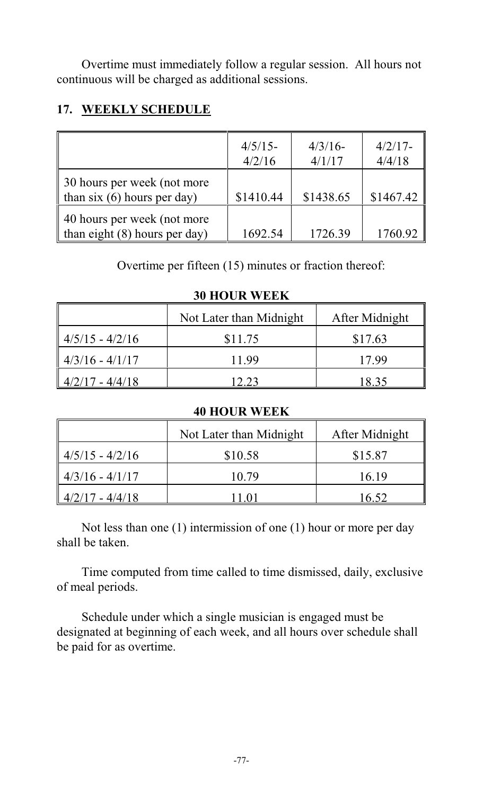Overtime must immediately follow a regular session. All hours not continuous will be charged as additional sessions.

### **17. WEEKLY SCHEDULE**

|                                                                | $4/5/15$ -<br>4/2/16 | $4/3/16$ -<br>4/1/17 | $4/2/17$ -<br>4/4/18 |
|----------------------------------------------------------------|----------------------|----------------------|----------------------|
| 30 hours per week (not more<br>than six $(6)$ hours per day)   | \$1410.44            | \$1438.65            | \$1467.42            |
| 40 hours per week (not more<br>than eight $(8)$ hours per day) | 1692.54              | 1726.39              | 1760.92              |

Overtime per fifteen (15) minutes or fraction thereof:

| SV HOOR WEEK      |                         |                |  |  |
|-------------------|-------------------------|----------------|--|--|
|                   | Not Later than Midnight | After Midnight |  |  |
| $4/5/15 - 4/2/16$ | \$11.75                 | \$17.63        |  |  |
| $4/3/16 - 4/1/17$ | 11.99                   | 17.99          |  |  |
| $4/2/17 - 4/4/18$ |                         | 18.35          |  |  |

#### **30 HOUR WEEK**

### **40 HOUR WEEK**

|                               | Not Later than Midnight | After Midnight |
|-------------------------------|-------------------------|----------------|
| $\parallel$ 4/5/15 - 4/2/16   | \$10.58                 | \$15.87        |
| $\vert 4/3/16 - 4/1/17 \vert$ | 10.79                   | 16.19          |
| $4/2/17 - 4/4/18$             | $\Box$                  | 16.52          |

Not less than one (1) intermission of one (1) hour or more per day shall be taken.

Time computed from time called to time dismissed, daily, exclusive of meal periods.

Schedule under which a single musician is engaged must be designated at beginning of each week, and all hours over schedule shall be paid for as overtime.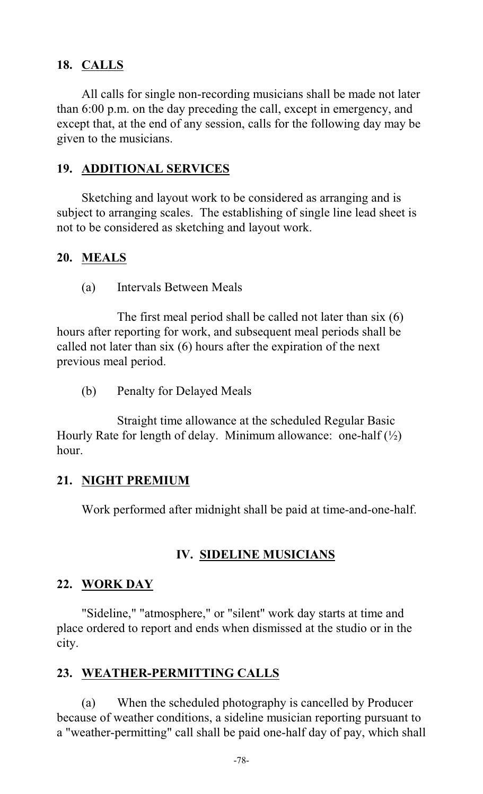#### **18. CALLS**

All calls for single non-recording musicians shall be made not later than 6:00 p.m. on the day preceding the call, except in emergency, and except that, at the end of any session, calls for the following day may be given to the musicians.

#### **19. ADDITIONAL SERVICES**

Sketching and layout work to be considered as arranging and is subject to arranging scales. The establishing of single line lead sheet is not to be considered as sketching and layout work.

#### **20. MEALS**

The first meal period shall be called not later than six (6) hours after reporting for work, and subsequent meal periods shall be called not later than six (6) hours after the expiration of the next previous meal period.

(b) Penalty for Delayed Meals

Straight time allowance at the scheduled Regular Basic Hourly Rate for length of delay. Minimum allowance: one-half  $\binom{1}{2}$ hour.

#### **21. NIGHT PREMIUM**

Work performed after midnight shall be paid at time-and-one-half.

### **IV. SIDELINE MUSICIANS**

### **22. WORK DAY**

"Sideline," "atmosphere," or "silent" work day starts at time and place ordered to report and ends when dismissed at the studio or in the city.

### **23. WEATHER-PERMITTING CALLS**

(a) When the scheduled photography is cancelled by Producer because of weather conditions, a sideline musician reporting pursuant to a "weather-permitting" call shall be paid one-half day of pay, which shall

<sup>(</sup>a) Intervals Between Meals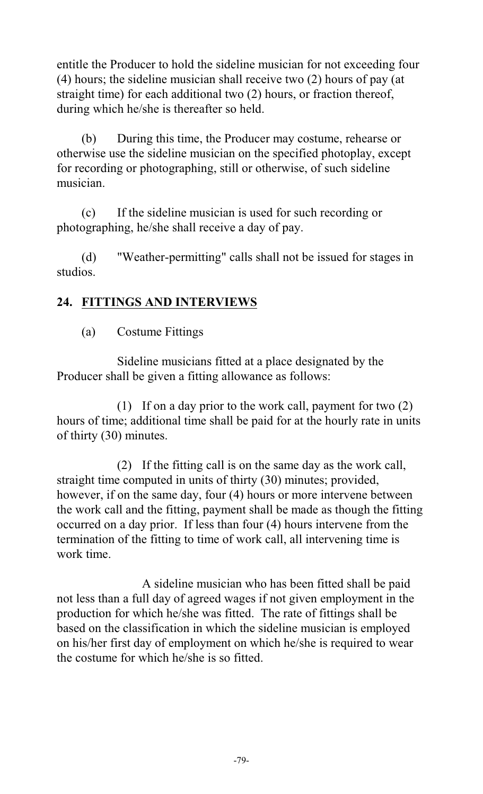entitle the Producer to hold the sideline musician for not exceeding four (4) hours; the sideline musician shall receive two (2) hours of pay (at straight time) for each additional two (2) hours, or fraction thereof, during which he/she is thereafter so held.

(b) During this time, the Producer may costume, rehearse or otherwise use the sideline musician on the specified photoplay, except for recording or photographing, still or otherwise, of such sideline musician.

(c) If the sideline musician is used for such recording or photographing, he/she shall receive a day of pay.

(d) "Weather-permitting" calls shall not be issued for stages in studios.

## **24. FITTINGS AND INTERVIEWS**

(a) Costume Fittings

Sideline musicians fitted at a place designated by the Producer shall be given a fitting allowance as follows:

(1) If on a day prior to the work call, payment for two (2) hours of time; additional time shall be paid for at the hourly rate in units of thirty (30) minutes.

(2) If the fitting call is on the same day as the work call, straight time computed in units of thirty (30) minutes; provided, however, if on the same day, four (4) hours or more intervene between the work call and the fitting, payment shall be made as though the fitting occurred on a day prior. If less than four (4) hours intervene from the termination of the fitting to time of work call, all intervening time is work time.

A sideline musician who has been fitted shall be paid not less than a full day of agreed wages if not given employment in the production for which he/she was fitted. The rate of fittings shall be based on the classification in which the sideline musician is employed on his/her first day of employment on which he/she is required to wear the costume for which he/she is so fitted.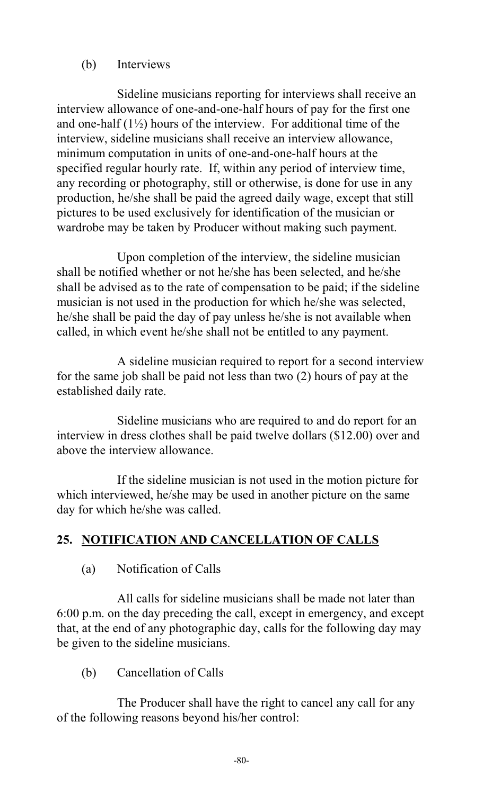### (b) Interviews

Sideline musicians reporting for interviews shall receive an interview allowance of one-and-one-half hours of pay for the first one and one-half  $(1\frac{1}{2})$  hours of the interview. For additional time of the interview, sideline musicians shall receive an interview allowance, minimum computation in units of one-and-one-half hours at the specified regular hourly rate. If, within any period of interview time, any recording or photography, still or otherwise, is done for use in any production, he/she shall be paid the agreed daily wage, except that still pictures to be used exclusively for identification of the musician or wardrobe may be taken by Producer without making such payment.

Upon completion of the interview, the sideline musician shall be notified whether or not he/she has been selected, and he/she shall be advised as to the rate of compensation to be paid; if the sideline musician is not used in the production for which he/she was selected, he/she shall be paid the day of pay unless he/she is not available when called, in which event he/she shall not be entitled to any payment.

A sideline musician required to report for a second interview for the same job shall be paid not less than two (2) hours of pay at the established daily rate.

Sideline musicians who are required to and do report for an interview in dress clothes shall be paid twelve dollars (\$12.00) over and above the interview allowance.

If the sideline musician is not used in the motion picture for which interviewed, he/she may be used in another picture on the same day for which he/she was called.

## **25. NOTIFICATION AND CANCELLATION OF CALLS**

(a) Notification of Calls

All calls for sideline musicians shall be made not later than 6:00 p.m. on the day preceding the call, except in emergency, and except that, at the end of any photographic day, calls for the following day may be given to the sideline musicians.

(b) Cancellation of Calls

The Producer shall have the right to cancel any call for any of the following reasons beyond his/her control: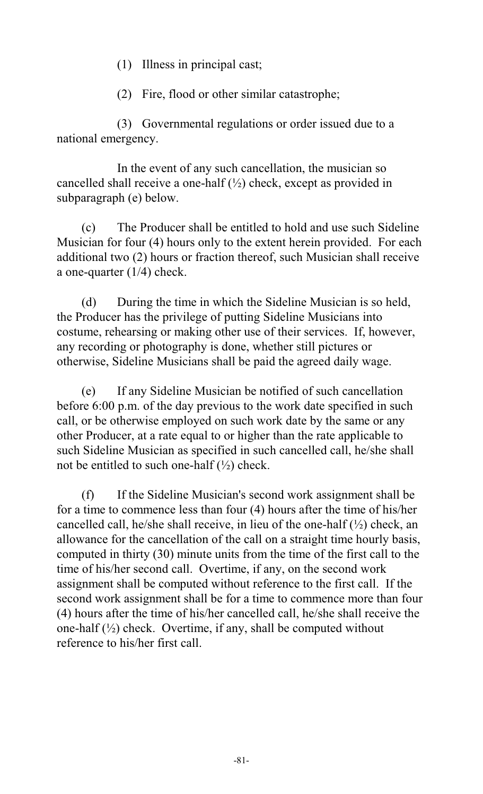(1) Illness in principal cast;

(2) Fire, flood or other similar catastrophe;

(3) Governmental regulations or order issued due to a national emergency.

In the event of any such cancellation, the musician so cancelled shall receive a one-half  $(\frac{1}{2})$  check, except as provided in subparagraph (e) below.

(c) The Producer shall be entitled to hold and use such Sideline Musician for four (4) hours only to the extent herein provided. For each additional two (2) hours or fraction thereof, such Musician shall receive a one-quarter (1/4) check.

(d) During the time in which the Sideline Musician is so held, the Producer has the privilege of putting Sideline Musicians into costume, rehearsing or making other use of their services. If, however, any recording or photography is done, whether still pictures or otherwise, Sideline Musicians shall be paid the agreed daily wage.

(e) If any Sideline Musician be notified of such cancellation before 6:00 p.m. of the day previous to the work date specified in such call, or be otherwise employed on such work date by the same or any other Producer, at a rate equal to or higher than the rate applicable to such Sideline Musician as specified in such cancelled call, he/she shall not be entitled to such one-half  $(\frac{1}{2})$  check.

(f) If the Sideline Musician's second work assignment shall be for a time to commence less than four (4) hours after the time of his/her cancelled call, he/she shall receive, in lieu of the one-half  $(\frac{1}{2})$  check, an allowance for the cancellation of the call on a straight time hourly basis, computed in thirty (30) minute units from the time of the first call to the time of his/her second call. Overtime, if any, on the second work assignment shall be computed without reference to the first call. If the second work assignment shall be for a time to commence more than four (4) hours after the time of his/her cancelled call, he/she shall receive the one-half  $(\frac{1}{2})$  check. Overtime, if any, shall be computed without reference to his/her first call.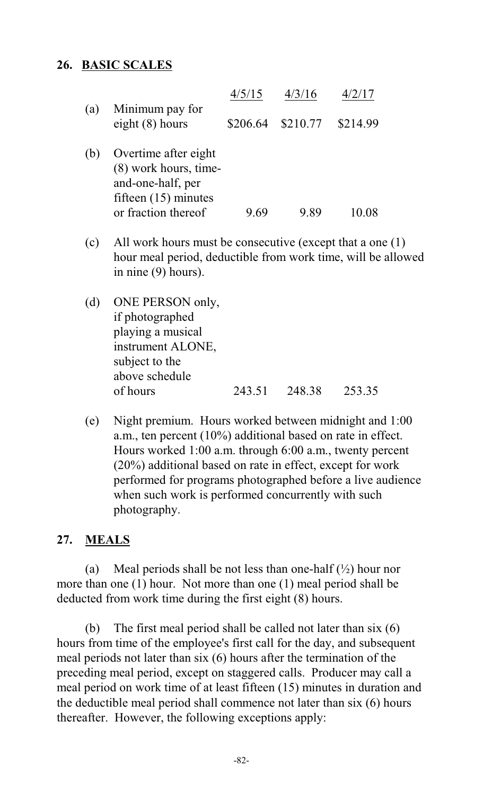#### **26. BASIC SCALES**

|     |                                                                                                | 4/5/15   | 4/3/16   | 4/2/17   |
|-----|------------------------------------------------------------------------------------------------|----------|----------|----------|
| (a) | Minimum pay for<br>eight $(8)$ hours                                                           | \$206.64 | \$210.77 | \$214.99 |
| (b) | Overtime after eight<br>$(8)$ work hours, time-<br>and-one-half, per<br>fifteen $(15)$ minutes |          |          |          |
|     | or fraction thereof                                                                            |          |          |          |

- (c) All work hours must be consecutive (except that a one (1) hour meal period, deductible from work time, will be allowed in nine (9) hours).
- (d) ONE PERSON only, if photographed playing a musical instrument ALONE, subject to the above schedule of hours 243.51 248.38 253.35
- (e) Night premium. Hours worked between midnight and 1:00 a.m., ten percent (10%) additional based on rate in effect. Hours worked 1:00 a.m. through 6:00 a.m., twenty percent (20%) additional based on rate in effect, except for work performed for programs photographed before a live audience when such work is performed concurrently with such photography.

#### **27. MEALS**

(a) Meal periods shall be not less than one-half  $(\frac{1}{2})$  hour nor more than one (1) hour. Not more than one (1) meal period shall be deducted from work time during the first eight (8) hours.

(b) The first meal period shall be called not later than six (6) hours from time of the employee's first call for the day, and subsequent meal periods not later than six (6) hours after the termination of the preceding meal period, except on staggered calls. Producer may call a meal period on work time of at least fifteen (15) minutes in duration and the deductible meal period shall commence not later than six (6) hours thereafter. However, the following exceptions apply: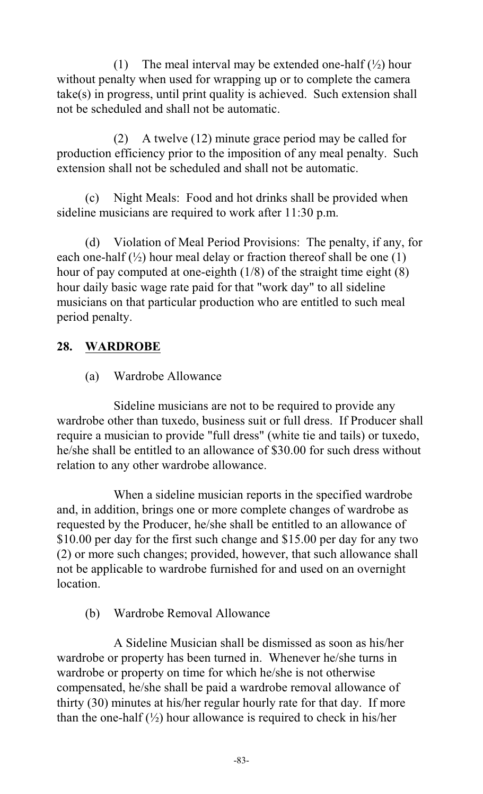(1) The meal interval may be extended one-half  $(\frac{1}{2})$  hour without penalty when used for wrapping up or to complete the camera take(s) in progress, until print quality is achieved. Such extension shall not be scheduled and shall not be automatic.

(2) A twelve (12) minute grace period may be called for production efficiency prior to the imposition of any meal penalty. Such extension shall not be scheduled and shall not be automatic.

(c) Night Meals: Food and hot drinks shall be provided when sideline musicians are required to work after 11:30 p.m.

(d) Violation of Meal Period Provisions: The penalty, if any, for each one-half  $\left(\frac{1}{2}\right)$  hour meal delay or fraction thereof shall be one (1) hour of pay computed at one-eighth (1/8) of the straight time eight (8) hour daily basic wage rate paid for that "work day" to all sideline musicians on that particular production who are entitled to such meal period penalty.

## **28. WARDROBE**

(a) Wardrobe Allowance

Sideline musicians are not to be required to provide any wardrobe other than tuxedo, business suit or full dress. If Producer shall require a musician to provide "full dress" (white tie and tails) or tuxedo, he/she shall be entitled to an allowance of \$30.00 for such dress without relation to any other wardrobe allowance.

When a sideline musician reports in the specified wardrobe and, in addition, brings one or more complete changes of wardrobe as requested by the Producer, he/she shall be entitled to an allowance of \$10.00 per day for the first such change and \$15.00 per day for any two (2) or more such changes; provided, however, that such allowance shall not be applicable to wardrobe furnished for and used on an overnight location.

(b) Wardrobe Removal Allowance

A Sideline Musician shall be dismissed as soon as his/her wardrobe or property has been turned in. Whenever he/she turns in wardrobe or property on time for which he/she is not otherwise compensated, he/she shall be paid a wardrobe removal allowance of thirty (30) minutes at his/her regular hourly rate for that day. If more than the one-half  $(\frac{1}{2})$  hour allowance is required to check in his/her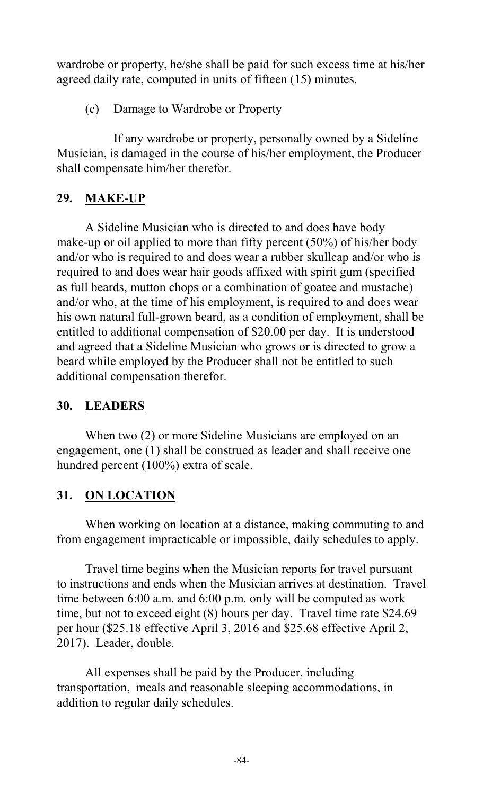wardrobe or property, he/she shall be paid for such excess time at his/her agreed daily rate, computed in units of fifteen (15) minutes.

(c) Damage to Wardrobe or Property

If any wardrobe or property, personally owned by a Sideline Musician, is damaged in the course of his/her employment, the Producer shall compensate him/her therefor.

### **29. MAKE-UP**

A Sideline Musician who is directed to and does have body make-up or oil applied to more than fifty percent (50%) of his/her body and/or who is required to and does wear a rubber skullcap and/or who is required to and does wear hair goods affixed with spirit gum (specified as full beards, mutton chops or a combination of goatee and mustache) and/or who, at the time of his employment, is required to and does wear his own natural full-grown beard, as a condition of employment, shall be entitled to additional compensation of \$20.00 per day. It is understood and agreed that a Sideline Musician who grows or is directed to grow a beard while employed by the Producer shall not be entitled to such additional compensation therefor.

### **30. LEADERS**

When two (2) or more Sideline Musicians are employed on an engagement, one (1) shall be construed as leader and shall receive one hundred percent (100%) extra of scale.

## **31. ON LOCATION**

When working on location at a distance, making commuting to and from engagement impracticable or impossible, daily schedules to apply.

Travel time begins when the Musician reports for travel pursuant to instructions and ends when the Musician arrives at destination. Travel time between 6:00 a.m. and 6:00 p.m. only will be computed as work time, but not to exceed eight (8) hours per day. Travel time rate \$24.69 per hour (\$25.18 effective April 3, 2016 and \$25.68 effective April 2, 2017). Leader, double.

All expenses shall be paid by the Producer, including transportation, meals and reasonable sleeping accommodations, in addition to regular daily schedules.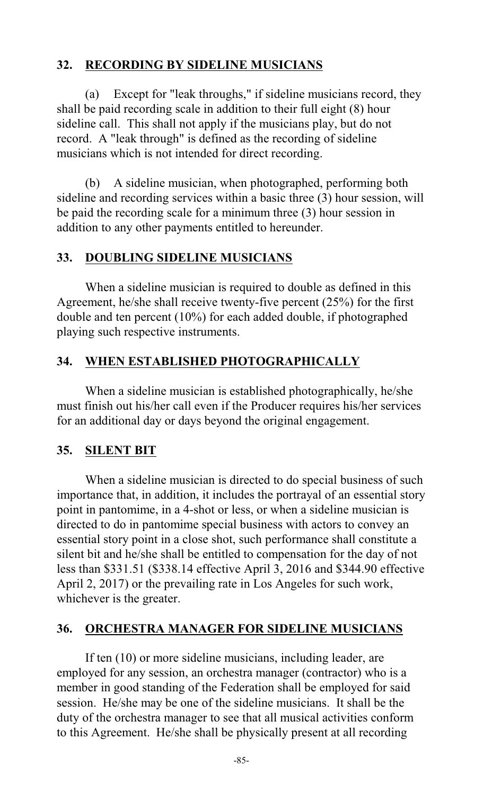### **32. RECORDING BY SIDELINE MUSICIANS**

(a) Except for "leak throughs," if sideline musicians record, they shall be paid recording scale in addition to their full eight (8) hour sideline call. This shall not apply if the musicians play, but do not record. A "leak through" is defined as the recording of sideline musicians which is not intended for direct recording.

(b) A sideline musician, when photographed, performing both sideline and recording services within a basic three (3) hour session, will be paid the recording scale for a minimum three (3) hour session in addition to any other payments entitled to hereunder.

### **33. DOUBLING SIDELINE MUSICIANS**

When a sideline musician is required to double as defined in this Agreement, he/she shall receive twenty-five percent (25%) for the first double and ten percent (10%) for each added double, if photographed playing such respective instruments.

## **34. WHEN ESTABLISHED PHOTOGRAPHICALLY**

When a sideline musician is established photographically, he/she must finish out his/her call even if the Producer requires his/her services for an additional day or days beyond the original engagement.

### **35. SILENT BIT**

When a sideline musician is directed to do special business of such importance that, in addition, it includes the portrayal of an essential story point in pantomime, in a 4-shot or less, or when a sideline musician is directed to do in pantomime special business with actors to convey an essential story point in a close shot, such performance shall constitute a silent bit and he/she shall be entitled to compensation for the day of not less than \$331.51 (\$338.14 effective April 3, 2016 and \$344.90 effective April 2, 2017) or the prevailing rate in Los Angeles for such work, whichever is the greater.

### **36. ORCHESTRA MANAGER FOR SIDELINE MUSICIANS**

If ten (10) or more sideline musicians, including leader, are employed for any session, an orchestra manager (contractor) who is a member in good standing of the Federation shall be employed for said session. He/she may be one of the sideline musicians. It shall be the duty of the orchestra manager to see that all musical activities conform to this Agreement. He/she shall be physically present at all recording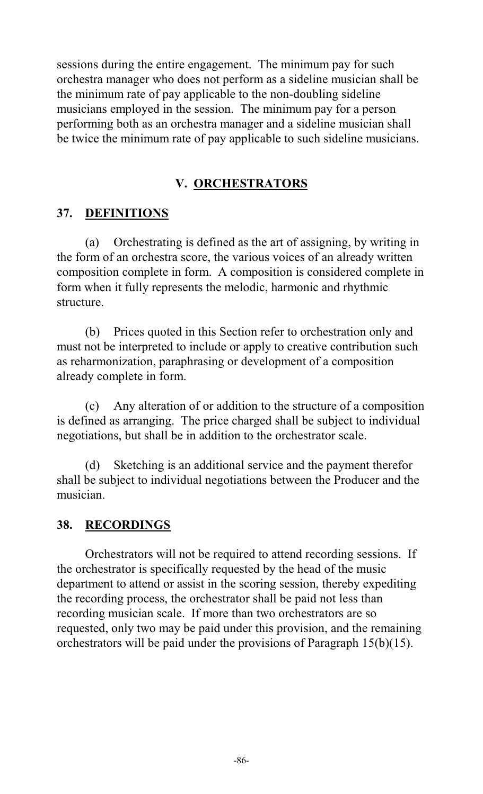sessions during the entire engagement. The minimum pay for such orchestra manager who does not perform as a sideline musician shall be the minimum rate of pay applicable to the non-doubling sideline musicians employed in the session. The minimum pay for a person performing both as an orchestra manager and a sideline musician shall be twice the minimum rate of pay applicable to such sideline musicians.

### **V. ORCHESTRATORS**

### **37. DEFINITIONS**

(a) Orchestrating is defined as the art of assigning, by writing in the form of an orchestra score, the various voices of an already written composition complete in form. A composition is considered complete in form when it fully represents the melodic, harmonic and rhythmic structure.

(b) Prices quoted in this Section refer to orchestration only and must not be interpreted to include or apply to creative contribution such as reharmonization, paraphrasing or development of a composition already complete in form.

(c) Any alteration of or addition to the structure of a composition is defined as arranging. The price charged shall be subject to individual negotiations, but shall be in addition to the orchestrator scale.

(d) Sketching is an additional service and the payment therefor shall be subject to individual negotiations between the Producer and the musician.

#### **38. RECORDINGS**

Orchestrators will not be required to attend recording sessions. If the orchestrator is specifically requested by the head of the music department to attend or assist in the scoring session, thereby expediting the recording process, the orchestrator shall be paid not less than recording musician scale. If more than two orchestrators are so requested, only two may be paid under this provision, and the remaining orchestrators will be paid under the provisions of Paragraph 15(b)(15).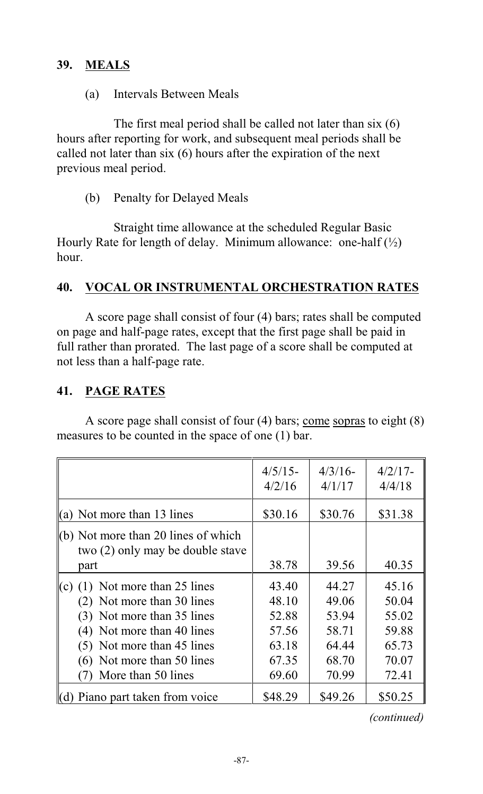#### **39. MEALS**

(a) Intervals Between Meals

The first meal period shall be called not later than six (6) hours after reporting for work, and subsequent meal periods shall be called not later than six (6) hours after the expiration of the next previous meal period.

#### (b) Penalty for Delayed Meals

Straight time allowance at the scheduled Regular Basic Hourly Rate for length of delay. Minimum allowance: one-half  $(\frac{1}{2})$ hour.

#### **40. VOCAL OR INSTRUMENTAL ORCHESTRATION RATES**

A score page shall consist of four (4) bars; rates shall be computed on page and half-page rates, except that the first page shall be paid in full rather than prorated. The last page of a score shall be computed at not less than a half-page rate.

#### **41. PAGE RATES**

A score page shall consist of four (4) bars; come sopras to eight (8) measures to be counted in the space of one (1) bar.

|                                                                                                                                                                                                                           | $4/5/15$ -<br>4/2/16                                        | $4/3/16$ -<br>4/1/17                                        | $4/2/17$ -<br>4/4/18                                        |
|---------------------------------------------------------------------------------------------------------------------------------------------------------------------------------------------------------------------------|-------------------------------------------------------------|-------------------------------------------------------------|-------------------------------------------------------------|
| (a) Not more than 13 lines                                                                                                                                                                                                | \$30.16                                                     | \$30.76                                                     | \$31.38                                                     |
| (b) Not more than 20 lines of which<br>two (2) only may be double stave<br>part                                                                                                                                           | 38.78                                                       | 39.56                                                       | 40.35                                                       |
| $\parallel$ (c) (1) Not more than 25 lines<br>(2) Not more than 30 lines<br>(3) Not more than 35 lines<br>Not more than 40 lines<br>(4)<br>(5) Not more than 45 lines<br>(6) Not more than 50 lines<br>More than 50 lines | 43.40<br>48.10<br>52.88<br>57.56<br>63.18<br>67.35<br>69.60 | 44.27<br>49.06<br>53.94<br>58.71<br>64.44<br>68.70<br>70.99 | 45.16<br>50.04<br>55.02<br>59.88<br>65.73<br>70.07<br>72.41 |
| $\parallel$ (d) Piano part taken from voice                                                                                                                                                                               | \$48.29                                                     | \$49.26                                                     | \$50.25                                                     |

*(continued)*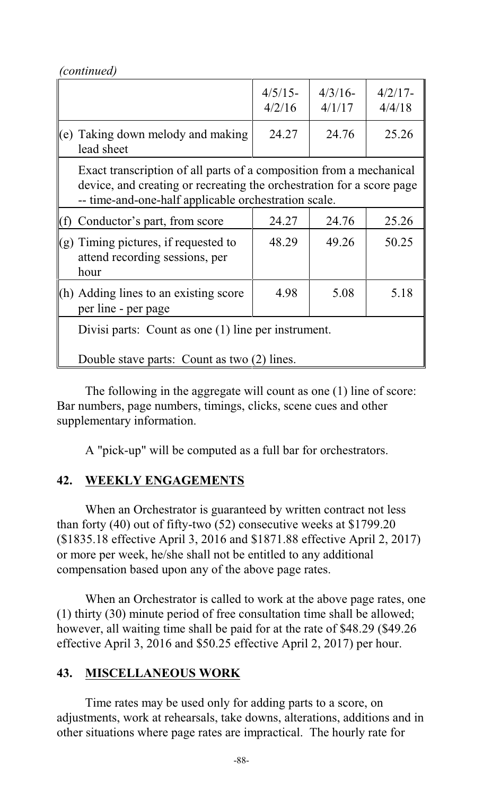*(continued)*

|     |                                                                                                                                                                                                      | $4/5/15$ -<br>4/2/16 | 4/3/16<br>4/1/17 | $4/2/17$ -<br>4/4/18 |
|-----|------------------------------------------------------------------------------------------------------------------------------------------------------------------------------------------------------|----------------------|------------------|----------------------|
| (e) | Taking down melody and making<br>lead sheet                                                                                                                                                          | 24.27                | 24.76            | 25.26                |
|     | Exact transcription of all parts of a composition from a mechanical<br>device, and creating or recreating the orchestration for a score page<br>-- time-and-one-half applicable orchestration scale. |                      |                  |                      |
| (f) | Conductor's part, from score                                                                                                                                                                         | 24.27                | 24.76            | 25.26                |
| (g) | Timing pictures, if requested to<br>attend recording sessions, per<br>hour                                                                                                                           | 48.29                | 49.26            | 50.25                |
|     | (h) Adding lines to an existing score<br>per line - per page                                                                                                                                         | 4.98                 | 5.08             | 5.18                 |
|     | Divisi parts: Count as one (1) line per instrument.                                                                                                                                                  |                      |                  |                      |
|     | Double stave parts: Count as two (2) lines.                                                                                                                                                          |                      |                  |                      |

The following in the aggregate will count as one (1) line of score: Bar numbers, page numbers, timings, clicks, scene cues and other supplementary information.

A "pick-up" will be computed as a full bar for orchestrators.

### **42. WEEKLY ENGAGEMENTS**

When an Orchestrator is guaranteed by written contract not less than forty (40) out of fifty-two (52) consecutive weeks at \$1799.20 (\$1835.18 effective April 3, 2016 and \$1871.88 effective April 2, 2017) or more per week, he/she shall not be entitled to any additional compensation based upon any of the above page rates.

When an Orchestrator is called to work at the above page rates, one (1) thirty (30) minute period of free consultation time shall be allowed; however, all waiting time shall be paid for at the rate of \$48.29 (\$49.26 effective April 3, 2016 and \$50.25 effective April 2, 2017) per hour.

### **43. MISCELLANEOUS WORK**

Time rates may be used only for adding parts to a score, on adjustments, work at rehearsals, take downs, alterations, additions and in other situations where page rates are impractical. The hourly rate for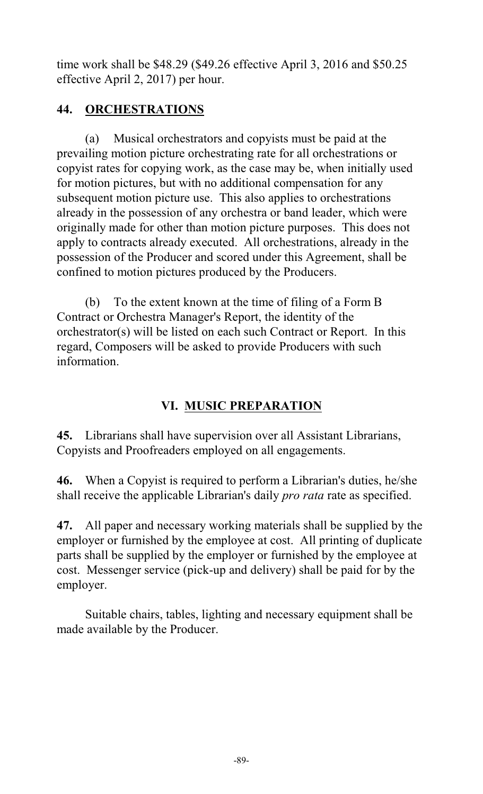time work shall be \$48.29 (\$49.26 effective April 3, 2016 and \$50.25 effective April 2, 2017) per hour.

## **44. ORCHESTRATIONS**

(a) Musical orchestrators and copyists must be paid at the prevailing motion picture orchestrating rate for all orchestrations or copyist rates for copying work, as the case may be, when initially used for motion pictures, but with no additional compensation for any subsequent motion picture use. This also applies to orchestrations already in the possession of any orchestra or band leader, which were originally made for other than motion picture purposes. This does not apply to contracts already executed. All orchestrations, already in the possession of the Producer and scored under this Agreement, shall be confined to motion pictures produced by the Producers.

(b) To the extent known at the time of filing of a Form B Contract or Orchestra Manager's Report, the identity of the orchestrator(s) will be listed on each such Contract or Report. In this regard, Composers will be asked to provide Producers with such information.

# **VI. MUSIC PREPARATION**

**45.** Librarians shall have supervision over all Assistant Librarians, Copyists and Proofreaders employed on all engagements.

**46.** When a Copyist is required to perform a Librarian's duties, he/she shall receive the applicable Librarian's daily *pro rata* rate as specified.

**47.** All paper and necessary working materials shall be supplied by the employer or furnished by the employee at cost. All printing of duplicate parts shall be supplied by the employer or furnished by the employee at cost. Messenger service (pick-up and delivery) shall be paid for by the employer.

Suitable chairs, tables, lighting and necessary equipment shall be made available by the Producer.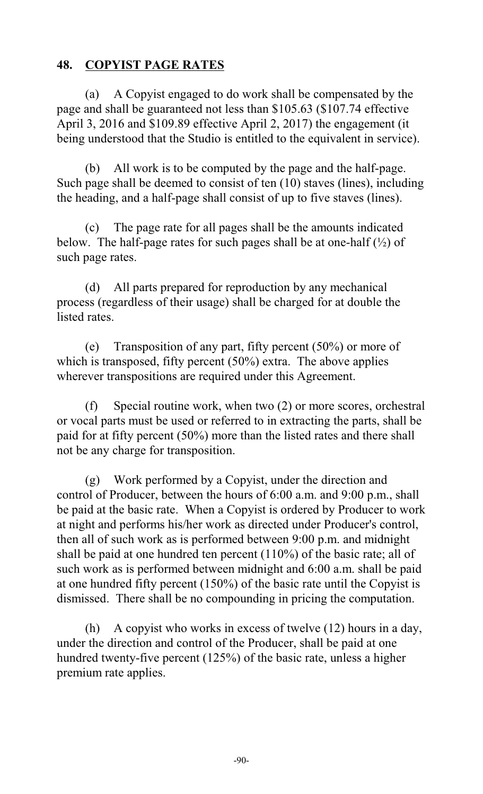### **48. COPYIST PAGE RATES**

(a) A Copyist engaged to do work shall be compensated by the page and shall be guaranteed not less than \$105.63 (\$107.74 effective April 3, 2016 and \$109.89 effective April 2, 2017) the engagement (it being understood that the Studio is entitled to the equivalent in service).

(b) All work is to be computed by the page and the half-page. Such page shall be deemed to consist of ten (10) staves (lines), including the heading, and a half-page shall consist of up to five staves (lines).

(c) The page rate for all pages shall be the amounts indicated below. The half-page rates for such pages shall be at one-half  $\frac{1}{2}$  of such page rates.

(d) All parts prepared for reproduction by any mechanical process (regardless of their usage) shall be charged for at double the listed rates.

(e) Transposition of any part, fifty percent (50%) or more of which is transposed, fifty percent (50%) extra. The above applies wherever transpositions are required under this Agreement.

(f) Special routine work, when two (2) or more scores, orchestral or vocal parts must be used or referred to in extracting the parts, shall be paid for at fifty percent (50%) more than the listed rates and there shall not be any charge for transposition.

(g) Work performed by a Copyist, under the direction and control of Producer, between the hours of 6:00 a.m. and 9:00 p.m., shall be paid at the basic rate. When a Copyist is ordered by Producer to work at night and performs his/her work as directed under Producer's control, then all of such work as is performed between 9:00 p.m. and midnight shall be paid at one hundred ten percent (110%) of the basic rate; all of such work as is performed between midnight and 6:00 a.m. shall be paid at one hundred fifty percent (150%) of the basic rate until the Copyist is dismissed. There shall be no compounding in pricing the computation.

(h) A copyist who works in excess of twelve (12) hours in a day, under the direction and control of the Producer, shall be paid at one hundred twenty-five percent (125%) of the basic rate, unless a higher premium rate applies.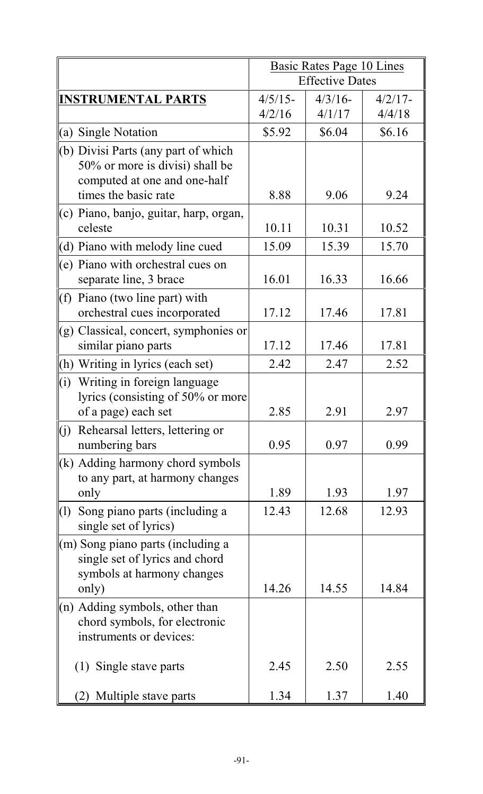|                                                                         | Basic Rates Page 10 Lines |            |            |
|-------------------------------------------------------------------------|---------------------------|------------|------------|
|                                                                         | <b>Effective Dates</b>    |            |            |
| <b>INSTRUMENTAL PARTS</b>                                               | $4/5/15$ -                | $4/3/16$ - | $4/2/17$ - |
|                                                                         | 4/2/16                    | 4/1/17     | 4/4/18     |
| <b>Single Notation</b><br>(a)                                           | \$5.92                    | \$6.04     | \$6.16     |
| (b) Divisi Parts (any part of which                                     |                           |            |            |
| 50% or more is divisi) shall be                                         |                           |            |            |
| computed at one and one-half<br>times the basic rate                    | 8.88                      | 9.06       | 9.24       |
|                                                                         |                           |            |            |
| $\left( \text{c} \right)$ Piano, banjo, guitar, harp, organ,<br>celeste | 10.11                     | 10.31      | 10.52      |
| (d) Piano with melody line cued                                         | 15.09                     | 15.39      | 15.70      |
| $(e)$ Piano with orchestral cues on                                     |                           |            |            |
| separate line, 3 brace                                                  | 16.01                     | 16.33      | 16.66      |
| Piano (two line part) with<br>(f)                                       |                           |            |            |
| orchestral cues incorporated                                            | 17.12                     | 17.46      | 17.81      |
| Classical, concert, symphonies or<br>(g)                                |                           |            |            |
| similar piano parts                                                     | 17.12                     | 17.46      | 17.81      |
| (h)<br>Writing in lyrics (each set)                                     | 2.42                      | 2.47       | 2.52       |
| Writing in foreign language<br>(i)                                      |                           |            |            |
| lyrics (consisting of 50% or more                                       |                           |            |            |
| of a page) each set                                                     | 2.85                      | 2.91       | 2.97       |
| (i)<br>Rehearsal letters, lettering or<br>numbering bars                | 0.95                      | 0.97       | 0.99       |
| $(k)$ Adding harmony chord symbols                                      |                           |            |            |
| to any part, at harmony changes                                         |                           |            |            |
| only                                                                    | 1.89                      | 1.93       | 1.97       |
| (1)<br>Song piano parts (including a                                    | 12.43                     | 12.68      | 12.93      |
| single set of lyrics)                                                   |                           |            |            |
| (m) Song piano parts (including a                                       |                           |            |            |
| single set of lyrics and chord                                          |                           |            |            |
| symbols at harmony changes<br>only)                                     | 14.26                     | 14.55      | 14.84      |
| $\langle$ (n) Adding symbols, other than                                |                           |            |            |
| chord symbols, for electronic                                           |                           |            |            |
| instruments or devices:                                                 |                           |            |            |
|                                                                         |                           |            |            |
| (1) Single stave parts                                                  | 2.45                      | 2.50       | 2.55       |
| Multiple stave parts                                                    | 1.34                      | 1.37       | 1.40       |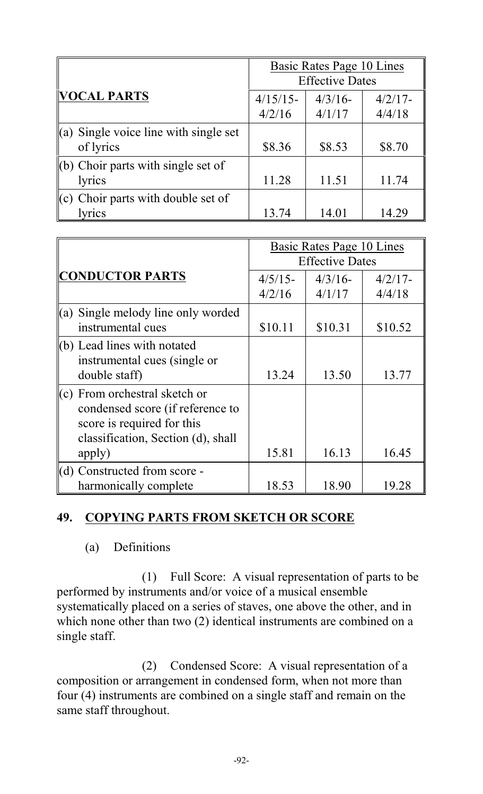|                                                          | Basic Rates Page 10 Lines<br><b>Effective Dates</b> |                      |                      |
|----------------------------------------------------------|-----------------------------------------------------|----------------------|----------------------|
| <b>VOCAL PARTS</b>                                       | $4/15/15$ -<br>4/2/16                               | $4/3/16$ -<br>4/1/17 | $4/2/17$ -<br>4/4/18 |
| $\ $ (a) Single voice line with single set<br>of lyrics  | \$8.36                                              | \$8.53               | \$8.70               |
| (b) Choir parts with single set of<br>lyrics             | 11.28                                               | 11.51                | 11.74                |
| $\parallel$ (c) Choir parts with double set of<br>lyrics | 13.74                                               | 14.01                | 14.29                |

|                                                                                                                                                      | Basic Rates Page 10 Lines<br><b>Effective Dates</b> |                      |                      |
|------------------------------------------------------------------------------------------------------------------------------------------------------|-----------------------------------------------------|----------------------|----------------------|
| <b>CONDUCTOR PARTS</b>                                                                                                                               | $4/5/15$ -<br>4/2/16                                | $4/3/16$ -<br>4/1/17 | $4/2/17$ -<br>4/4/18 |
| (a)<br>Single melody line only worded<br>instrumental cues                                                                                           | \$10.11                                             | \$10.31              | \$10.52              |
| $($ b) Lead lines with notated<br>instrumental cues (single or<br>double staff)                                                                      | 13.24                                               | 13.50                | 13.77                |
| $\ $ (c) From orchestral sketch or<br>condensed score (if reference to<br>score is required for this<br>classification, Section (d), shall<br>apply) | 15.81                                               | 16.13                | 16.45                |
| $\parallel$ (d) Constructed from score -<br>harmonically complete                                                                                    | 18.53                                               | 18.90                | 19.28                |

### **49. COPYING PARTS FROM SKETCH OR SCORE**

#### (a) Definitions

(1) Full Score: A visual representation of parts to be performed by instruments and/or voice of a musical ensemble systematically placed on a series of staves, one above the other, and in which none other than two (2) identical instruments are combined on a single staff.

(2) Condensed Score: A visual representation of a composition or arrangement in condensed form, when not more than four (4) instruments are combined on a single staff and remain on the same staff throughout.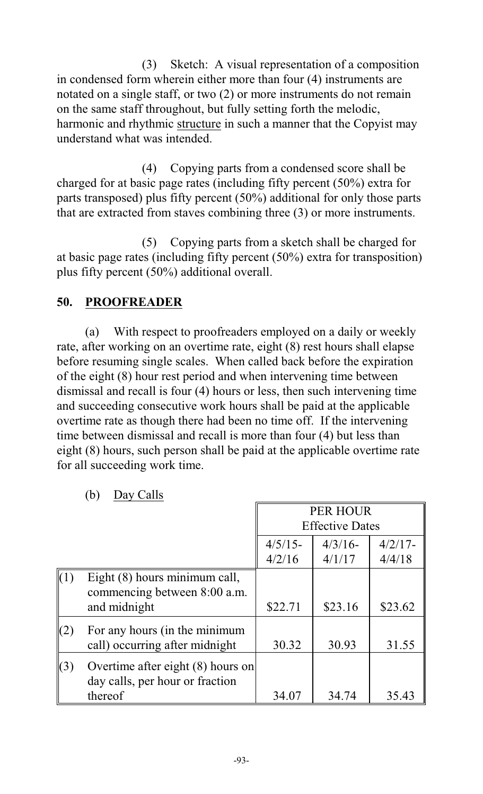(3) Sketch: A visual representation of a composition in condensed form wherein either more than four (4) instruments are notated on a single staff, or two (2) or more instruments do not remain on the same staff throughout, but fully setting forth the melodic, harmonic and rhythmic structure in such a manner that the Copyist may understand what was intended.

(4) Copying parts from a condensed score shall be charged for at basic page rates (including fifty percent (50%) extra for parts transposed) plus fifty percent (50%) additional for only those parts that are extracted from staves combining three (3) or more instruments.

(5) Copying parts from a sketch shall be charged for at basic page rates (including fifty percent (50%) extra for transposition) plus fifty percent (50%) additional overall.

### **50. PROOFREADER**

(a) With respect to proofreaders employed on a daily or weekly rate, after working on an overtime rate, eight (8) rest hours shall elapse before resuming single scales. When called back before the expiration of the eight (8) hour rest period and when intervening time between dismissal and recall is four (4) hours or less, then such intervening time and succeeding consecutive work hours shall be paid at the applicable overtime rate as though there had been no time off. If the intervening time between dismissal and recall is more than four (4) but less than eight (8) hours, such person shall be paid at the applicable overtime rate for all succeeding work time.

(b) Day Calls

|     |                                                                      | PER HOUR                 |         |            |
|-----|----------------------------------------------------------------------|--------------------------|---------|------------|
|     |                                                                      | <b>Effective Dates</b>   |         |            |
|     |                                                                      | $4/3/16$ -<br>$4/5/15$ - |         | $4/2/17$ - |
|     |                                                                      | 4/2/16                   | 4/1/17  | 4/4/18     |
|     | Eight (8) hours minimum call,<br>commencing between 8:00 a.m.        |                          |         |            |
|     | and midnight                                                         | \$22.71                  | \$23.16 | \$23.62    |
| (2) | For any hours (in the minimum<br>call) occurring after midnight      | 30.32                    | 30.93   | 31.55      |
| (3) | Overtime after eight (8) hours on<br>day calls, per hour or fraction |                          |         |            |
|     | thereof                                                              | 34.07                    | 34.74   | 35.43      |

 $\overline{P}$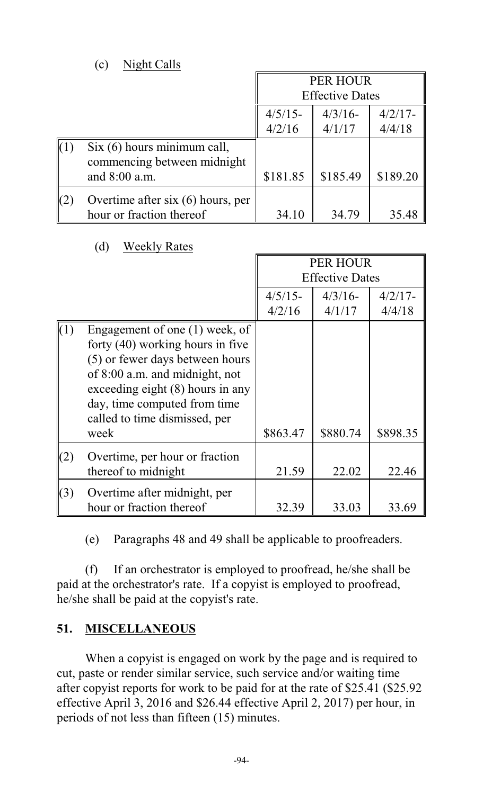## (c) Night Calls

|     |                                                            | PER HOUR                               |          |          |
|-----|------------------------------------------------------------|----------------------------------------|----------|----------|
|     |                                                            | <b>Effective Dates</b>                 |          |          |
|     |                                                            | $4/5/15$ -<br>$4/3/16$ -<br>$4/2/17$ - |          |          |
|     |                                                            | 4/2/16                                 | 4/1/17   | 4/4/18   |
|     | Six (6) hours minimum call,<br>commencing between midnight |                                        |          |          |
|     | and 8:00 a.m.                                              | \$181.85                               | \$185.49 | \$189.20 |
| (2) | Overtime after six $(6)$ hours, per                        |                                        |          |          |
|     | hour or fraction thereof                                   | 34.10                                  | 34.79    | 35.48    |

#### (d) Weekly Rates

|     |                                                                                                                                                                                                                                                        | PER HOUR<br><b>Effective Dates</b> |                  |                      |
|-----|--------------------------------------------------------------------------------------------------------------------------------------------------------------------------------------------------------------------------------------------------------|------------------------------------|------------------|----------------------|
|     |                                                                                                                                                                                                                                                        | $4/5/15$ -<br>4/2/16               | 4/3/16<br>4/1/17 | $4/2/17$ -<br>4/4/18 |
|     | Engagement of one (1) week, of<br>forty (40) working hours in five<br>(5) or fewer days between hours<br>of 8:00 a.m. and midnight, not<br>exceeding eight $(8)$ hours in any<br>day, time computed from time<br>called to time dismissed, per<br>week | \$863.47                           | \$880.74         | \$898.35             |
| (2) | Overtime, per hour or fraction<br>thereof to midnight                                                                                                                                                                                                  | 21.59                              | 22.02            | 22.46                |
| (3) | Overtime after midnight, per<br>hour or fraction thereof                                                                                                                                                                                               | 32.39                              | 33.03            | 33.69                |

(e) Paragraphs 48 and 49 shall be applicable to proofreaders.

(f) If an orchestrator is employed to proofread, he/she shall be paid at the orchestrator's rate. If a copyist is employed to proofread, he/she shall be paid at the copyist's rate.

### **51. MISCELLANEOUS**

When a copyist is engaged on work by the page and is required to cut, paste or render similar service, such service and/or waiting time after copyist reports for work to be paid for at the rate of \$25.41 (\$25.92 effective April 3, 2016 and \$26.44 effective April 2, 2017) per hour, in periods of not less than fifteen (15) minutes.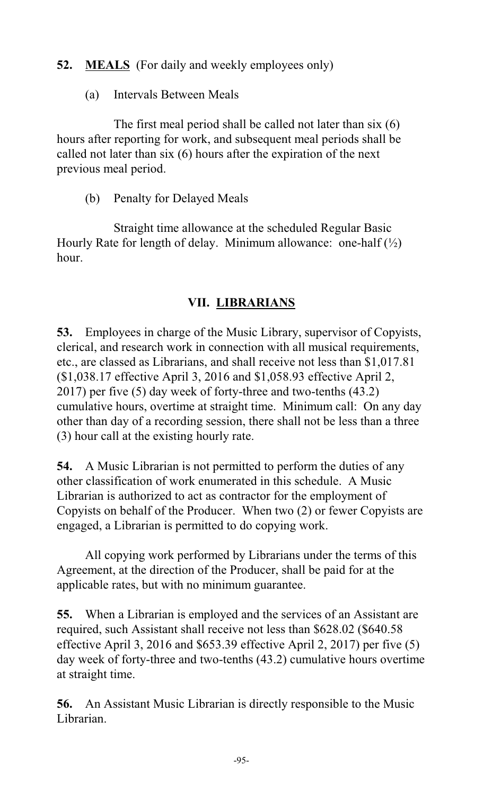**52. MEALS** (For daily and weekly employees only)

(a) Intervals Between Meals

The first meal period shall be called not later than six (6) hours after reporting for work, and subsequent meal periods shall be called not later than six (6) hours after the expiration of the next previous meal period.

(b) Penalty for Delayed Meals

Straight time allowance at the scheduled Regular Basic Hourly Rate for length of delay. Minimum allowance: one-half  $(\frac{1}{2})$ hour.

## **VII. LIBRARIANS**

**53.** Employees in charge of the Music Library, supervisor of Copyists, clerical, and research work in connection with all musical requirements, etc., are classed as Librarians, and shall receive not less than \$1,017.81 (\$1,038.17 effective April 3, 2016 and \$1,058.93 effective April 2, 2017) per five (5) day week of forty-three and two-tenths (43.2) cumulative hours, overtime at straight time. Minimum call: On any day other than day of a recording session, there shall not be less than a three (3) hour call at the existing hourly rate.

**54.** A Music Librarian is not permitted to perform the duties of any other classification of work enumerated in this schedule. A Music Librarian is authorized to act as contractor for the employment of Copyists on behalf of the Producer. When two (2) or fewer Copyists are engaged, a Librarian is permitted to do copying work.

All copying work performed by Librarians under the terms of this Agreement, at the direction of the Producer, shall be paid for at the applicable rates, but with no minimum guarantee.

**55.** When a Librarian is employed and the services of an Assistant are required, such Assistant shall receive not less than \$628.02 (\$640.58 effective April 3, 2016 and \$653.39 effective April 2, 2017) per five (5) day week of forty-three and two-tenths (43.2) cumulative hours overtime at straight time.

**56.** An Assistant Music Librarian is directly responsible to the Music Librarian.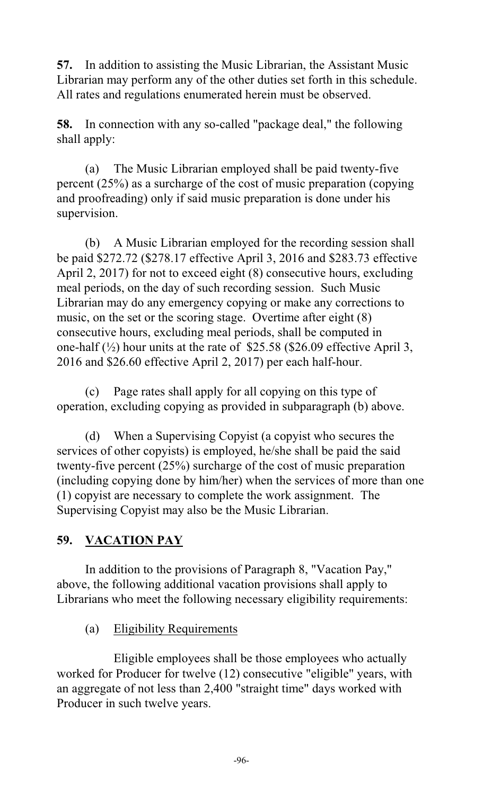**57.** In addition to assisting the Music Librarian, the Assistant Music Librarian may perform any of the other duties set forth in this schedule. All rates and regulations enumerated herein must be observed.

**58.** In connection with any so-called "package deal," the following shall apply:

(a) The Music Librarian employed shall be paid twenty-five percent (25%) as a surcharge of the cost of music preparation (copying and proofreading) only if said music preparation is done under his supervision.

(b) A Music Librarian employed for the recording session shall be paid \$272.72 (\$278.17 effective April 3, 2016 and \$283.73 effective April 2, 2017) for not to exceed eight (8) consecutive hours, excluding meal periods, on the day of such recording session. Such Music Librarian may do any emergency copying or make any corrections to music, on the set or the scoring stage. Overtime after eight (8) consecutive hours, excluding meal periods, shall be computed in one-half  $(\frac{1}{2})$  hour units at the rate of \$25.58 (\$26.09 effective April 3, 2016 and \$26.60 effective April 2, 2017) per each half-hour.

(c) Page rates shall apply for all copying on this type of operation, excluding copying as provided in subparagraph (b) above.

(d) When a Supervising Copyist (a copyist who secures the services of other copyists) is employed, he/she shall be paid the said twenty-five percent (25%) surcharge of the cost of music preparation (including copying done by him/her) when the services of more than one (1) copyist are necessary to complete the work assignment. The Supervising Copyist may also be the Music Librarian.

## **59. VACATION PAY**

In addition to the provisions of Paragraph 8, "Vacation Pay," above, the following additional vacation provisions shall apply to Librarians who meet the following necessary eligibility requirements:

### (a) Eligibility Requirements

Eligible employees shall be those employees who actually worked for Producer for twelve (12) consecutive "eligible" years, with an aggregate of not less than 2,400 "straight time" days worked with Producer in such twelve years.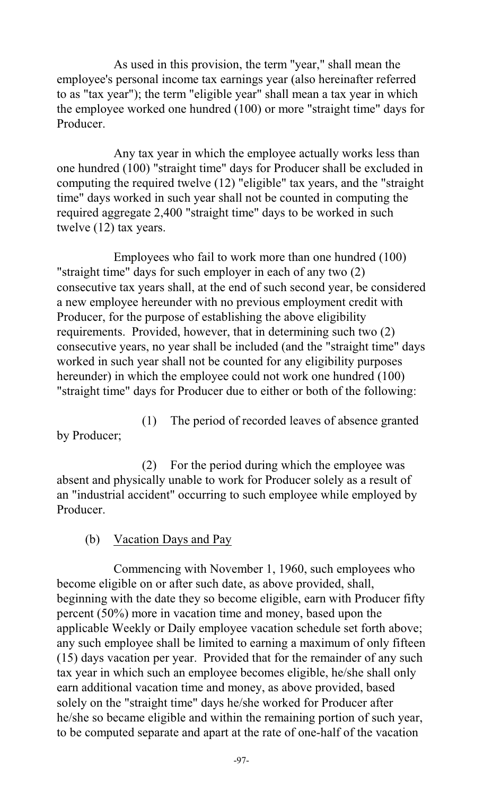As used in this provision, the term "year," shall mean the employee's personal income tax earnings year (also hereinafter referred to as "tax year"); the term "eligible year" shall mean a tax year in which the employee worked one hundred (100) or more "straight time" days for Producer.

Any tax year in which the employee actually works less than one hundred (100) "straight time" days for Producer shall be excluded in computing the required twelve (12) "eligible" tax years, and the "straight time" days worked in such year shall not be counted in computing the required aggregate 2,400 "straight time" days to be worked in such twelve (12) tax years.

Employees who fail to work more than one hundred (100) "straight time" days for such employer in each of any two (2) consecutive tax years shall, at the end of such second year, be considered a new employee hereunder with no previous employment credit with Producer, for the purpose of establishing the above eligibility requirements. Provided, however, that in determining such two (2) consecutive years, no year shall be included (and the "straight time" days worked in such year shall not be counted for any eligibility purposes hereunder) in which the employee could not work one hundred (100) "straight time" days for Producer due to either or both of the following:

(1) The period of recorded leaves of absence granted

by Producer;

(2) For the period during which the employee was absent and physically unable to work for Producer solely as a result of an "industrial accident" occurring to such employee while employed by Producer.

(b) Vacation Days and Pay

Commencing with November 1, 1960, such employees who become eligible on or after such date, as above provided, shall, beginning with the date they so become eligible, earn with Producer fifty percent (50%) more in vacation time and money, based upon the applicable Weekly or Daily employee vacation schedule set forth above; any such employee shall be limited to earning a maximum of only fifteen (15) days vacation per year. Provided that for the remainder of any such tax year in which such an employee becomes eligible, he/she shall only earn additional vacation time and money, as above provided, based solely on the "straight time" days he/she worked for Producer after he/she so became eligible and within the remaining portion of such year, to be computed separate and apart at the rate of one-half of the vacation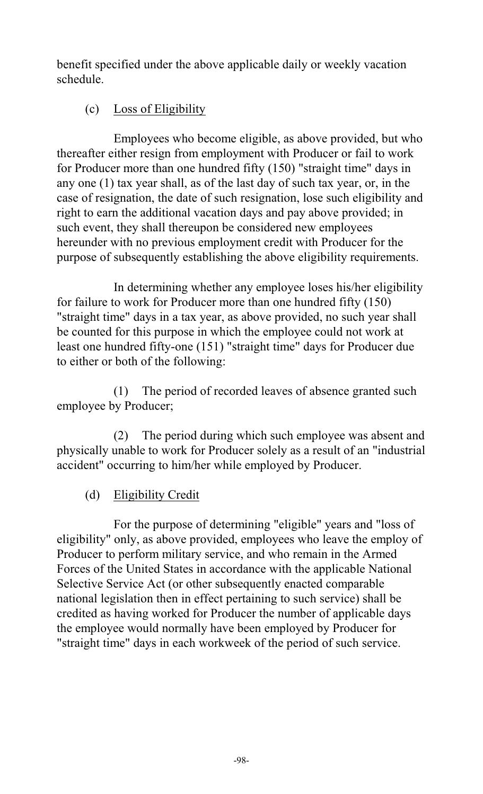benefit specified under the above applicable daily or weekly vacation schedule.

## (c) Loss of Eligibility

Employees who become eligible, as above provided, but who thereafter either resign from employment with Producer or fail to work for Producer more than one hundred fifty (150) "straight time" days in any one (1) tax year shall, as of the last day of such tax year, or, in the case of resignation, the date of such resignation, lose such eligibility and right to earn the additional vacation days and pay above provided; in such event, they shall thereupon be considered new employees hereunder with no previous employment credit with Producer for the purpose of subsequently establishing the above eligibility requirements.

In determining whether any employee loses his/her eligibility for failure to work for Producer more than one hundred fifty (150) "straight time" days in a tax year, as above provided, no such year shall be counted for this purpose in which the employee could not work at least one hundred fifty-one (151) "straight time" days for Producer due to either or both of the following:

(1) The period of recorded leaves of absence granted such employee by Producer;

(2) The period during which such employee was absent and physically unable to work for Producer solely as a result of an "industrial accident" occurring to him/her while employed by Producer.

(d) Eligibility Credit

For the purpose of determining "eligible" years and "loss of eligibility" only, as above provided, employees who leave the employ of Producer to perform military service, and who remain in the Armed Forces of the United States in accordance with the applicable National Selective Service Act (or other subsequently enacted comparable national legislation then in effect pertaining to such service) shall be credited as having worked for Producer the number of applicable days the employee would normally have been employed by Producer for "straight time" days in each workweek of the period of such service.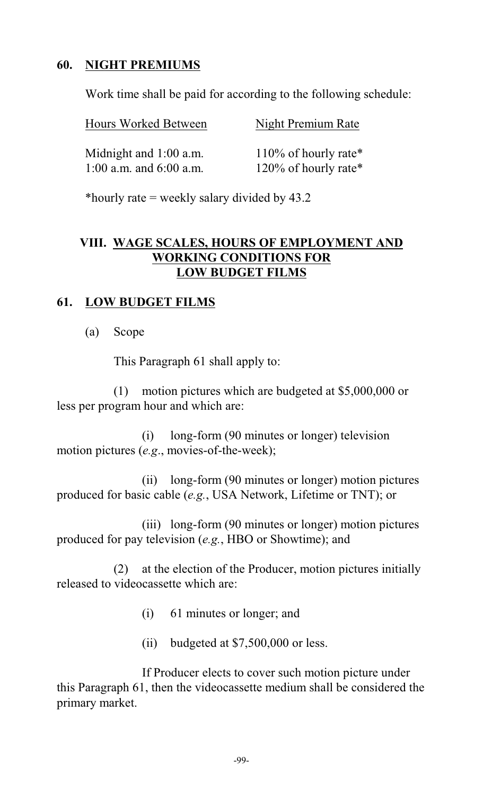### **60. NIGHT PREMIUMS**

Work time shall be paid for according to the following schedule:

| Hours Worked Between      | <b>Night Premium Rate</b> |
|---------------------------|---------------------------|
| Midnight and 1:00 a.m.    | 110% of hourly rate*      |
| 1:00 a.m. and $6:00$ a.m. | 120% of hourly rate*      |

\*hourly rate = weekly salary divided by  $43.2$ 

### **VIII. WAGE SCALES, HOURS OF EMPLOYMENT AND WORKING CONDITIONS FOR LOW BUDGET FILMS**

#### **61. LOW BUDGET FILMS**

(a) Scope

This Paragraph 61 shall apply to:

(1) motion pictures which are budgeted at \$5,000,000 or less per program hour and which are:

(i) long-form (90 minutes or longer) television motion pictures (*e.g*., movies-of-the-week);

(ii) long-form (90 minutes or longer) motion pictures produced for basic cable (*e.g.*, USA Network, Lifetime or TNT); or

(iii) long-form (90 minutes or longer) motion pictures produced for pay television (*e.g.*, HBO or Showtime); and

(2) at the election of the Producer, motion pictures initially released to videocassette which are:

- (i) 61 minutes or longer; and
- (ii) budgeted at \$7,500,000 or less.

If Producer elects to cover such motion picture under this Paragraph 61, then the videocassette medium shall be considered the primary market.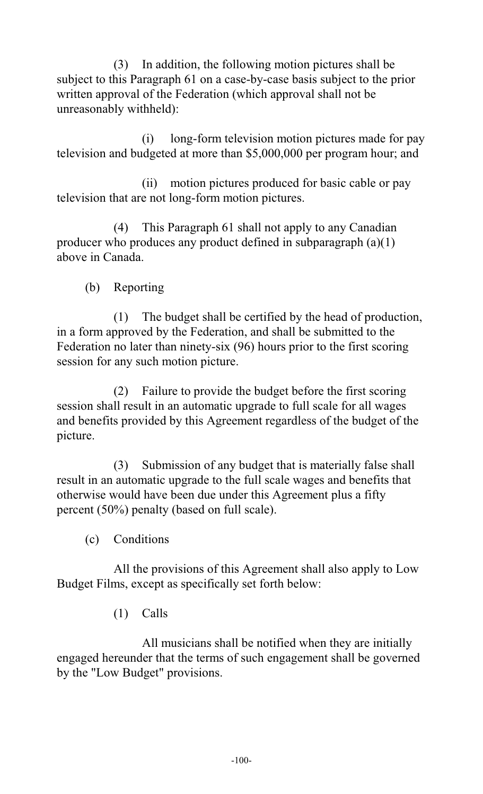(3) In addition, the following motion pictures shall be subject to this Paragraph 61 on a case-by-case basis subject to the prior written approval of the Federation (which approval shall not be unreasonably withheld):

 (i) long-form television motion pictures made for pay television and budgeted at more than \$5,000,000 per program hour; and

 (ii) motion pictures produced for basic cable or pay television that are not long-form motion pictures.

(4) This Paragraph 61 shall not apply to any Canadian producer who produces any product defined in subparagraph (a)(1) above in Canada.

(b) Reporting

(1) The budget shall be certified by the head of production, in a form approved by the Federation, and shall be submitted to the Federation no later than ninety-six (96) hours prior to the first scoring session for any such motion picture.

(2) Failure to provide the budget before the first scoring session shall result in an automatic upgrade to full scale for all wages and benefits provided by this Agreement regardless of the budget of the picture.

(3) Submission of any budget that is materially false shall result in an automatic upgrade to the full scale wages and benefits that otherwise would have been due under this Agreement plus a fifty percent (50%) penalty (based on full scale).

(c) Conditions

All the provisions of this Agreement shall also apply to Low Budget Films, except as specifically set forth below:

(1) Calls

All musicians shall be notified when they are initially engaged hereunder that the terms of such engagement shall be governed by the "Low Budget" provisions.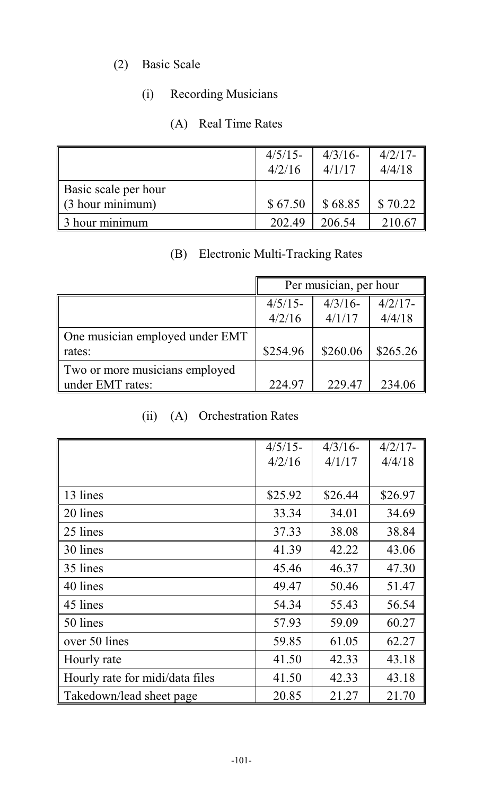## (2) Basic Scale

# (i) Recording Musicians

## (A) Real Time Rates

|                              | $4/5/15$ -<br>4/2/16 | $4/3/16$ -<br>4/1/17 | $4/2/17$ -<br>4/4/18 |
|------------------------------|----------------------|----------------------|----------------------|
| Basic scale per hour         |                      |                      |                      |
| $\parallel$ (3 hour minimum) | \$67.50              | \$68.85              | \$70.22              |
| 3 hour minimum               | 202.49               | 206.54               | 210.67               |

# (B) Electronic Multi-Tracking Rates

|                                 | Per musician, per hour     |          |            |
|---------------------------------|----------------------------|----------|------------|
|                                 | $4/3/16$ -<br>$4/5/15$ -   |          | $4/2/17$ - |
|                                 | 4/2/16                     | 4/1/17   | 4/4/18     |
| One musician employed under EMT |                            |          |            |
| rates:                          | \$254.96                   | \$260.06 | \$265.26   |
| Two or more musicians employed  |                            |          |            |
| under EMT rates:                | 224.97<br>229.47<br>234.06 |          |            |

## (ii) (A) Orchestration Rates

|                                 | $4/5/15$ - | 4/3/16  | $4/2/17$ - |
|---------------------------------|------------|---------|------------|
|                                 | 4/2/16     | 4/1/17  | 4/4/18     |
|                                 |            |         |            |
| 13 lines                        | \$25.92    | \$26.44 | \$26.97    |
| 20 lines                        | 33.34      | 34.01   | 34.69      |
| 25 lines                        | 37.33      | 38.08   | 38.84      |
| 30 lines                        | 41.39      | 42.22   | 43.06      |
| 35 lines                        | 45.46      | 46.37   | 47.30      |
| 40 lines                        | 49.47      | 50.46   | 51.47      |
| 45 lines                        | 54.34      | 55.43   | 56.54      |
| 50 lines                        | 57.93      | 59.09   | 60.27      |
| over 50 lines                   | 59.85      | 61.05   | 62.27      |
| Hourly rate                     | 41.50      | 42.33   | 43.18      |
| Hourly rate for midi/data files | 41.50      | 42.33   | 43.18      |
| Takedown/lead sheet page        | 20.85      | 21.27   | 21.70      |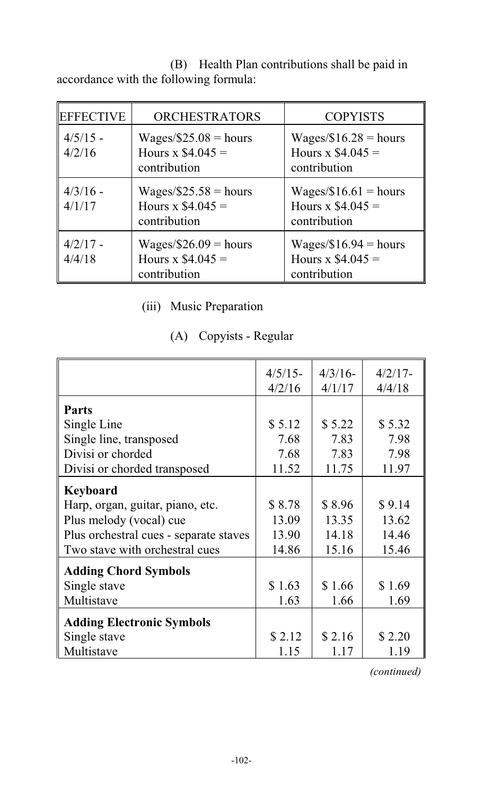(B) Health Plan contributions shall be paid in accordance with the following formula:

| <b>EFFECTIVE</b>     | <b>ORCHESTRATORS</b>                                           | <b>COPYISTS</b>                                               |
|----------------------|----------------------------------------------------------------|---------------------------------------------------------------|
| $4/5/15$ -<br>4/2/16 | $Wages$ /\$25.08 = hours<br>Hours x $$4.045 =$<br>contribution | $Wages/\$16.28 = hours$<br>Hours x $$4.045 =$<br>contribution |
| $4/3/16$ -<br>4/1/17 | $Wages$ /\$25.58 = hours<br>Hours x $$4.045 =$<br>contribution | $Wages/\$16.61 = hours$<br>Hours x $$4.045 =$<br>contribution |
| $4/2/17 -$<br>4/4/18 | $Wages$ /\$26.09 = hours<br>Hours x $$4.045 =$<br>contribution | $Wages/\$16.94 = hours$<br>Hours x $$4.045 =$<br>contribution |

(iii) Music Preparation

|                                        | $4/5/15$ - | $4/3/16$ - | $4/2/17$ - |
|----------------------------------------|------------|------------|------------|
|                                        |            |            |            |
|                                        | 4/2/16     | 4/1/17     | 4/4/18     |
| <b>Parts</b>                           |            |            |            |
| Single Line                            | \$5.12     | \$5.22     | \$5.32     |
| Single line, transposed                | 7.68       | 7.83       | 7.98       |
| Divisi or chorded                      | 7.68       | 7.83       | 7.98       |
| Divisi or chorded transposed           | 11.52      | 11.75      | 11.97      |
| Keyboard                               |            |            |            |
| Harp, organ, guitar, piano, etc.       | \$8.78     | \$8.96     | \$9.14     |
| Plus melody (vocal) cue                | 13.09      | 13.35      | 13.62      |
| Plus orchestral cues - separate staves | 13.90      | 14.18      | 14.46      |
| Two stave with orchestral cues         | 14.86      | 15.16      | 15.46      |
| <b>Adding Chord Symbols</b>            |            |            |            |
| Single stave                           | \$1.63     | \$1.66     | \$1.69     |
| Multistave                             | 1.63       | 1.66       | 1.69       |
| <b>Adding Electronic Symbols</b>       |            |            |            |
| Single stave                           | \$2.12     | \$2.16     | \$2.20     |
| Multistave                             | 1.15       | 1.17       | 1.19       |

| (A) Copyists - Regular |  |
|------------------------|--|
|                        |  |

*(continued)*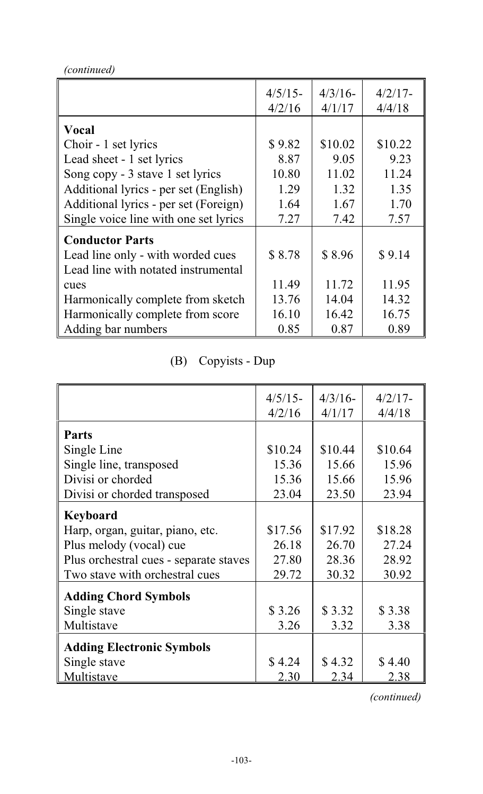*(continued)*

|                                       | $4/5/15$ -<br>4/2/16 | $4/3/16$ -<br>4/1/17 | $4/2/17$ -<br>4/4/18 |
|---------------------------------------|----------------------|----------------------|----------------------|
| <b>Vocal</b>                          |                      |                      |                      |
| Choir - 1 set lyrics                  | \$9.82               | \$10.02              | \$10.22              |
| Lead sheet - 1 set lyrics             | 8.87                 | 9.05                 | 9.23                 |
| Song copy - 3 stave 1 set lyrics      | 10.80                | 11.02                | 11.24                |
| Additional lyrics - per set (English) | 1.29                 | 1.32                 | 1.35                 |
| Additional lyrics - per set (Foreign) | 1.64                 | 1.67                 | 1.70                 |
| Single voice line with one set lyrics | 7.27                 | 7.42                 | 7.57                 |
| <b>Conductor Parts</b>                |                      |                      |                      |
| Lead line only - with worded cues     | \$8.78               | \$8.96               | \$9.14               |
| Lead line with notated instrumental   |                      |                      |                      |
| cues                                  | 11.49                | 11.72                | 11.95                |
| Harmonically complete from sketch     | 13.76                | 14.04                | 14.32                |
| Harmonically complete from score      | 16.10                | 16.42                | 16.75                |
| Adding bar numbers                    | 0.85                 | 0.87                 | 0.89                 |

(B) Copyists - Dup

|                                        | $4/5/15$ - | $4/3/16$ - | $4/2/17$ - |
|----------------------------------------|------------|------------|------------|
|                                        | 4/2/16     | 4/1/17     | 4/4/18     |
|                                        |            |            |            |
| <b>Parts</b>                           |            |            |            |
| Single Line                            | \$10.24    | \$10.44    | \$10.64    |
| Single line, transposed                | 15.36      | 15.66      | 15.96      |
| Divisi or chorded                      | 15.36      | 15.66      | 15.96      |
| Divisi or chorded transposed           | 23.04      | 23.50      | 23.94      |
| <b>Keyboard</b>                        |            |            |            |
| Harp, organ, guitar, piano, etc.       | \$17.56    | \$17.92    | \$18.28    |
| Plus melody (vocal) cue                | 26.18      | 26.70      | 27.24      |
| Plus orchestral cues - separate staves | 27.80      | 28.36      | 28.92      |
| Two stave with orchestral cues         | 29.72      | 30.32      | 30.92      |
| <b>Adding Chord Symbols</b>            |            |            |            |
| Single stave                           | \$3.26     | \$3.32     | \$3.38     |
| Multistave                             | 3.26       | 3.32       | 3.38       |
| <b>Adding Electronic Symbols</b>       |            |            |            |
| Single stave                           | \$4.24     | \$4.32     | \$4.40     |
| Multistave                             | 2.30       | 2.34       | 2.38       |

*(continued)*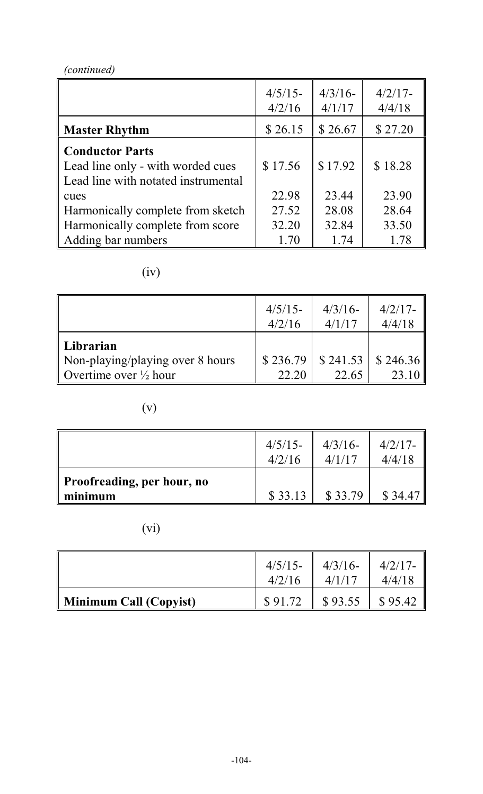*(continued)*

|                                     | $4/5/15$ -<br>4/2/16 | $4/3/16$ -<br>4/1/17 | $4/2/17$ -<br>4/4/18 |
|-------------------------------------|----------------------|----------------------|----------------------|
| <b>Master Rhythm</b>                | \$26.15              | \$26.67              | \$27.20              |
| <b>Conductor Parts</b>              |                      |                      |                      |
| Lead line only - with worded cues   | \$17.56              | \$17.92              | \$18.28              |
| Lead line with notated instrumental |                      |                      |                      |
| cues                                | 22.98                | 23.44                | 23.90                |
| Harmonically complete from sketch   | 27.52                | 28.08                | 28.64                |
| Harmonically complete from score    | 32.20                | 32.84                | 33.50                |
| Adding bar numbers                  | 1.70                 | 1.74                 | 1.78                 |

(iv)

|                                  | $4/5/15$ -<br>4/2/16 | 4/3/16<br>4/1/17 | $4/2/17$ -<br>4/4/18 |
|----------------------------------|----------------------|------------------|----------------------|
| Librarian                        |                      |                  |                      |
| Non-playing/playing over 8 hours | \$236.79             | \$241.53         | \$246.36             |
| Overtime over $\frac{1}{2}$ hour | 22.20                | 22.65            |                      |

(v)

|                                       | $4/5/15$ - | 4/3/16  | $4/2/17$ - |
|---------------------------------------|------------|---------|------------|
|                                       | 4/2/16     | 4/1/17  | 4/4/18     |
| Proofreading, per hour, no<br>minimum | \$33.13    | \$33.79 | \$34.47    |

(vi)

|                               | $4/5/15$ - | $4/3/16$ - | $4/2/17$ - |
|-------------------------------|------------|------------|------------|
|                               | 4/2/16     | 4/1/1      | 4/4/18     |
| <b>Minimum Call (Copyist)</b> | \$91.72    | \$93.55    | \$95.42    |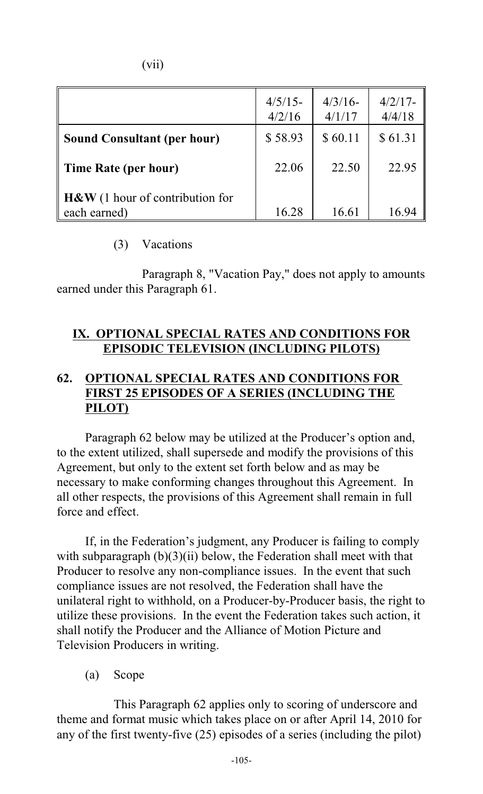(vii)

|                                                    | $4/5/15$ -<br>4/2/16 | $4/3/16$ -<br>4/1/17 | $4/2/17$ -<br>4/4/18 |
|----------------------------------------------------|----------------------|----------------------|----------------------|
| <b>Sound Consultant (per hour)</b>                 | \$58.93              | \$60.11              | \$61.31              |
| Time Rate (per hour)                               | 22.06                | 22.50                | 22.95                |
| $H\&W$ (1 hour of contribution for<br>each earned) | 16.28                | 16.61                | 16.94                |

(3) Vacations

Paragraph 8, "Vacation Pay," does not apply to amounts earned under this Paragraph 61.

## **IX. OPTIONAL SPECIAL RATES AND CONDITIONS FOR EPISODIC TELEVISION (INCLUDING PILOTS)**

## **62. OPTIONAL SPECIAL RATES AND CONDITIONS FOR FIRST 25 EPISODES OF A SERIES (INCLUDING THE PILOT)**

Paragraph 62 below may be utilized at the Producer's option and, to the extent utilized, shall supersede and modify the provisions of this Agreement, but only to the extent set forth below and as may be necessary to make conforming changes throughout this Agreement. In all other respects, the provisions of this Agreement shall remain in full force and effect.

If, in the Federation's judgment, any Producer is failing to comply with subparagraph (b)(3)(ii) below, the Federation shall meet with that Producer to resolve any non-compliance issues. In the event that such compliance issues are not resolved, the Federation shall have the unilateral right to withhold, on a Producer-by-Producer basis, the right to utilize these provisions. In the event the Federation takes such action, it shall notify the Producer and the Alliance of Motion Picture and Television Producers in writing.

(a) Scope

This Paragraph 62 applies only to scoring of underscore and theme and format music which takes place on or after April 14, 2010 for any of the first twenty-five (25) episodes of a series (including the pilot)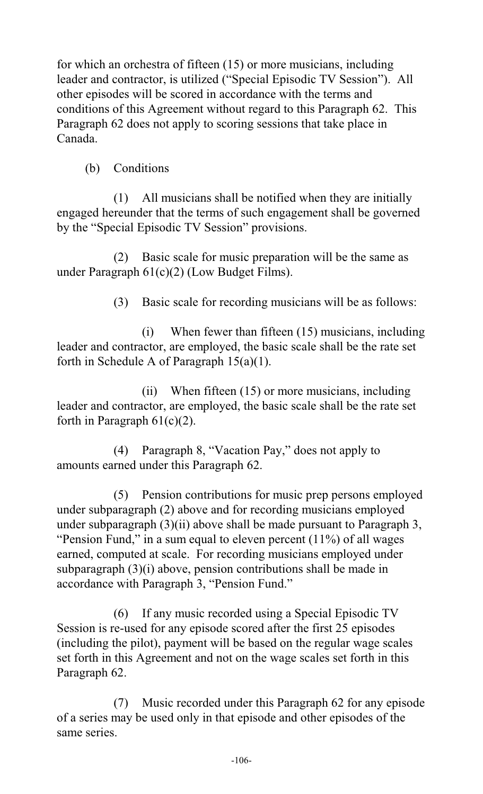for which an orchestra of fifteen (15) or more musicians, including leader and contractor, is utilized ("Special Episodic TV Session"). All other episodes will be scored in accordance with the terms and conditions of this Agreement without regard to this Paragraph 62. This Paragraph 62 does not apply to scoring sessions that take place in Canada.

# (b) Conditions

(1) All musicians shall be notified when they are initially engaged hereunder that the terms of such engagement shall be governed by the "Special Episodic TV Session" provisions.

(2) Basic scale for music preparation will be the same as under Paragraph 61(c)(2) (Low Budget Films).

(3) Basic scale for recording musicians will be as follows:

(i) When fewer than fifteen (15) musicians, including leader and contractor, are employed, the basic scale shall be the rate set forth in Schedule A of Paragraph 15(a)(1).

(ii) When fifteen (15) or more musicians, including leader and contractor, are employed, the basic scale shall be the rate set forth in Paragraph  $61(c)(2)$ .

(4) Paragraph 8, "Vacation Pay," does not apply to amounts earned under this Paragraph 62.

(5) Pension contributions for music prep persons employed under subparagraph (2) above and for recording musicians employed under subparagraph (3)(ii) above shall be made pursuant to Paragraph 3, "Pension Fund," in a sum equal to eleven percent (11%) of all wages earned, computed at scale. For recording musicians employed under subparagraph (3)(i) above, pension contributions shall be made in accordance with Paragraph 3, "Pension Fund."

(6) If any music recorded using a Special Episodic TV Session is re-used for any episode scored after the first 25 episodes (including the pilot), payment will be based on the regular wage scales set forth in this Agreement and not on the wage scales set forth in this Paragraph 62.

(7) Music recorded under this Paragraph 62 for any episode of a series may be used only in that episode and other episodes of the same series.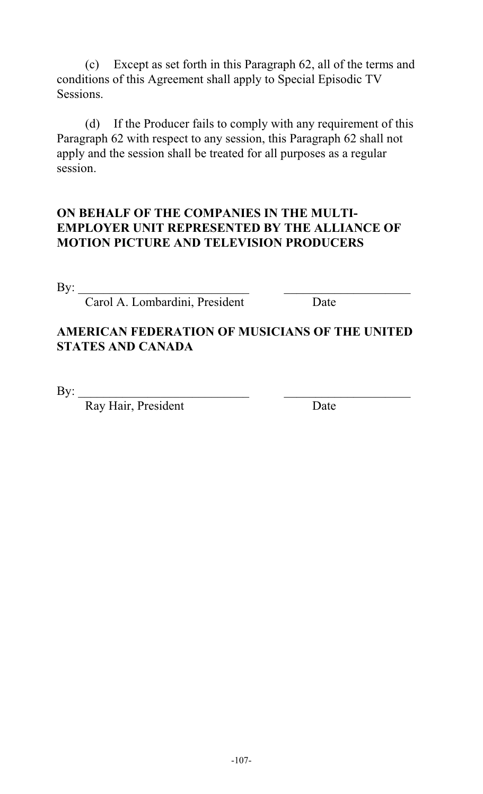(c) Except as set forth in this Paragraph 62, all of the terms and conditions of this Agreement shall apply to Special Episodic TV Sessions.

(d) If the Producer fails to comply with any requirement of this Paragraph 62 with respect to any session, this Paragraph 62 shall not apply and the session shall be treated for all purposes as a regular session.

# **ON BEHALF OF THE COMPANIES IN THE MULTI-EMPLOYER UNIT REPRESENTED BY THE ALLIANCE OF MOTION PICTURE AND TELEVISION PRODUCERS**

By: \_\_\_\_\_\_\_\_\_\_\_\_\_\_\_\_\_\_\_\_\_\_\_\_\_\_\_ \_\_\_\_\_\_\_\_\_\_\_\_\_\_\_\_\_\_\_\_

Carol A. Lombardini, President Date

## **AMERICAN FEDERATION OF MUSICIANS OF THE UNITED STATES AND CANADA**

By: \_\_\_\_\_\_\_\_\_\_\_\_\_\_\_\_\_\_\_\_\_\_\_\_\_\_\_ \_\_\_\_\_\_\_\_\_\_\_\_\_\_\_\_\_\_\_\_

Ray Hair, President Date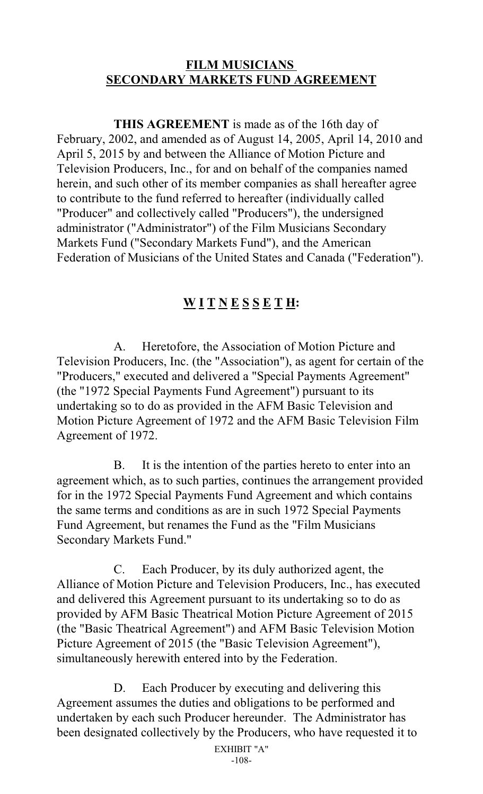## **FILM MUSICIANS SECONDARY MARKETS FUND AGREEMENT**

**THIS AGREEMENT** is made as of the 16th day of February, 2002, and amended as of August 14, 2005, April 14, 2010 and April 5, 2015 by and between the Alliance of Motion Picture and Television Producers, Inc., for and on behalf of the companies named herein, and such other of its member companies as shall hereafter agree to contribute to the fund referred to hereafter (individually called "Producer" and collectively called "Producers"), the undersigned administrator ("Administrator") of the Film Musicians Secondary Markets Fund ("Secondary Markets Fund"), and the American Federation of Musicians of the United States and Canada ("Federation").

# **W I T N E S S E T H:**

A. Heretofore, the Association of Motion Picture and Television Producers, Inc. (the "Association"), as agent for certain of the "Producers," executed and delivered a "Special Payments Agreement" (the "1972 Special Payments Fund Agreement") pursuant to its undertaking so to do as provided in the AFM Basic Television and Motion Picture Agreement of 1972 and the AFM Basic Television Film Agreement of 1972.

B. It is the intention of the parties hereto to enter into an agreement which, as to such parties, continues the arrangement provided for in the 1972 Special Payments Fund Agreement and which contains the same terms and conditions as are in such 1972 Special Payments Fund Agreement, but renames the Fund as the "Film Musicians Secondary Markets Fund."

C. Each Producer, by its duly authorized agent, the Alliance of Motion Picture and Television Producers, Inc., has executed and delivered this Agreement pursuant to its undertaking so to do as provided by AFM Basic Theatrical Motion Picture Agreement of 2015 (the "Basic Theatrical Agreement") and AFM Basic Television Motion Picture Agreement of 2015 (the "Basic Television Agreement"), simultaneously herewith entered into by the Federation.

D. Each Producer by executing and delivering this Agreement assumes the duties and obligations to be performed and undertaken by each such Producer hereunder. The Administrator has been designated collectively by the Producers, who have requested it to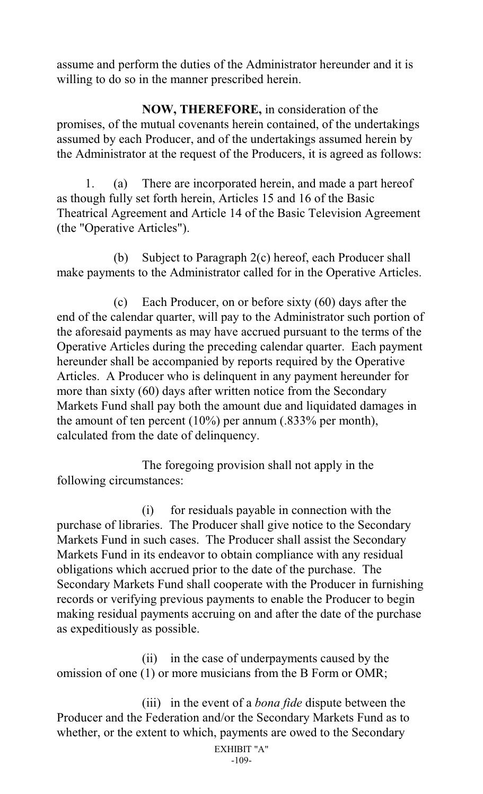assume and perform the duties of the Administrator hereunder and it is willing to do so in the manner prescribed herein.

**NOW, THEREFORE,** in consideration of the promises, of the mutual covenants herein contained, of the undertakings assumed by each Producer, and of the undertakings assumed herein by the Administrator at the request of the Producers, it is agreed as follows:

1. (a) There are incorporated herein, and made a part hereof as though fully set forth herein, Articles 15 and 16 of the Basic Theatrical Agreement and Article 14 of the Basic Television Agreement (the "Operative Articles").

(b) Subject to Paragraph 2(c) hereof, each Producer shall make payments to the Administrator called for in the Operative Articles.

(c) Each Producer, on or before sixty (60) days after the end of the calendar quarter, will pay to the Administrator such portion of the aforesaid payments as may have accrued pursuant to the terms of the Operative Articles during the preceding calendar quarter. Each payment hereunder shall be accompanied by reports required by the Operative Articles. A Producer who is delinquent in any payment hereunder for more than sixty (60) days after written notice from the Secondary Markets Fund shall pay both the amount due and liquidated damages in the amount of ten percent  $(10\%)$  per annum  $(.833\%$  per month), calculated from the date of delinquency.

The foregoing provision shall not apply in the following circumstances:

(i) for residuals payable in connection with the purchase of libraries. The Producer shall give notice to the Secondary Markets Fund in such cases. The Producer shall assist the Secondary Markets Fund in its endeavor to obtain compliance with any residual obligations which accrued prior to the date of the purchase. The Secondary Markets Fund shall cooperate with the Producer in furnishing records or verifying previous payments to enable the Producer to begin making residual payments accruing on and after the date of the purchase as expeditiously as possible.

(ii) in the case of underpayments caused by the omission of one (1) or more musicians from the B Form or OMR;

(iii) in the event of a *bona fide* dispute between the Producer and the Federation and/or the Secondary Markets Fund as to whether, or the extent to which, payments are owed to the Secondary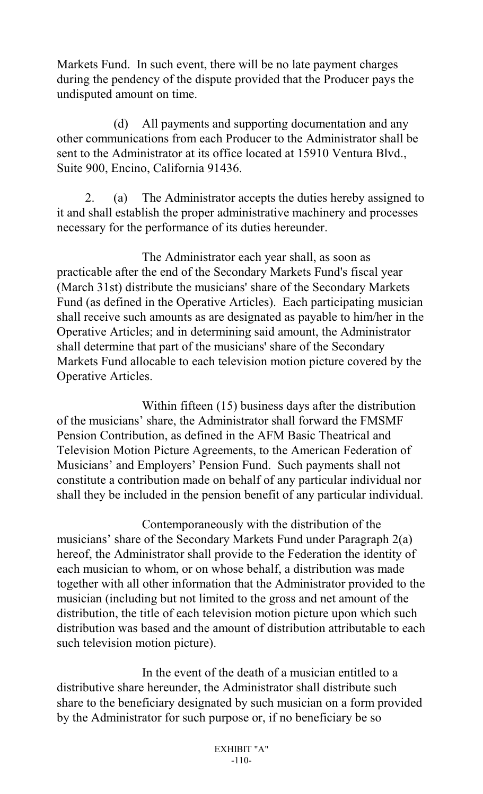Markets Fund. In such event, there will be no late payment charges during the pendency of the dispute provided that the Producer pays the undisputed amount on time.

(d) All payments and supporting documentation and any other communications from each Producer to the Administrator shall be sent to the Administrator at its office located at 15910 Ventura Blvd., Suite 900, Encino, California 91436.

2. (a) The Administrator accepts the duties hereby assigned to it and shall establish the proper administrative machinery and processes necessary for the performance of its duties hereunder.

The Administrator each year shall, as soon as practicable after the end of the Secondary Markets Fund's fiscal year (March 31st) distribute the musicians' share of the Secondary Markets Fund (as defined in the Operative Articles). Each participating musician shall receive such amounts as are designated as payable to him/her in the Operative Articles; and in determining said amount, the Administrator shall determine that part of the musicians' share of the Secondary Markets Fund allocable to each television motion picture covered by the Operative Articles.

Within fifteen (15) business days after the distribution of the musicians' share, the Administrator shall forward the FMSMF Pension Contribution, as defined in the AFM Basic Theatrical and Television Motion Picture Agreements, to the American Federation of Musicians' and Employers' Pension Fund. Such payments shall not constitute a contribution made on behalf of any particular individual nor shall they be included in the pension benefit of any particular individual.

Contemporaneously with the distribution of the musicians' share of the Secondary Markets Fund under Paragraph 2(a) hereof, the Administrator shall provide to the Federation the identity of each musician to whom, or on whose behalf, a distribution was made together with all other information that the Administrator provided to the musician (including but not limited to the gross and net amount of the distribution, the title of each television motion picture upon which such distribution was based and the amount of distribution attributable to each such television motion picture).

In the event of the death of a musician entitled to a distributive share hereunder, the Administrator shall distribute such share to the beneficiary designated by such musician on a form provided by the Administrator for such purpose or, if no beneficiary be so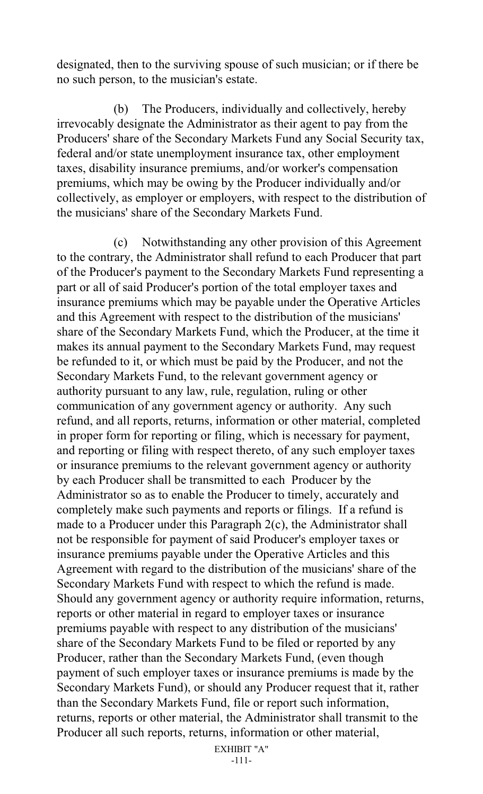designated, then to the surviving spouse of such musician; or if there be no such person, to the musician's estate.

(b) The Producers, individually and collectively, hereby irrevocably designate the Administrator as their agent to pay from the Producers' share of the Secondary Markets Fund any Social Security tax, federal and/or state unemployment insurance tax, other employment taxes, disability insurance premiums, and/or worker's compensation premiums, which may be owing by the Producer individually and/or collectively, as employer or employers, with respect to the distribution of the musicians' share of the Secondary Markets Fund.

(c) Notwithstanding any other provision of this Agreement to the contrary, the Administrator shall refund to each Producer that part of the Producer's payment to the Secondary Markets Fund representing a part or all of said Producer's portion of the total employer taxes and insurance premiums which may be payable under the Operative Articles and this Agreement with respect to the distribution of the musicians' share of the Secondary Markets Fund, which the Producer, at the time it makes its annual payment to the Secondary Markets Fund, may request be refunded to it, or which must be paid by the Producer, and not the Secondary Markets Fund, to the relevant government agency or authority pursuant to any law, rule, regulation, ruling or other communication of any government agency or authority. Any such refund, and all reports, returns, information or other material, completed in proper form for reporting or filing, which is necessary for payment, and reporting or filing with respect thereto, of any such employer taxes or insurance premiums to the relevant government agency or authority by each Producer shall be transmitted to each Producer by the Administrator so as to enable the Producer to timely, accurately and completely make such payments and reports or filings. If a refund is made to a Producer under this Paragraph 2(c), the Administrator shall not be responsible for payment of said Producer's employer taxes or insurance premiums payable under the Operative Articles and this Agreement with regard to the distribution of the musicians' share of the Secondary Markets Fund with respect to which the refund is made. Should any government agency or authority require information, returns, reports or other material in regard to employer taxes or insurance premiums payable with respect to any distribution of the musicians' share of the Secondary Markets Fund to be filed or reported by any Producer, rather than the Secondary Markets Fund, (even though payment of such employer taxes or insurance premiums is made by the Secondary Markets Fund), or should any Producer request that it, rather than the Secondary Markets Fund, file or report such information, returns, reports or other material, the Administrator shall transmit to the Producer all such reports, returns, information or other material,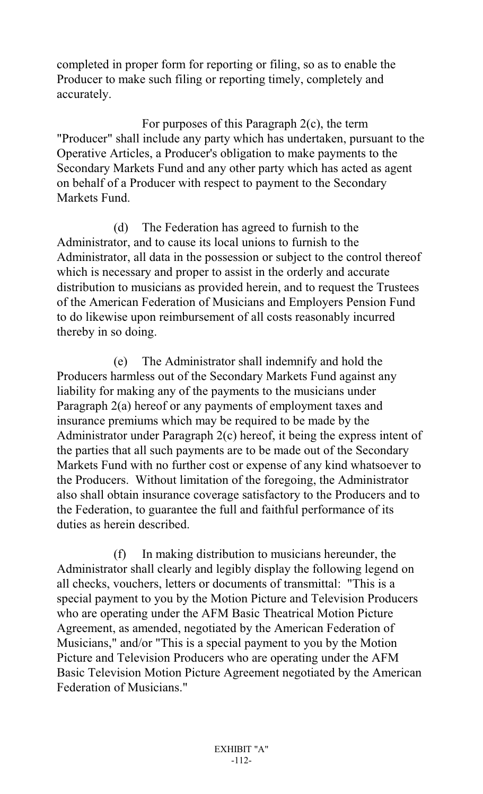completed in proper form for reporting or filing, so as to enable the Producer to make such filing or reporting timely, completely and accurately.

For purposes of this Paragraph 2(c), the term "Producer" shall include any party which has undertaken, pursuant to the Operative Articles, a Producer's obligation to make payments to the Secondary Markets Fund and any other party which has acted as agent on behalf of a Producer with respect to payment to the Secondary Markets Fund.

(d) The Federation has agreed to furnish to the Administrator, and to cause its local unions to furnish to the Administrator, all data in the possession or subject to the control thereof which is necessary and proper to assist in the orderly and accurate distribution to musicians as provided herein, and to request the Trustees of the American Federation of Musicians and Employers Pension Fund to do likewise upon reimbursement of all costs reasonably incurred thereby in so doing.

(e) The Administrator shall indemnify and hold the Producers harmless out of the Secondary Markets Fund against any liability for making any of the payments to the musicians under Paragraph 2(a) hereof or any payments of employment taxes and insurance premiums which may be required to be made by the Administrator under Paragraph 2(c) hereof, it being the express intent of the parties that all such payments are to be made out of the Secondary Markets Fund with no further cost or expense of any kind whatsoever to the Producers. Without limitation of the foregoing, the Administrator also shall obtain insurance coverage satisfactory to the Producers and to the Federation, to guarantee the full and faithful performance of its duties as herein described.

(f) In making distribution to musicians hereunder, the Administrator shall clearly and legibly display the following legend on all checks, vouchers, letters or documents of transmittal: "This is a special payment to you by the Motion Picture and Television Producers who are operating under the AFM Basic Theatrical Motion Picture Agreement, as amended, negotiated by the American Federation of Musicians," and/or "This is a special payment to you by the Motion Picture and Television Producers who are operating under the AFM Basic Television Motion Picture Agreement negotiated by the American Federation of Musicians."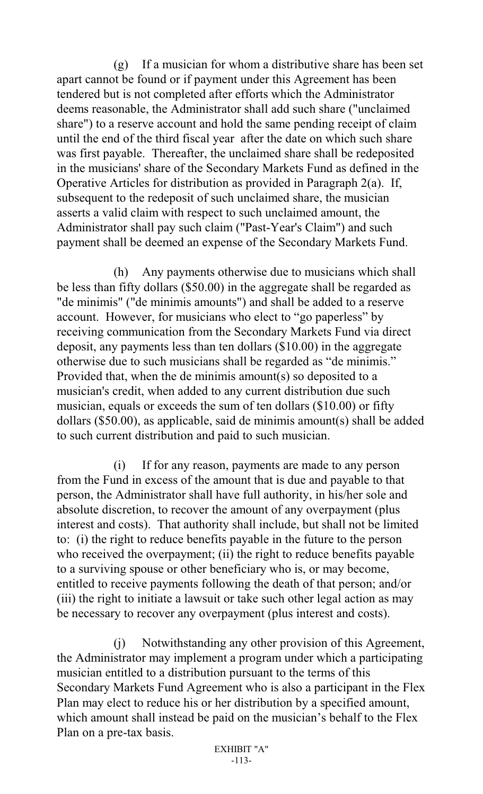(g) If a musician for whom a distributive share has been set apart cannot be found or if payment under this Agreement has been tendered but is not completed after efforts which the Administrator deems reasonable, the Administrator shall add such share ("unclaimed share") to a reserve account and hold the same pending receipt of claim until the end of the third fiscal year after the date on which such share was first payable. Thereafter, the unclaimed share shall be redeposited in the musicians' share of the Secondary Markets Fund as defined in the Operative Articles for distribution as provided in Paragraph 2(a). If, subsequent to the redeposit of such unclaimed share, the musician asserts a valid claim with respect to such unclaimed amount, the Administrator shall pay such claim ("Past-Year's Claim") and such payment shall be deemed an expense of the Secondary Markets Fund.

(h) Any payments otherwise due to musicians which shall be less than fifty dollars (\$50.00) in the aggregate shall be regarded as "de minimis" ("de minimis amounts") and shall be added to a reserve account. However, for musicians who elect to "go paperless" by receiving communication from the Secondary Markets Fund via direct deposit, any payments less than ten dollars (\$10.00) in the aggregate otherwise due to such musicians shall be regarded as "de minimis." Provided that, when the de minimis amount(s) so deposited to a musician's credit, when added to any current distribution due such musician, equals or exceeds the sum of ten dollars (\$10.00) or fifty dollars (\$50.00), as applicable, said de minimis amount(s) shall be added to such current distribution and paid to such musician.

(i) If for any reason, payments are made to any person from the Fund in excess of the amount that is due and payable to that person, the Administrator shall have full authority, in his/her sole and absolute discretion, to recover the amount of any overpayment (plus interest and costs). That authority shall include, but shall not be limited to: (i) the right to reduce benefits payable in the future to the person who received the overpayment; (ii) the right to reduce benefits payable to a surviving spouse or other beneficiary who is, or may become, entitled to receive payments following the death of that person; and/or (iii) the right to initiate a lawsuit or take such other legal action as may be necessary to recover any overpayment (plus interest and costs).

(j) Notwithstanding any other provision of this Agreement, the Administrator may implement a program under which a participating musician entitled to a distribution pursuant to the terms of this Secondary Markets Fund Agreement who is also a participant in the Flex Plan may elect to reduce his or her distribution by a specified amount, which amount shall instead be paid on the musician's behalf to the Flex Plan on a pre-tax basis.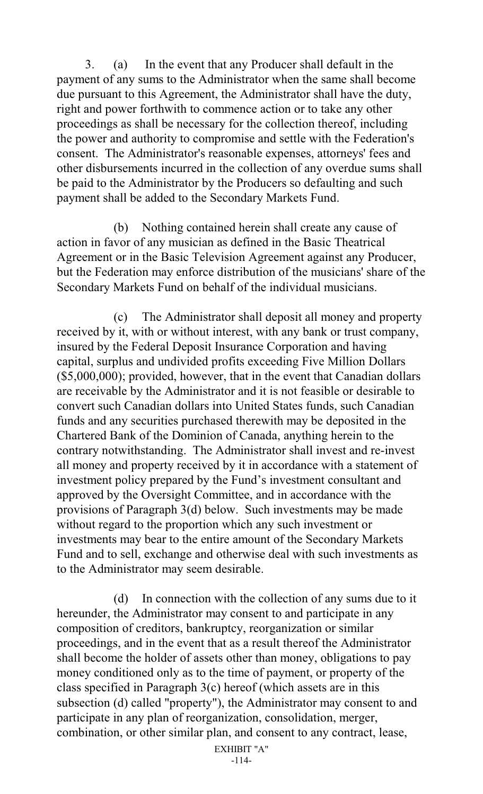3. (a) In the event that any Producer shall default in the payment of any sums to the Administrator when the same shall become due pursuant to this Agreement, the Administrator shall have the duty, right and power forthwith to commence action or to take any other proceedings as shall be necessary for the collection thereof, including the power and authority to compromise and settle with the Federation's consent. The Administrator's reasonable expenses, attorneys' fees and other disbursements incurred in the collection of any overdue sums shall be paid to the Administrator by the Producers so defaulting and such payment shall be added to the Secondary Markets Fund.

(b) Nothing contained herein shall create any cause of action in favor of any musician as defined in the Basic Theatrical Agreement or in the Basic Television Agreement against any Producer, but the Federation may enforce distribution of the musicians' share of the Secondary Markets Fund on behalf of the individual musicians.

(c) The Administrator shall deposit all money and property received by it, with or without interest, with any bank or trust company, insured by the Federal Deposit Insurance Corporation and having capital, surplus and undivided profits exceeding Five Million Dollars (\$5,000,000); provided, however, that in the event that Canadian dollars are receivable by the Administrator and it is not feasible or desirable to convert such Canadian dollars into United States funds, such Canadian funds and any securities purchased therewith may be deposited in the Chartered Bank of the Dominion of Canada, anything herein to the contrary notwithstanding. The Administrator shall invest and re-invest all money and property received by it in accordance with a statement of investment policy prepared by the Fund's investment consultant and approved by the Oversight Committee, and in accordance with the provisions of Paragraph 3(d) below. Such investments may be made without regard to the proportion which any such investment or investments may bear to the entire amount of the Secondary Markets Fund and to sell, exchange and otherwise deal with such investments as to the Administrator may seem desirable.

(d) In connection with the collection of any sums due to it hereunder, the Administrator may consent to and participate in any composition of creditors, bankruptcy, reorganization or similar proceedings, and in the event that as a result thereof the Administrator shall become the holder of assets other than money, obligations to pay money conditioned only as to the time of payment, or property of the class specified in Paragraph 3(c) hereof (which assets are in this subsection (d) called "property"), the Administrator may consent to and participate in any plan of reorganization, consolidation, merger, combination, or other similar plan, and consent to any contract, lease,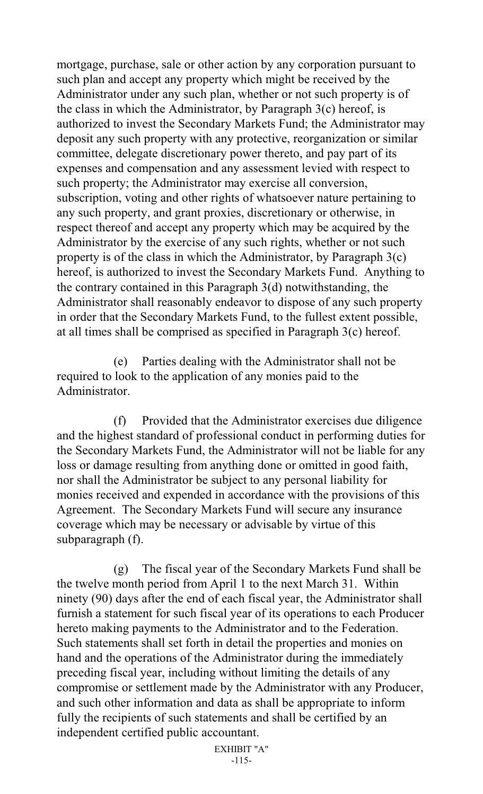mortgage, purchase, sale or other action by any corporation pursuant to such plan and accept any property which might be received by the Administrator under any such plan, whether or not such property is of the class in which the Administrator, by Paragraph 3(c) hereof, is authorized to invest the Secondary Markets Fund; the Administrator may deposit any such property with any protective, reorganization or similar committee, delegate discretionary power thereto, and pay part of its expenses and compensation and any assessment levied with respect to such property; the Administrator may exercise all conversion, subscription, voting and other rights of whatsoever nature pertaining to any such property, and grant proxies, discretionary or otherwise, in respect thereof and accept any property which may be acquired by the Administrator by the exercise of any such rights, whether or not such property is of the class in which the Administrator, by Paragraph 3(c) hereof, is authorized to invest the Secondary Markets Fund. Anything to the contrary contained in this Paragraph 3(d) notwithstanding, the Administrator shall reasonably endeavor to dispose of any such property in order that the Secondary Markets Fund, to the fullest extent possible, at all times shall be comprised as specified in Paragraph 3(c) hereof.

(e) Parties dealing with the Administrator shall not be required to look to the application of any monies paid to the Administrator.

(f) Provided that the Administrator exercises due diligence and the highest standard of professional conduct in performing duties for the Secondary Markets Fund, the Administrator will not be liable for any loss or damage resulting from anything done or omitted in good faith, nor shall the Administrator be subject to any personal liability for monies received and expended in accordance with the provisions of this Agreement. The Secondary Markets Fund will secure any insurance coverage which may be necessary or advisable by virtue of this subparagraph (f).

(g) The fiscal year of the Secondary Markets Fund shall be the twelve month period from April 1 to the next March 31. Within ninety (90) days after the end of each fiscal year, the Administrator shall furnish a statement for such fiscal year of its operations to each Producer hereto making payments to the Administrator and to the Federation. Such statements shall set forth in detail the properties and monies on hand and the operations of the Administrator during the immediately preceding fiscal year, including without limiting the details of any compromise or settlement made by the Administrator with any Producer, and such other information and data as shall be appropriate to inform fully the recipients of such statements and shall be certified by an independent certified public accountant.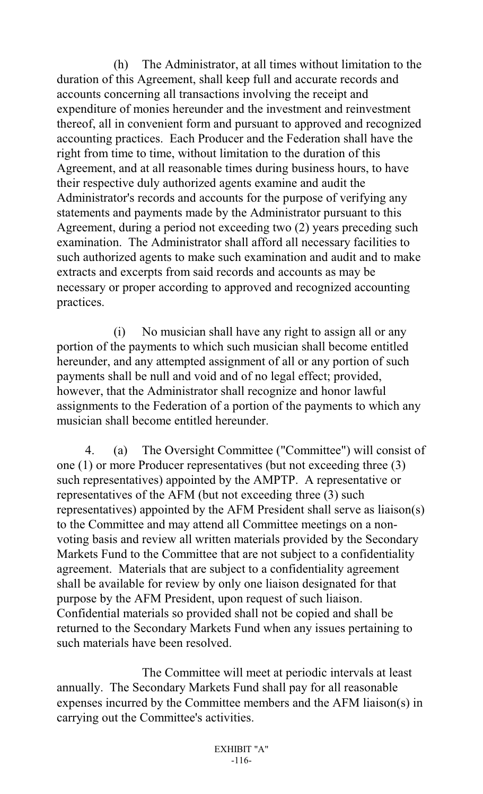(h) The Administrator, at all times without limitation to the duration of this Agreement, shall keep full and accurate records and accounts concerning all transactions involving the receipt and expenditure of monies hereunder and the investment and reinvestment thereof, all in convenient form and pursuant to approved and recognized accounting practices. Each Producer and the Federation shall have the right from time to time, without limitation to the duration of this Agreement, and at all reasonable times during business hours, to have their respective duly authorized agents examine and audit the Administrator's records and accounts for the purpose of verifying any statements and payments made by the Administrator pursuant to this Agreement, during a period not exceeding two (2) years preceding such examination. The Administrator shall afford all necessary facilities to such authorized agents to make such examination and audit and to make extracts and excerpts from said records and accounts as may be necessary or proper according to approved and recognized accounting practices.

(i) No musician shall have any right to assign all or any portion of the payments to which such musician shall become entitled hereunder, and any attempted assignment of all or any portion of such payments shall be null and void and of no legal effect; provided, however, that the Administrator shall recognize and honor lawful assignments to the Federation of a portion of the payments to which any musician shall become entitled hereunder.

4. (a) The Oversight Committee ("Committee") will consist of one (1) or more Producer representatives (but not exceeding three (3) such representatives) appointed by the AMPTP. A representative or representatives of the AFM (but not exceeding three (3) such representatives) appointed by the AFM President shall serve as liaison(s) to the Committee and may attend all Committee meetings on a nonvoting basis and review all written materials provided by the Secondary Markets Fund to the Committee that are not subject to a confidentiality agreement. Materials that are subject to a confidentiality agreement shall be available for review by only one liaison designated for that purpose by the AFM President, upon request of such liaison. Confidential materials so provided shall not be copied and shall be returned to the Secondary Markets Fund when any issues pertaining to such materials have been resolved.

The Committee will meet at periodic intervals at least annually. The Secondary Markets Fund shall pay for all reasonable expenses incurred by the Committee members and the AFM liaison(s) in carrying out the Committee's activities.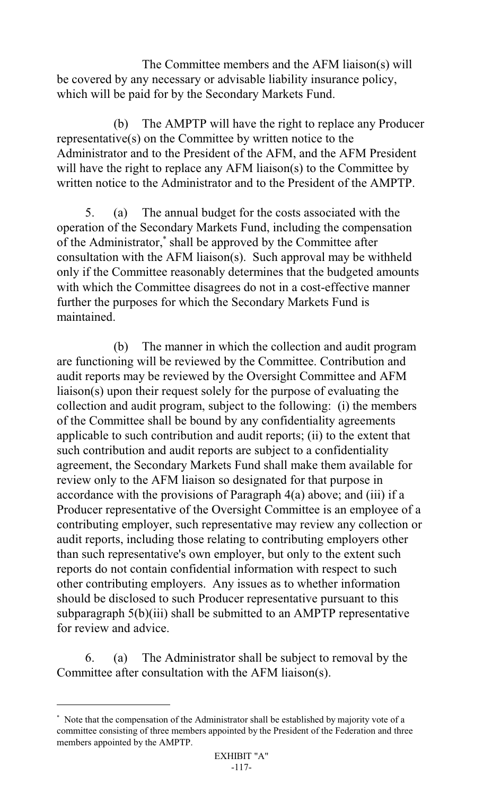The Committee members and the AFM liaison(s) will be covered by any necessary or advisable liability insurance policy, which will be paid for by the Secondary Markets Fund.

(b) The AMPTP will have the right to replace any Producer representative(s) on the Committee by written notice to the Administrator and to the President of the AFM, and the AFM President will have the right to replace any AFM liaison(s) to the Committee by written notice to the Administrator and to the President of the AMPTP.

5. (a) The annual budget for the costs associated with the operation of the Secondary Markets Fund, including the compensation of the Administrator,\* shall be approved by the Committee after consultation with the AFM liaison(s). Such approval may be withheld only if the Committee reasonably determines that the budgeted amounts with which the Committee disagrees do not in a cost-effective manner further the purposes for which the Secondary Markets Fund is maintained.

(b) The manner in which the collection and audit program are functioning will be reviewed by the Committee. Contribution and audit reports may be reviewed by the Oversight Committee and AFM liaison(s) upon their request solely for the purpose of evaluating the collection and audit program, subject to the following: (i) the members of the Committee shall be bound by any confidentiality agreements applicable to such contribution and audit reports; (ii) to the extent that such contribution and audit reports are subject to a confidentiality agreement, the Secondary Markets Fund shall make them available for review only to the AFM liaison so designated for that purpose in accordance with the provisions of Paragraph 4(a) above; and (iii) if a Producer representative of the Oversight Committee is an employee of a contributing employer, such representative may review any collection or audit reports, including those relating to contributing employers other than such representative's own employer, but only to the extent such reports do not contain confidential information with respect to such other contributing employers. Any issues as to whether information should be disclosed to such Producer representative pursuant to this subparagraph 5(b)(iii) shall be submitted to an AMPTP representative for review and advice.

6. (a) The Administrator shall be subject to removal by the Committee after consultation with the AFM liaison(s).

<sup>\*</sup> Note that the compensation of the Administrator shall be established by majority vote of a committee consisting of three members appointed by the President of the Federation and three members appointed by the AMPTP.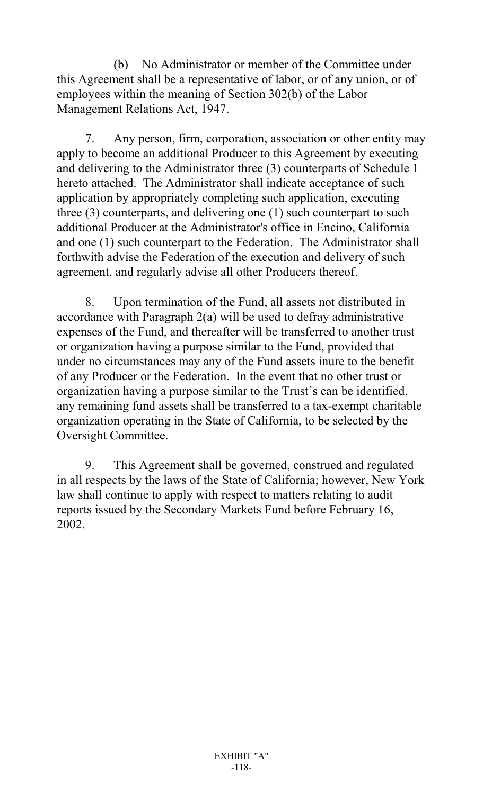(b) No Administrator or member of the Committee under this Agreement shall be a representative of labor, or of any union, or of employees within the meaning of Section 302(b) of the Labor Management Relations Act, 1947.

7. Any person, firm, corporation, association or other entity may apply to become an additional Producer to this Agreement by executing and delivering to the Administrator three (3) counterparts of Schedule 1 hereto attached. The Administrator shall indicate acceptance of such application by appropriately completing such application, executing three (3) counterparts, and delivering one (1) such counterpart to such additional Producer at the Administrator's office in Encino, California and one (1) such counterpart to the Federation. The Administrator shall forthwith advise the Federation of the execution and delivery of such agreement, and regularly advise all other Producers thereof.

8. Upon termination of the Fund, all assets not distributed in accordance with Paragraph 2(a) will be used to defray administrative expenses of the Fund, and thereafter will be transferred to another trust or organization having a purpose similar to the Fund, provided that under no circumstances may any of the Fund assets inure to the benefit of any Producer or the Federation. In the event that no other trust or organization having a purpose similar to the Trust's can be identified, any remaining fund assets shall be transferred to a tax-exempt charitable organization operating in the State of California, to be selected by the Oversight Committee.

9. This Agreement shall be governed, construed and regulated in all respects by the laws of the State of California; however, New York law shall continue to apply with respect to matters relating to audit reports issued by the Secondary Markets Fund before February 16, 2002.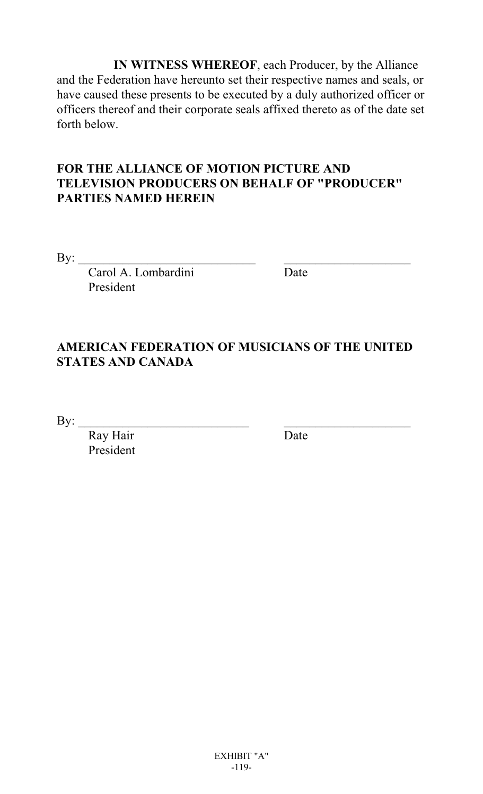**IN WITNESS WHEREOF**, each Producer, by the Alliance and the Federation have hereunto set their respective names and seals, or have caused these presents to be executed by a duly authorized officer or officers thereof and their corporate seals affixed thereto as of the date set forth below.

## **FOR THE ALLIANCE OF MOTION PICTURE AND TELEVISION PRODUCERS ON BEHALF OF "PRODUCER" PARTIES NAMED HEREIN**

By: \_\_\_\_\_\_\_\_\_\_\_\_\_\_\_\_\_\_\_\_\_\_\_\_\_\_\_\_ \_\_\_\_\_\_\_\_\_\_\_\_\_\_\_\_\_\_\_\_

 Carol A. Lombardini Date President

# **AMERICAN FEDERATION OF MUSICIANS OF THE UNITED STATES AND CANADA**

By: \_\_\_\_\_\_\_\_\_\_\_\_\_\_\_\_\_\_\_\_\_\_\_\_\_\_\_ \_\_\_\_\_\_\_\_\_\_\_\_\_\_\_\_\_\_\_\_

Ray Hair Date President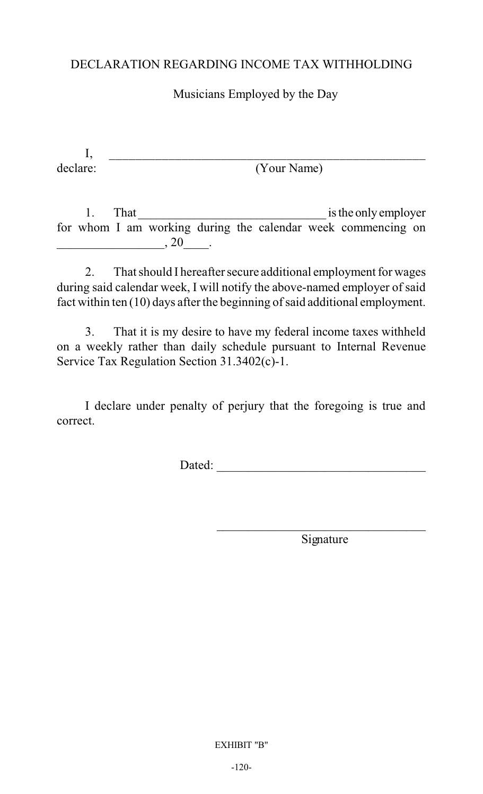## DECLARATION REGARDING INCOME TAX WITHHOLDING

## Musicians Employed by the Day

I, \_\_\_\_\_\_\_\_\_\_\_\_\_\_\_\_\_\_\_\_\_\_\_\_\_\_\_\_\_\_\_\_\_\_\_\_\_\_\_\_\_\_\_\_\_\_\_\_ declare: (Your Name)

1. That \_\_\_\_\_\_\_\_\_\_\_\_\_\_\_\_\_\_\_\_\_\_\_\_\_\_\_\_\_\_ is the only employer for whom I am working during the calendar week commencing on  $\overline{\phantom{a}}$ , 20 $\overline{\phantom{a}}$ .

2. That should I hereafter secure additional employment for wages during said calendar week, I will notify the above-named employer of said fact within ten (10) days after the beginning of said additional employment.

3. That it is my desire to have my federal income taxes withheld on a weekly rather than daily schedule pursuant to Internal Revenue Service Tax Regulation Section 31.3402(c)-1.

I declare under penalty of perjury that the foregoing is true and correct.

Dated: \_\_\_\_\_\_\_\_\_\_\_\_\_\_\_\_\_\_\_\_\_\_\_\_\_\_\_\_\_\_\_\_\_

 $\overline{\phantom{a}}$  ,  $\overline{\phantom{a}}$  ,  $\overline{\phantom{a}}$  ,  $\overline{\phantom{a}}$  ,  $\overline{\phantom{a}}$  ,  $\overline{\phantom{a}}$  ,  $\overline{\phantom{a}}$  ,  $\overline{\phantom{a}}$  ,  $\overline{\phantom{a}}$  ,  $\overline{\phantom{a}}$  ,  $\overline{\phantom{a}}$  ,  $\overline{\phantom{a}}$  ,  $\overline{\phantom{a}}$  ,  $\overline{\phantom{a}}$  ,  $\overline{\phantom{a}}$  ,  $\overline{\phantom{a}}$ 

Signature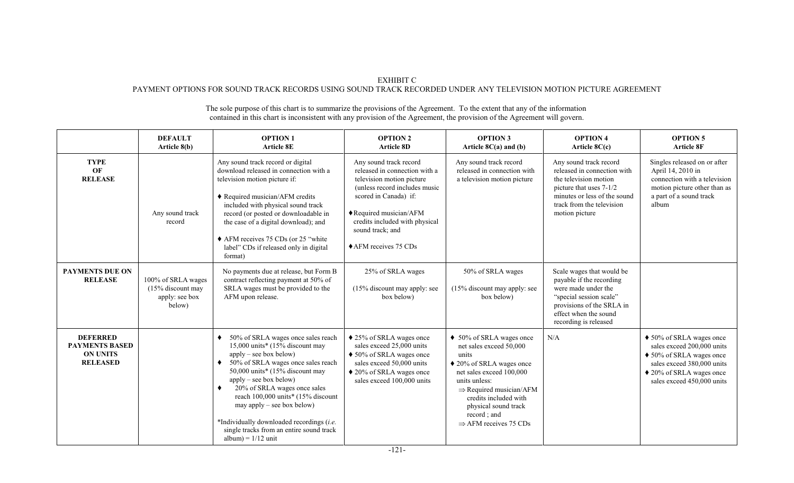#### EXHIBIT C PAYMENT OPTIONS FOR SOUND TRACK RECORDS USING SOUND TRACK RECORDED UNDER ANY TELEVISION MOTION PICTURE AGREEMENT

|                                                                                | <b>DEFAULT</b><br>Article 8(b)                                         | <b>OPTION 1</b><br><b>Article 8E</b>                                                                                                                                                                                                                                                                                                                                                                                                                                 | <b>OPTION 2</b><br><b>Article 8D</b>                                                                                                                                                                                                                     | <b>OPTION 3</b><br>Article $8C(a)$ and (b)                                                                                                                                                                                                                                        | <b>OPTION 4</b><br>Article 8C(c)                                                                                                                                                         | <b>OPTION 5</b><br><b>Article 8F</b>                                                                                                                                       |
|--------------------------------------------------------------------------------|------------------------------------------------------------------------|----------------------------------------------------------------------------------------------------------------------------------------------------------------------------------------------------------------------------------------------------------------------------------------------------------------------------------------------------------------------------------------------------------------------------------------------------------------------|----------------------------------------------------------------------------------------------------------------------------------------------------------------------------------------------------------------------------------------------------------|-----------------------------------------------------------------------------------------------------------------------------------------------------------------------------------------------------------------------------------------------------------------------------------|------------------------------------------------------------------------------------------------------------------------------------------------------------------------------------------|----------------------------------------------------------------------------------------------------------------------------------------------------------------------------|
| <b>TYPE</b><br>OF<br><b>RELEASE</b>                                            | Any sound track<br>record                                              | Any sound track record or digital<br>download released in connection with a<br>television motion picture if:<br>♦ Required musician/AFM credits<br>included with physical sound track<br>record (or posted or downloadable in<br>the case of a digital download); and<br>♦ AFM receives 75 CDs (or 25 "white<br>label" CDs if released only in digital<br>format)                                                                                                    | Any sound track record<br>released in connection with a<br>television motion picture<br>(unless record includes music<br>scored in Canada) if:<br>◆ Required musician/AFM<br>credits included with physical<br>sound track; and<br>◆ AFM receives 75 CDs | Any sound track record<br>released in connection with<br>a television motion picture                                                                                                                                                                                              | Any sound track record<br>released in connection with<br>the television motion<br>picture that uses 7-1/2<br>minutes or less of the sound<br>track from the television<br>motion picture | Singles released on or after<br>April 14, 2010 in<br>connection with a television<br>motion picture other than as<br>a part of a sound track<br>album                      |
| <b>PAYMENTS DUE ON</b><br><b>RELEASE</b>                                       | 100% of SRLA wages<br>$(15\%$ discount may<br>apply: see box<br>below) | No payments due at release, but Form B<br>contract reflecting payment at 50% of<br>SRLA wages must be provided to the<br>AFM upon release.                                                                                                                                                                                                                                                                                                                           | 25% of SRLA wages<br>(15% discount may apply: see<br>box below)                                                                                                                                                                                          | 50% of SRLA wages<br>(15% discount may apply: see<br>box below)                                                                                                                                                                                                                   | Scale wages that would be<br>payable if the recording<br>were made under the<br>"special session scale"<br>provisions of the SRLA in<br>effect when the sound<br>recording is released   |                                                                                                                                                                            |
| <b>DEFERRED</b><br><b>PAYMENTS BASED</b><br><b>ON UNITS</b><br><b>RELEASED</b> |                                                                        | 50% of SRLA wages once sales reach<br>$\bullet$<br>15,000 units* (15% discount may<br>$apply - see box below)$<br>50% of SRLA wages once sales reach<br>$\bullet$<br>50,000 units* (15% discount may<br>$apply - see box below)$<br>20% of SRLA wages once sales<br>$\bullet$<br>reach 100,000 units* (15% discount<br>may apply $-$ see box below)<br>*Individually downloaded recordings (i.e.<br>single tracks from an entire sound track<br>album) = $1/12$ unit | ♦ 25% of SRLA wages once<br>sales exceed 25,000 units<br>♦ 50% of SRLA wages once<br>sales exceed 50,000 units<br>♦ 20% of SRLA wages once<br>sales exceed 100,000 units                                                                                 | ♦ 50% of SRLA wages once<br>net sales exceed 50,000<br>units<br>♦ 20% of SRLA wages once<br>net sales exceed 100,000<br>units unless:<br>$\Rightarrow$ Required musician/AFM<br>credits included with<br>physical sound track<br>record; and<br>$\Rightarrow$ AFM receives 75 CDs | N/A                                                                                                                                                                                      | ♦ 50% of SRLA wages once<br>sales exceed 200,000 units<br>♦ 50% of SRLA wages once<br>sales exceed 380,000 units<br>♦ 20% of SRLA wages once<br>sales exceed 450,000 units |

The sole purpose of this chart is to summarize the provisions of the Agreement. To the extent that any of the information contained in this chart is inconsistent with any provision of the Agreement, the provision of the Agreement will govern.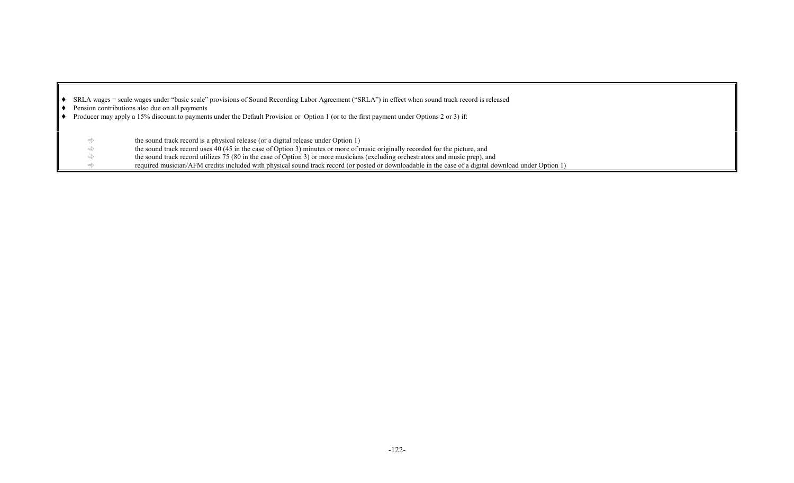|  | SRLA wages = scale wages under "basic scale" provisions of Sound Recording Labor Agreement ("SRLA") in effect when sound track record is released<br>Pension contributions also due on all payments<br>Producer may apply a 15% discount to payments under the Default Provision or Option 1 (or to the first payment under Options 2 or 3) if: |
|--|-------------------------------------------------------------------------------------------------------------------------------------------------------------------------------------------------------------------------------------------------------------------------------------------------------------------------------------------------|
|  | the sound track record is a physical release (or a digital release under Option 1)                                                                                                                                                                                                                                                              |
|  | the sound track record uses 40 (45 in the case of Option 3) minutes or more of music originally recorded for the picture, and                                                                                                                                                                                                                   |
|  | the sound track record utilizes 75 (80 in the case of Option 3) or more musicians (excluding orchestrators and music prep), and                                                                                                                                                                                                                 |
|  | required musician/AFM credits included with physical sound track record (or posted or downloadable in the case of a digital download under Option 1)                                                                                                                                                                                            |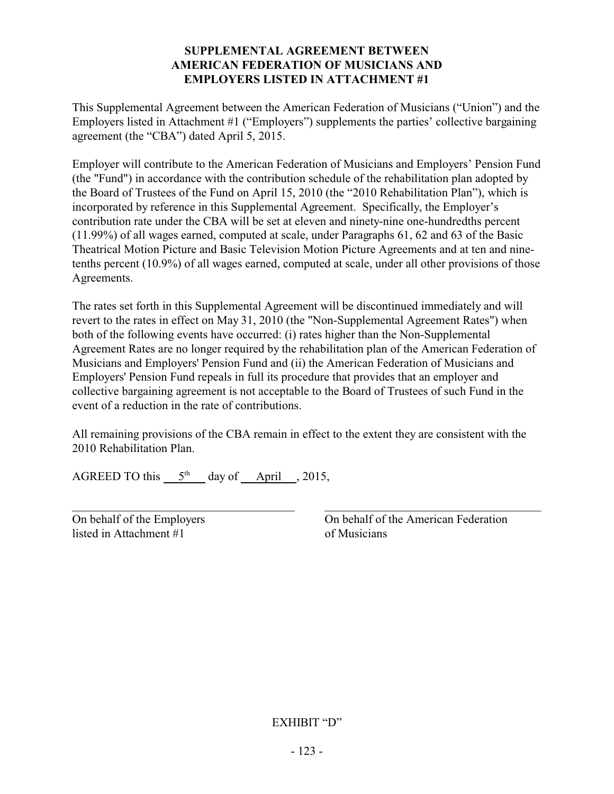#### **SUPPLEMENTAL AGREEMENT BETWEEN AMERICAN FEDERATION OF MUSICIANS AND EMPLOYERS LISTED IN ATTACHMENT #1**

This Supplemental Agreement between the American Federation of Musicians ("Union") and the Employers listed in Attachment #1 ("Employers") supplements the parties' collective bargaining agreement (the "CBA") dated April 5, 2015.

Employer will contribute to the American Federation of Musicians and Employers' Pension Fund (the "Fund") in accordance with the contribution schedule of the rehabilitation plan adopted by the Board of Trustees of the Fund on April 15, 2010 (the "2010 Rehabilitation Plan"), which is incorporated by reference in this Supplemental Agreement. Specifically, the Employer's contribution rate under the CBA will be set at eleven and ninety-nine one-hundredths percent (11.99%) of all wages earned, computed at scale, under Paragraphs 61, 62 and 63 of the Basic Theatrical Motion Picture and Basic Television Motion Picture Agreements and at ten and ninetenths percent (10.9%) of all wages earned, computed at scale, under all other provisions of those Agreements.

The rates set forth in this Supplemental Agreement will be discontinued immediately and will revert to the rates in effect on May 31, 2010 (the "Non-Supplemental Agreement Rates") when both of the following events have occurred: (i) rates higher than the Non-Supplemental Agreement Rates are no longer required by the rehabilitation plan of the American Federation of Musicians and Employers' Pension Fund and (ii) the American Federation of Musicians and Employers' Pension Fund repeals in full its procedure that provides that an employer and collective bargaining agreement is not acceptable to the Board of Trustees of such Fund in the event of a reduction in the rate of contributions.

All remaining provisions of the CBA remain in effect to the extent they are consistent with the 2010 Rehabilitation Plan.

\_\_\_\_\_\_\_\_\_\_\_\_\_\_\_\_\_\_\_\_\_\_\_\_\_\_\_\_\_\_\_\_\_\_\_\_\_ \_\_\_\_\_\_\_\_\_\_\_\_\_\_\_\_\_\_\_\_\_\_\_\_\_\_\_\_\_\_\_\_\_\_\_\_

AGREED TO this  $5<sup>th</sup>$  day of April , 2015,

listed in Attachment #1 of Musicians

On behalf of the Employers On behalf of the American Federation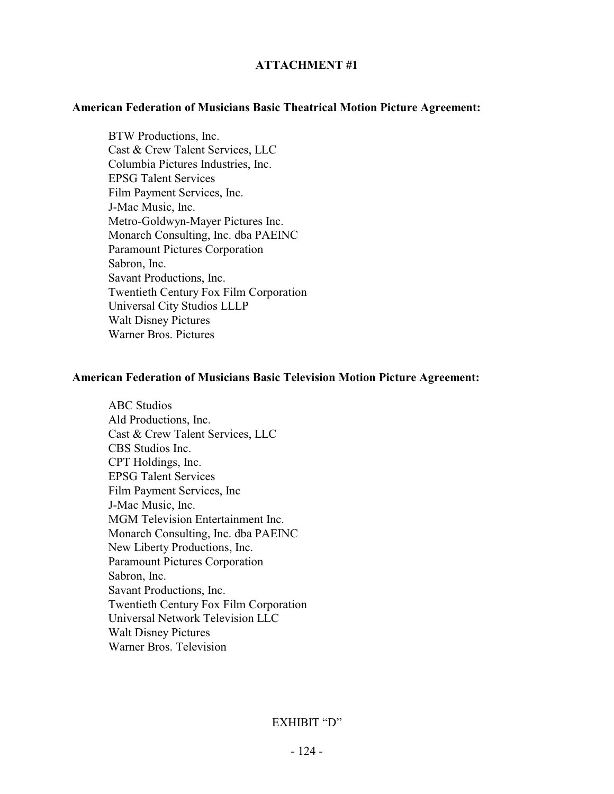#### **ATTACHMENT #1**

#### **American Federation of Musicians Basic Theatrical Motion Picture Agreement:**

BTW Productions, Inc. Cast & Crew Talent Services, LLC Columbia Pictures Industries, Inc. EPSG Talent Services Film Payment Services, Inc. J-Mac Music, Inc. Metro-Goldwyn-Mayer Pictures Inc. Monarch Consulting, Inc. dba PAEINC Paramount Pictures Corporation Sabron, Inc. Savant Productions, Inc. Twentieth Century Fox Film Corporation Universal City Studios LLLP Walt Disney Pictures Warner Bros. Pictures

#### **American Federation of Musicians Basic Television Motion Picture Agreement:**

ABC Studios Ald Productions, Inc. Cast & Crew Talent Services, LLC CBS Studios Inc. CPT Holdings, Inc. EPSG Talent Services Film Payment Services, Inc J-Mac Music, Inc. MGM Television Entertainment Inc. Monarch Consulting, Inc. dba PAEINC New Liberty Productions, Inc. Paramount Pictures Corporation Sabron, Inc. Savant Productions, Inc. Twentieth Century Fox Film Corporation Universal Network Television LLC Walt Disney Pictures Warner Bros. Television

#### EXHIBIT "D"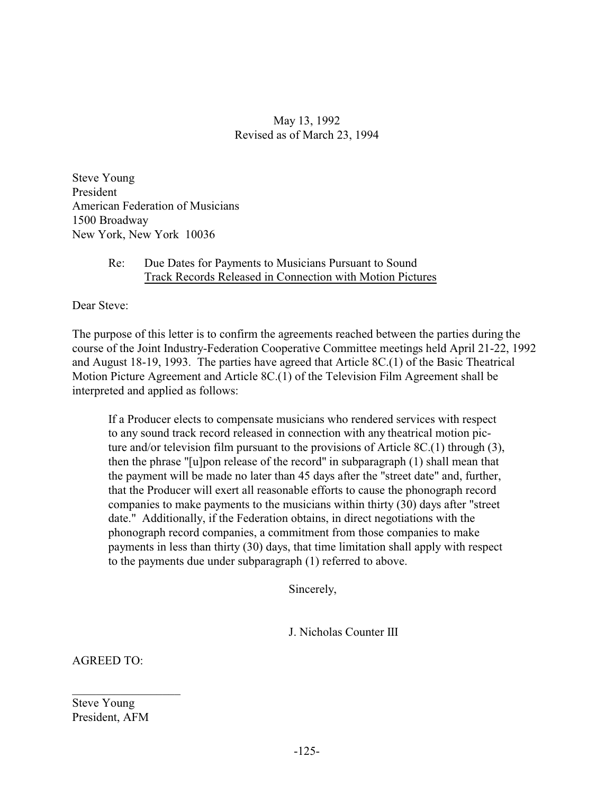#### May 13, 1992 Revised as of March 23, 1994

Steve Young President American Federation of Musicians 1500 Broadway New York, New York 10036

#### Re: Due Dates for Payments to Musicians Pursuant to Sound Track Records Released in Connection with Motion Pictures

Dear Steve:

The purpose of this letter is to confirm the agreements reached between the parties during the course of the Joint Industry-Federation Cooperative Committee meetings held April 21-22, 1992 and August 18-19, 1993. The parties have agreed that Article 8C.(1) of the Basic Theatrical Motion Picture Agreement and Article 8C.(1) of the Television Film Agreement shall be interpreted and applied as follows:

If a Producer elects to compensate musicians who rendered services with respect to any sound track record released in connection with any theatrical motion picture and/or television film pursuant to the provisions of Article 8C.(1) through (3), then the phrase "[u]pon release of the record" in subparagraph (1) shall mean that the payment will be made no later than 45 days after the "street date" and, further, that the Producer will exert all reasonable efforts to cause the phonograph record companies to make payments to the musicians within thirty (30) days after "street date." Additionally, if the Federation obtains, in direct negotiations with the phonograph record companies, a commitment from those companies to make payments in less than thirty (30) days, that time limitation shall apply with respect to the payments due under subparagraph (1) referred to above.

Sincerely,

J. Nicholas Counter III

AGREED TO:

Steve Young President, AFM

 $\overline{\phantom{a}}$  , which is a set of the set of the set of the set of the set of the set of the set of the set of the set of the set of the set of the set of the set of the set of the set of the set of the set of the set of th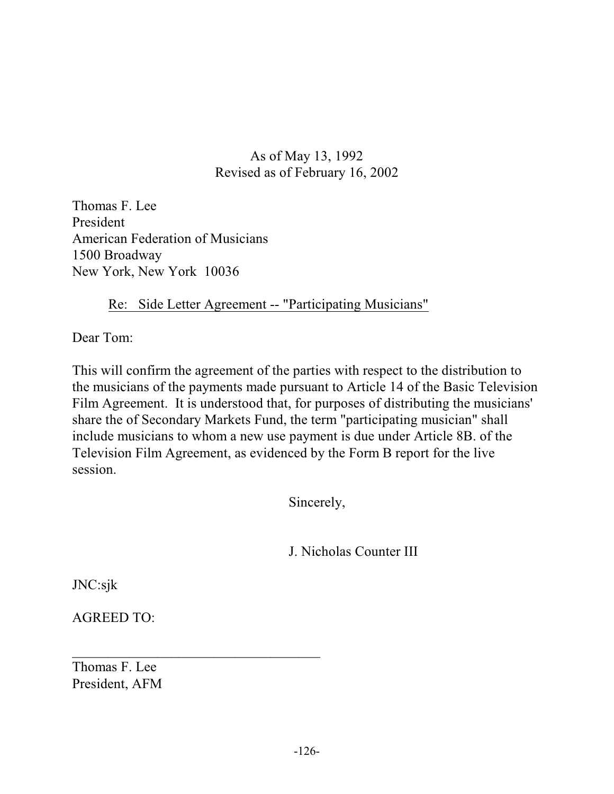### As of May 13, 1992 Revised as of February 16, 2002

Thomas F. Lee President American Federation of Musicians 1500 Broadway New York, New York 10036

### Re: Side Letter Agreement -- "Participating Musicians"

Dear Tom:

This will confirm the agreement of the parties with respect to the distribution to the musicians of the payments made pursuant to Article 14 of the Basic Television Film Agreement. It is understood that, for purposes of distributing the musicians' share the of Secondary Markets Fund, the term "participating musician" shall include musicians to whom a new use payment is due under Article 8B. of the Television Film Agreement, as evidenced by the Form B report for the live session.

Sincerely,

J. Nicholas Counter III

JNC:sjk

AGREED TO:

Thomas F. Lee President, AFM

 $\mathcal{L}_\text{max}$  , where  $\mathcal{L}_\text{max}$  , we have the set of the set of the set of the set of the set of the set of the set of the set of the set of the set of the set of the set of the set of the set of the set of the set of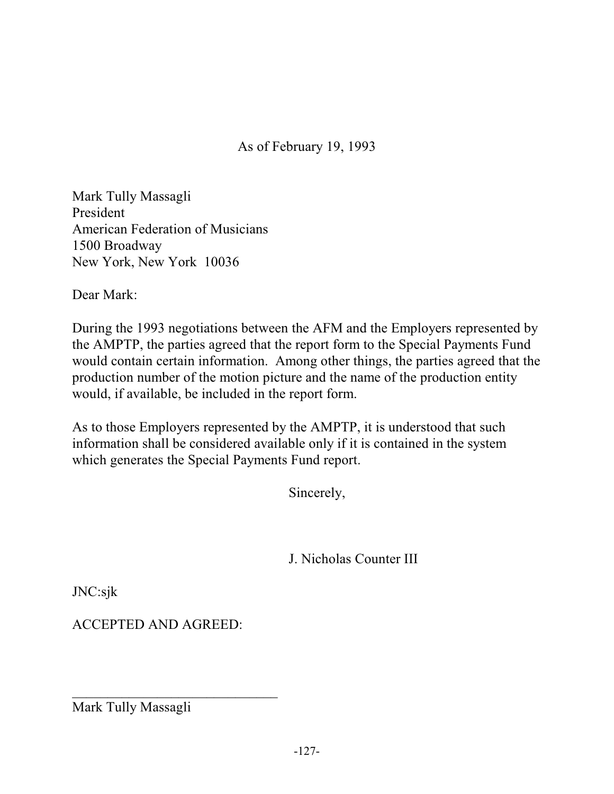As of February 19, 1993

Mark Tully Massagli President American Federation of Musicians 1500 Broadway New York, New York 10036

Dear Mark:

During the 1993 negotiations between the AFM and the Employers represented by the AMPTP, the parties agreed that the report form to the Special Payments Fund would contain certain information. Among other things, the parties agreed that the production number of the motion picture and the name of the production entity would, if available, be included in the report form.

As to those Employers represented by the AMPTP, it is understood that such information shall be considered available only if it is contained in the system which generates the Special Payments Fund report.

Sincerely,

J. Nicholas Counter III

JNC:sjk

ACCEPTED AND AGREED:

 $\mathcal{L}_\text{max}$  , where  $\mathcal{L}_\text{max}$  , we have the set of the set of the set of the set of the set of the set of the set of the set of the set of the set of the set of the set of the set of the set of the set of the set of

Mark Tully Massagli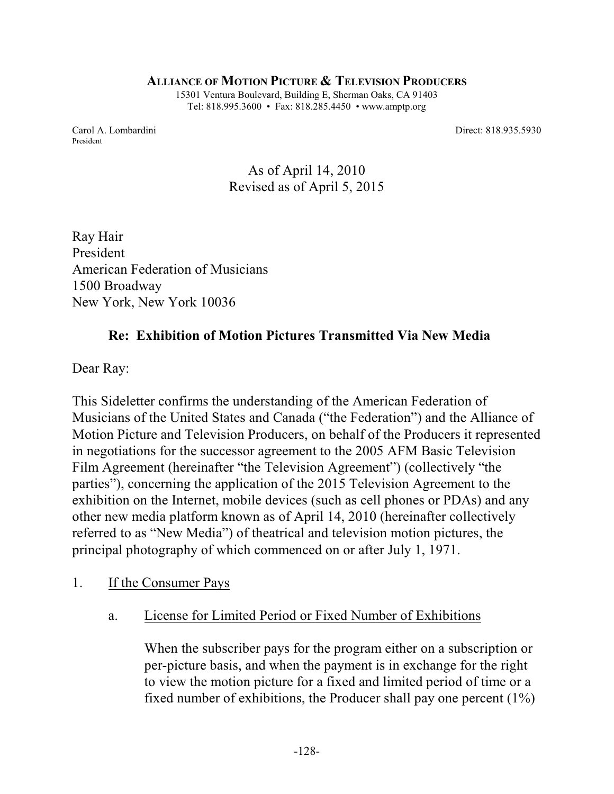**ALLIANCE OF MOTION PICTURE & TELEVISION PRODUCERS**

15301 Ventura Boulevard, Building E, Sherman Oaks, CA 91403 Tel: 818.995.3600 • Fax: 818.285.4450 • www.amptp.org

Carol A. Lombardini Direct: 818.935.5930 President

As of April 14, 2010 Revised as of April 5, 2015

Ray Hair President American Federation of Musicians 1500 Broadway New York, New York 10036

### **Re: Exhibition of Motion Pictures Transmitted Via New Media**

Dear Ray:

This Sideletter confirms the understanding of the American Federation of Musicians of the United States and Canada ("the Federation") and the Alliance of Motion Picture and Television Producers, on behalf of the Producers it represented in negotiations for the successor agreement to the 2005 AFM Basic Television Film Agreement (hereinafter "the Television Agreement") (collectively "the parties"), concerning the application of the 2015 Television Agreement to the exhibition on the Internet, mobile devices (such as cell phones or PDAs) and any other new media platform known as of April 14, 2010 (hereinafter collectively referred to as "New Media") of theatrical and television motion pictures, the principal photography of which commenced on or after July 1, 1971.

#### 1. If the Consumer Pays

a. License for Limited Period or Fixed Number of Exhibitions

When the subscriber pays for the program either on a subscription or per-picture basis, and when the payment is in exchange for the right to view the motion picture for a fixed and limited period of time or a fixed number of exhibitions, the Producer shall pay one percent (1%)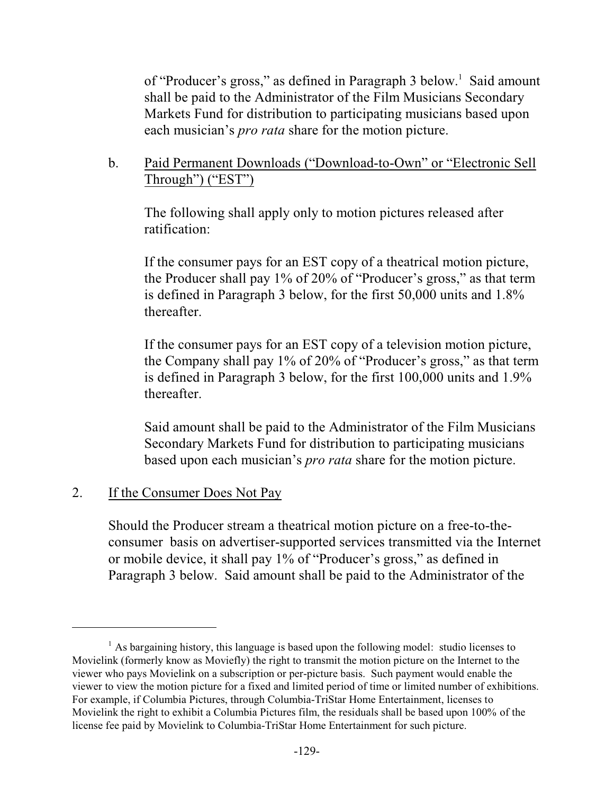of "Producer's gross," as defined in Paragraph 3 below.<sup>1</sup> Said amount shall be paid to the Administrator of the Film Musicians Secondary Markets Fund for distribution to participating musicians based upon each musician's *pro rata* share for the motion picture.

### b. Paid Permanent Downloads ("Download-to-Own" or "Electronic Sell Through") ("EST")

The following shall apply only to motion pictures released after ratification:

If the consumer pays for an EST copy of a theatrical motion picture, the Producer shall pay 1% of 20% of "Producer's gross," as that term is defined in Paragraph 3 below, for the first 50,000 units and 1.8% thereafter.

If the consumer pays for an EST copy of a television motion picture, the Company shall pay 1% of 20% of "Producer's gross," as that term is defined in Paragraph 3 below, for the first 100,000 units and 1.9% thereafter.

Said amount shall be paid to the Administrator of the Film Musicians Secondary Markets Fund for distribution to participating musicians based upon each musician's *pro rata* share for the motion picture.

### 2. If the Consumer Does Not Pay

Should the Producer stream a theatrical motion picture on a free-to-theconsumer basis on advertiser-supported services transmitted via the Internet or mobile device, it shall pay 1% of "Producer's gross," as defined in Paragraph 3 below. Said amount shall be paid to the Administrator of the

 $<sup>1</sup>$  As bargaining history, this language is based upon the following model: studio licenses to</sup> Movielink (formerly know as Moviefly) the right to transmit the motion picture on the Internet to the viewer who pays Movielink on a subscription or per-picture basis. Such payment would enable the viewer to view the motion picture for a fixed and limited period of time or limited number of exhibitions. For example, if Columbia Pictures, through Columbia-TriStar Home Entertainment, licenses to Movielink the right to exhibit a Columbia Pictures film, the residuals shall be based upon 100% of the license fee paid by Movielink to Columbia-TriStar Home Entertainment for such picture.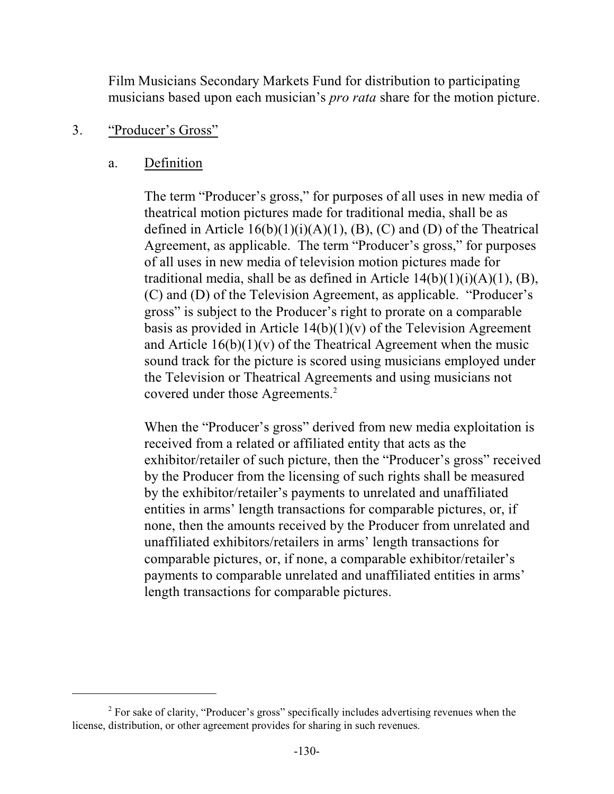Film Musicians Secondary Markets Fund for distribution to participating musicians based upon each musician's *pro rata* share for the motion picture.

#### 3. "Producer's Gross"

#### a. Definition

The term "Producer's gross," for purposes of all uses in new media of theatrical motion pictures made for traditional media, shall be as defined in Article  $16(b)(1)(i)(A)(1)$ , (B), (C) and (D) of the Theatrical Agreement, as applicable. The term "Producer's gross," for purposes of all uses in new media of television motion pictures made for traditional media, shall be as defined in Article  $14(b)(1)(i)(A)(1)$ , (B), (C) and (D) of the Television Agreement, as applicable. "Producer's gross" is subject to the Producer's right to prorate on a comparable basis as provided in Article  $14(b)(1)(v)$  of the Television Agreement and Article  $16(b)(1)(v)$  of the Theatrical Agreement when the music sound track for the picture is scored using musicians employed under the Television or Theatrical Agreements and using musicians not covered under those Agreements. 2

When the "Producer's gross" derived from new media exploitation is received from a related or affiliated entity that acts as the exhibitor/retailer of such picture, then the "Producer's gross" received by the Producer from the licensing of such rights shall be measured by the exhibitor/retailer's payments to unrelated and unaffiliated entities in arms' length transactions for comparable pictures, or, if none, then the amounts received by the Producer from unrelated and unaffiliated exhibitors/retailers in arms' length transactions for comparable pictures, or, if none, a comparable exhibitor/retailer's payments to comparable unrelated and unaffiliated entities in arms' length transactions for comparable pictures.

 $2^{2}$  For sake of clarity, "Producer's gross" specifically includes advertising revenues when the license, distribution, or other agreement provides for sharing in such revenues.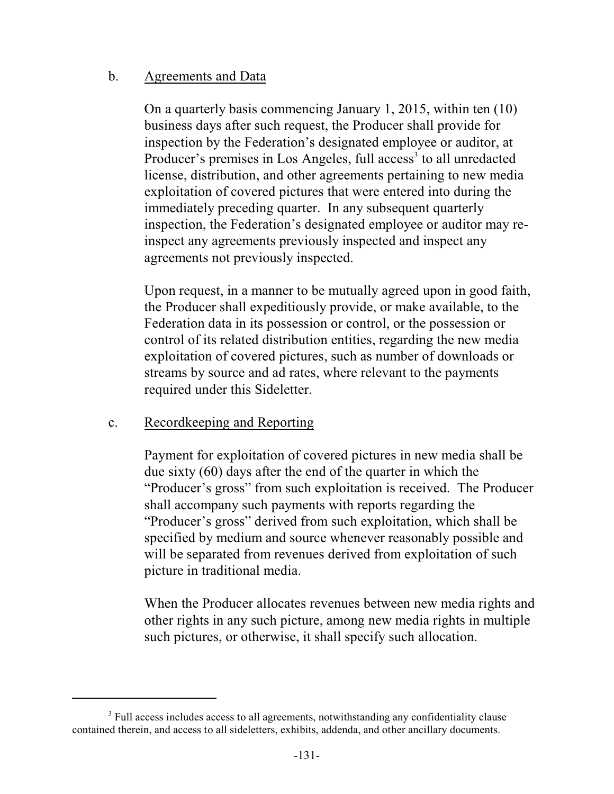#### b. Agreements and Data

On a quarterly basis commencing January 1, 2015, within ten (10) business days after such request, the Producer shall provide for inspection by the Federation's designated employee or auditor, at Producer's premises in Los Angeles, full access<sup>3</sup> to all unredacted license, distribution, and other agreements pertaining to new media exploitation of covered pictures that were entered into during the immediately preceding quarter. In any subsequent quarterly inspection, the Federation's designated employee or auditor may reinspect any agreements previously inspected and inspect any agreements not previously inspected.

Upon request, in a manner to be mutually agreed upon in good faith, the Producer shall expeditiously provide, or make available, to the Federation data in its possession or control, or the possession or control of its related distribution entities, regarding the new media exploitation of covered pictures, such as number of downloads or streams by source and ad rates, where relevant to the payments required under this Sideletter.

#### c. Recordkeeping and Reporting

Payment for exploitation of covered pictures in new media shall be due sixty (60) days after the end of the quarter in which the "Producer's gross" from such exploitation is received. The Producer shall accompany such payments with reports regarding the "Producer's gross" derived from such exploitation, which shall be specified by medium and source whenever reasonably possible and will be separated from revenues derived from exploitation of such picture in traditional media.

When the Producer allocates revenues between new media rights and other rights in any such picture, among new media rights in multiple such pictures, or otherwise, it shall specify such allocation.

<sup>&</sup>lt;sup>3</sup> Full access includes access to all agreements, notwithstanding any confidentiality clause contained therein, and access to all sideletters, exhibits, addenda, and other ancillary documents.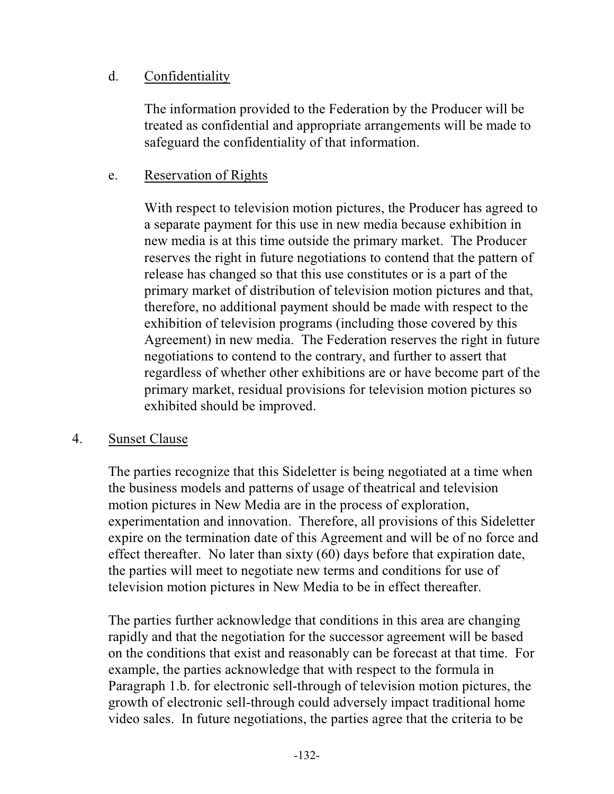### d. Confidentiality

The information provided to the Federation by the Producer will be treated as confidential and appropriate arrangements will be made to safeguard the confidentiality of that information.

### e. Reservation of Rights

With respect to television motion pictures, the Producer has agreed to a separate payment for this use in new media because exhibition in new media is at this time outside the primary market. The Producer reserves the right in future negotiations to contend that the pattern of release has changed so that this use constitutes or is a part of the primary market of distribution of television motion pictures and that, therefore, no additional payment should be made with respect to the exhibition of television programs (including those covered by this Agreement) in new media. The Federation reserves the right in future negotiations to contend to the contrary, and further to assert that regardless of whether other exhibitions are or have become part of the primary market, residual provisions for television motion pictures so exhibited should be improved.

#### 4. Sunset Clause

The parties recognize that this Sideletter is being negotiated at a time when the business models and patterns of usage of theatrical and television motion pictures in New Media are in the process of exploration, experimentation and innovation. Therefore, all provisions of this Sideletter expire on the termination date of this Agreement and will be of no force and effect thereafter. No later than sixty (60) days before that expiration date, the parties will meet to negotiate new terms and conditions for use of television motion pictures in New Media to be in effect thereafter.

The parties further acknowledge that conditions in this area are changing rapidly and that the negotiation for the successor agreement will be based on the conditions that exist and reasonably can be forecast at that time. For example, the parties acknowledge that with respect to the formula in Paragraph 1.b. for electronic sell-through of television motion pictures, the growth of electronic sell-through could adversely impact traditional home video sales. In future negotiations, the parties agree that the criteria to be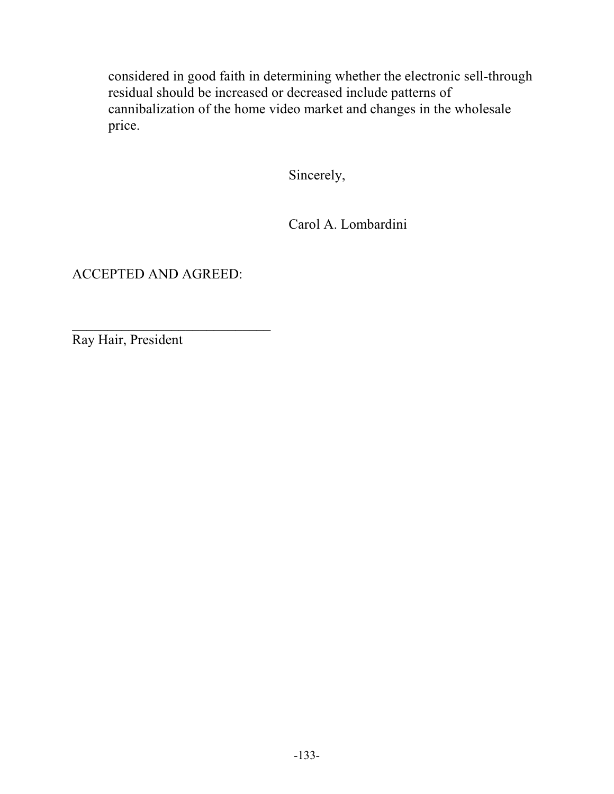considered in good faith in determining whether the electronic sell-through residual should be increased or decreased include patterns of cannibalization of the home video market and changes in the wholesale price.

Sincerely,

Carol A. Lombardini

ACCEPTED AND AGREED:

 $\overline{\phantom{a}}$  , which is a set of the set of the set of the set of the set of the set of the set of the set of the set of the set of the set of the set of the set of the set of the set of the set of the set of the set of th Ray Hair, President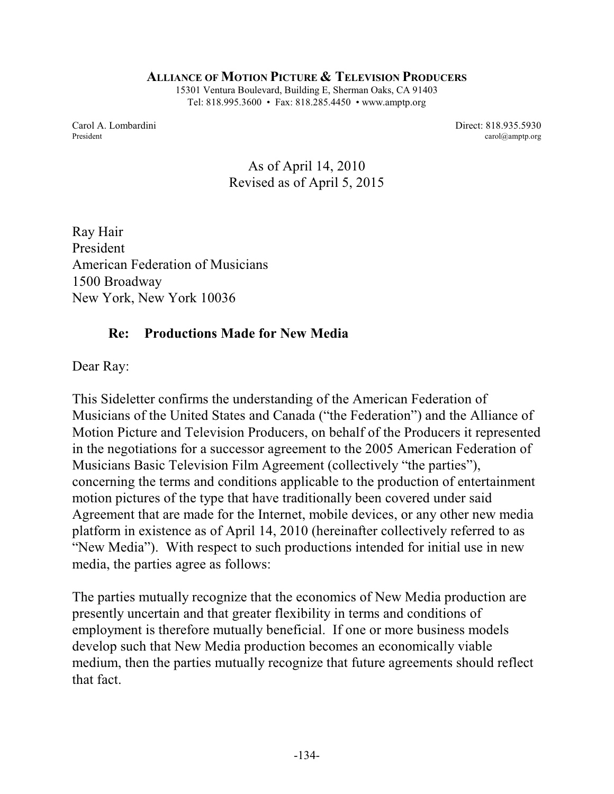#### **ALLIANCE OF MOTION PICTURE & TELEVISION PRODUCERS**

15301 Ventura Boulevard, Building E, Sherman Oaks, CA 91403 Tel: 818.995.3600 • Fax: 818.285.4450 • www.amptp.org

Carol A. Lombardini Direct: 818.935.5930 President carol@amptp.org carol@amptp.org

> As of April 14, 2010 Revised as of April 5, 2015

Ray Hair President American Federation of Musicians 1500 Broadway New York, New York 10036

#### **Re: Productions Made for New Media**

Dear Ray:

This Sideletter confirms the understanding of the American Federation of Musicians of the United States and Canada ("the Federation") and the Alliance of Motion Picture and Television Producers, on behalf of the Producers it represented in the negotiations for a successor agreement to the 2005 American Federation of Musicians Basic Television Film Agreement (collectively "the parties"), concerning the terms and conditions applicable to the production of entertainment motion pictures of the type that have traditionally been covered under said Agreement that are made for the Internet, mobile devices, or any other new media platform in existence as of April 14, 2010 (hereinafter collectively referred to as "New Media"). With respect to such productions intended for initial use in new media, the parties agree as follows:

The parties mutually recognize that the economics of New Media production are presently uncertain and that greater flexibility in terms and conditions of employment is therefore mutually beneficial. If one or more business models develop such that New Media production becomes an economically viable medium, then the parties mutually recognize that future agreements should reflect that fact.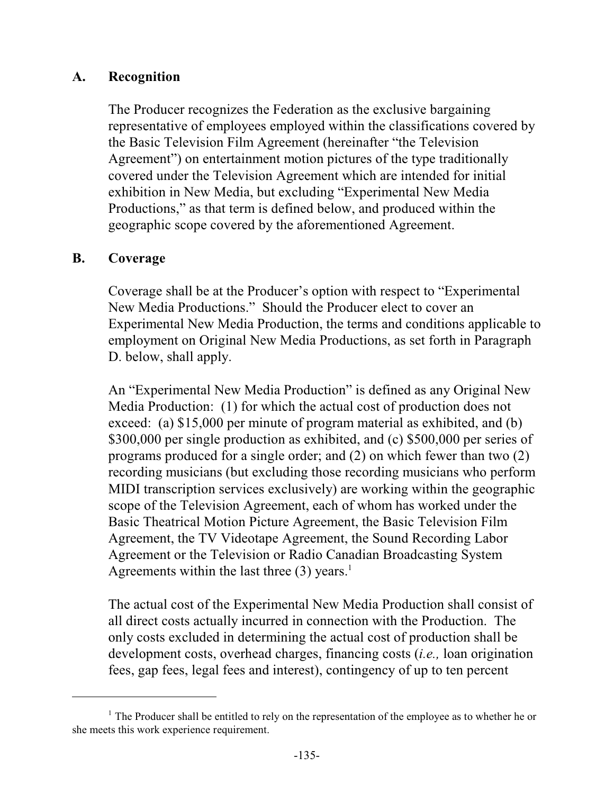#### **A. Recognition**

The Producer recognizes the Federation as the exclusive bargaining representative of employees employed within the classifications covered by the Basic Television Film Agreement (hereinafter "the Television Agreement") on entertainment motion pictures of the type traditionally covered under the Television Agreement which are intended for initial exhibition in New Media, but excluding "Experimental New Media Productions," as that term is defined below, and produced within the geographic scope covered by the aforementioned Agreement.

#### **B. Coverage**

Coverage shall be at the Producer's option with respect to "Experimental New Media Productions." Should the Producer elect to cover an Experimental New Media Production, the terms and conditions applicable to employment on Original New Media Productions, as set forth in Paragraph D. below, shall apply.

An "Experimental New Media Production" is defined as any Original New Media Production: (1) for which the actual cost of production does not exceed: (a) \$15,000 per minute of program material as exhibited, and (b) \$300,000 per single production as exhibited, and (c) \$500,000 per series of programs produced for a single order; and (2) on which fewer than two (2) recording musicians (but excluding those recording musicians who perform MIDI transcription services exclusively) are working within the geographic scope of the Television Agreement, each of whom has worked under the Basic Theatrical Motion Picture Agreement, the Basic Television Film Agreement, the TV Videotape Agreement, the Sound Recording Labor Agreement or the Television or Radio Canadian Broadcasting System Agreements within the last three  $(3)$  years.<sup>1</sup>

The actual cost of the Experimental New Media Production shall consist of all direct costs actually incurred in connection with the Production. The only costs excluded in determining the actual cost of production shall be development costs, overhead charges, financing costs (*i.e.,* loan origination fees, gap fees, legal fees and interest), contingency of up to ten percent

<sup>&</sup>lt;sup>1</sup> The Producer shall be entitled to rely on the representation of the employee as to whether he or she meets this work experience requirement.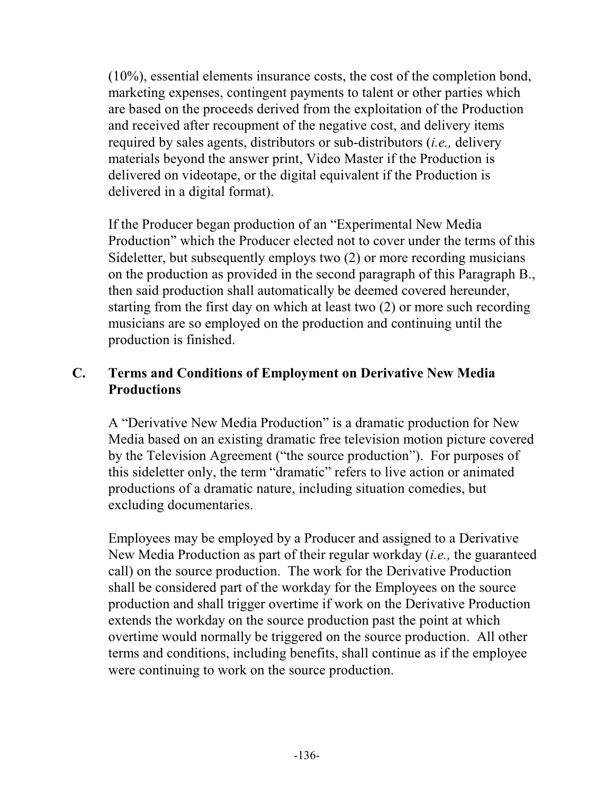(10%), essential elements insurance costs, the cost of the completion bond, marketing expenses, contingent payments to talent or other parties which are based on the proceeds derived from the exploitation of the Production and received after recoupment of the negative cost, and delivery items required by sales agents, distributors or sub-distributors (*i.e.,* delivery materials beyond the answer print, Video Master if the Production is delivered on videotape, or the digital equivalent if the Production is delivered in a digital format).

If the Producer began production of an "Experimental New Media Production" which the Producer elected not to cover under the terms of this Sideletter, but subsequently employs two (2) or more recording musicians on the production as provided in the second paragraph of this Paragraph B., then said production shall automatically be deemed covered hereunder, starting from the first day on which at least two (2) or more such recording musicians are so employed on the production and continuing until the production is finished.

### **C. Terms and Conditions of Employment on Derivative New Media Productions**

A "Derivative New Media Production" is a dramatic production for New Media based on an existing dramatic free television motion picture covered by the Television Agreement ("the source production"). For purposes of this sideletter only, the term "dramatic" refers to live action or animated productions of a dramatic nature, including situation comedies, but excluding documentaries.

Employees may be employed by a Producer and assigned to a Derivative New Media Production as part of their regular workday (*i.e.,* the guaranteed call) on the source production. The work for the Derivative Production shall be considered part of the workday for the Employees on the source production and shall trigger overtime if work on the Derivative Production extends the workday on the source production past the point at which overtime would normally be triggered on the source production. All other terms and conditions, including benefits, shall continue as if the employee were continuing to work on the source production.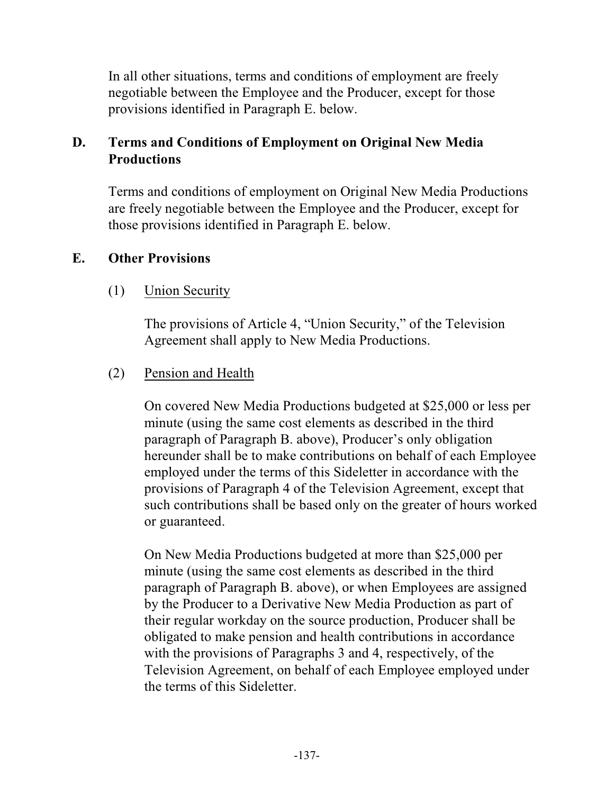In all other situations, terms and conditions of employment are freely negotiable between the Employee and the Producer, except for those provisions identified in Paragraph E. below.

### **D. Terms and Conditions of Employment on Original New Media Productions**

Terms and conditions of employment on Original New Media Productions are freely negotiable between the Employee and the Producer, except for those provisions identified in Paragraph E. below.

### **E. Other Provisions**

### (1) Union Security

The provisions of Article 4, "Union Security," of the Television Agreement shall apply to New Media Productions.

### (2) Pension and Health

On covered New Media Productions budgeted at \$25,000 or less per minute (using the same cost elements as described in the third paragraph of Paragraph B. above), Producer's only obligation hereunder shall be to make contributions on behalf of each Employee employed under the terms of this Sideletter in accordance with the provisions of Paragraph 4 of the Television Agreement, except that such contributions shall be based only on the greater of hours worked or guaranteed.

On New Media Productions budgeted at more than \$25,000 per minute (using the same cost elements as described in the third paragraph of Paragraph B. above), or when Employees are assigned by the Producer to a Derivative New Media Production as part of their regular workday on the source production, Producer shall be obligated to make pension and health contributions in accordance with the provisions of Paragraphs 3 and 4, respectively, of the Television Agreement, on behalf of each Employee employed under the terms of this Sideletter.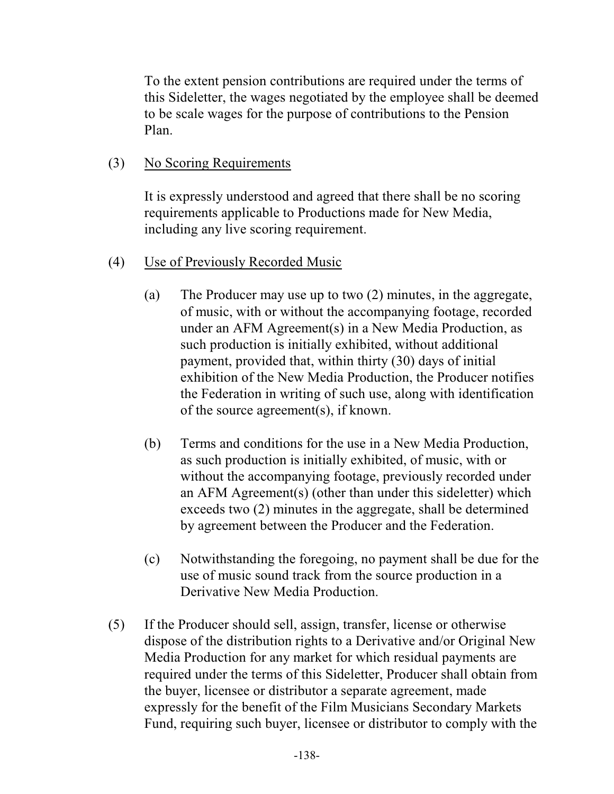To the extent pension contributions are required under the terms of this Sideletter, the wages negotiated by the employee shall be deemed to be scale wages for the purpose of contributions to the Pension Plan.

### (3) No Scoring Requirements

It is expressly understood and agreed that there shall be no scoring requirements applicable to Productions made for New Media, including any live scoring requirement.

- (4) Use of Previously Recorded Music
	- (a) The Producer may use up to two (2) minutes, in the aggregate, of music, with or without the accompanying footage, recorded under an AFM Agreement(s) in a New Media Production, as such production is initially exhibited, without additional payment, provided that, within thirty (30) days of initial exhibition of the New Media Production, the Producer notifies the Federation in writing of such use, along with identification of the source agreement(s), if known.
	- (b) Terms and conditions for the use in a New Media Production, as such production is initially exhibited, of music, with or without the accompanying footage, previously recorded under an AFM Agreement(s) (other than under this sideletter) which exceeds two (2) minutes in the aggregate, shall be determined by agreement between the Producer and the Federation.
	- (c) Notwithstanding the foregoing, no payment shall be due for the use of music sound track from the source production in a Derivative New Media Production.
- (5) If the Producer should sell, assign, transfer, license or otherwise dispose of the distribution rights to a Derivative and/or Original New Media Production for any market for which residual payments are required under the terms of this Sideletter, Producer shall obtain from the buyer, licensee or distributor a separate agreement, made expressly for the benefit of the Film Musicians Secondary Markets Fund, requiring such buyer, licensee or distributor to comply with the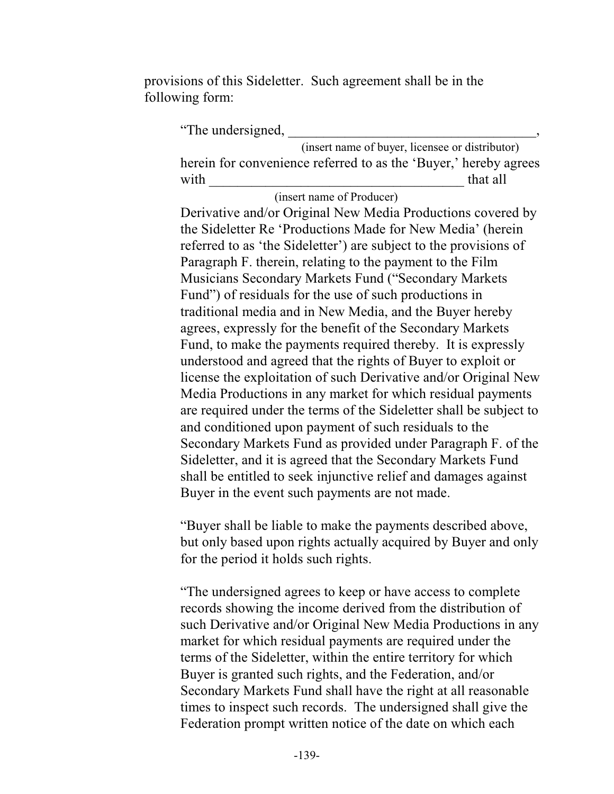provisions of this Sideletter. Such agreement shall be in the following form:

> "The undersigned, (insert name of buyer, licensee or distributor) herein for convenience referred to as the 'Buyer,' hereby agrees with that all

(insert name of Producer)

Derivative and/or Original New Media Productions covered by the Sideletter Re 'Productions Made for New Media' (herein referred to as 'the Sideletter') are subject to the provisions of Paragraph F. therein, relating to the payment to the Film Musicians Secondary Markets Fund ("Secondary Markets Fund") of residuals for the use of such productions in traditional media and in New Media, and the Buyer hereby agrees, expressly for the benefit of the Secondary Markets Fund, to make the payments required thereby. It is expressly understood and agreed that the rights of Buyer to exploit or license the exploitation of such Derivative and/or Original New Media Productions in any market for which residual payments are required under the terms of the Sideletter shall be subject to and conditioned upon payment of such residuals to the Secondary Markets Fund as provided under Paragraph F. of the Sideletter, and it is agreed that the Secondary Markets Fund shall be entitled to seek injunctive relief and damages against Buyer in the event such payments are not made.

"Buyer shall be liable to make the payments described above, but only based upon rights actually acquired by Buyer and only for the period it holds such rights.

"The undersigned agrees to keep or have access to complete records showing the income derived from the distribution of such Derivative and/or Original New Media Productions in any market for which residual payments are required under the terms of the Sideletter, within the entire territory for which Buyer is granted such rights, and the Federation, and/or Secondary Markets Fund shall have the right at all reasonable times to inspect such records. The undersigned shall give the Federation prompt written notice of the date on which each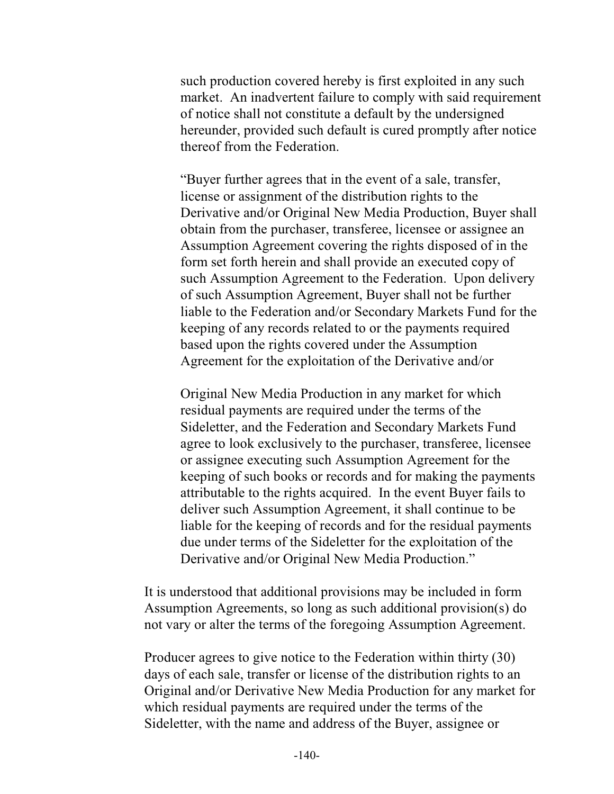such production covered hereby is first exploited in any such market. An inadvertent failure to comply with said requirement of notice shall not constitute a default by the undersigned hereunder, provided such default is cured promptly after notice thereof from the Federation.

"Buyer further agrees that in the event of a sale, transfer, license or assignment of the distribution rights to the Derivative and/or Original New Media Production, Buyer shall obtain from the purchaser, transferee, licensee or assignee an Assumption Agreement covering the rights disposed of in the form set forth herein and shall provide an executed copy of such Assumption Agreement to the Federation. Upon delivery of such Assumption Agreement, Buyer shall not be further liable to the Federation and/or Secondary Markets Fund for the keeping of any records related to or the payments required based upon the rights covered under the Assumption Agreement for the exploitation of the Derivative and/or

Original New Media Production in any market for which residual payments are required under the terms of the Sideletter, and the Federation and Secondary Markets Fund agree to look exclusively to the purchaser, transferee, licensee or assignee executing such Assumption Agreement for the keeping of such books or records and for making the payments attributable to the rights acquired. In the event Buyer fails to deliver such Assumption Agreement, it shall continue to be liable for the keeping of records and for the residual payments due under terms of the Sideletter for the exploitation of the Derivative and/or Original New Media Production."

It is understood that additional provisions may be included in form Assumption Agreements, so long as such additional provision(s) do not vary or alter the terms of the foregoing Assumption Agreement.

Producer agrees to give notice to the Federation within thirty (30) days of each sale, transfer or license of the distribution rights to an Original and/or Derivative New Media Production for any market for which residual payments are required under the terms of the Sideletter, with the name and address of the Buyer, assignee or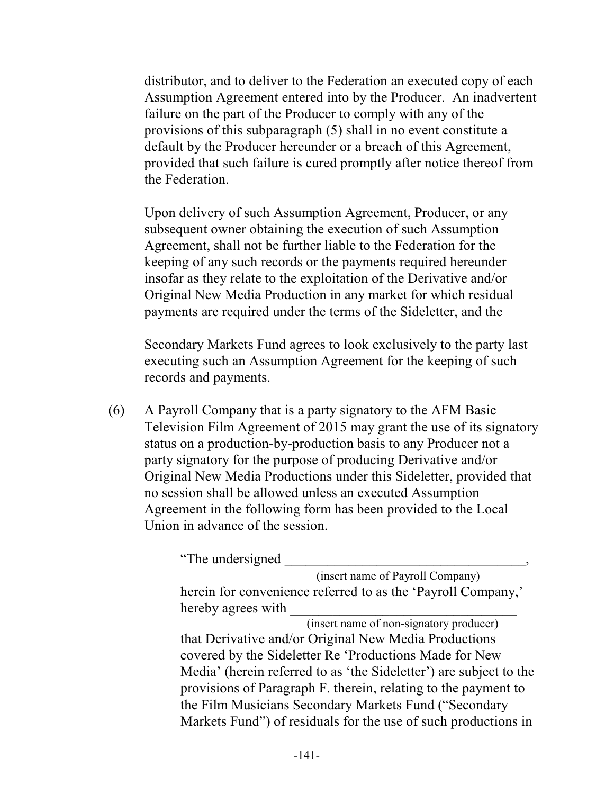distributor, and to deliver to the Federation an executed copy of each Assumption Agreement entered into by the Producer. An inadvertent failure on the part of the Producer to comply with any of the provisions of this subparagraph (5) shall in no event constitute a default by the Producer hereunder or a breach of this Agreement, provided that such failure is cured promptly after notice thereof from the Federation.

Upon delivery of such Assumption Agreement, Producer, or any subsequent owner obtaining the execution of such Assumption Agreement, shall not be further liable to the Federation for the keeping of any such records or the payments required hereunder insofar as they relate to the exploitation of the Derivative and/or Original New Media Production in any market for which residual payments are required under the terms of the Sideletter, and the

Secondary Markets Fund agrees to look exclusively to the party last executing such an Assumption Agreement for the keeping of such records and payments.

(6) A Payroll Company that is a party signatory to the AFM Basic Television Film Agreement of 2015 may grant the use of its signatory status on a production-by-production basis to any Producer not a party signatory for the purpose of producing Derivative and/or Original New Media Productions under this Sideletter, provided that no session shall be allowed unless an executed Assumption Agreement in the following form has been provided to the Local Union in advance of the session.

"The undersigned \_\_\_\_\_\_\_\_\_\_\_\_\_\_\_\_\_\_\_\_\_\_\_\_\_\_\_\_\_\_\_\_\_\_,

 (insert name of Payroll Company) herein for convenience referred to as the 'Payroll Company,' hereby agrees with

 (insert name of non-signatory producer) that Derivative and/or Original New Media Productions covered by the Sideletter Re 'Productions Made for New Media' (herein referred to as 'the Sideletter') are subject to the provisions of Paragraph F. therein, relating to the payment to the Film Musicians Secondary Markets Fund ("Secondary Markets Fund") of residuals for the use of such productions in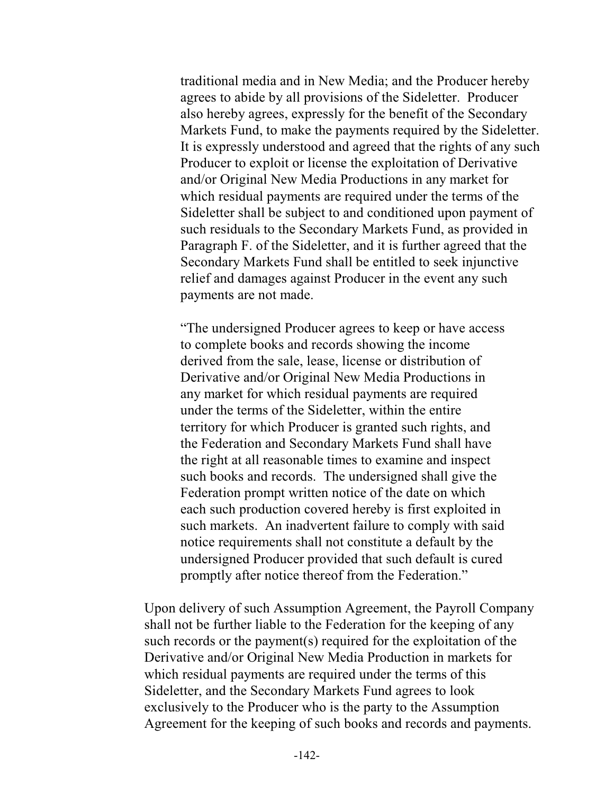traditional media and in New Media; and the Producer hereby agrees to abide by all provisions of the Sideletter. Producer also hereby agrees, expressly for the benefit of the Secondary Markets Fund, to make the payments required by the Sideletter. It is expressly understood and agreed that the rights of any such Producer to exploit or license the exploitation of Derivative and/or Original New Media Productions in any market for which residual payments are required under the terms of the Sideletter shall be subject to and conditioned upon payment of such residuals to the Secondary Markets Fund, as provided in Paragraph F. of the Sideletter, and it is further agreed that the Secondary Markets Fund shall be entitled to seek injunctive relief and damages against Producer in the event any such payments are not made.

"The undersigned Producer agrees to keep or have access to complete books and records showing the income derived from the sale, lease, license or distribution of Derivative and/or Original New Media Productions in any market for which residual payments are required under the terms of the Sideletter, within the entire territory for which Producer is granted such rights, and the Federation and Secondary Markets Fund shall have the right at all reasonable times to examine and inspect such books and records. The undersigned shall give the Federation prompt written notice of the date on which each such production covered hereby is first exploited in such markets. An inadvertent failure to comply with said notice requirements shall not constitute a default by the undersigned Producer provided that such default is cured promptly after notice thereof from the Federation."

Upon delivery of such Assumption Agreement, the Payroll Company shall not be further liable to the Federation for the keeping of any such records or the payment(s) required for the exploitation of the Derivative and/or Original New Media Production in markets for which residual payments are required under the terms of this Sideletter, and the Secondary Markets Fund agrees to look exclusively to the Producer who is the party to the Assumption Agreement for the keeping of such books and records and payments.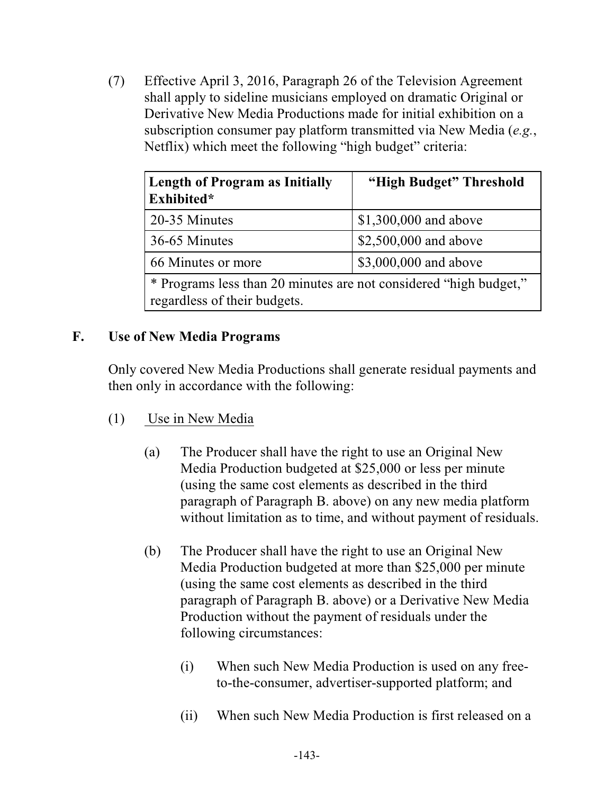(7) Effective April 3, 2016, Paragraph 26 of the Television Agreement shall apply to sideline musicians employed on dramatic Original or Derivative New Media Productions made for initial exhibition on a subscription consumer pay platform transmitted via New Media (*e.g.*, Netflix) which meet the following "high budget" criteria:

| <b>Length of Program as Initially</b><br>Exhibited*                                               | "High Budget" Threshold |
|---------------------------------------------------------------------------------------------------|-------------------------|
| 20-35 Minutes                                                                                     | \$1,300,000 and above   |
| 36-65 Minutes                                                                                     | \$2,500,000 and above   |
| 66 Minutes or more                                                                                | \$3,000,000 and above   |
| * Programs less than 20 minutes are not considered "high budget,"<br>regardless of their budgets. |                         |

#### **F. Use of New Media Programs**

Only covered New Media Productions shall generate residual payments and then only in accordance with the following:

- (1) Use in New Media
	- (a) The Producer shall have the right to use an Original New Media Production budgeted at \$25,000 or less per minute (using the same cost elements as described in the third paragraph of Paragraph B. above) on any new media platform without limitation as to time, and without payment of residuals.
	- (b) The Producer shall have the right to use an Original New Media Production budgeted at more than \$25,000 per minute (using the same cost elements as described in the third paragraph of Paragraph B. above) or a Derivative New Media Production without the payment of residuals under the following circumstances:
		- (i) When such New Media Production is used on any freeto-the-consumer, advertiser-supported platform; and
		- (ii) When such New Media Production is first released on a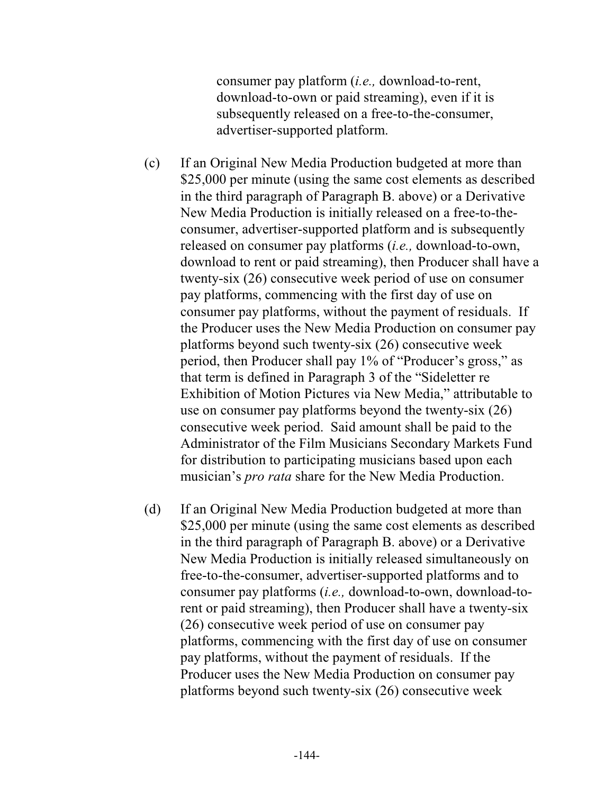consumer pay platform (*i.e.,* download-to-rent, download-to-own or paid streaming), even if it is subsequently released on a free-to-the-consumer, advertiser-supported platform.

- (c) If an Original New Media Production budgeted at more than \$25,000 per minute (using the same cost elements as described in the third paragraph of Paragraph B. above) or a Derivative New Media Production is initially released on a free-to-theconsumer, advertiser-supported platform and is subsequently released on consumer pay platforms (*i.e.,* download-to-own, download to rent or paid streaming), then Producer shall have a twenty-six (26) consecutive week period of use on consumer pay platforms, commencing with the first day of use on consumer pay platforms, without the payment of residuals. If the Producer uses the New Media Production on consumer pay platforms beyond such twenty-six (26) consecutive week period, then Producer shall pay 1% of "Producer's gross," as that term is defined in Paragraph 3 of the "Sideletter re Exhibition of Motion Pictures via New Media," attributable to use on consumer pay platforms beyond the twenty-six (26) consecutive week period. Said amount shall be paid to the Administrator of the Film Musicians Secondary Markets Fund for distribution to participating musicians based upon each musician's *pro rata* share for the New Media Production.
- (d) If an Original New Media Production budgeted at more than \$25,000 per minute (using the same cost elements as described in the third paragraph of Paragraph B. above) or a Derivative New Media Production is initially released simultaneously on free-to-the-consumer, advertiser-supported platforms and to consumer pay platforms (*i.e.,* download-to-own, download-torent or paid streaming), then Producer shall have a twenty-six (26) consecutive week period of use on consumer pay platforms, commencing with the first day of use on consumer pay platforms, without the payment of residuals. If the Producer uses the New Media Production on consumer pay platforms beyond such twenty-six (26) consecutive week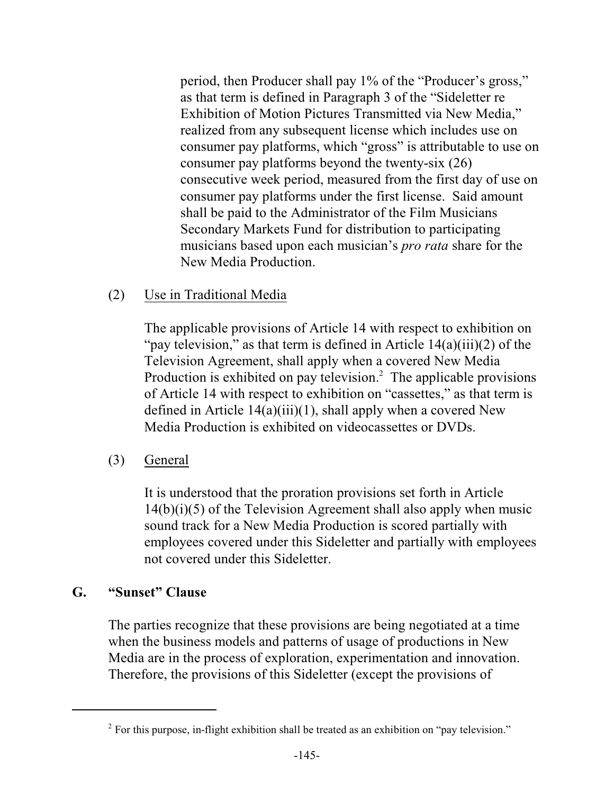period, then Producer shall pay 1% of the "Producer's gross," as that term is defined in Paragraph 3 of the "Sideletter re Exhibition of Motion Pictures Transmitted via New Media," realized from any subsequent license which includes use on consumer pay platforms, which "gross" is attributable to use on consumer pay platforms beyond the twenty-six (26) consecutive week period, measured from the first day of use on consumer pay platforms under the first license. Said amount shall be paid to the Administrator of the Film Musicians Secondary Markets Fund for distribution to participating musicians based upon each musician's *pro rata* share for the New Media Production.

# (2) Use in Traditional Media

The applicable provisions of Article 14 with respect to exhibition on "pay television," as that term is defined in Article  $14(a)(iii)(2)$  of the Television Agreement, shall apply when a covered New Media Production is exhibited on pay television.<sup>2</sup> The applicable provisions of Article 14 with respect to exhibition on "cassettes," as that term is defined in Article  $14(a)(iii)(1)$ , shall apply when a covered New Media Production is exhibited on videocassettes or DVDs.

# (3) General

It is understood that the proration provisions set forth in Article  $14(b)(i)(5)$  of the Television Agreement shall also apply when music sound track for a New Media Production is scored partially with employees covered under this Sideletter and partially with employees not covered under this Sideletter.

# **G. "Sunset" Clause**

The parties recognize that these provisions are being negotiated at a time when the business models and patterns of usage of productions in New Media are in the process of exploration, experimentation and innovation. Therefore, the provisions of this Sideletter (except the provisions of

 $2^2$  For this purpose, in-flight exhibition shall be treated as an exhibition on "pay television."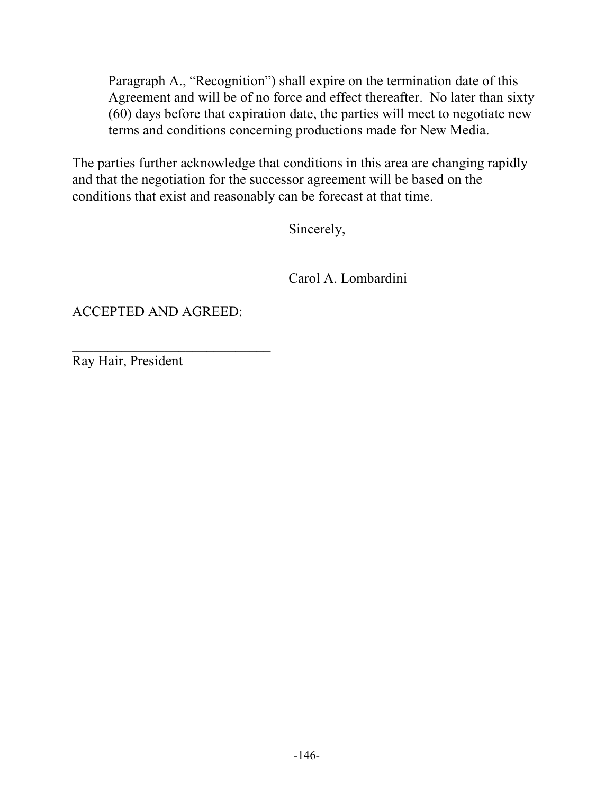Paragraph A., "Recognition") shall expire on the termination date of this Agreement and will be of no force and effect thereafter. No later than sixty (60) days before that expiration date, the parties will meet to negotiate new terms and conditions concerning productions made for New Media.

The parties further acknowledge that conditions in this area are changing rapidly and that the negotiation for the successor agreement will be based on the conditions that exist and reasonably can be forecast at that time.

Sincerely,

Carol A. Lombardini

ACCEPTED AND AGREED:

 $\overline{\phantom{a}}$  , which is a set of the set of the set of the set of the set of the set of the set of the set of the set of the set of the set of the set of the set of the set of the set of the set of the set of the set of th Ray Hair, President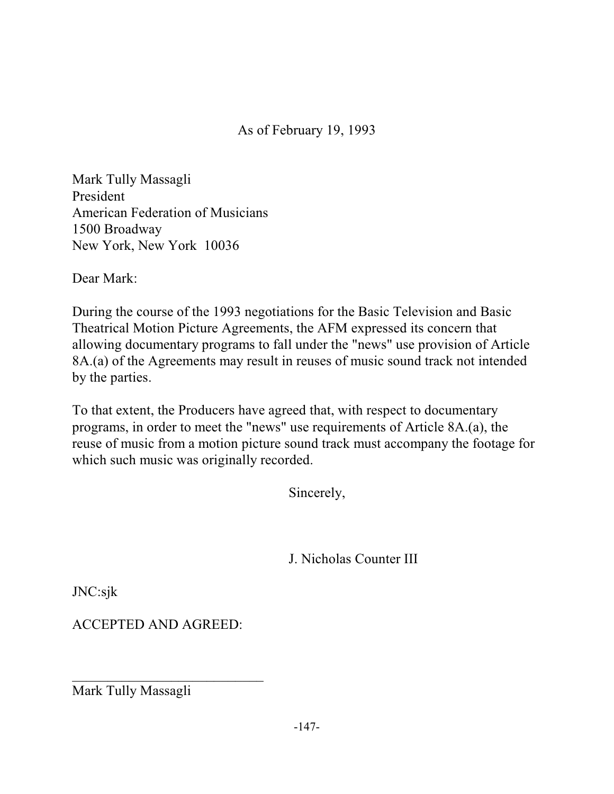As of February 19, 1993

Mark Tully Massagli President American Federation of Musicians 1500 Broadway New York, New York 10036

Dear Mark:

During the course of the 1993 negotiations for the Basic Television and Basic Theatrical Motion Picture Agreements, the AFM expressed its concern that allowing documentary programs to fall under the "news" use provision of Article 8A.(a) of the Agreements may result in reuses of music sound track not intended by the parties.

To that extent, the Producers have agreed that, with respect to documentary programs, in order to meet the "news" use requirements of Article 8A.(a), the reuse of music from a motion picture sound track must accompany the footage for which such music was originally recorded.

Sincerely,

J. Nicholas Counter III

JNC:sjk

ACCEPTED AND AGREED:

 $\mathcal{L}_\text{max}$  , where  $\mathcal{L}_\text{max}$  , we have the set of the set of the set of the set of the set of the set of the set of the set of the set of the set of the set of the set of the set of the set of the set of the set of Mark Tully Massagli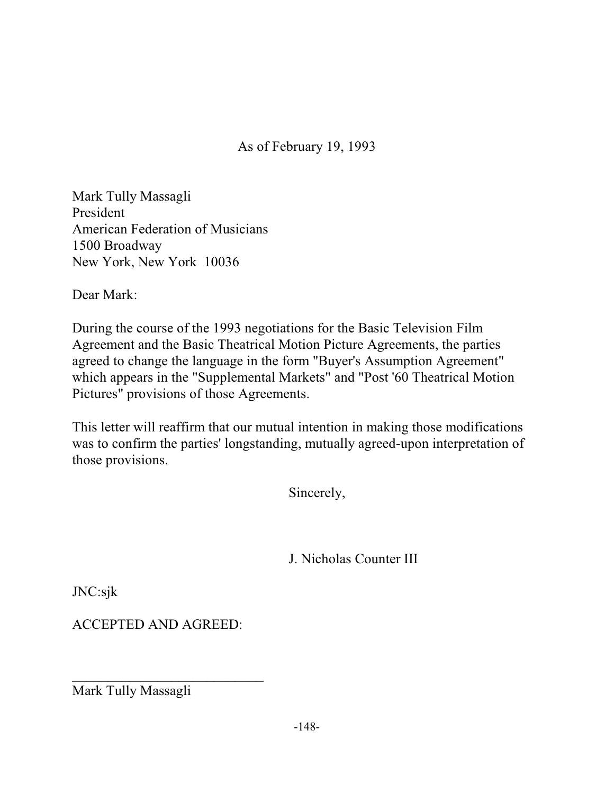As of February 19, 1993

Mark Tully Massagli President American Federation of Musicians 1500 Broadway New York, New York 10036

Dear Mark:

During the course of the 1993 negotiations for the Basic Television Film Agreement and the Basic Theatrical Motion Picture Agreements, the parties agreed to change the language in the form "Buyer's Assumption Agreement" which appears in the "Supplemental Markets" and "Post '60 Theatrical Motion Pictures" provisions of those Agreements.

This letter will reaffirm that our mutual intention in making those modifications was to confirm the parties' longstanding, mutually agreed-upon interpretation of those provisions.

Sincerely,

J. Nicholas Counter III

JNC:sjk

ACCEPTED AND AGREED:

 $\mathcal{L}_\text{max}$  , where  $\mathcal{L}_\text{max}$  , we have the set of the set of the set of the set of the set of the set of the set of the set of the set of the set of the set of the set of the set of the set of the set of the set of Mark Tully Massagli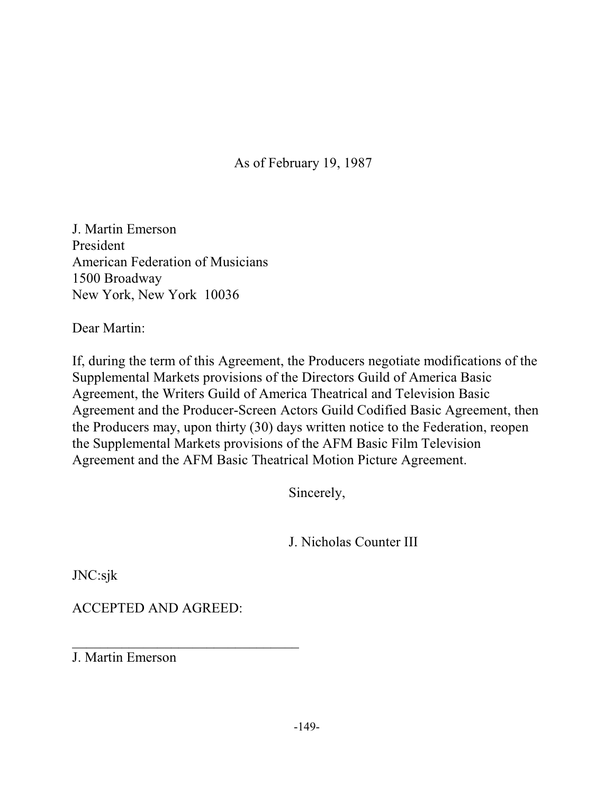As of February 19, 1987

J. Martin Emerson President American Federation of Musicians 1500 Broadway New York, New York 10036

Dear Martin:

If, during the term of this Agreement, the Producers negotiate modifications of the Supplemental Markets provisions of the Directors Guild of America Basic Agreement, the Writers Guild of America Theatrical and Television Basic Agreement and the Producer-Screen Actors Guild Codified Basic Agreement, then the Producers may, upon thirty (30) days written notice to the Federation, reopen the Supplemental Markets provisions of the AFM Basic Film Television Agreement and the AFM Basic Theatrical Motion Picture Agreement.

Sincerely,

J. Nicholas Counter III

JNC:sjk

ACCEPTED AND AGREED:

 $\frac{1}{2}$  ,  $\frac{1}{2}$  ,  $\frac{1}{2}$  ,  $\frac{1}{2}$  ,  $\frac{1}{2}$  ,  $\frac{1}{2}$  ,  $\frac{1}{2}$  ,  $\frac{1}{2}$  ,  $\frac{1}{2}$  ,  $\frac{1}{2}$  ,  $\frac{1}{2}$  ,  $\frac{1}{2}$  ,  $\frac{1}{2}$  ,  $\frac{1}{2}$  ,  $\frac{1}{2}$  ,  $\frac{1}{2}$  ,  $\frac{1}{2}$  ,  $\frac{1}{2}$  ,  $\frac{1$ 

J. Martin Emerson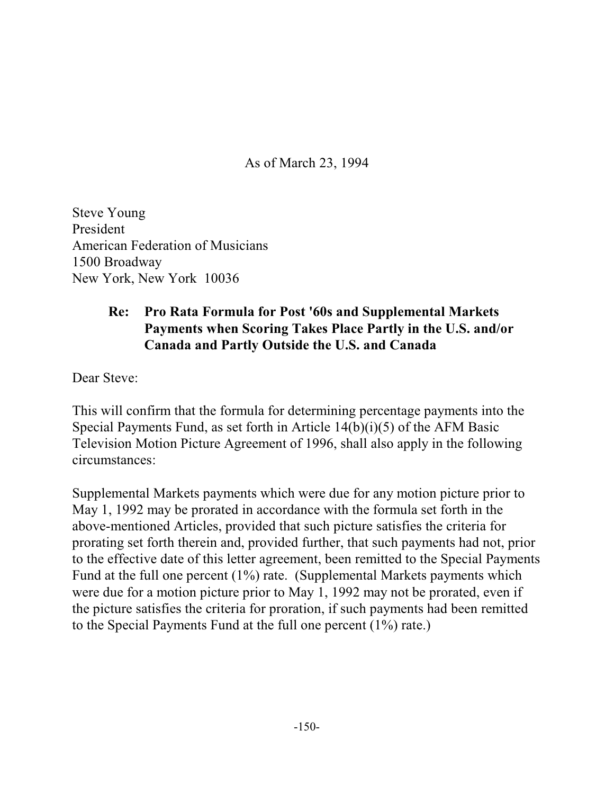As of March 23, 1994

Steve Young President American Federation of Musicians 1500 Broadway New York, New York 10036

### **Re: Pro Rata Formula for Post '60s and Supplemental Markets Payments when Scoring Takes Place Partly in the U.S. and/or Canada and Partly Outside the U.S. and Canada**

Dear Steve:

This will confirm that the formula for determining percentage payments into the Special Payments Fund, as set forth in Article 14(b)(i)(5) of the AFM Basic Television Motion Picture Agreement of 1996, shall also apply in the following circumstances:

Supplemental Markets payments which were due for any motion picture prior to May 1, 1992 may be prorated in accordance with the formula set forth in the above-mentioned Articles, provided that such picture satisfies the criteria for prorating set forth therein and, provided further, that such payments had not, prior to the effective date of this letter agreement, been remitted to the Special Payments Fund at the full one percent  $(1\%)$  rate. (Supplemental Markets payments which were due for a motion picture prior to May 1, 1992 may not be prorated, even if the picture satisfies the criteria for proration, if such payments had been remitted to the Special Payments Fund at the full one percent (1%) rate.)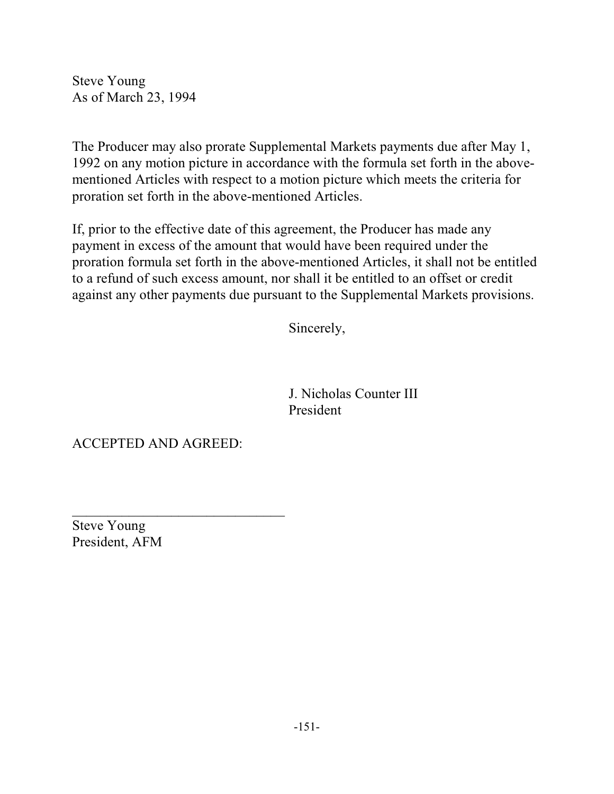Steve Young As of March 23, 1994

The Producer may also prorate Supplemental Markets payments due after May 1, 1992 on any motion picture in accordance with the formula set forth in the abovementioned Articles with respect to a motion picture which meets the criteria for proration set forth in the above-mentioned Articles.

If, prior to the effective date of this agreement, the Producer has made any payment in excess of the amount that would have been required under the proration formula set forth in the above-mentioned Articles, it shall not be entitled to a refund of such excess amount, nor shall it be entitled to an offset or credit against any other payments due pursuant to the Supplemental Markets provisions.

Sincerely,

J. Nicholas Counter III President

ACCEPTED AND AGREED:

 $\mathcal{L}_\text{max}$  , where  $\mathcal{L}_\text{max}$  , we have the set of the set of the set of the set of the set of the set of the set of the set of the set of the set of the set of the set of the set of the set of the set of the set of

Steve Young President, AFM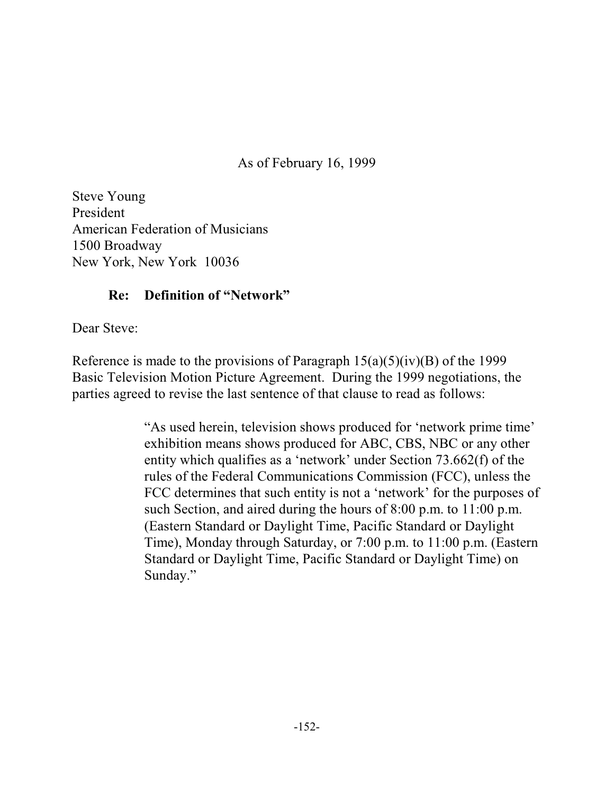As of February 16, 1999

Steve Young President American Federation of Musicians 1500 Broadway New York, New York 10036

#### **Re: Definition of "Network"**

Dear Steve:

Reference is made to the provisions of Paragraph  $15(a)(5)(iv)(B)$  of the 1999 Basic Television Motion Picture Agreement. During the 1999 negotiations, the parties agreed to revise the last sentence of that clause to read as follows:

> "As used herein, television shows produced for 'network prime time' exhibition means shows produced for ABC, CBS, NBC or any other entity which qualifies as a 'network' under Section 73.662(f) of the rules of the Federal Communications Commission (FCC), unless the FCC determines that such entity is not a 'network' for the purposes of such Section, and aired during the hours of 8:00 p.m. to 11:00 p.m. (Eastern Standard or Daylight Time, Pacific Standard or Daylight Time), Monday through Saturday, or 7:00 p.m. to 11:00 p.m. (Eastern Standard or Daylight Time, Pacific Standard or Daylight Time) on Sunday."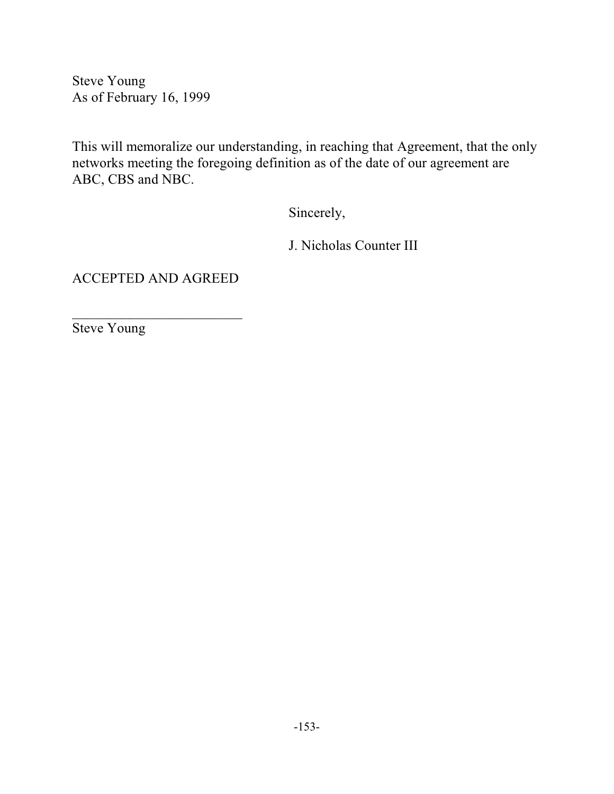Steve Young As of February 16, 1999

This will memoralize our understanding, in reaching that Agreement, that the only networks meeting the foregoing definition as of the date of our agreement are ABC, CBS and NBC.

Sincerely,

J. Nicholas Counter III

ACCEPTED AND AGREED

 $\mathcal{L}_\text{max}$  , where  $\mathcal{L}_\text{max}$  , we have the set of the set of the set of the set of the set of the set of the set of the set of the set of the set of the set of the set of the set of the set of the set of the set of

Steve Young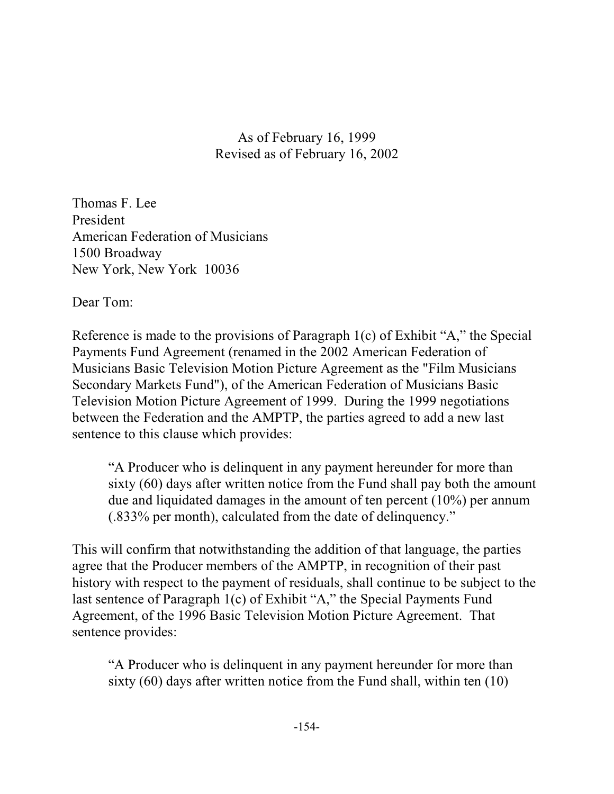### As of February 16, 1999 Revised as of February 16, 2002

Thomas F. Lee President American Federation of Musicians 1500 Broadway New York, New York 10036

Dear Tom:

Reference is made to the provisions of Paragraph 1(c) of Exhibit "A," the Special Payments Fund Agreement (renamed in the 2002 American Federation of Musicians Basic Television Motion Picture Agreement as the "Film Musicians Secondary Markets Fund"), of the American Federation of Musicians Basic Television Motion Picture Agreement of 1999. During the 1999 negotiations between the Federation and the AMPTP, the parties agreed to add a new last sentence to this clause which provides:

"A Producer who is delinquent in any payment hereunder for more than sixty (60) days after written notice from the Fund shall pay both the amount due and liquidated damages in the amount of ten percent (10%) per annum (.833% per month), calculated from the date of delinquency."

This will confirm that notwithstanding the addition of that language, the parties agree that the Producer members of the AMPTP, in recognition of their past history with respect to the payment of residuals, shall continue to be subject to the last sentence of Paragraph 1(c) of Exhibit "A," the Special Payments Fund Agreement, of the 1996 Basic Television Motion Picture Agreement. That sentence provides:

"A Producer who is delinquent in any payment hereunder for more than sixty (60) days after written notice from the Fund shall, within ten (10)